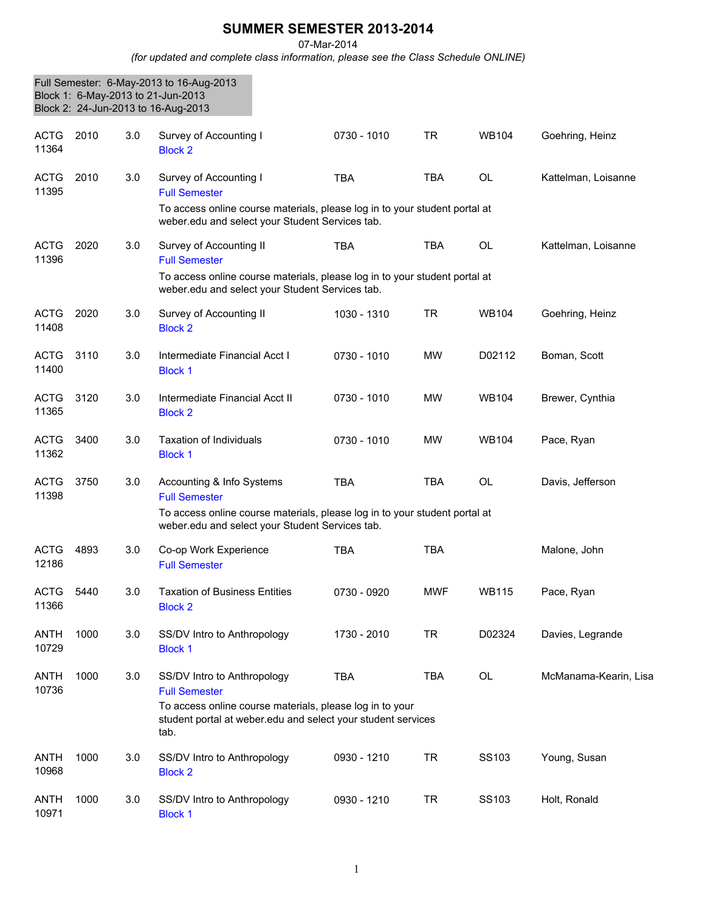## **SUMMER SEMESTER 2013-2014**

07-Mar-2014

*(for updated and complete class information, please see the Class Schedule ONLINE)*

|                      |      |     | Full Semester: 6-May-2013 to 16-Aug-2013<br>Block 1: 6-May-2013 to 21-Jun-2013<br>Block 2: 24-Jun-2013 to 16-Aug-2013                                                                   |             |            |              |                       |
|----------------------|------|-----|-----------------------------------------------------------------------------------------------------------------------------------------------------------------------------------------|-------------|------------|--------------|-----------------------|
| <b>ACTG</b><br>11364 | 2010 | 3.0 | Survey of Accounting I<br><b>Block 2</b>                                                                                                                                                | 0730 - 1010 | <b>TR</b>  | <b>WB104</b> | Goehring, Heinz       |
| <b>ACTG</b><br>11395 | 2010 | 3.0 | Survey of Accounting I<br><b>Full Semester</b><br>To access online course materials, please log in to your student portal at<br>weber.edu and select your Student Services tab.         | <b>TBA</b>  | <b>TBA</b> | <b>OL</b>    | Kattelman, Loisanne   |
| <b>ACTG</b><br>11396 | 2020 | 3.0 | Survey of Accounting II<br><b>Full Semester</b><br>To access online course materials, please log in to your student portal at<br>weber.edu and select your Student Services tab.        | <b>TBA</b>  | <b>TBA</b> | <b>OL</b>    | Kattelman, Loisanne   |
| <b>ACTG</b><br>11408 | 2020 | 3.0 | Survey of Accounting II<br><b>Block 2</b>                                                                                                                                               | 1030 - 1310 | <b>TR</b>  | <b>WB104</b> | Goehring, Heinz       |
| <b>ACTG</b><br>11400 | 3110 | 3.0 | Intermediate Financial Acct I<br><b>Block 1</b>                                                                                                                                         | 0730 - 1010 | <b>MW</b>  | D02112       | Boman, Scott          |
| <b>ACTG</b><br>11365 | 3120 | 3.0 | Intermediate Financial Acct II<br><b>Block 2</b>                                                                                                                                        | 0730 - 1010 | <b>MW</b>  | <b>WB104</b> | Brewer, Cynthia       |
| <b>ACTG</b><br>11362 | 3400 | 3.0 | <b>Taxation of Individuals</b><br><b>Block 1</b>                                                                                                                                        | 0730 - 1010 | <b>MW</b>  | <b>WB104</b> | Pace, Ryan            |
| <b>ACTG</b><br>11398 | 3750 | 3.0 | Accounting & Info Systems<br><b>Full Semester</b><br>To access online course materials, please log in to your student portal at<br>weber.edu and select your Student Services tab.      | <b>TBA</b>  | <b>TBA</b> | <b>OL</b>    | Davis, Jefferson      |
| <b>ACTG</b><br>12186 | 4893 | 3.0 | Co-op Work Experience<br><b>Full Semester</b>                                                                                                                                           | <b>TBA</b>  | <b>TBA</b> |              | Malone, John          |
| <b>ACTG</b><br>11366 | 5440 | 3.0 | <b>Taxation of Business Entities</b><br><b>Block 2</b>                                                                                                                                  | 0730 - 0920 | <b>MWF</b> | <b>WB115</b> | Pace, Ryan            |
| ANTH<br>10729        | 1000 | 3.0 | SS/DV Intro to Anthropology<br><b>Block 1</b>                                                                                                                                           | 1730 - 2010 | <b>TR</b>  | D02324       | Davies, Legrande      |
| ANTH<br>10736        | 1000 | 3.0 | SS/DV Intro to Anthropology<br><b>Full Semester</b><br>To access online course materials, please log in to your<br>student portal at weber.edu and select your student services<br>tab. | <b>TBA</b>  | <b>TBA</b> | OL           | McManama-Kearin, Lisa |
| ANTH<br>10968        | 1000 | 3.0 | SS/DV Intro to Anthropology<br><b>Block 2</b>                                                                                                                                           | 0930 - 1210 | <b>TR</b>  | SS103        | Young, Susan          |
| <b>ANTH</b><br>10971 | 1000 | 3.0 | SS/DV Intro to Anthropology<br><b>Block 1</b>                                                                                                                                           | 0930 - 1210 | <b>TR</b>  | SS103        | Holt, Ronald          |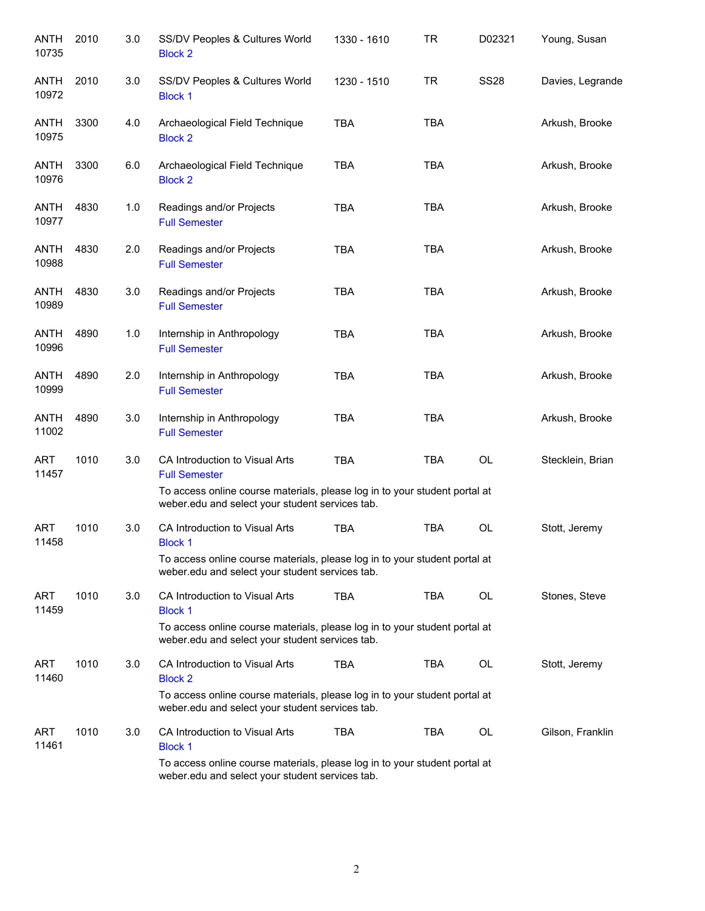| <b>ANTH</b><br>10735 | 2010 | 3.0 | SS/DV Peoples & Cultures World<br><b>Block 2</b>                                                                              | 1330 - 1610 | <b>TR</b>  | D02321      | Young, Susan     |
|----------------------|------|-----|-------------------------------------------------------------------------------------------------------------------------------|-------------|------------|-------------|------------------|
| <b>ANTH</b><br>10972 | 2010 | 3.0 | SS/DV Peoples & Cultures World<br><b>Block 1</b>                                                                              | 1230 - 1510 | <b>TR</b>  | <b>SS28</b> | Davies, Legrande |
| ANTH<br>10975        | 3300 | 4.0 | Archaeological Field Technique<br><b>Block 2</b>                                                                              | <b>TBA</b>  | <b>TBA</b> |             | Arkush, Brooke   |
| ANTH<br>10976        | 3300 | 6.0 | Archaeological Field Technique<br><b>Block 2</b>                                                                              | <b>TBA</b>  | <b>TBA</b> |             | Arkush, Brooke   |
| <b>ANTH</b><br>10977 | 4830 | 1.0 | Readings and/or Projects<br><b>Full Semester</b>                                                                              | <b>TBA</b>  | <b>TBA</b> |             | Arkush, Brooke   |
| <b>ANTH</b><br>10988 | 4830 | 2.0 | Readings and/or Projects<br><b>Full Semester</b>                                                                              | <b>TBA</b>  | <b>TBA</b> |             | Arkush, Brooke   |
| <b>ANTH</b><br>10989 | 4830 | 3.0 | Readings and/or Projects<br><b>Full Semester</b>                                                                              | <b>TBA</b>  | <b>TBA</b> |             | Arkush, Brooke   |
| <b>ANTH</b><br>10996 | 4890 | 1.0 | Internship in Anthropology<br><b>Full Semester</b>                                                                            | <b>TBA</b>  | <b>TBA</b> |             | Arkush, Brooke   |
| <b>ANTH</b><br>10999 | 4890 | 2.0 | Internship in Anthropology<br><b>Full Semester</b>                                                                            | <b>TBA</b>  | <b>TBA</b> |             | Arkush, Brooke   |
| <b>ANTH</b><br>11002 | 4890 | 3.0 | Internship in Anthropology<br><b>Full Semester</b>                                                                            | <b>TBA</b>  | <b>TBA</b> |             | Arkush, Brooke   |
| <b>ART</b><br>11457  | 1010 | 3.0 | CA Introduction to Visual Arts<br><b>Full Semester</b>                                                                        | <b>TBA</b>  | <b>TBA</b> | <b>OL</b>   | Stecklein, Brian |
|                      |      |     | To access online course materials, please log in to your student portal at<br>weber.edu and select your student services tab. |             |            |             |                  |
| ART<br>11458         | 1010 | 3.0 | CA Introduction to Visual Arts<br><b>Block 1</b>                                                                              | <b>TBA</b>  | <b>TBA</b> | OL          | Stott, Jeremy    |
|                      |      |     | To access online course materials, please log in to your student portal at<br>weber.edu and select your student services tab. |             |            |             |                  |
| <b>ART</b><br>11459  | 1010 | 3.0 | CA Introduction to Visual Arts<br><b>Block 1</b>                                                                              | <b>TBA</b>  | <b>TBA</b> | <b>OL</b>   | Stones, Steve    |
|                      |      |     | To access online course materials, please log in to your student portal at<br>weber.edu and select your student services tab. |             |            |             |                  |
| <b>ART</b><br>11460  | 1010 | 3.0 | CA Introduction to Visual Arts<br><b>Block 2</b>                                                                              | <b>TBA</b>  | <b>TBA</b> | <b>OL</b>   | Stott, Jeremy    |
|                      |      |     | To access online course materials, please log in to your student portal at<br>weber.edu and select your student services tab. |             |            |             |                  |
| ART<br>11461         | 1010 | 3.0 | CA Introduction to Visual Arts<br><b>Block 1</b>                                                                              | <b>TBA</b>  | <b>TBA</b> | <b>OL</b>   | Gilson, Franklin |
|                      |      |     | To access online course materials, please log in to your student portal at<br>weber.edu and select your student services tab. |             |            |             |                  |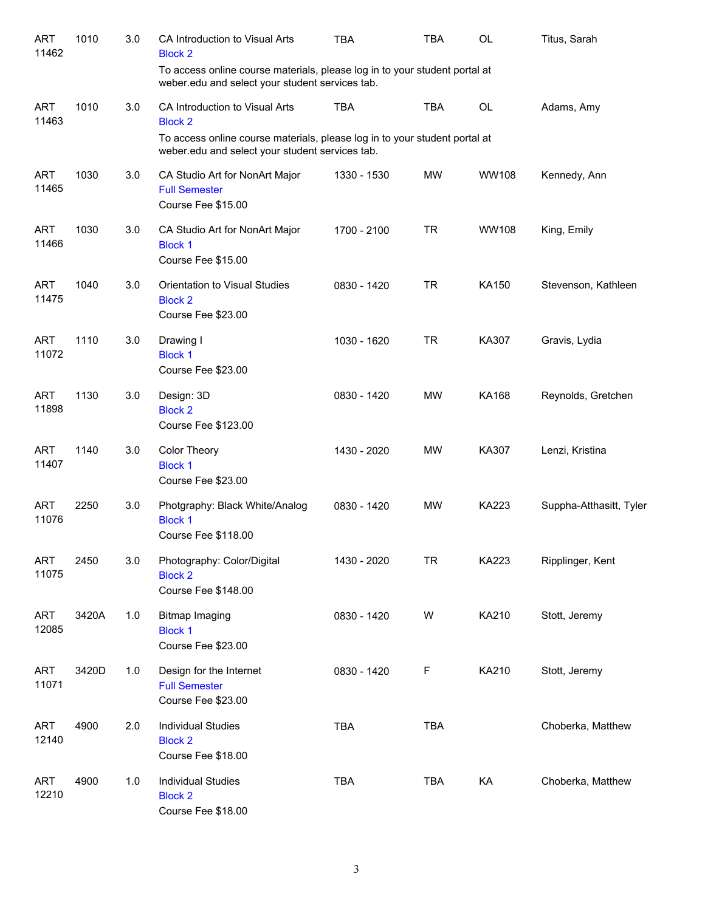| <b>ART</b><br>11462 | 1010  | 3.0 | CA Introduction to Visual Arts<br><b>Block 2</b>                                                                              | <b>TBA</b>  | <b>TBA</b> | <b>OL</b>    | Titus, Sarah            |
|---------------------|-------|-----|-------------------------------------------------------------------------------------------------------------------------------|-------------|------------|--------------|-------------------------|
|                     |       |     | To access online course materials, please log in to your student portal at<br>weber.edu and select your student services tab. |             |            |              |                         |
| <b>ART</b><br>11463 | 1010  | 3.0 | CA Introduction to Visual Arts<br><b>Block 2</b>                                                                              | <b>TBA</b>  | <b>TBA</b> | OL           | Adams, Amy              |
|                     |       |     | To access online course materials, please log in to your student portal at<br>weber.edu and select your student services tab. |             |            |              |                         |
| <b>ART</b><br>11465 | 1030  | 3.0 | CA Studio Art for NonArt Major<br><b>Full Semester</b><br>Course Fee \$15.00                                                  | 1330 - 1530 | <b>MW</b>  | <b>WW108</b> | Kennedy, Ann            |
| <b>ART</b><br>11466 | 1030  | 3.0 | CA Studio Art for NonArt Major<br><b>Block 1</b><br>Course Fee \$15.00                                                        | 1700 - 2100 | <b>TR</b>  | <b>WW108</b> | King, Emily             |
| <b>ART</b><br>11475 | 1040  | 3.0 | Orientation to Visual Studies<br><b>Block 2</b><br>Course Fee \$23.00                                                         | 0830 - 1420 | <b>TR</b>  | KA150        | Stevenson, Kathleen     |
| <b>ART</b><br>11072 | 1110  | 3.0 | Drawing I<br><b>Block 1</b><br>Course Fee \$23.00                                                                             | 1030 - 1620 | <b>TR</b>  | KA307        | Gravis, Lydia           |
| ART<br>11898        | 1130  | 3.0 | Design: 3D<br><b>Block 2</b><br>Course Fee \$123.00                                                                           | 0830 - 1420 | MW         | <b>KA168</b> | Reynolds, Gretchen      |
| ART<br>11407        | 1140  | 3.0 | Color Theory<br><b>Block 1</b><br>Course Fee \$23.00                                                                          | 1430 - 2020 | MW         | KA307        | Lenzi, Kristina         |
| <b>ART</b><br>11076 | 2250  | 3.0 | Photgraphy: Black White/Analog<br><b>Block 1</b><br>Course Fee \$118.00                                                       | 0830 - 1420 | MW         | <b>KA223</b> | Suppha-Atthasitt, Tyler |
| <b>ART</b><br>11075 | 2450  | 3.0 | Photography: Color/Digital<br><b>Block 2</b><br>Course Fee \$148.00                                                           | 1430 - 2020 | <b>TR</b>  | KA223        | Ripplinger, Kent        |
| <b>ART</b><br>12085 | 3420A | 1.0 | <b>Bitmap Imaging</b><br><b>Block 1</b><br>Course Fee \$23.00                                                                 | 0830 - 1420 | W          | KA210        | Stott, Jeremy           |
| <b>ART</b><br>11071 | 3420D | 1.0 | Design for the Internet<br><b>Full Semester</b><br>Course Fee \$23.00                                                         | 0830 - 1420 | F          | KA210        | Stott, Jeremy           |
| <b>ART</b><br>12140 | 4900  | 2.0 | <b>Individual Studies</b><br><b>Block 2</b><br>Course Fee \$18.00                                                             | <b>TBA</b>  | TBA        |              | Choberka, Matthew       |
| <b>ART</b><br>12210 | 4900  | 1.0 | <b>Individual Studies</b><br><b>Block 2</b><br>Course Fee \$18.00                                                             | <b>TBA</b>  | TBA        | KA           | Choberka, Matthew       |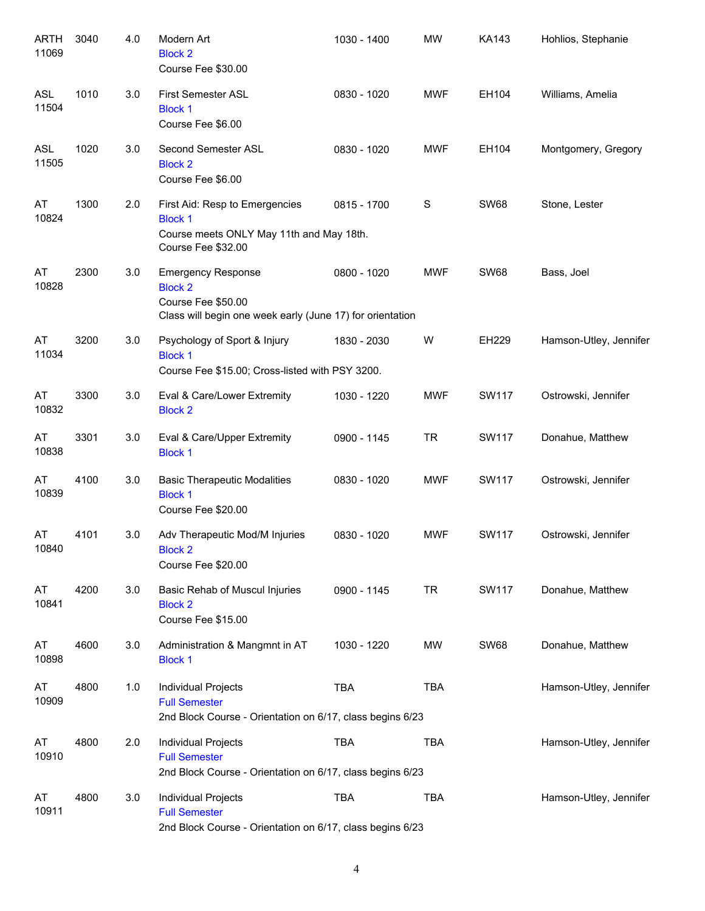| <b>ARTH</b><br>11069 | 3040 | 4.0 | Modern Art<br><b>Block 2</b><br>Course Fee \$30.00                                                                             | 1030 - 1400 | <b>MW</b>  | <b>KA143</b> | Hohlios, Stephanie     |
|----------------------|------|-----|--------------------------------------------------------------------------------------------------------------------------------|-------------|------------|--------------|------------------------|
| <b>ASL</b><br>11504  | 1010 | 3.0 | <b>First Semester ASL</b><br><b>Block 1</b><br>Course Fee \$6.00                                                               | 0830 - 1020 | <b>MWF</b> | EH104        | Williams, Amelia       |
| <b>ASL</b><br>11505  | 1020 | 3.0 | Second Semester ASL<br><b>Block 2</b><br>Course Fee \$6.00                                                                     | 0830 - 1020 | <b>MWF</b> | EH104        | Montgomery, Gregory    |
| AT<br>10824          | 1300 | 2.0 | First Aid: Resp to Emergencies<br><b>Block 1</b><br>Course meets ONLY May 11th and May 18th.<br>Course Fee \$32.00             | 0815 - 1700 | S          | <b>SW68</b>  | Stone, Lester          |
| AT<br>10828          | 2300 | 3.0 | <b>Emergency Response</b><br><b>Block 2</b><br>Course Fee \$50.00<br>Class will begin one week early (June 17) for orientation | 0800 - 1020 | <b>MWF</b> | <b>SW68</b>  | Bass, Joel             |
| AT<br>11034          | 3200 | 3.0 | Psychology of Sport & Injury<br><b>Block 1</b><br>Course Fee \$15.00; Cross-listed with PSY 3200.                              | 1830 - 2030 | W          | EH229        | Hamson-Utley, Jennifer |
| AT<br>10832          | 3300 | 3.0 | Eval & Care/Lower Extremity<br><b>Block 2</b>                                                                                  | 1030 - 1220 | <b>MWF</b> | SW117        | Ostrowski, Jennifer    |
| AT<br>10838          | 3301 | 3.0 | Eval & Care/Upper Extremity<br><b>Block 1</b>                                                                                  | 0900 - 1145 | <b>TR</b>  | SW117        | Donahue, Matthew       |
| AT<br>10839          | 4100 | 3.0 | <b>Basic Therapeutic Modalities</b><br><b>Block 1</b><br>Course Fee \$20.00                                                    | 0830 - 1020 | <b>MWF</b> | SW117        | Ostrowski, Jennifer    |
| AT<br>10840          | 4101 | 3.0 | Adv Therapeutic Mod/M Injuries<br><b>Block 2</b><br>Course Fee \$20.00                                                         | 0830 - 1020 | <b>MWF</b> | SW117        | Ostrowski, Jennifer    |
| AT<br>10841          | 4200 | 3.0 | Basic Rehab of Muscul Injuries<br><b>Block 2</b><br>Course Fee \$15.00                                                         | 0900 - 1145 | <b>TR</b>  | <b>SW117</b> | Donahue, Matthew       |
| AT<br>10898          | 4600 | 3.0 | Administration & Mangmnt in AT<br><b>Block 1</b>                                                                               | 1030 - 1220 | MW         | <b>SW68</b>  | Donahue, Matthew       |
| AT<br>10909          | 4800 | 1.0 | Individual Projects<br><b>Full Semester</b><br>2nd Block Course - Orientation on 6/17, class begins 6/23                       | <b>TBA</b>  | <b>TBA</b> |              | Hamson-Utley, Jennifer |
| AT<br>10910          | 4800 | 2.0 | Individual Projects<br><b>Full Semester</b><br>2nd Block Course - Orientation on 6/17, class begins 6/23                       | <b>TBA</b>  | <b>TBA</b> |              | Hamson-Utley, Jennifer |
| AT<br>10911          | 4800 | 3.0 | Individual Projects<br><b>Full Semester</b><br>2nd Block Course - Orientation on 6/17, class begins 6/23                       | <b>TBA</b>  | <b>TBA</b> |              | Hamson-Utley, Jennifer |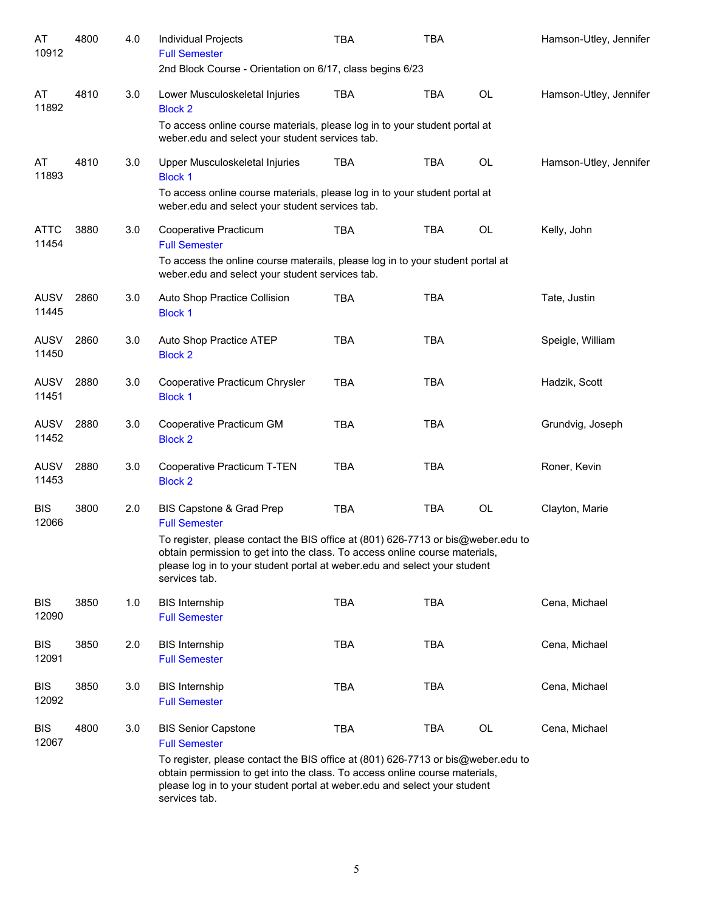| AT<br>10912          | 4800 | 4.0 | Individual Projects<br><b>Full Semester</b>                                                                                                                                                                                                                   | TBA        | TBA        |           | Hamson-Utley, Jennifer |
|----------------------|------|-----|---------------------------------------------------------------------------------------------------------------------------------------------------------------------------------------------------------------------------------------------------------------|------------|------------|-----------|------------------------|
|                      |      |     | 2nd Block Course - Orientation on 6/17, class begins 6/23                                                                                                                                                                                                     |            |            |           |                        |
| AT<br>11892          | 4810 | 3.0 | Lower Musculoskeletal Injuries<br><b>Block 2</b>                                                                                                                                                                                                              | <b>TBA</b> | <b>TBA</b> | <b>OL</b> | Hamson-Utley, Jennifer |
|                      |      |     | To access online course materials, please log in to your student portal at<br>weber.edu and select your student services tab.                                                                                                                                 |            |            |           |                        |
| AT<br>11893          | 4810 | 3.0 | Upper Musculoskeletal Injuries<br><b>Block 1</b>                                                                                                                                                                                                              | <b>TBA</b> | <b>TBA</b> | <b>OL</b> | Hamson-Utley, Jennifer |
|                      |      |     | To access online course materials, please log in to your student portal at<br>weber.edu and select your student services tab.                                                                                                                                 |            |            |           |                        |
| <b>ATTC</b><br>11454 | 3880 | 3.0 | Cooperative Practicum<br><b>Full Semester</b>                                                                                                                                                                                                                 | <b>TBA</b> | <b>TBA</b> | OL        | Kelly, John            |
|                      |      |     | To access the online course materails, please log in to your student portal at<br>weber.edu and select your student services tab.                                                                                                                             |            |            |           |                        |
| <b>AUSV</b><br>11445 | 2860 | 3.0 | Auto Shop Practice Collision<br><b>Block 1</b>                                                                                                                                                                                                                | <b>TBA</b> | <b>TBA</b> |           | Tate, Justin           |
| <b>AUSV</b><br>11450 | 2860 | 3.0 | Auto Shop Practice ATEP<br><b>Block 2</b>                                                                                                                                                                                                                     | <b>TBA</b> | <b>TBA</b> |           | Speigle, William       |
| <b>AUSV</b><br>11451 | 2880 | 3.0 | Cooperative Practicum Chrysler<br><b>Block 1</b>                                                                                                                                                                                                              | <b>TBA</b> | <b>TBA</b> |           | Hadzik, Scott          |
| <b>AUSV</b><br>11452 | 2880 | 3.0 | Cooperative Practicum GM<br><b>Block 2</b>                                                                                                                                                                                                                    | <b>TBA</b> | <b>TBA</b> |           | Grundvig, Joseph       |
| <b>AUSV</b><br>11453 | 2880 | 3.0 | Cooperative Practicum T-TEN<br><b>Block 2</b>                                                                                                                                                                                                                 | <b>TBA</b> | <b>TBA</b> |           | Roner, Kevin           |
| <b>BIS</b><br>12066  | 3800 | 2.0 | BIS Capstone & Grad Prep<br><b>Full Semester</b>                                                                                                                                                                                                              | <b>TBA</b> | <b>TBA</b> | OL        | Clayton, Marie         |
|                      |      |     | To register, please contact the BIS office at (801) 626-7713 or bis@weber.edu to<br>obtain permission to get into the class. To access online course materials,<br>please log in to your student portal at weber.edu and select your student<br>services tab. |            |            |           |                        |
| <b>BIS</b><br>12090  | 3850 | 1.0 | <b>BIS Internship</b><br><b>Full Semester</b>                                                                                                                                                                                                                 | <b>TBA</b> | <b>TBA</b> |           | Cena, Michael          |
| <b>BIS</b><br>12091  | 3850 | 2.0 | <b>BIS Internship</b><br><b>Full Semester</b>                                                                                                                                                                                                                 | <b>TBA</b> | <b>TBA</b> |           | Cena, Michael          |
| <b>BIS</b><br>12092  | 3850 | 3.0 | <b>BIS Internship</b><br><b>Full Semester</b>                                                                                                                                                                                                                 | <b>TBA</b> | <b>TBA</b> |           | Cena, Michael          |
| <b>BIS</b><br>12067  | 4800 | 3.0 | <b>BIS Senior Capstone</b><br><b>Full Semester</b>                                                                                                                                                                                                            | <b>TBA</b> | <b>TBA</b> | OL        | Cena, Michael          |
|                      |      |     | To register, please contact the BIS office at (801) 626-7713 or bis@weber.edu to<br>obtain permission to get into the class. To access online course materials,<br>please log in to your student portal at weber.edu and select your student<br>services tab. |            |            |           |                        |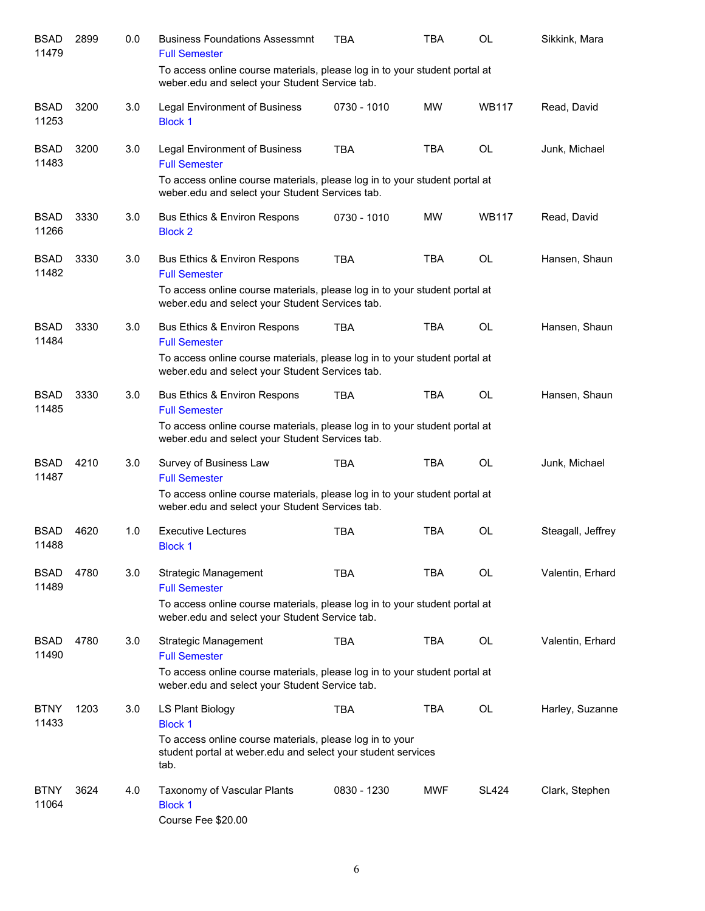| <b>BSAD</b><br>11479 | 2899 | 0.0 | <b>Business Foundations Assessmnt</b><br><b>Full Semester</b>                                                                    | TBA         | TBA        | OL           | Sikkink, Mara     |
|----------------------|------|-----|----------------------------------------------------------------------------------------------------------------------------------|-------------|------------|--------------|-------------------|
|                      |      |     | To access online course materials, please log in to your student portal at<br>weber.edu and select your Student Service tab.     |             |            |              |                   |
| <b>BSAD</b><br>11253 | 3200 | 3.0 | <b>Legal Environment of Business</b><br><b>Block 1</b>                                                                           | 0730 - 1010 | <b>MW</b>  | <b>WB117</b> | Read, David       |
| <b>BSAD</b><br>11483 | 3200 | 3.0 | <b>Legal Environment of Business</b><br><b>Full Semester</b>                                                                     | <b>TBA</b>  | <b>TBA</b> | <b>OL</b>    | Junk, Michael     |
|                      |      |     | To access online course materials, please log in to your student portal at<br>weber.edu and select your Student Services tab.    |             |            |              |                   |
| <b>BSAD</b><br>11266 | 3330 | 3.0 | Bus Ethics & Environ Respons<br><b>Block 2</b>                                                                                   | 0730 - 1010 | <b>MW</b>  | <b>WB117</b> | Read, David       |
| <b>BSAD</b><br>11482 | 3330 | 3.0 | <b>Bus Ethics &amp; Environ Respons</b><br><b>Full Semester</b>                                                                  | <b>TBA</b>  | <b>TBA</b> | <b>OL</b>    | Hansen, Shaun     |
|                      |      |     | To access online course materials, please log in to your student portal at<br>weber.edu and select your Student Services tab.    |             |            |              |                   |
| <b>BSAD</b><br>11484 | 3330 | 3.0 | <b>Bus Ethics &amp; Environ Respons</b><br><b>Full Semester</b>                                                                  | <b>TBA</b>  | <b>TBA</b> | <b>OL</b>    | Hansen, Shaun     |
|                      |      |     | To access online course materials, please log in to your student portal at<br>weber.edu and select your Student Services tab.    |             |            |              |                   |
| <b>BSAD</b><br>11485 | 3330 | 3.0 | Bus Ethics & Environ Respons<br><b>Full Semester</b>                                                                             | TBA         | <b>TBA</b> | <b>OL</b>    | Hansen, Shaun     |
|                      |      |     | To access online course materials, please log in to your student portal at<br>weber.edu and select your Student Services tab.    |             |            |              |                   |
| <b>BSAD</b><br>11487 | 4210 | 3.0 | Survey of Business Law<br><b>Full Semester</b>                                                                                   | <b>TBA</b>  | <b>TBA</b> | <b>OL</b>    | Junk, Michael     |
|                      |      |     | To access online course materials, please log in to your student portal at<br>weber.edu and select your Student Services tab.    |             |            |              |                   |
| <b>BSAD</b><br>11488 | 4620 | 1.0 | <b>Executive Lectures</b><br><b>Block 1</b>                                                                                      | <b>TBA</b>  | <b>TBA</b> | OL           | Steagall, Jeffrey |
| <b>BSAD</b><br>11489 | 4780 | 3.0 | Strategic Management<br><b>Full Semester</b>                                                                                     | TBA         | <b>TBA</b> | OL           | Valentin, Erhard  |
|                      |      |     | To access online course materials, please log in to your student portal at<br>weber.edu and select your Student Service tab.     |             |            |              |                   |
| <b>BSAD</b><br>11490 | 4780 | 3.0 | Strategic Management<br><b>Full Semester</b>                                                                                     | TBA         | TBA        | OL           | Valentin, Erhard  |
|                      |      |     | To access online course materials, please log in to your student portal at<br>weber.edu and select your Student Service tab.     |             |            |              |                   |
| <b>BTNY</b><br>11433 | 1203 | 3.0 | LS Plant Biology<br><b>Block 1</b>                                                                                               | TBA         | TBA        | OL           | Harley, Suzanne   |
|                      |      |     | To access online course materials, please log in to your<br>student portal at weber edu and select your student services<br>tab. |             |            |              |                   |
| <b>BTNY</b><br>11064 | 3624 | 4.0 | Taxonomy of Vascular Plants<br><b>Block 1</b><br>Course Fee \$20.00                                                              | 0830 - 1230 | MWF        | <b>SL424</b> | Clark, Stephen    |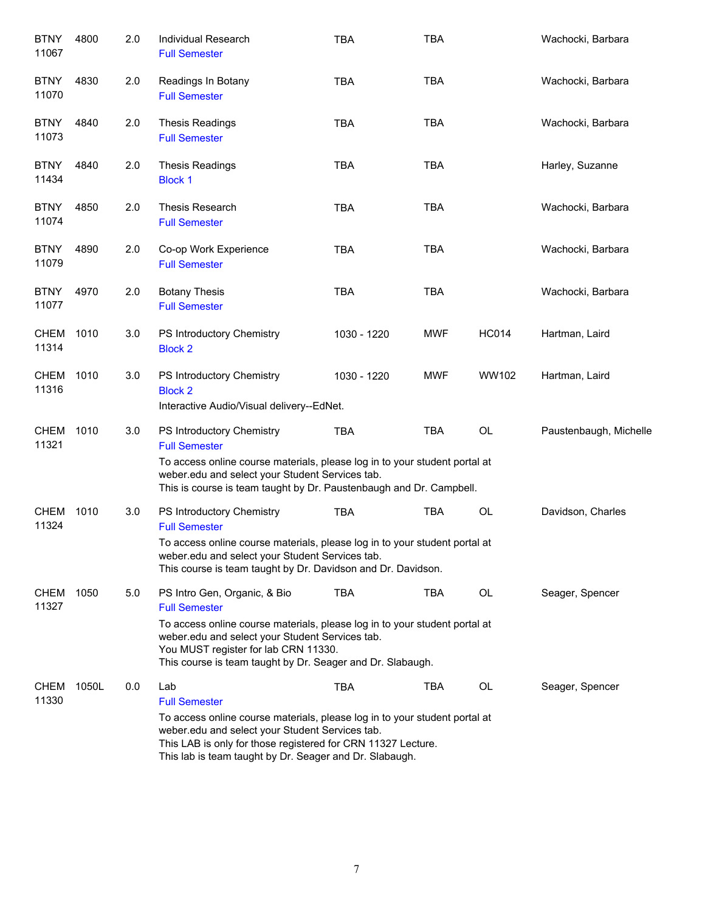| <b>BTNY</b><br>11067 | 4800  | 2.0 | Individual Research<br><b>Full Semester</b>                                                                                                                                                                                                                                                 | <b>TBA</b>  | <b>TBA</b> |              | Wachocki, Barbara      |
|----------------------|-------|-----|---------------------------------------------------------------------------------------------------------------------------------------------------------------------------------------------------------------------------------------------------------------------------------------------|-------------|------------|--------------|------------------------|
| <b>BTNY</b><br>11070 | 4830  | 2.0 | Readings In Botany<br><b>Full Semester</b>                                                                                                                                                                                                                                                  | <b>TBA</b>  | <b>TBA</b> |              | Wachocki, Barbara      |
| <b>BTNY</b><br>11073 | 4840  | 2.0 | <b>Thesis Readings</b><br><b>Full Semester</b>                                                                                                                                                                                                                                              | <b>TBA</b>  | <b>TBA</b> |              | Wachocki, Barbara      |
| <b>BTNY</b><br>11434 | 4840  | 2.0 | <b>Thesis Readings</b><br><b>Block 1</b>                                                                                                                                                                                                                                                    | <b>TBA</b>  | <b>TBA</b> |              | Harley, Suzanne        |
| <b>BTNY</b><br>11074 | 4850  | 2.0 | Thesis Research<br><b>Full Semester</b>                                                                                                                                                                                                                                                     | <b>TBA</b>  | <b>TBA</b> |              | Wachocki, Barbara      |
| <b>BTNY</b><br>11079 | 4890  | 2.0 | Co-op Work Experience<br><b>Full Semester</b>                                                                                                                                                                                                                                               | <b>TBA</b>  | <b>TBA</b> |              | Wachocki, Barbara      |
| <b>BTNY</b><br>11077 | 4970  | 2.0 | <b>Botany Thesis</b><br><b>Full Semester</b>                                                                                                                                                                                                                                                | <b>TBA</b>  | <b>TBA</b> |              | Wachocki, Barbara      |
| <b>CHEM</b><br>11314 | 1010  | 3.0 | PS Introductory Chemistry<br><b>Block 2</b>                                                                                                                                                                                                                                                 | 1030 - 1220 | <b>MWF</b> | <b>HC014</b> | Hartman, Laird         |
| <b>CHEM</b><br>11316 | 1010  | 3.0 | PS Introductory Chemistry<br><b>Block 2</b><br>Interactive Audio/Visual delivery--EdNet.                                                                                                                                                                                                    | 1030 - 1220 | <b>MWF</b> | WW102        | Hartman, Laird         |
| <b>CHEM</b><br>11321 | 1010  | 3.0 | PS Introductory Chemistry<br><b>Full Semester</b><br>To access online course materials, please log in to your student portal at<br>weber.edu and select your Student Services tab.<br>This is course is team taught by Dr. Paustenbaugh and Dr. Campbell.                                   | <b>TBA</b>  | <b>TBA</b> | OL           | Paustenbaugh, Michelle |
| <b>CHEM</b><br>11324 | 1010  | 3.0 | PS Introductory Chemistry<br><b>Full Semester</b><br>To access online course materials, please log in to your student portal at<br>weber.edu and select your Student Services tab.<br>This course is team taught by Dr. Davidson and Dr. Davidson.                                          | <b>TBA</b>  | <b>TBA</b> | OL           | Davidson, Charles      |
| <b>CHEM</b><br>11327 | 1050  | 5.0 | PS Intro Gen, Organic, & Bio<br><b>Full Semester</b><br>To access online course materials, please log in to your student portal at<br>weber.edu and select your Student Services tab.<br>You MUST register for lab CRN 11330.<br>This course is team taught by Dr. Seager and Dr. Slabaugh. | <b>TBA</b>  | TBA        | OL           | Seager, Spencer        |
| <b>CHEM</b><br>11330 | 1050L | 0.0 | Lab<br><b>Full Semester</b><br>To access online course materials, please log in to your student portal at<br>weber.edu and select your Student Services tab.<br>This LAB is only for those registered for CRN 11327 Lecture.<br>This lab is team taught by Dr. Seager and Dr. Slabaugh.     | <b>TBA</b>  | TBA        | OL           | Seager, Spencer        |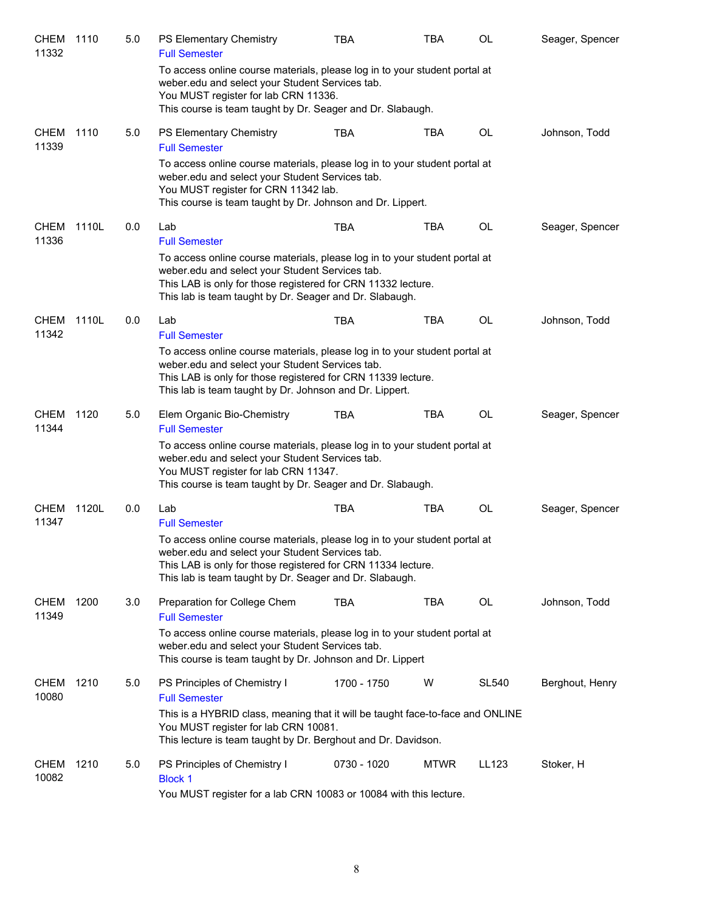| <b>CHEM</b><br>11332 | 1110  | 5.0 | PS Elementary Chemistry<br><b>Full Semester</b>                                                                                                                                                                                                          | <b>TBA</b>  | <b>TBA</b>  | <b>OL</b>    | Seager, Spencer |
|----------------------|-------|-----|----------------------------------------------------------------------------------------------------------------------------------------------------------------------------------------------------------------------------------------------------------|-------------|-------------|--------------|-----------------|
|                      |       |     | To access online course materials, please log in to your student portal at<br>weber.edu and select your Student Services tab.<br>You MUST register for lab CRN 11336.<br>This course is team taught by Dr. Seager and Dr. Slabaugh.                      |             |             |              |                 |
| CHEM<br>11339        | 1110  | 5.0 | PS Elementary Chemistry<br><b>Full Semester</b>                                                                                                                                                                                                          | <b>TBA</b>  | <b>TBA</b>  | <b>OL</b>    | Johnson, Todd   |
|                      |       |     | To access online course materials, please log in to your student portal at<br>weber.edu and select your Student Services tab.<br>You MUST register for CRN 11342 lab.<br>This course is team taught by Dr. Johnson and Dr. Lippert.                      |             |             |              |                 |
| <b>CHEM</b><br>11336 | 1110L | 0.0 | Lab<br><b>Full Semester</b>                                                                                                                                                                                                                              | <b>TBA</b>  | <b>TBA</b>  | <b>OL</b>    | Seager, Spencer |
|                      |       |     | To access online course materials, please log in to your student portal at<br>weber.edu and select your Student Services tab.<br>This LAB is only for those registered for CRN 11332 lecture.<br>This lab is team taught by Dr. Seager and Dr. Slabaugh. |             |             |              |                 |
| <b>CHEM</b><br>11342 | 1110L | 0.0 | Lab<br><b>Full Semester</b>                                                                                                                                                                                                                              | <b>TBA</b>  | <b>TBA</b>  | <b>OL</b>    | Johnson, Todd   |
|                      |       |     | To access online course materials, please log in to your student portal at<br>weber.edu and select your Student Services tab.<br>This LAB is only for those registered for CRN 11339 lecture.<br>This lab is team taught by Dr. Johnson and Dr. Lippert. |             |             |              |                 |
| CHEM<br>11344        | 1120  | 5.0 | Elem Organic Bio-Chemistry<br><b>Full Semester</b>                                                                                                                                                                                                       | <b>TBA</b>  | <b>TBA</b>  | OL           | Seager, Spencer |
|                      |       |     | To access online course materials, please log in to your student portal at<br>weber.edu and select your Student Services tab.<br>You MUST register for lab CRN 11347.<br>This course is team taught by Dr. Seager and Dr. Slabaugh.                      |             |             |              |                 |
| <b>CHEM</b><br>11347 | 1120L | 0.0 | Lab<br><b>Full Semester</b>                                                                                                                                                                                                                              | <b>TBA</b>  | <b>TBA</b>  | <b>OL</b>    | Seager, Spencer |
|                      |       |     | To access online course materials, please log in to your student portal at<br>weber.edu and select your Student Services tab.<br>This LAB is only for those registered for CRN 11334 lecture.<br>This lab is team taught by Dr. Seager and Dr. Slabaugh. |             |             |              |                 |
| CHEM<br>11349        | 1200  | 3.0 | Preparation for College Chem<br><b>Full Semester</b>                                                                                                                                                                                                     | TBA         | <b>TBA</b>  | OL           | Johnson, Todd   |
|                      |       |     | To access online course materials, please log in to your student portal at<br>weber.edu and select your Student Services tab.<br>This course is team taught by Dr. Johnson and Dr. Lippert                                                               |             |             |              |                 |
| <b>CHEM</b><br>10080 | 1210  | 5.0 | PS Principles of Chemistry I<br><b>Full Semester</b>                                                                                                                                                                                                     | 1700 - 1750 | W           | <b>SL540</b> | Berghout, Henry |
|                      |       |     | This is a HYBRID class, meaning that it will be taught face-to-face and ONLINE<br>You MUST register for lab CRN 10081.<br>This lecture is team taught by Dr. Berghout and Dr. Davidson.                                                                  |             |             |              |                 |
| CHEM<br>10082        | 1210  | 5.0 | PS Principles of Chemistry I<br><b>Block 1</b><br>You MUST register for a lab CRN 10083 or 10084 with this lecture.                                                                                                                                      | 0730 - 1020 | <b>MTWR</b> | LL123        | Stoker, H       |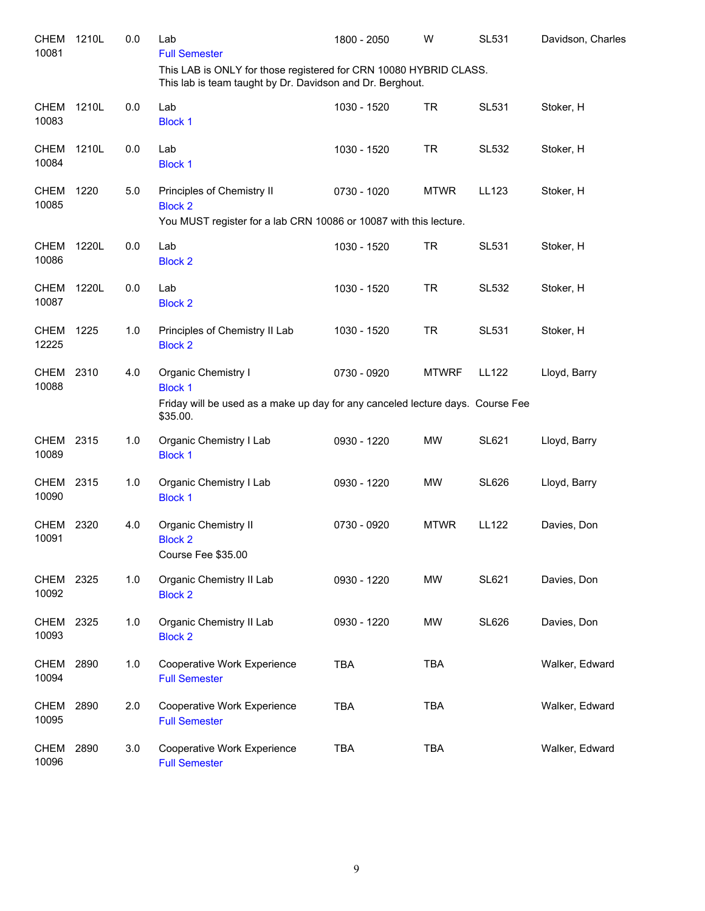| <b>CHEM</b><br>10081 | 1210L | 0.0 | Lab<br><b>Full Semester</b><br>This LAB is ONLY for those registered for CRN 10080 HYBRID CLASS.<br>This lab is team taught by Dr. Davidson and Dr. Berghout. | 1800 - 2050 | W            | SL531        | Davidson, Charles |
|----------------------|-------|-----|---------------------------------------------------------------------------------------------------------------------------------------------------------------|-------------|--------------|--------------|-------------------|
| <b>CHEM</b>          | 1210L | 0.0 | Lab                                                                                                                                                           | 1030 - 1520 | <b>TR</b>    | <b>SL531</b> | Stoker, H         |
| 10083                |       |     | <b>Block 1</b>                                                                                                                                                |             |              |              |                   |
| <b>CHEM</b><br>10084 | 1210L | 0.0 | Lab<br><b>Block 1</b>                                                                                                                                         | 1030 - 1520 | <b>TR</b>    | <b>SL532</b> | Stoker, H         |
| CHEM<br>10085        | 1220  | 5.0 | Principles of Chemistry II<br><b>Block 2</b><br>You MUST register for a lab CRN 10086 or 10087 with this lecture.                                             | 0730 - 1020 | <b>MTWR</b>  | LL123        | Stoker, H         |
|                      |       |     |                                                                                                                                                               |             |              |              |                   |
| <b>CHEM</b><br>10086 | 1220L | 0.0 | Lab<br><b>Block 2</b>                                                                                                                                         | 1030 - 1520 | <b>TR</b>    | <b>SL531</b> | Stoker, H         |
| <b>CHEM</b><br>10087 | 1220L | 0.0 | Lab<br><b>Block 2</b>                                                                                                                                         | 1030 - 1520 | <b>TR</b>    | <b>SL532</b> | Stoker, H         |
| CHEM<br>12225        | 1225  | 1.0 | Principles of Chemistry II Lab<br><b>Block 2</b>                                                                                                              | 1030 - 1520 | <b>TR</b>    | <b>SL531</b> | Stoker, H         |
| CHEM<br>10088        | 2310  | 4.0 | Organic Chemistry I<br><b>Block 1</b>                                                                                                                         | 0730 - 0920 | <b>MTWRF</b> | <b>LL122</b> | Lloyd, Barry      |
|                      |       |     | Friday will be used as a make up day for any canceled lecture days. Course Fee<br>\$35.00.                                                                    |             |              |              |                   |
| <b>CHEM</b><br>10089 | 2315  | 1.0 | Organic Chemistry I Lab<br><b>Block 1</b>                                                                                                                     | 0930 - 1220 | MW           | <b>SL621</b> | Lloyd, Barry      |
| CHEM<br>10090        | 2315  | 1.0 | Organic Chemistry I Lab<br><b>Block 1</b>                                                                                                                     | 0930 - 1220 | <b>MW</b>    | <b>SL626</b> | Lloyd, Barry      |
| <b>CHEM</b><br>10091 | 2320  | 4.0 | Organic Chemistry II<br><b>Block 2</b><br>Course Fee \$35.00                                                                                                  | 0730 - 0920 | <b>MTWR</b>  | <b>LL122</b> | Davies, Don       |
| <b>CHEM</b><br>10092 | 2325  | 1.0 | Organic Chemistry II Lab<br><b>Block 2</b>                                                                                                                    | 0930 - 1220 | MW           | <b>SL621</b> | Davies, Don       |
| <b>CHEM</b><br>10093 | 2325  | 1.0 | Organic Chemistry II Lab<br><b>Block 2</b>                                                                                                                    | 0930 - 1220 | MW           | <b>SL626</b> | Davies, Don       |
| <b>CHEM</b><br>10094 | 2890  | 1.0 | Cooperative Work Experience<br><b>Full Semester</b>                                                                                                           | <b>TBA</b>  | <b>TBA</b>   |              | Walker, Edward    |
| <b>CHEM</b><br>10095 | 2890  | 2.0 | Cooperative Work Experience<br><b>Full Semester</b>                                                                                                           | <b>TBA</b>  | <b>TBA</b>   |              | Walker, Edward    |
| <b>CHEM</b><br>10096 | 2890  | 3.0 | Cooperative Work Experience<br><b>Full Semester</b>                                                                                                           | <b>TBA</b>  | <b>TBA</b>   |              | Walker, Edward    |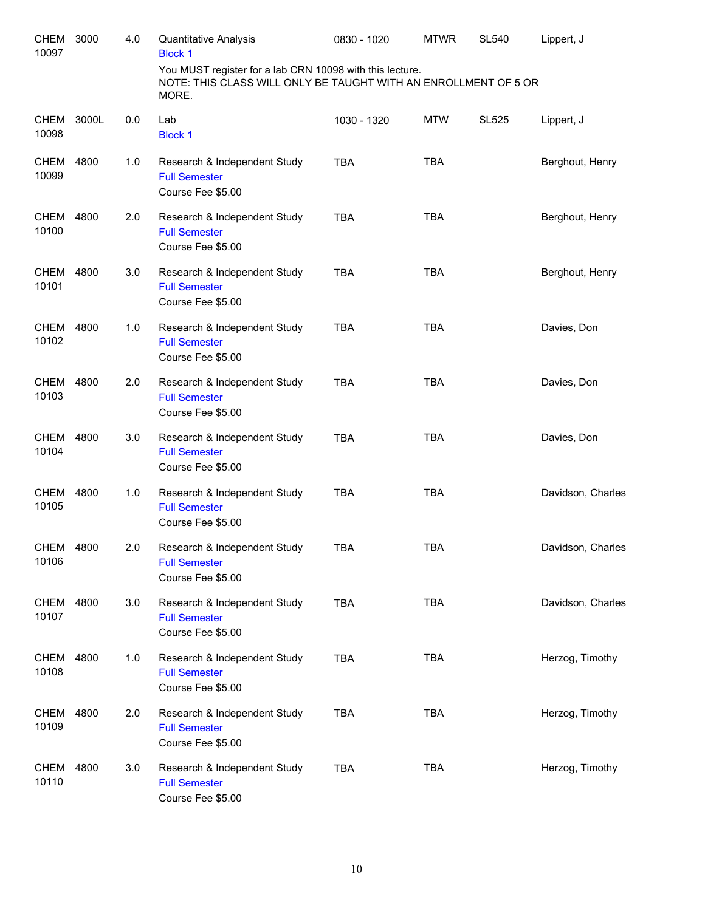| <b>CHEM</b><br>10097 | 3000  | 4.0 | Quantitative Analysis<br><b>Block 1</b>                                                                                              | 0830 - 1020 | <b>MTWR</b> | <b>SL540</b> | Lippert, J        |
|----------------------|-------|-----|--------------------------------------------------------------------------------------------------------------------------------------|-------------|-------------|--------------|-------------------|
|                      |       |     | You MUST register for a lab CRN 10098 with this lecture.<br>NOTE: THIS CLASS WILL ONLY BE TAUGHT WITH AN ENROLLMENT OF 5 OR<br>MORE. |             |             |              |                   |
| <b>CHEM</b><br>10098 | 3000L | 0.0 | Lab<br><b>Block 1</b>                                                                                                                | 1030 - 1320 | <b>MTW</b>  | <b>SL525</b> | Lippert, J        |
| <b>CHEM</b><br>10099 | 4800  | 1.0 | Research & Independent Study<br><b>Full Semester</b><br>Course Fee \$5.00                                                            | <b>TBA</b>  | <b>TBA</b>  |              | Berghout, Henry   |
| CHEM<br>10100        | 4800  | 2.0 | Research & Independent Study<br><b>Full Semester</b><br>Course Fee \$5.00                                                            | <b>TBA</b>  | <b>TBA</b>  |              | Berghout, Henry   |
| <b>CHEM</b><br>10101 | 4800  | 3.0 | Research & Independent Study<br><b>Full Semester</b><br>Course Fee \$5.00                                                            | <b>TBA</b>  | <b>TBA</b>  |              | Berghout, Henry   |
| CHEM<br>10102        | 4800  | 1.0 | Research & Independent Study<br><b>Full Semester</b><br>Course Fee \$5.00                                                            | <b>TBA</b>  | <b>TBA</b>  |              | Davies, Don       |
| <b>CHEM</b><br>10103 | 4800  | 2.0 | Research & Independent Study<br><b>Full Semester</b><br>Course Fee \$5.00                                                            | <b>TBA</b>  | <b>TBA</b>  |              | Davies, Don       |
| <b>CHEM</b><br>10104 | 4800  | 3.0 | Research & Independent Study<br><b>Full Semester</b><br>Course Fee \$5.00                                                            | <b>TBA</b>  | <b>TBA</b>  |              | Davies, Don       |
| <b>CHEM</b><br>10105 | 4800  | 1.0 | Research & Independent Study<br><b>Full Semester</b><br>Course Fee \$5.00                                                            | <b>TBA</b>  | <b>TBA</b>  |              | Davidson, Charles |
| CHEM 4800<br>10106   |       | 2.0 | Research & Independent Study<br><b>Full Semester</b><br>Course Fee \$5.00                                                            | <b>TBA</b>  | <b>TBA</b>  |              | Davidson, Charles |
| CHEM 4800<br>10107   |       | 3.0 | Research & Independent Study<br><b>Full Semester</b><br>Course Fee \$5.00                                                            | <b>TBA</b>  | <b>TBA</b>  |              | Davidson, Charles |
| <b>CHEM</b><br>10108 | 4800  | 1.0 | Research & Independent Study<br><b>Full Semester</b><br>Course Fee \$5.00                                                            | <b>TBA</b>  | <b>TBA</b>  |              | Herzog, Timothy   |
| CHEM<br>10109        | 4800  | 2.0 | Research & Independent Study<br><b>Full Semester</b><br>Course Fee \$5.00                                                            | <b>TBA</b>  | <b>TBA</b>  |              | Herzog, Timothy   |
| CHEM<br>10110        | 4800  | 3.0 | Research & Independent Study<br><b>Full Semester</b><br>Course Fee \$5.00                                                            | <b>TBA</b>  | <b>TBA</b>  |              | Herzog, Timothy   |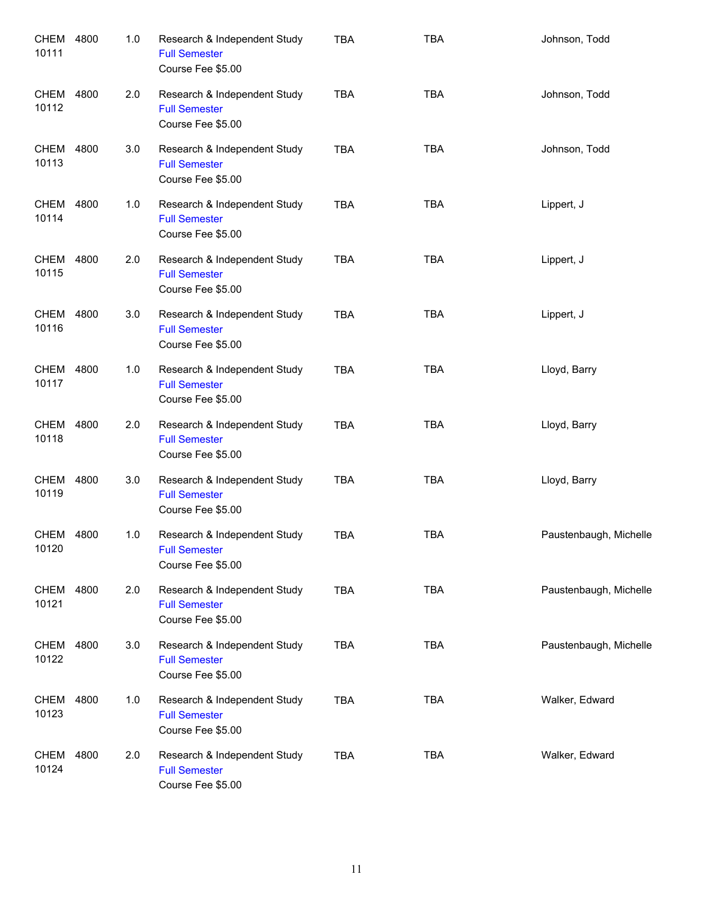| CHEM<br>10111        | 4800 | 1.0 | Research & Independent Study<br><b>Full Semester</b><br>Course Fee \$5.00 | <b>TBA</b> | <b>TBA</b> | Johnson, Todd          |
|----------------------|------|-----|---------------------------------------------------------------------------|------------|------------|------------------------|
| CHEM<br>10112        | 4800 | 2.0 | Research & Independent Study<br><b>Full Semester</b><br>Course Fee \$5.00 | <b>TBA</b> | <b>TBA</b> | Johnson, Todd          |
| CHEM<br>10113        | 4800 | 3.0 | Research & Independent Study<br><b>Full Semester</b><br>Course Fee \$5.00 | <b>TBA</b> | <b>TBA</b> | Johnson, Todd          |
| CHEM<br>10114        | 4800 | 1.0 | Research & Independent Study<br><b>Full Semester</b><br>Course Fee \$5.00 | <b>TBA</b> | <b>TBA</b> | Lippert, J             |
| CHEM<br>10115        | 4800 | 2.0 | Research & Independent Study<br><b>Full Semester</b><br>Course Fee \$5.00 | <b>TBA</b> | <b>TBA</b> | Lippert, J             |
| CHEM<br>10116        | 4800 | 3.0 | Research & Independent Study<br><b>Full Semester</b><br>Course Fee \$5.00 | <b>TBA</b> | <b>TBA</b> | Lippert, J             |
| CHEM<br>10117        | 4800 | 1.0 | Research & Independent Study<br><b>Full Semester</b><br>Course Fee \$5.00 | <b>TBA</b> | <b>TBA</b> | Lloyd, Barry           |
| <b>CHEM</b><br>10118 | 4800 | 2.0 | Research & Independent Study<br><b>Full Semester</b><br>Course Fee \$5.00 | <b>TBA</b> | <b>TBA</b> | Lloyd, Barry           |
| <b>CHEM</b><br>10119 | 4800 | 3.0 | Research & Independent Study<br><b>Full Semester</b><br>Course Fee \$5.00 | <b>TBA</b> | <b>TBA</b> | Lloyd, Barry           |
| CHEM<br>10120        | 4800 | 1.0 | Research & Independent Study<br><b>Full Semester</b><br>Course Fee \$5.00 | <b>TBA</b> | <b>TBA</b> | Paustenbaugh, Michelle |
| CHEM<br>10121        | 4800 | 2.0 | Research & Independent Study<br><b>Full Semester</b><br>Course Fee \$5.00 | <b>TBA</b> | <b>TBA</b> | Paustenbaugh, Michelle |
| CHEM<br>10122        | 4800 | 3.0 | Research & Independent Study<br><b>Full Semester</b><br>Course Fee \$5.00 | <b>TBA</b> | <b>TBA</b> | Paustenbaugh, Michelle |
| CHEM<br>10123        | 4800 | 1.0 | Research & Independent Study<br><b>Full Semester</b><br>Course Fee \$5.00 | <b>TBA</b> | <b>TBA</b> | Walker, Edward         |
| CHEM<br>10124        | 4800 | 2.0 | Research & Independent Study<br><b>Full Semester</b><br>Course Fee \$5.00 | <b>TBA</b> | <b>TBA</b> | Walker, Edward         |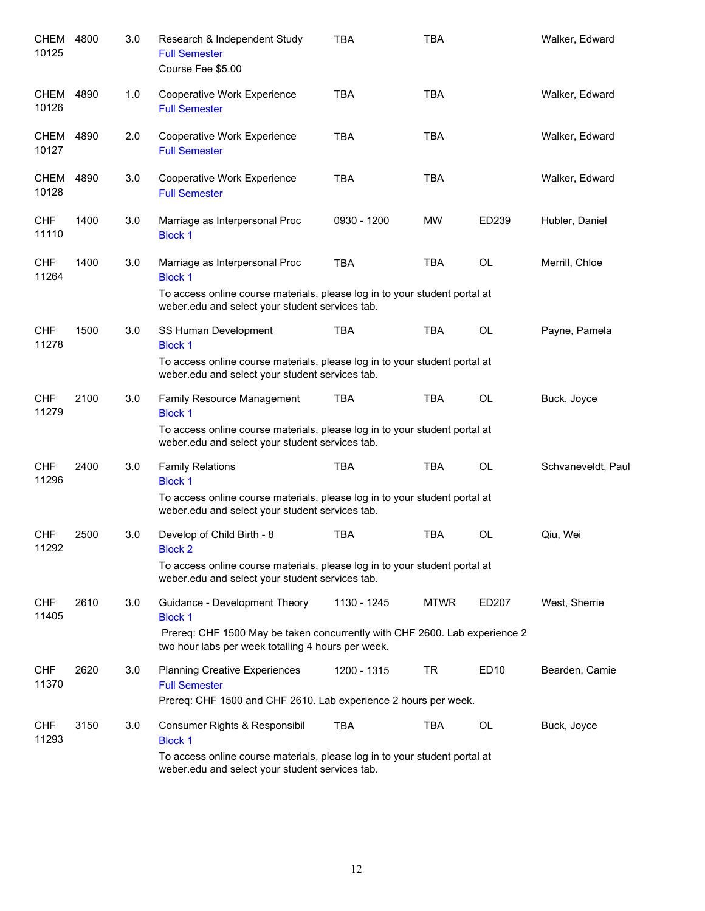| CHEM<br>10125        | 4800 | 3.0 | Research & Independent Study<br><b>Full Semester</b><br>Course Fee \$5.00                                                        | <b>TBA</b>  | <b>TBA</b>  |                  | Walker, Edward     |
|----------------------|------|-----|----------------------------------------------------------------------------------------------------------------------------------|-------------|-------------|------------------|--------------------|
| CHEM<br>10126        | 4890 | 1.0 | Cooperative Work Experience<br><b>Full Semester</b>                                                                              | <b>TBA</b>  | <b>TBA</b>  |                  | Walker, Edward     |
| CHEM<br>10127        | 4890 | 2.0 | Cooperative Work Experience<br><b>Full Semester</b>                                                                              | <b>TBA</b>  | <b>TBA</b>  |                  | Walker, Edward     |
| <b>CHEM</b><br>10128 | 4890 | 3.0 | Cooperative Work Experience<br><b>Full Semester</b>                                                                              | <b>TBA</b>  | <b>TBA</b>  |                  | Walker, Edward     |
| <b>CHF</b><br>11110  | 1400 | 3.0 | Marriage as Interpersonal Proc<br><b>Block 1</b>                                                                                 | 0930 - 1200 | MW          | ED239            | Hubler, Daniel     |
| <b>CHF</b><br>11264  | 1400 | 3.0 | Marriage as Interpersonal Proc<br><b>Block 1</b>                                                                                 | <b>TBA</b>  | <b>TBA</b>  | OL               | Merrill, Chloe     |
|                      |      |     | To access online course materials, please log in to your student portal at<br>weber.edu and select your student services tab.    |             |             |                  |                    |
| <b>CHF</b><br>11278  | 1500 | 3.0 | SS Human Development<br><b>Block 1</b>                                                                                           | <b>TBA</b>  | <b>TBA</b>  | OL               | Payne, Pamela      |
|                      |      |     | To access online course materials, please log in to your student portal at<br>weber.edu and select your student services tab.    |             |             |                  |                    |
| <b>CHF</b><br>11279  | 2100 | 3.0 | Family Resource Management<br><b>Block 1</b>                                                                                     | <b>TBA</b>  | <b>TBA</b>  | OL               | Buck, Joyce        |
|                      |      |     | To access online course materials, please log in to your student portal at<br>weber.edu and select your student services tab.    |             |             |                  |                    |
| <b>CHF</b><br>11296  | 2400 | 3.0 | <b>Family Relations</b><br><b>Block 1</b>                                                                                        | <b>TBA</b>  | <b>TBA</b>  | OL               | Schvaneveldt, Paul |
|                      |      |     | To access online course materials, please log in to your student portal at<br>weber.edu and select your student services tab.    |             |             |                  |                    |
| <b>CHF</b><br>11292  | 2500 | 3.0 | Develop of Child Birth - 8<br><b>Block 2</b>                                                                                     | <b>TBA</b>  | <b>TBA</b>  | OL               | Qiu, Wei           |
|                      |      |     | To access online course materials, please log in to your student portal at<br>weber.edu and select your student services tab.    |             |             |                  |                    |
| <b>CHF</b><br>11405  | 2610 | 3.0 | Guidance - Development Theory<br><b>Block 1</b>                                                                                  | 1130 - 1245 | <b>MTWR</b> | ED207            | West, Sherrie      |
|                      |      |     | Prereq: CHF 1500 May be taken concurrently with CHF 2600. Lab experience 2<br>two hour labs per week totalling 4 hours per week. |             |             |                  |                    |
| <b>CHF</b><br>11370  | 2620 | 3.0 | <b>Planning Creative Experiences</b><br><b>Full Semester</b>                                                                     | 1200 - 1315 | TR          | ED <sub>10</sub> | Bearden, Camie     |
|                      |      |     | Prereq: CHF 1500 and CHF 2610. Lab experience 2 hours per week.                                                                  |             |             |                  |                    |
| <b>CHF</b><br>11293  | 3150 | 3.0 | Consumer Rights & Responsibil<br><b>Block 1</b>                                                                                  | TBA         | TBA         | OL               | Buck, Joyce        |
|                      |      |     | To access online course materials, please log in to your student portal at<br>weber.edu and select your student services tab.    |             |             |                  |                    |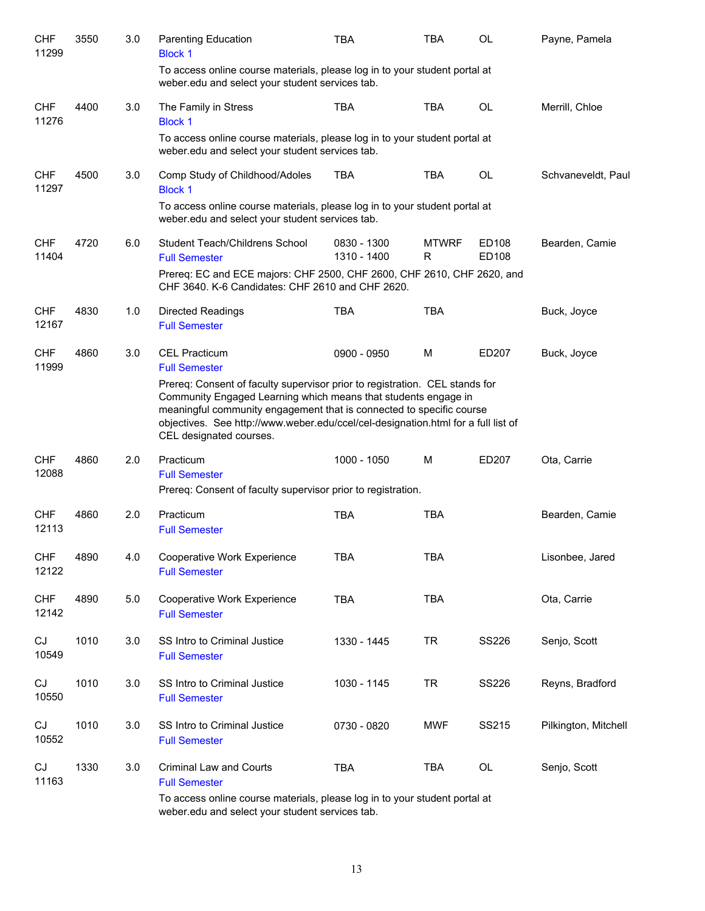| <b>CHF</b><br>11299 | 3550 | 3.0 | <b>Parenting Education</b><br><b>Block 1</b>                                                                                                                                                                                                                                                                                          | <b>TBA</b>                 | TBA               | OL             | Payne, Pamela        |
|---------------------|------|-----|---------------------------------------------------------------------------------------------------------------------------------------------------------------------------------------------------------------------------------------------------------------------------------------------------------------------------------------|----------------------------|-------------------|----------------|----------------------|
|                     |      |     | To access online course materials, please log in to your student portal at<br>weber.edu and select your student services tab.                                                                                                                                                                                                         |                            |                   |                |                      |
| <b>CHF</b><br>11276 | 4400 | 3.0 | The Family in Stress<br><b>Block 1</b>                                                                                                                                                                                                                                                                                                | <b>TBA</b>                 | <b>TBA</b>        | <b>OL</b>      | Merrill, Chloe       |
|                     |      |     | To access online course materials, please log in to your student portal at<br>weber.edu and select your student services tab.                                                                                                                                                                                                         |                            |                   |                |                      |
| <b>CHF</b><br>11297 | 4500 | 3.0 | Comp Study of Childhood/Adoles<br><b>Block 1</b>                                                                                                                                                                                                                                                                                      | <b>TBA</b>                 | <b>TBA</b>        | <b>OL</b>      | Schvaneveldt, Paul   |
|                     |      |     | To access online course materials, please log in to your student portal at<br>weber.edu and select your student services tab.                                                                                                                                                                                                         |                            |                   |                |                      |
| <b>CHF</b><br>11404 | 4720 | 6.0 | Student Teach/Childrens School<br><b>Full Semester</b>                                                                                                                                                                                                                                                                                | 0830 - 1300<br>1310 - 1400 | <b>MTWRF</b><br>R | ED108<br>ED108 | Bearden, Camie       |
|                     |      |     | Prereq: EC and ECE majors: CHF 2500, CHF 2600, CHF 2610, CHF 2620, and<br>CHF 3640. K-6 Candidates: CHF 2610 and CHF 2620.                                                                                                                                                                                                            |                            |                   |                |                      |
| <b>CHF</b><br>12167 | 4830 | 1.0 | <b>Directed Readings</b><br><b>Full Semester</b>                                                                                                                                                                                                                                                                                      | <b>TBA</b>                 | <b>TBA</b>        |                | Buck, Joyce          |
| <b>CHF</b><br>11999 | 4860 | 3.0 | <b>CEL Practicum</b><br><b>Full Semester</b>                                                                                                                                                                                                                                                                                          | 0900 - 0950                | M                 | ED207          | Buck, Joyce          |
|                     |      |     | Prereq: Consent of faculty supervisor prior to registration. CEL stands for<br>Community Engaged Learning which means that students engage in<br>meaningful community engagement that is connected to specific course<br>objectives. See http://www.weber.edu/ccel/cel-designation.html for a full list of<br>CEL designated courses. |                            |                   |                |                      |
| <b>CHF</b><br>12088 | 4860 | 2.0 | Practicum<br><b>Full Semester</b><br>Prereq: Consent of faculty supervisor prior to registration.                                                                                                                                                                                                                                     | 1000 - 1050                | M                 | ED207          | Ota, Carrie          |
| <b>CHF</b><br>12113 | 4860 | 2.0 | Practicum<br><b>Full Semester</b>                                                                                                                                                                                                                                                                                                     | <b>TBA</b>                 | <b>TBA</b>        |                | Bearden, Camie       |
| <b>CHF</b><br>12122 | 4890 | 4.0 | Cooperative Work Experience<br><b>Full Semester</b>                                                                                                                                                                                                                                                                                   | <b>TBA</b>                 | <b>TBA</b>        |                | Lisonbee, Jared      |
| <b>CHF</b><br>12142 | 4890 | 5.0 | Cooperative Work Experience<br><b>Full Semester</b>                                                                                                                                                                                                                                                                                   | <b>TBA</b>                 | <b>TBA</b>        |                | Ota, Carrie          |
| CJ<br>10549         | 1010 | 3.0 | SS Intro to Criminal Justice<br><b>Full Semester</b>                                                                                                                                                                                                                                                                                  | 1330 - 1445                | <b>TR</b>         | SS226          | Senjo, Scott         |
| CJ<br>10550         | 1010 | 3.0 | SS Intro to Criminal Justice<br><b>Full Semester</b>                                                                                                                                                                                                                                                                                  | 1030 - 1145                | <b>TR</b>         | SS226          | Reyns, Bradford      |
| CJ<br>10552         | 1010 | 3.0 | SS Intro to Criminal Justice<br><b>Full Semester</b>                                                                                                                                                                                                                                                                                  | 0730 - 0820                | MWF               | SS215          | Pilkington, Mitchell |
| CJ<br>11163         | 1330 | 3.0 | Criminal Law and Courts<br><b>Full Semester</b>                                                                                                                                                                                                                                                                                       | <b>TBA</b>                 | <b>TBA</b>        | OL             | Senjo, Scott         |
|                     |      |     | To access online course materials, please log in to your student portal at<br>weber.edu and select your student services tab.                                                                                                                                                                                                         |                            |                   |                |                      |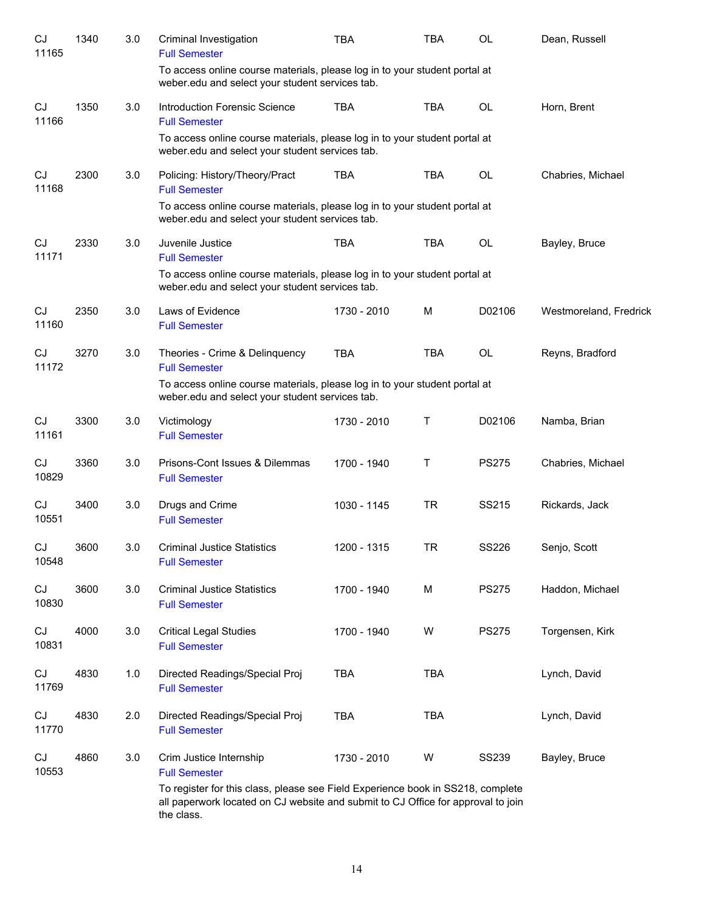| CJ<br>11165 | 1340 | 3.0 | Criminal Investigation<br><b>Full Semester</b>                                                                                                                                                                         | TBA         | <b>TBA</b> | <b>OL</b>    | Dean, Russell          |
|-------------|------|-----|------------------------------------------------------------------------------------------------------------------------------------------------------------------------------------------------------------------------|-------------|------------|--------------|------------------------|
|             |      |     | To access online course materials, please log in to your student portal at<br>weber.edu and select your student services tab.                                                                                          |             |            |              |                        |
| CJ<br>11166 | 1350 | 3.0 | Introduction Forensic Science<br><b>Full Semester</b>                                                                                                                                                                  | <b>TBA</b>  | <b>TBA</b> | <b>OL</b>    | Horn, Brent            |
|             |      |     | To access online course materials, please log in to your student portal at<br>weber.edu and select your student services tab.                                                                                          |             |            |              |                        |
| CJ<br>11168 | 2300 | 3.0 | Policing: History/Theory/Pract<br><b>Full Semester</b><br>To access online course materials, please log in to your student portal at<br>weber.edu and select your student services tab.                                | <b>TBA</b>  | <b>TBA</b> | OL           | Chabries, Michael      |
| CJ<br>11171 | 2330 | 3.0 | Juvenile Justice<br><b>Full Semester</b><br>To access online course materials, please log in to your student portal at<br>weber.edu and select your student services tab.                                              | <b>TBA</b>  | TBA        | OL           | Bayley, Bruce          |
| CJ<br>11160 | 2350 | 3.0 | Laws of Evidence<br><b>Full Semester</b>                                                                                                                                                                               | 1730 - 2010 | M          | D02106       | Westmoreland, Fredrick |
| CJ<br>11172 | 3270 | 3.0 | Theories - Crime & Delinquency<br><b>Full Semester</b><br>To access online course materials, please log in to your student portal at<br>weber.edu and select your student services tab.                                | <b>TBA</b>  | <b>TBA</b> | OL           | Reyns, Bradford        |
| CJ<br>11161 | 3300 | 3.0 | Victimology<br><b>Full Semester</b>                                                                                                                                                                                    | 1730 - 2010 | Τ          | D02106       | Namba, Brian           |
| CJ<br>10829 | 3360 | 3.0 | Prisons-Cont Issues & Dilemmas<br><b>Full Semester</b>                                                                                                                                                                 | 1700 - 1940 | Т          | <b>PS275</b> | Chabries, Michael      |
| CJ<br>10551 | 3400 | 3.0 | Drugs and Crime<br><b>Full Semester</b>                                                                                                                                                                                | 1030 - 1145 | <b>TR</b>  | SS215        | Rickards, Jack         |
| CJ<br>10548 | 3600 | 3.0 | Criminal Justice Statistics<br><b>Full Semester</b>                                                                                                                                                                    | 1200 - 1315 | TR         | <b>SS226</b> | Senjo, Scott           |
| CJ<br>10830 | 3600 | 3.0 | <b>Criminal Justice Statistics</b><br><b>Full Semester</b>                                                                                                                                                             | 1700 - 1940 | M          | <b>PS275</b> | Haddon, Michael        |
| CJ<br>10831 | 4000 | 3.0 | <b>Critical Legal Studies</b><br><b>Full Semester</b>                                                                                                                                                                  | 1700 - 1940 | W          | <b>PS275</b> | Torgensen, Kirk        |
| CJ<br>11769 | 4830 | 1.0 | Directed Readings/Special Proj<br><b>Full Semester</b>                                                                                                                                                                 | <b>TBA</b>  | <b>TBA</b> |              | Lynch, David           |
| CJ<br>11770 | 4830 | 2.0 | Directed Readings/Special Proj<br><b>Full Semester</b>                                                                                                                                                                 | <b>TBA</b>  | <b>TBA</b> |              | Lynch, David           |
| CJ<br>10553 | 4860 | 3.0 | Crim Justice Internship<br><b>Full Semester</b><br>To register for this class, please see Field Experience book in SS218, complete<br>all paperwork located on CJ website and submit to CJ Office for approval to join | 1730 - 2010 | W          | <b>SS239</b> | Bayley, Bruce          |
|             |      |     | the class.                                                                                                                                                                                                             |             |            |              |                        |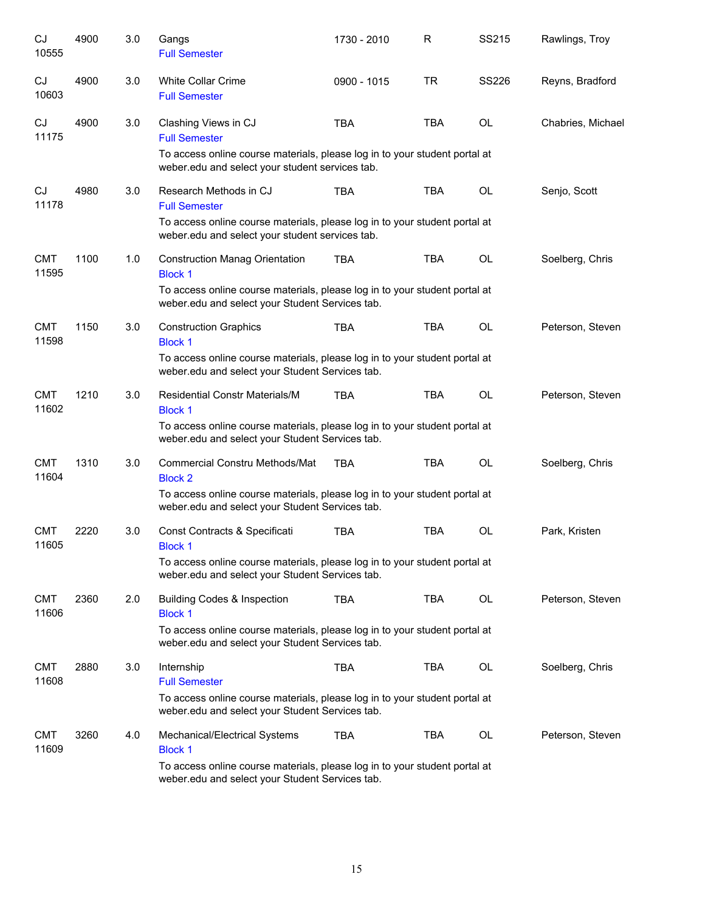| CJ<br>10555         | 4900 | 3.0 | Gangs<br><b>Full Semester</b>                                                                                                 | 1730 - 2010 | R          | SS215     | Rawlings, Troy    |
|---------------------|------|-----|-------------------------------------------------------------------------------------------------------------------------------|-------------|------------|-----------|-------------------|
| CJ<br>10603         | 4900 | 3.0 | White Collar Crime<br><b>Full Semester</b>                                                                                    | 0900 - 1015 | TR         | SS226     | Reyns, Bradford   |
| CJ<br>11175         | 4900 | 3.0 | Clashing Views in CJ<br><b>Full Semester</b>                                                                                  | <b>TBA</b>  | <b>TBA</b> | <b>OL</b> | Chabries, Michael |
|                     |      |     | To access online course materials, please log in to your student portal at<br>weber.edu and select your student services tab. |             |            |           |                   |
| CJ<br>11178         | 4980 | 3.0 | Research Methods in CJ<br><b>Full Semester</b>                                                                                | <b>TBA</b>  | <b>TBA</b> | OL        | Senjo, Scott      |
|                     |      |     | To access online course materials, please log in to your student portal at<br>weber.edu and select your student services tab. |             |            |           |                   |
| <b>CMT</b><br>11595 | 1100 | 1.0 | <b>Construction Manag Orientation</b><br><b>Block 1</b>                                                                       | TBA         | <b>TBA</b> | OL        | Soelberg, Chris   |
|                     |      |     | To access online course materials, please log in to your student portal at<br>weber.edu and select your Student Services tab. |             |            |           |                   |
| <b>CMT</b><br>11598 | 1150 | 3.0 | <b>Construction Graphics</b><br><b>Block 1</b>                                                                                | <b>TBA</b>  | <b>TBA</b> | OL        | Peterson, Steven  |
|                     |      |     | To access online course materials, please log in to your student portal at<br>weber.edu and select your Student Services tab. |             |            |           |                   |
| <b>CMT</b><br>11602 | 1210 | 3.0 | <b>Residential Constr Materials/M</b><br><b>Block 1</b>                                                                       | <b>TBA</b>  | <b>TBA</b> | <b>OL</b> | Peterson, Steven  |
|                     |      |     | To access online course materials, please log in to your student portal at<br>weber.edu and select your Student Services tab. |             |            |           |                   |
| <b>CMT</b><br>11604 | 1310 | 3.0 | <b>Commercial Constru Methods/Mat</b><br><b>Block 2</b>                                                                       | <b>TBA</b>  | <b>TBA</b> | <b>OL</b> | Soelberg, Chris   |
|                     |      |     | To access online course materials, please log in to your student portal at<br>weber.edu and select your Student Services tab. |             |            |           |                   |
| <b>CMT</b><br>11605 | 2220 | 3.0 | Const Contracts & Specificati<br><b>Block 1</b>                                                                               | <b>TBA</b>  | <b>TBA</b> | OL        | Park, Kristen     |
|                     |      |     | To access online course materials, please log in to your student portal at<br>weber.edu and select your Student Services tab. |             |            |           |                   |
| <b>CMT</b><br>11606 | 2360 | 2.0 | <b>Building Codes &amp; Inspection</b><br><b>Block 1</b>                                                                      | <b>TBA</b>  | TBA        | OL        | Peterson, Steven  |
|                     |      |     | To access online course materials, please log in to your student portal at<br>weber.edu and select your Student Services tab. |             |            |           |                   |
| <b>CMT</b><br>11608 | 2880 | 3.0 | Internship<br><b>Full Semester</b>                                                                                            | <b>TBA</b>  | TBA        | OL        | Soelberg, Chris   |
|                     |      |     | To access online course materials, please log in to your student portal at<br>weber.edu and select your Student Services tab. |             |            |           |                   |
| <b>CMT</b><br>11609 | 3260 | 4.0 | Mechanical/Electrical Systems<br><b>Block 1</b>                                                                               | <b>TBA</b>  | TBA        | OL        | Peterson, Steven  |
|                     |      |     | To access online course materials, please log in to your student portal at<br>weber.edu and select your Student Services tab. |             |            |           |                   |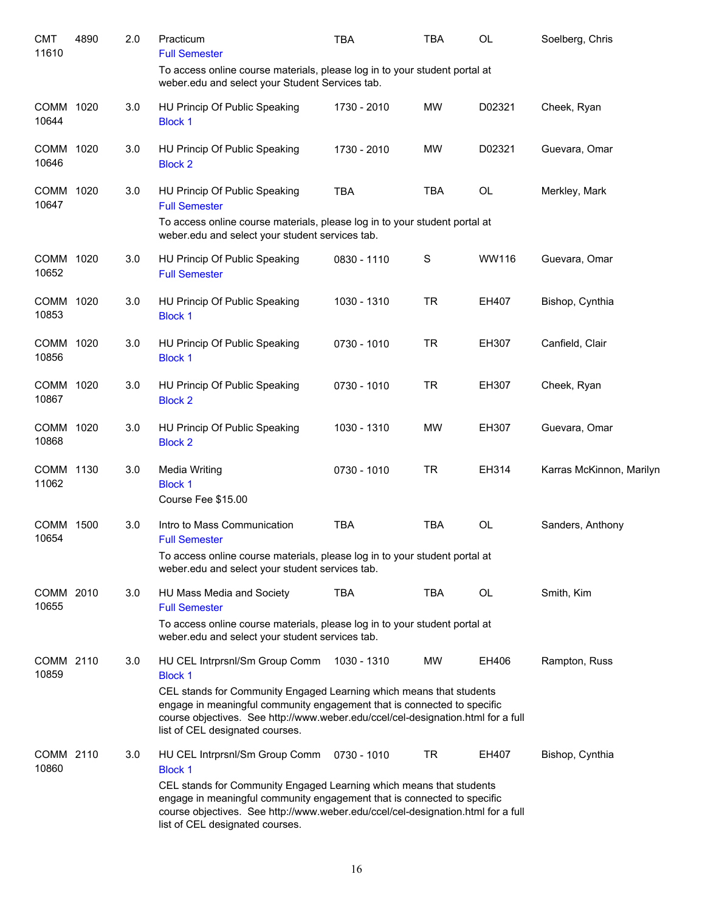| <b>CMT</b><br>11610  | 4890 | 2.0 | Practicum<br><b>Full Semester</b>                                                                                                                                                                                                                                     | <b>TBA</b>  | TBA        | <b>OL</b> | Soelberg, Chris          |
|----------------------|------|-----|-----------------------------------------------------------------------------------------------------------------------------------------------------------------------------------------------------------------------------------------------------------------------|-------------|------------|-----------|--------------------------|
|                      |      |     | To access online course materials, please log in to your student portal at<br>weber.edu and select your Student Services tab.                                                                                                                                         |             |            |           |                          |
| COMM<br>10644        | 1020 | 3.0 | HU Princip Of Public Speaking<br><b>Block 1</b>                                                                                                                                                                                                                       | 1730 - 2010 | <b>MW</b>  | D02321    | Cheek, Ryan              |
| <b>COMM</b><br>10646 | 1020 | 3.0 | HU Princip Of Public Speaking<br><b>Block 2</b>                                                                                                                                                                                                                       | 1730 - 2010 | <b>MW</b>  | D02321    | Guevara, Omar            |
| COMM<br>10647        | 1020 | 3.0 | HU Princip Of Public Speaking<br><b>Full Semester</b>                                                                                                                                                                                                                 | <b>TBA</b>  | <b>TBA</b> | OL        | Merkley, Mark            |
|                      |      |     | To access online course materials, please log in to your student portal at<br>weber.edu and select your student services tab.                                                                                                                                         |             |            |           |                          |
| COMM<br>10652        | 1020 | 3.0 | HU Princip Of Public Speaking<br><b>Full Semester</b>                                                                                                                                                                                                                 | 0830 - 1110 | S          | WW116     | Guevara, Omar            |
| <b>COMM</b><br>10853 | 1020 | 3.0 | HU Princip Of Public Speaking<br><b>Block 1</b>                                                                                                                                                                                                                       | 1030 - 1310 | <b>TR</b>  | EH407     | Bishop, Cynthia          |
| <b>COMM</b><br>10856 | 1020 | 3.0 | HU Princip Of Public Speaking<br><b>Block 1</b>                                                                                                                                                                                                                       | 0730 - 1010 | <b>TR</b>  | EH307     | Canfield, Clair          |
| <b>COMM</b><br>10867 | 1020 | 3.0 | HU Princip Of Public Speaking<br><b>Block 2</b>                                                                                                                                                                                                                       | 0730 - 1010 | <b>TR</b>  | EH307     | Cheek, Ryan              |
| <b>COMM</b><br>10868 | 1020 | 3.0 | HU Princip Of Public Speaking<br><b>Block 2</b>                                                                                                                                                                                                                       | 1030 - 1310 | <b>MW</b>  | EH307     | Guevara, Omar            |
| <b>COMM</b><br>11062 | 1130 | 3.0 | <b>Media Writing</b><br><b>Block 1</b><br>Course Fee \$15.00                                                                                                                                                                                                          | 0730 - 1010 | <b>TR</b>  | EH314     | Karras McKinnon, Marilyn |
| <b>COMM</b><br>10654 | 1500 | 3.0 | Intro to Mass Communication<br><b>Full Semester</b>                                                                                                                                                                                                                   | <b>TBA</b>  | <b>TBA</b> | <b>OL</b> | Sanders, Anthony         |
|                      |      |     | To access online course materials, please log in to your student portal at<br>weber.edu and select your student services tab.                                                                                                                                         |             |            |           |                          |
| COMM 2010<br>10655   |      | 3.0 | HU Mass Media and Society<br><b>Full Semester</b>                                                                                                                                                                                                                     | <b>TBA</b>  | TBA        | OL        | Smith, Kim               |
|                      |      |     | To access online course materials, please log in to your student portal at<br>weber.edu and select your student services tab.                                                                                                                                         |             |            |           |                          |
| COMM 2110<br>10859   |      | 3.0 | HU CEL Intrprsnl/Sm Group Comm<br><b>Block 1</b><br>CEL stands for Community Engaged Learning which means that students                                                                                                                                               | 1030 - 1310 | <b>MW</b>  | EH406     | Rampton, Russ            |
|                      |      |     | engage in meaningful community engagement that is connected to specific<br>course objectives. See http://www.weber.edu/ccel/cel-designation.html for a full<br>list of CEL designated courses.                                                                        |             |            |           |                          |
| COMM 2110<br>10860   |      | 3.0 | HU CEL Intrprsnl/Sm Group Comm<br><b>Block 1</b>                                                                                                                                                                                                                      | 0730 - 1010 | TR         | EH407     | Bishop, Cynthia          |
|                      |      |     | CEL stands for Community Engaged Learning which means that students<br>engage in meaningful community engagement that is connected to specific<br>course objectives. See http://www.weber.edu/ccel/cel-designation.html for a full<br>list of CEL designated courses. |             |            |           |                          |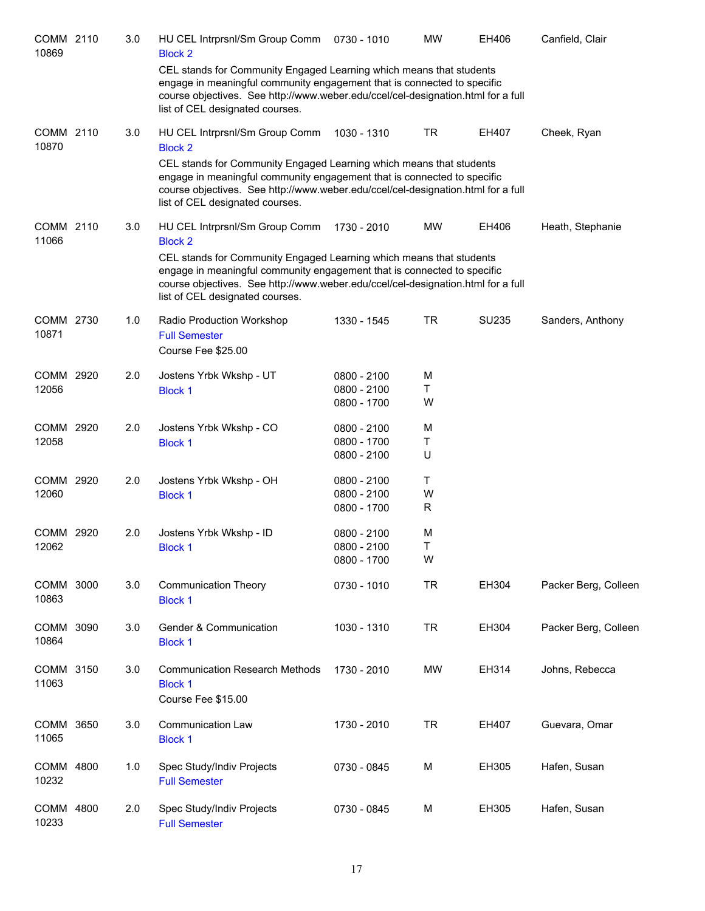| COMM 2110<br>10869 | 3.0 | HU CEL Intrprsnl/Sm Group Comm<br><b>Block 2</b><br>CEL stands for Community Engaged Learning which means that students<br>engage in meaningful community engagement that is connected to specific<br>course objectives. See http://www.weber.edu/ccel/cel-designation.html for a full<br>list of CEL designated courses. | 0730 - 1010                                 | <b>MW</b>   | EH406        | Canfield, Clair      |
|--------------------|-----|---------------------------------------------------------------------------------------------------------------------------------------------------------------------------------------------------------------------------------------------------------------------------------------------------------------------------|---------------------------------------------|-------------|--------------|----------------------|
| COMM 2110<br>10870 | 3.0 | HU CEL Intrprsnl/Sm Group Comm<br><b>Block 2</b><br>CEL stands for Community Engaged Learning which means that students<br>engage in meaningful community engagement that is connected to specific<br>course objectives. See http://www.weber.edu/ccel/cel-designation.html for a full<br>list of CEL designated courses. | 1030 - 1310                                 | <b>TR</b>   | EH407        | Cheek, Ryan          |
| COMM 2110<br>11066 | 3.0 | HU CEL Intrprsnl/Sm Group Comm<br><b>Block 2</b><br>CEL stands for Community Engaged Learning which means that students<br>engage in meaningful community engagement that is connected to specific<br>course objectives. See http://www.weber.edu/ccel/cel-designation.html for a full<br>list of CEL designated courses. | 1730 - 2010                                 | MW          | EH406        | Heath, Stephanie     |
| COMM 2730<br>10871 | 1.0 | Radio Production Workshop<br><b>Full Semester</b><br>Course Fee \$25.00                                                                                                                                                                                                                                                   | 1330 - 1545                                 | TR          | <b>SU235</b> | Sanders, Anthony     |
| COMM 2920<br>12056 | 2.0 | Jostens Yrbk Wkshp - UT<br><b>Block 1</b>                                                                                                                                                                                                                                                                                 | $0800 - 2100$<br>0800 - 2100<br>0800 - 1700 | M<br>Τ<br>W |              |                      |
| COMM 2920<br>12058 | 2.0 | Jostens Yrbk Wkshp - CO<br><b>Block 1</b>                                                                                                                                                                                                                                                                                 | $0800 - 2100$<br>0800 - 1700<br>0800 - 2100 | M<br>Т<br>U |              |                      |
| COMM 2920<br>12060 | 2.0 | Jostens Yrbk Wkshp - OH<br><b>Block 1</b>                                                                                                                                                                                                                                                                                 | 0800 - 2100<br>0800 - 2100<br>0800 - 1700   | Τ<br>W<br>R |              |                      |
| COMM 2920<br>12062 | 2.0 | Jostens Yrbk Wkshp - ID<br><b>Block 1</b>                                                                                                                                                                                                                                                                                 | $0800 - 2100$<br>0800 - 2100<br>0800 - 1700 | M<br>Τ<br>W |              |                      |
| COMM 3000<br>10863 | 3.0 | <b>Communication Theory</b><br><b>Block 1</b>                                                                                                                                                                                                                                                                             | 0730 - 1010                                 | <b>TR</b>   | EH304        | Packer Berg, Colleen |
| COMM 3090<br>10864 | 3.0 | Gender & Communication<br><b>Block 1</b>                                                                                                                                                                                                                                                                                  | 1030 - 1310                                 | <b>TR</b>   | EH304        | Packer Berg, Colleen |
| COMM 3150<br>11063 | 3.0 | <b>Communication Research Methods</b><br><b>Block 1</b><br>Course Fee \$15.00                                                                                                                                                                                                                                             | 1730 - 2010                                 | MW          | EH314        | Johns, Rebecca       |
| COMM 3650<br>11065 | 3.0 | Communication Law<br><b>Block 1</b>                                                                                                                                                                                                                                                                                       | 1730 - 2010                                 | <b>TR</b>   | EH407        | Guevara, Omar        |
| COMM 4800<br>10232 | 1.0 | Spec Study/Indiv Projects<br><b>Full Semester</b>                                                                                                                                                                                                                                                                         | 0730 - 0845                                 | M           | EH305        | Hafen, Susan         |
| COMM 4800<br>10233 | 2.0 | Spec Study/Indiv Projects<br><b>Full Semester</b>                                                                                                                                                                                                                                                                         | 0730 - 0845                                 | M           | EH305        | Hafen, Susan         |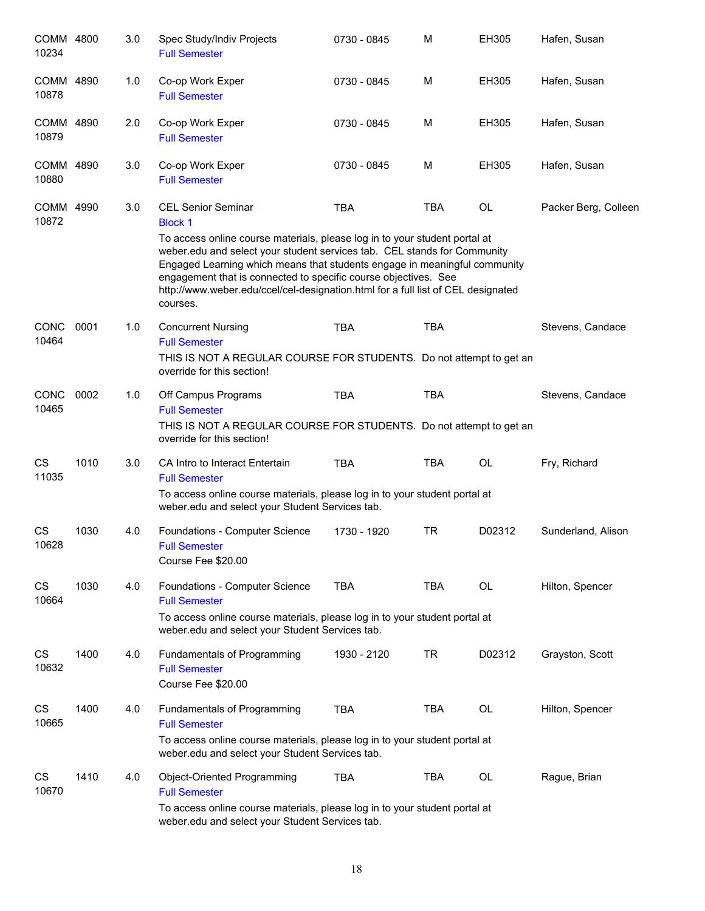| COMM 4800<br>10234   |      | 3.0 | Spec Study/Indiv Projects<br><b>Full Semester</b>                                                                                                                                                                                                                                                                                                                                                      | 0730 - 0845 | M          | <b>EH305</b> | Hafen, Susan         |
|----------------------|------|-----|--------------------------------------------------------------------------------------------------------------------------------------------------------------------------------------------------------------------------------------------------------------------------------------------------------------------------------------------------------------------------------------------------------|-------------|------------|--------------|----------------------|
| COMM 4890<br>10878   |      | 1.0 | Co-op Work Exper<br><b>Full Semester</b>                                                                                                                                                                                                                                                                                                                                                               | 0730 - 0845 | M          | EH305        | Hafen, Susan         |
| COMM 4890<br>10879   |      | 2.0 | Co-op Work Exper<br><b>Full Semester</b>                                                                                                                                                                                                                                                                                                                                                               | 0730 - 0845 | М          | EH305        | Hafen, Susan         |
| COMM<br>10880        | 4890 | 3.0 | Co-op Work Exper<br><b>Full Semester</b>                                                                                                                                                                                                                                                                                                                                                               | 0730 - 0845 | M          | EH305        | Hafen, Susan         |
| COMM 4990<br>10872   |      | 3.0 | <b>CEL Senior Seminar</b><br><b>Block 1</b>                                                                                                                                                                                                                                                                                                                                                            | <b>TBA</b>  | <b>TBA</b> | <b>OL</b>    | Packer Berg, Colleen |
|                      |      |     | To access online course materials, please log in to your student portal at<br>weber.edu and select your student services tab. CEL stands for Community<br>Engaged Learning which means that students engage in meaningful community<br>engagement that is connected to specific course objectives. See<br>http://www.weber.edu/ccel/cel-designation.html for a full list of CEL designated<br>courses. |             |            |              |                      |
| <b>CONC</b><br>10464 | 0001 | 1.0 | <b>Concurrent Nursing</b><br><b>Full Semester</b><br>THIS IS NOT A REGULAR COURSE FOR STUDENTS. Do not attempt to get an<br>override for this section!                                                                                                                                                                                                                                                 | <b>TBA</b>  | <b>TBA</b> |              | Stevens, Candace     |
| <b>CONC</b><br>10465 | 0002 | 1.0 | Off Campus Programs<br><b>Full Semester</b><br>THIS IS NOT A REGULAR COURSE FOR STUDENTS. Do not attempt to get an<br>override for this section!                                                                                                                                                                                                                                                       | <b>TBA</b>  | <b>TBA</b> |              | Stevens, Candace     |
| CS<br>11035          | 1010 | 3.0 | CA Intro to Interact Entertain<br><b>Full Semester</b><br>To access online course materials, please log in to your student portal at<br>weber.edu and select your Student Services tab.                                                                                                                                                                                                                | <b>TBA</b>  | <b>TBA</b> | OL           | Fry, Richard         |
| CS<br>10628          | 1030 | 4.0 | Foundations - Computer Science<br><b>Full Semester</b><br>Course Fee \$20.00                                                                                                                                                                                                                                                                                                                           | 1730 - 1920 | <b>TR</b>  | D02312       | Sunderland, Alison   |
| <b>CS</b><br>10664   | 1030 | 4.0 | Foundations - Computer Science<br><b>Full Semester</b><br>To access online course materials, please log in to your student portal at<br>weber.edu and select your Student Services tab.                                                                                                                                                                                                                | <b>TBA</b>  | TBA        | <b>OL</b>    | Hilton, Spencer      |
| CS<br>10632          | 1400 | 4.0 | Fundamentals of Programming<br><b>Full Semester</b><br>Course Fee \$20.00                                                                                                                                                                                                                                                                                                                              | 1930 - 2120 | <b>TR</b>  | D02312       | Grayston, Scott      |
| CS<br>10665          | 1400 | 4.0 | <b>Fundamentals of Programming</b><br><b>Full Semester</b><br>To access online course materials, please log in to your student portal at                                                                                                                                                                                                                                                               | <b>TBA</b>  | <b>TBA</b> | OL           | Hilton, Spencer      |
| <b>CS</b><br>10670   | 1410 | 4.0 | weber.edu and select your Student Services tab.<br>Object-Oriented Programming<br><b>Full Semester</b><br>To access online course materials, please log in to your student portal at<br>weber.edu and select your Student Services tab.                                                                                                                                                                | <b>TBA</b>  | <b>TBA</b> | <b>OL</b>    | Rague, Brian         |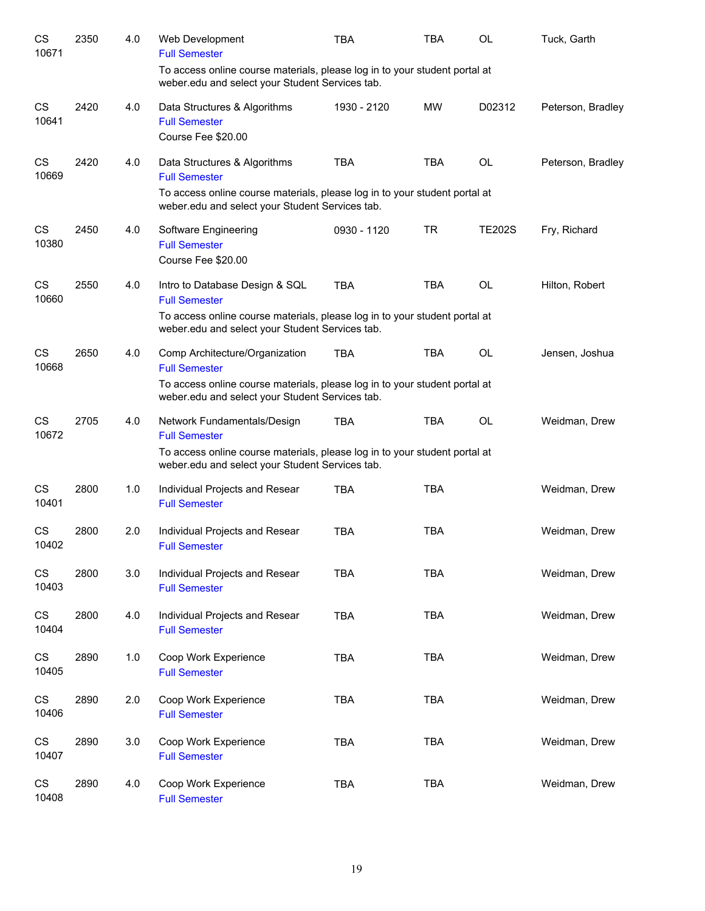| CS<br>10671        | 2350 | 4.0 | Web Development<br><b>Full Semester</b>                                                                                                                                               | <b>TBA</b>  | <b>TBA</b> | <b>OL</b>     | Tuck, Garth       |
|--------------------|------|-----|---------------------------------------------------------------------------------------------------------------------------------------------------------------------------------------|-------------|------------|---------------|-------------------|
|                    |      |     | To access online course materials, please log in to your student portal at<br>weber.edu and select your Student Services tab.                                                         |             |            |               |                   |
| <b>CS</b><br>10641 | 2420 | 4.0 | Data Structures & Algorithms<br><b>Full Semester</b><br>Course Fee \$20.00                                                                                                            | 1930 - 2120 | <b>MW</b>  | D02312        | Peterson, Bradley |
| <b>CS</b><br>10669 | 2420 | 4.0 | Data Structures & Algorithms<br><b>Full Semester</b><br>To access online course materials, please log in to your student portal at<br>weber.edu and select your Student Services tab. | <b>TBA</b>  | <b>TBA</b> | <b>OL</b>     | Peterson, Bradley |
| CS<br>10380        | 2450 | 4.0 | Software Engineering<br><b>Full Semester</b><br>Course Fee \$20.00                                                                                                                    | 0930 - 1120 | <b>TR</b>  | <b>TE202S</b> | Fry, Richard      |
| <b>CS</b><br>10660 | 2550 | 4.0 | Intro to Database Design & SQL<br><b>Full Semester</b><br>To access online course materials, please log in to your student portal at                                                  | <b>TBA</b>  | <b>TBA</b> | <b>OL</b>     | Hilton, Robert    |
| CS                 | 2650 | 4.0 | weber.edu and select your Student Services tab.<br>Comp Architecture/Organization                                                                                                     | <b>TBA</b>  | <b>TBA</b> | <b>OL</b>     | Jensen, Joshua    |
| 10668              |      |     | <b>Full Semester</b><br>To access online course materials, please log in to your student portal at<br>weber.edu and select your Student Services tab.                                 |             |            |               |                   |
| <b>CS</b><br>10672 | 2705 | 4.0 | Network Fundamentals/Design<br><b>Full Semester</b>                                                                                                                                   | <b>TBA</b>  | <b>TBA</b> | <b>OL</b>     | Weidman, Drew     |
|                    |      |     | To access online course materials, please log in to your student portal at<br>weber.edu and select your Student Services tab.                                                         |             |            |               |                   |
| CS<br>10401        | 2800 | 1.0 | Individual Projects and Resear<br><b>Full Semester</b>                                                                                                                                | <b>TBA</b>  | <b>TBA</b> |               | Weidman, Drew     |
| CS<br>10402        | 2800 | 2.0 | Individual Projects and Resear<br><b>Full Semester</b>                                                                                                                                | <b>TBA</b>  | <b>TBA</b> |               | Weidman, Drew     |
| <b>CS</b><br>10403 | 2800 | 3.0 | Individual Projects and Resear<br><b>Full Semester</b>                                                                                                                                | <b>TBA</b>  | <b>TBA</b> |               | Weidman, Drew     |
| CS<br>10404        | 2800 | 4.0 | Individual Projects and Resear<br><b>Full Semester</b>                                                                                                                                | TBA         | <b>TBA</b> |               | Weidman, Drew     |
| <b>CS</b><br>10405 | 2890 | 1.0 | Coop Work Experience<br><b>Full Semester</b>                                                                                                                                          | <b>TBA</b>  | <b>TBA</b> |               | Weidman, Drew     |
| CS<br>10406        | 2890 | 2.0 | Coop Work Experience<br><b>Full Semester</b>                                                                                                                                          | <b>TBA</b>  | <b>TBA</b> |               | Weidman, Drew     |
| CS<br>10407        | 2890 | 3.0 | Coop Work Experience<br><b>Full Semester</b>                                                                                                                                          | <b>TBA</b>  | <b>TBA</b> |               | Weidman, Drew     |
| <b>CS</b><br>10408 | 2890 | 4.0 | Coop Work Experience<br><b>Full Semester</b>                                                                                                                                          | <b>TBA</b>  | <b>TBA</b> |               | Weidman, Drew     |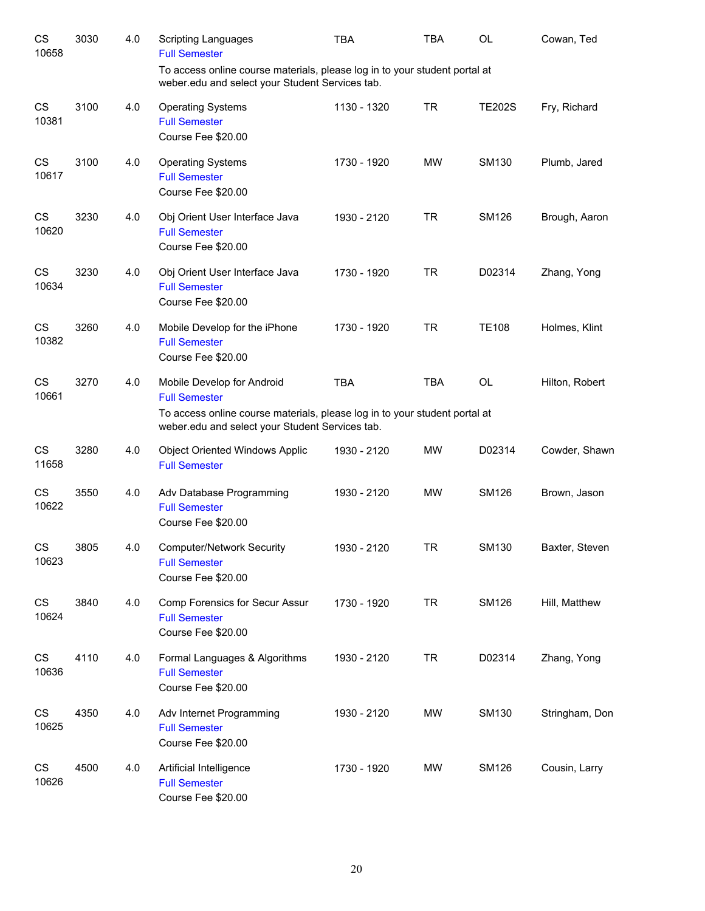| CS<br>10658        | 3030 | 4.0 | <b>Scripting Languages</b><br><b>Full Semester</b>                                                                                                                                  | <b>TBA</b>  | TBA        | <b>OL</b>     | Cowan, Ted     |
|--------------------|------|-----|-------------------------------------------------------------------------------------------------------------------------------------------------------------------------------------|-------------|------------|---------------|----------------|
|                    |      |     | To access online course materials, please log in to your student portal at<br>weber.edu and select your Student Services tab.                                                       |             |            |               |                |
| <b>CS</b><br>10381 | 3100 | 4.0 | <b>Operating Systems</b><br><b>Full Semester</b><br>Course Fee \$20.00                                                                                                              | 1130 - 1320 | TR         | <b>TE202S</b> | Fry, Richard   |
| <b>CS</b><br>10617 | 3100 | 4.0 | <b>Operating Systems</b><br><b>Full Semester</b><br>Course Fee \$20.00                                                                                                              | 1730 - 1920 | <b>MW</b>  | SM130         | Plumb, Jared   |
| <b>CS</b><br>10620 | 3230 | 4.0 | Obj Orient User Interface Java<br><b>Full Semester</b><br>Course Fee \$20.00                                                                                                        | 1930 - 2120 | TR         | <b>SM126</b>  | Brough, Aaron  |
| <b>CS</b><br>10634 | 3230 | 4.0 | Obj Orient User Interface Java<br><b>Full Semester</b><br>Course Fee \$20.00                                                                                                        | 1730 - 1920 | TR         | D02314        | Zhang, Yong    |
| <b>CS</b><br>10382 | 3260 | 4.0 | Mobile Develop for the iPhone<br><b>Full Semester</b><br>Course Fee \$20.00                                                                                                         | 1730 - 1920 | TR         | <b>TE108</b>  | Holmes, Klint  |
| <b>CS</b><br>10661 | 3270 | 4.0 | Mobile Develop for Android<br><b>Full Semester</b><br>To access online course materials, please log in to your student portal at<br>weber.edu and select your Student Services tab. | <b>TBA</b>  | <b>TBA</b> | <b>OL</b>     | Hilton, Robert |
| CS<br>11658        | 3280 | 4.0 | <b>Object Oriented Windows Applic</b><br><b>Full Semester</b>                                                                                                                       | 1930 - 2120 | <b>MW</b>  | D02314        | Cowder, Shawn  |
| CS<br>10622        | 3550 | 4.0 | Adv Database Programming<br><b>Full Semester</b><br>Course Fee \$20.00                                                                                                              | 1930 - 2120 | <b>MW</b>  | <b>SM126</b>  | Brown, Jason   |
| CS.<br>10623       | 3805 | 4.0 | <b>Computer/Network Security</b><br><b>Full Semester</b><br>Course Fee \$20.00                                                                                                      | 1930 - 2120 | <b>TR</b>  | SM130         | Baxter, Steven |
| CS<br>10624        | 3840 | 4.0 | Comp Forensics for Secur Assur<br><b>Full Semester</b><br>Course Fee \$20.00                                                                                                        | 1730 - 1920 | <b>TR</b>  | <b>SM126</b>  | Hill, Matthew  |
| <b>CS</b><br>10636 | 4110 | 4.0 | Formal Languages & Algorithms<br><b>Full Semester</b><br>Course Fee \$20.00                                                                                                         | 1930 - 2120 | <b>TR</b>  | D02314        | Zhang, Yong    |
| CS<br>10625        | 4350 | 4.0 | Adv Internet Programming<br><b>Full Semester</b><br>Course Fee \$20.00                                                                                                              | 1930 - 2120 | MW         | SM130         | Stringham, Don |
| CS<br>10626        | 4500 | 4.0 | Artificial Intelligence<br><b>Full Semester</b><br>Course Fee \$20.00                                                                                                               | 1730 - 1920 | MW         | <b>SM126</b>  | Cousin, Larry  |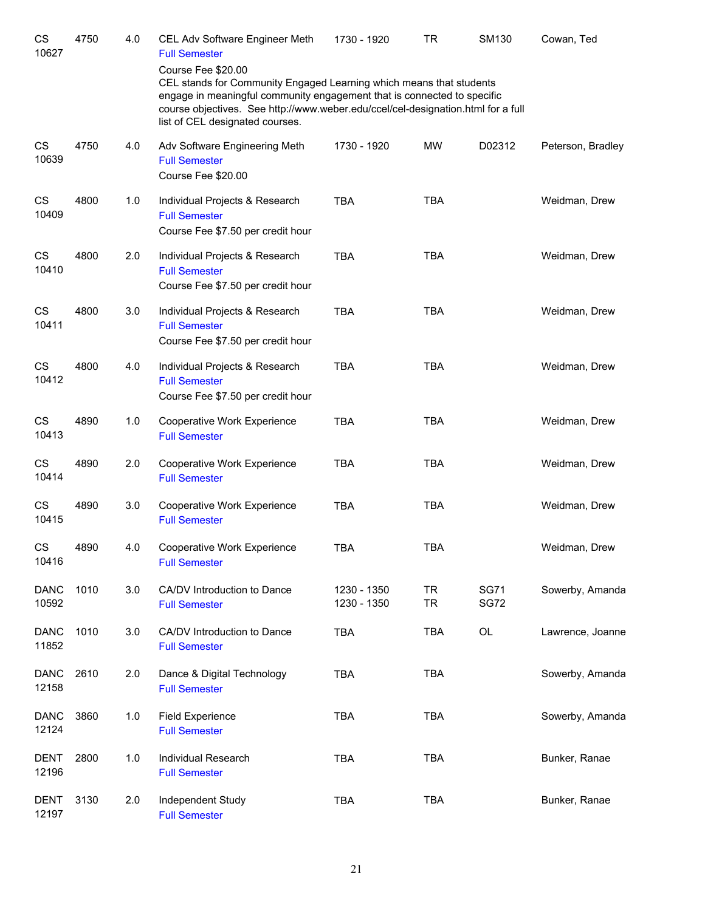| CS<br>10627          | 4750 | 4.0 | CEL Adv Software Engineer Meth<br><b>Full Semester</b><br>Course Fee \$20.00<br>CEL stands for Community Engaged Learning which means that students                                            | 1730 - 1920                | <b>TR</b>              | SM130                      | Cowan, Ted        |
|----------------------|------|-----|------------------------------------------------------------------------------------------------------------------------------------------------------------------------------------------------|----------------------------|------------------------|----------------------------|-------------------|
|                      |      |     | engage in meaningful community engagement that is connected to specific<br>course objectives. See http://www.weber.edu/ccel/cel-designation.html for a full<br>list of CEL designated courses. |                            |                        |                            |                   |
| CS<br>10639          | 4750 | 4.0 | Adv Software Engineering Meth<br><b>Full Semester</b><br>Course Fee \$20.00                                                                                                                    | 1730 - 1920                | <b>MW</b>              | D02312                     | Peterson, Bradley |
| CS<br>10409          | 4800 | 1.0 | Individual Projects & Research<br><b>Full Semester</b><br>Course Fee \$7.50 per credit hour                                                                                                    | <b>TBA</b>                 | <b>TBA</b>             |                            | Weidman, Drew     |
| CS<br>10410          | 4800 | 2.0 | Individual Projects & Research<br><b>Full Semester</b><br>Course Fee \$7.50 per credit hour                                                                                                    | <b>TBA</b>                 | <b>TBA</b>             |                            | Weidman, Drew     |
| CS<br>10411          | 4800 | 3.0 | Individual Projects & Research<br><b>Full Semester</b><br>Course Fee \$7.50 per credit hour                                                                                                    | <b>TBA</b>                 | <b>TBA</b>             |                            | Weidman, Drew     |
| CS<br>10412          | 4800 | 4.0 | Individual Projects & Research<br><b>Full Semester</b><br>Course Fee \$7.50 per credit hour                                                                                                    | <b>TBA</b>                 | <b>TBA</b>             |                            | Weidman, Drew     |
| CS<br>10413          | 4890 | 1.0 | Cooperative Work Experience<br><b>Full Semester</b>                                                                                                                                            | <b>TBA</b>                 | <b>TBA</b>             |                            | Weidman, Drew     |
| CS<br>10414          | 4890 | 2.0 | Cooperative Work Experience<br><b>Full Semester</b>                                                                                                                                            | <b>TBA</b>                 | <b>TBA</b>             |                            | Weidman, Drew     |
| CS<br>10415          | 4890 | 3.0 | Cooperative Work Experience<br><b>Full Semester</b>                                                                                                                                            | <b>TBA</b>                 | <b>TBA</b>             |                            | Weidman, Drew     |
| <b>CS</b><br>10416   | 4890 | 4.0 | Cooperative Work Experience<br><b>Full Semester</b>                                                                                                                                            | <b>TBA</b>                 | <b>TBA</b>             |                            | Weidman, Drew     |
| <b>DANC</b><br>10592 | 1010 | 3.0 | CA/DV Introduction to Dance<br><b>Full Semester</b>                                                                                                                                            | 1230 - 1350<br>1230 - 1350 | <b>TR</b><br><b>TR</b> | <b>SG71</b><br><b>SG72</b> | Sowerby, Amanda   |
| <b>DANC</b><br>11852 | 1010 | 3.0 | CA/DV Introduction to Dance<br><b>Full Semester</b>                                                                                                                                            | <b>TBA</b>                 | <b>TBA</b>             | OL                         | Lawrence, Joanne  |
| <b>DANC</b><br>12158 | 2610 | 2.0 | Dance & Digital Technology<br><b>Full Semester</b>                                                                                                                                             | <b>TBA</b>                 | <b>TBA</b>             |                            | Sowerby, Amanda   |
| <b>DANC</b><br>12124 | 3860 | 1.0 | <b>Field Experience</b><br><b>Full Semester</b>                                                                                                                                                | <b>TBA</b>                 | <b>TBA</b>             |                            | Sowerby, Amanda   |
| <b>DENT</b><br>12196 | 2800 | 1.0 | Individual Research<br><b>Full Semester</b>                                                                                                                                                    | <b>TBA</b>                 | <b>TBA</b>             |                            | Bunker, Ranae     |
| <b>DENT</b><br>12197 | 3130 | 2.0 | Independent Study<br><b>Full Semester</b>                                                                                                                                                      | <b>TBA</b>                 | <b>TBA</b>             |                            | Bunker, Ranae     |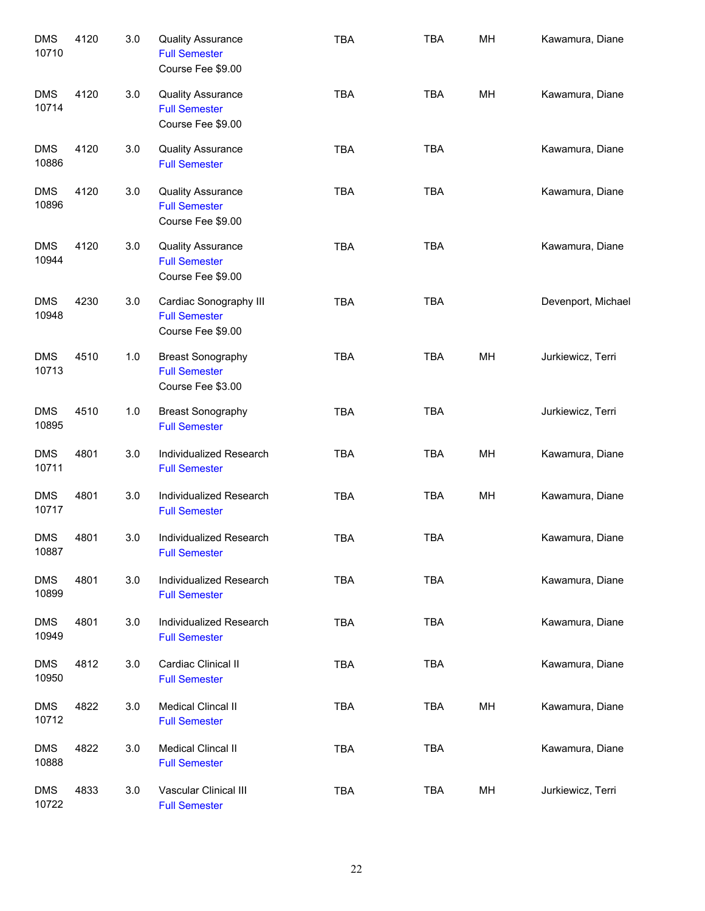| <b>DMS</b><br>10710 | 4120 | 3.0 | <b>Quality Assurance</b><br><b>Full Semester</b><br>Course Fee \$9.00 | TBA        | <b>TBA</b> | MH | Kawamura, Diane    |
|---------------------|------|-----|-----------------------------------------------------------------------|------------|------------|----|--------------------|
| <b>DMS</b><br>10714 | 4120 | 3.0 | <b>Quality Assurance</b><br><b>Full Semester</b><br>Course Fee \$9.00 | <b>TBA</b> | <b>TBA</b> | MH | Kawamura, Diane    |
| <b>DMS</b><br>10886 | 4120 | 3.0 | <b>Quality Assurance</b><br><b>Full Semester</b>                      | <b>TBA</b> | <b>TBA</b> |    | Kawamura, Diane    |
| <b>DMS</b><br>10896 | 4120 | 3.0 | <b>Quality Assurance</b><br><b>Full Semester</b><br>Course Fee \$9.00 | <b>TBA</b> | <b>TBA</b> |    | Kawamura, Diane    |
| <b>DMS</b><br>10944 | 4120 | 3.0 | <b>Quality Assurance</b><br><b>Full Semester</b><br>Course Fee \$9.00 | <b>TBA</b> | <b>TBA</b> |    | Kawamura, Diane    |
| <b>DMS</b><br>10948 | 4230 | 3.0 | Cardiac Sonography III<br><b>Full Semester</b><br>Course Fee \$9.00   | <b>TBA</b> | <b>TBA</b> |    | Devenport, Michael |
| <b>DMS</b><br>10713 | 4510 | 1.0 | <b>Breast Sonography</b><br><b>Full Semester</b><br>Course Fee \$3.00 | <b>TBA</b> | <b>TBA</b> | MH | Jurkiewicz, Terri  |
| <b>DMS</b><br>10895 | 4510 | 1.0 | <b>Breast Sonography</b><br><b>Full Semester</b>                      | <b>TBA</b> | <b>TBA</b> |    | Jurkiewicz, Terri  |
| <b>DMS</b><br>10711 | 4801 | 3.0 | Individualized Research<br><b>Full Semester</b>                       | <b>TBA</b> | <b>TBA</b> | MH | Kawamura, Diane    |
| <b>DMS</b><br>10717 | 4801 | 3.0 | Individualized Research<br><b>Full Semester</b>                       | <b>TBA</b> | <b>TBA</b> | MH | Kawamura, Diane    |
| <b>DMS</b><br>10887 | 4801 | 3.0 | Individualized Research<br><b>Full Semester</b>                       | <b>TBA</b> | <b>TBA</b> |    | Kawamura, Diane    |
| <b>DMS</b><br>10899 | 4801 | 3.0 | Individualized Research<br><b>Full Semester</b>                       | <b>TBA</b> | <b>TBA</b> |    | Kawamura, Diane    |
| <b>DMS</b><br>10949 | 4801 | 3.0 | Individualized Research<br><b>Full Semester</b>                       | <b>TBA</b> | <b>TBA</b> |    | Kawamura, Diane    |
| <b>DMS</b><br>10950 | 4812 | 3.0 | Cardiac Clinical II<br><b>Full Semester</b>                           | <b>TBA</b> | <b>TBA</b> |    | Kawamura, Diane    |
| <b>DMS</b><br>10712 | 4822 | 3.0 | Medical Clincal II<br><b>Full Semester</b>                            | <b>TBA</b> | <b>TBA</b> | MH | Kawamura, Diane    |
| <b>DMS</b><br>10888 | 4822 | 3.0 | Medical Clincal II<br><b>Full Semester</b>                            | <b>TBA</b> | <b>TBA</b> |    | Kawamura, Diane    |
| <b>DMS</b><br>10722 | 4833 | 3.0 | Vascular Clinical III<br><b>Full Semester</b>                         | <b>TBA</b> | <b>TBA</b> | MH | Jurkiewicz, Terri  |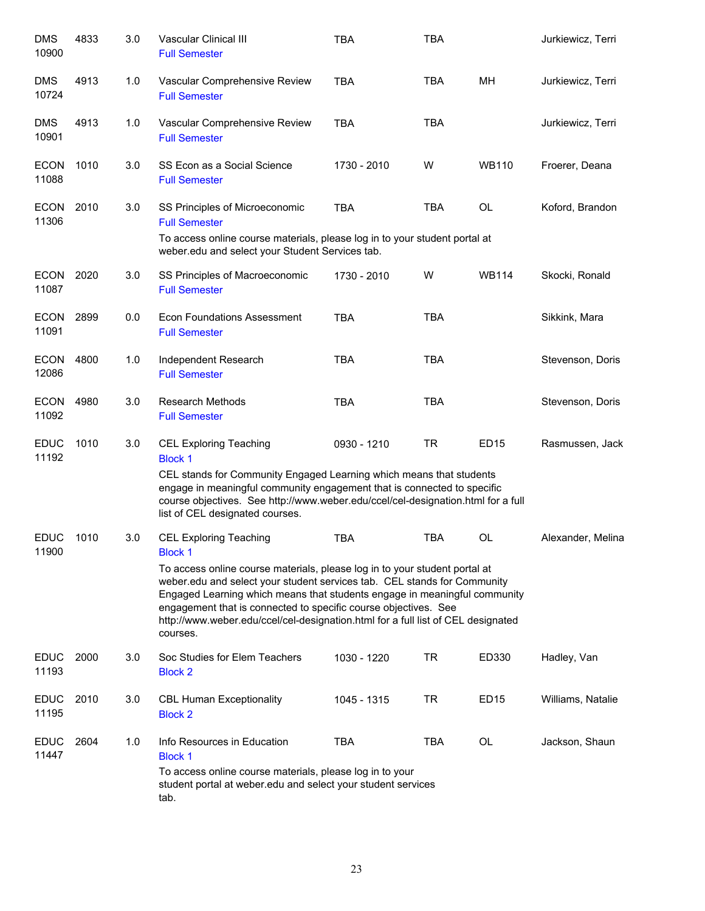| <b>DMS</b><br>10900  | 4833 | 3.0 | Vascular Clinical III<br><b>Full Semester</b>                                                                                                                                                                                                                                                                                                                                                          | <b>TBA</b>  | <b>TBA</b> |                  | Jurkiewicz, Terri |
|----------------------|------|-----|--------------------------------------------------------------------------------------------------------------------------------------------------------------------------------------------------------------------------------------------------------------------------------------------------------------------------------------------------------------------------------------------------------|-------------|------------|------------------|-------------------|
| <b>DMS</b><br>10724  | 4913 | 1.0 | Vascular Comprehensive Review<br><b>Full Semester</b>                                                                                                                                                                                                                                                                                                                                                  | <b>TBA</b>  | TBA        | MН               | Jurkiewicz, Terri |
| <b>DMS</b><br>10901  | 4913 | 1.0 | Vascular Comprehensive Review<br><b>Full Semester</b>                                                                                                                                                                                                                                                                                                                                                  | <b>TBA</b>  | <b>TBA</b> |                  | Jurkiewicz, Terri |
| <b>ECON</b><br>11088 | 1010 | 3.0 | SS Econ as a Social Science<br><b>Full Semester</b>                                                                                                                                                                                                                                                                                                                                                    | 1730 - 2010 | W          | <b>WB110</b>     | Froerer, Deana    |
| <b>ECON</b><br>11306 | 2010 | 3.0 | SS Principles of Microeconomic<br><b>Full Semester</b><br>To access online course materials, please log in to your student portal at<br>weber.edu and select your Student Services tab.                                                                                                                                                                                                                | <b>TBA</b>  | <b>TBA</b> | <b>OL</b>        | Koford, Brandon   |
| <b>ECON</b><br>11087 | 2020 | 3.0 | SS Principles of Macroeconomic<br><b>Full Semester</b>                                                                                                                                                                                                                                                                                                                                                 | 1730 - 2010 | W          | <b>WB114</b>     | Skocki, Ronald    |
| ECON<br>11091        | 2899 | 0.0 | <b>Econ Foundations Assessment</b><br><b>Full Semester</b>                                                                                                                                                                                                                                                                                                                                             | <b>TBA</b>  | <b>TBA</b> |                  | Sikkink, Mara     |
| <b>ECON</b><br>12086 | 4800 | 1.0 | Independent Research<br><b>Full Semester</b>                                                                                                                                                                                                                                                                                                                                                           | <b>TBA</b>  | <b>TBA</b> |                  | Stevenson, Doris  |
| <b>ECON</b><br>11092 | 4980 | 3.0 | <b>Research Methods</b><br><b>Full Semester</b>                                                                                                                                                                                                                                                                                                                                                        | <b>TBA</b>  | <b>TBA</b> |                  | Stevenson, Doris  |
| <b>EDUC</b><br>11192 | 1010 | 3.0 | <b>CEL Exploring Teaching</b><br><b>Block 1</b><br>CEL stands for Community Engaged Learning which means that students<br>engage in meaningful community engagement that is connected to specific<br>course objectives. See http://www.weber.edu/ccel/cel-designation.html for a full<br>list of CEL designated courses.                                                                               | 0930 - 1210 | <b>TR</b>  | <b>ED15</b>      | Rasmussen, Jack   |
| <b>EDUC</b><br>11900 | 1010 | 3.0 | <b>CEL Exploring Teaching</b><br><b>Block 1</b>                                                                                                                                                                                                                                                                                                                                                        | <b>TBA</b>  | <b>TBA</b> | <b>OL</b>        | Alexander, Melina |
|                      |      |     | To access online course materials, please log in to your student portal at<br>weber.edu and select your student services tab. CEL stands for Community<br>Engaged Learning which means that students engage in meaningful community<br>engagement that is connected to specific course objectives. See<br>http://www.weber.edu/ccel/cel-designation.html for a full list of CEL designated<br>courses. |             |            |                  |                   |
| <b>EDUC</b><br>11193 | 2000 | 3.0 | Soc Studies for Elem Teachers<br><b>Block 2</b>                                                                                                                                                                                                                                                                                                                                                        | 1030 - 1220 | TR         | ED330            | Hadley, Van       |
| <b>EDUC</b><br>11195 | 2010 | 3.0 | <b>CBL Human Exceptionality</b><br><b>Block 2</b>                                                                                                                                                                                                                                                                                                                                                      | 1045 - 1315 | TR         | ED <sub>15</sub> | Williams, Natalie |
| <b>EDUC</b><br>11447 | 2604 | 1.0 | Info Resources in Education<br><b>Block 1</b><br>To access online course materials, please log in to your<br>student portal at weber edu and select your student services<br>tab.                                                                                                                                                                                                                      | <b>TBA</b>  | TBA        | OL               | Jackson, Shaun    |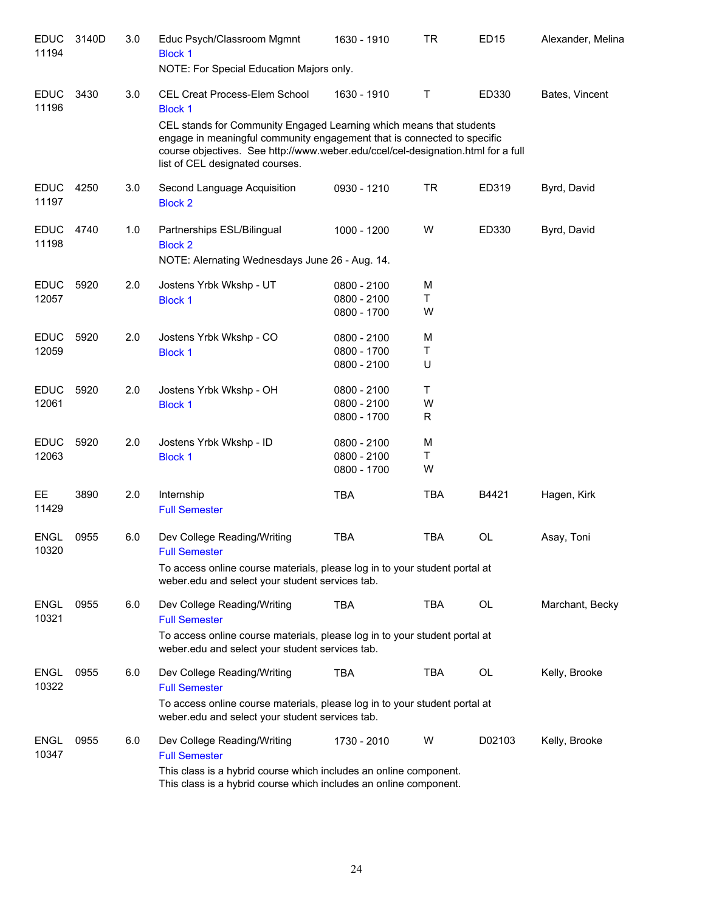| <b>EDUC</b><br>11194 | 3140D | 3.0 | Educ Psych/Classroom Mgmnt<br><b>Block 1</b><br>NOTE: For Special Education Majors only.                                                                                                                                                                              | 1630 - 1910 | TR         | <b>ED15</b> | Alexander, Melina |
|----------------------|-------|-----|-----------------------------------------------------------------------------------------------------------------------------------------------------------------------------------------------------------------------------------------------------------------------|-------------|------------|-------------|-------------------|
| <b>EDUC</b><br>11196 | 3430  | 3.0 | CEL Creat Process-Elem School<br><b>Block 1</b>                                                                                                                                                                                                                       | 1630 - 1910 | T          | ED330       | Bates, Vincent    |
|                      |       |     | CEL stands for Community Engaged Learning which means that students<br>engage in meaningful community engagement that is connected to specific<br>course objectives. See http://www.weber.edu/ccel/cel-designation.html for a full<br>list of CEL designated courses. |             |            |             |                   |
| <b>EDUC</b><br>11197 | 4250  | 3.0 | Second Language Acquisition<br><b>Block 2</b>                                                                                                                                                                                                                         | 0930 - 1210 | TR         | ED319       | Byrd, David       |
| <b>EDUC</b><br>11198 | 4740  | 1.0 | Partnerships ESL/Bilingual<br><b>Block 2</b>                                                                                                                                                                                                                          | 1000 - 1200 | W          | ED330       | Byrd, David       |
|                      |       |     | NOTE: Alernating Wednesdays June 26 - Aug. 14.                                                                                                                                                                                                                        |             |            |             |                   |
| <b>EDUC</b>          | 5920  | 2.0 | Jostens Yrbk Wkshp - UT                                                                                                                                                                                                                                               | 0800 - 2100 | M          |             |                   |
| 12057                |       |     | <b>Block 1</b>                                                                                                                                                                                                                                                        | 0800 - 2100 | T          |             |                   |
|                      |       |     |                                                                                                                                                                                                                                                                       | 0800 - 1700 | W          |             |                   |
| <b>EDUC</b>          | 5920  | 2.0 | Jostens Yrbk Wkshp - CO                                                                                                                                                                                                                                               | 0800 - 2100 | M          |             |                   |
| 12059                |       |     | <b>Block 1</b>                                                                                                                                                                                                                                                        | 0800 - 1700 | Τ          |             |                   |
|                      |       |     |                                                                                                                                                                                                                                                                       | 0800 - 2100 | U          |             |                   |
| <b>EDUC</b>          | 5920  | 2.0 | Jostens Yrbk Wkshp - OH                                                                                                                                                                                                                                               | 0800 - 2100 | т          |             |                   |
| 12061                |       |     | <b>Block 1</b>                                                                                                                                                                                                                                                        | 0800 - 2100 | W          |             |                   |
|                      |       |     |                                                                                                                                                                                                                                                                       | 0800 - 1700 | R          |             |                   |
| <b>EDUC</b>          | 5920  | 2.0 | Jostens Yrbk Wkshp - ID                                                                                                                                                                                                                                               | 0800 - 2100 | M          |             |                   |
| 12063                |       |     | <b>Block 1</b>                                                                                                                                                                                                                                                        | 0800 - 2100 | Τ<br>W     |             |                   |
|                      |       |     |                                                                                                                                                                                                                                                                       | 0800 - 1700 |            |             |                   |
| EE.<br>11429         | 3890  | 2.0 | Internship<br><b>Full Semester</b>                                                                                                                                                                                                                                    | <b>TBA</b>  | <b>TBA</b> | B4421       | Hagen, Kirk       |
| <b>ENGL</b><br>10320 | 0955  | 6.0 | Dev College Reading/Writing<br><b>Full Semester</b>                                                                                                                                                                                                                   | <b>TBA</b>  | <b>TBA</b> | <b>OL</b>   | Asay, Toni        |
|                      |       |     | To access online course materials, please log in to your student portal at<br>weber.edu and select your student services tab.                                                                                                                                         |             |            |             |                   |
| <b>ENGL</b><br>10321 | 0955  | 6.0 | Dev College Reading/Writing<br><b>Full Semester</b>                                                                                                                                                                                                                   | <b>TBA</b>  | <b>TBA</b> | OL          | Marchant, Becky   |
|                      |       |     | To access online course materials, please log in to your student portal at<br>weber.edu and select your student services tab.                                                                                                                                         |             |            |             |                   |
| <b>ENGL</b><br>10322 | 0955  | 6.0 | Dev College Reading/Writing<br><b>Full Semester</b>                                                                                                                                                                                                                   | <b>TBA</b>  | TBA        | OL          | Kelly, Brooke     |
|                      |       |     | To access online course materials, please log in to your student portal at<br>weber.edu and select your student services tab.                                                                                                                                         |             |            |             |                   |
| <b>ENGL</b><br>10347 | 0955  | 6.0 | Dev College Reading/Writing<br><b>Full Semester</b>                                                                                                                                                                                                                   | 1730 - 2010 | W          | D02103      | Kelly, Brooke     |
|                      |       |     | This class is a hybrid course which includes an online component.<br>This class is a hybrid course which includes an online component.                                                                                                                                |             |            |             |                   |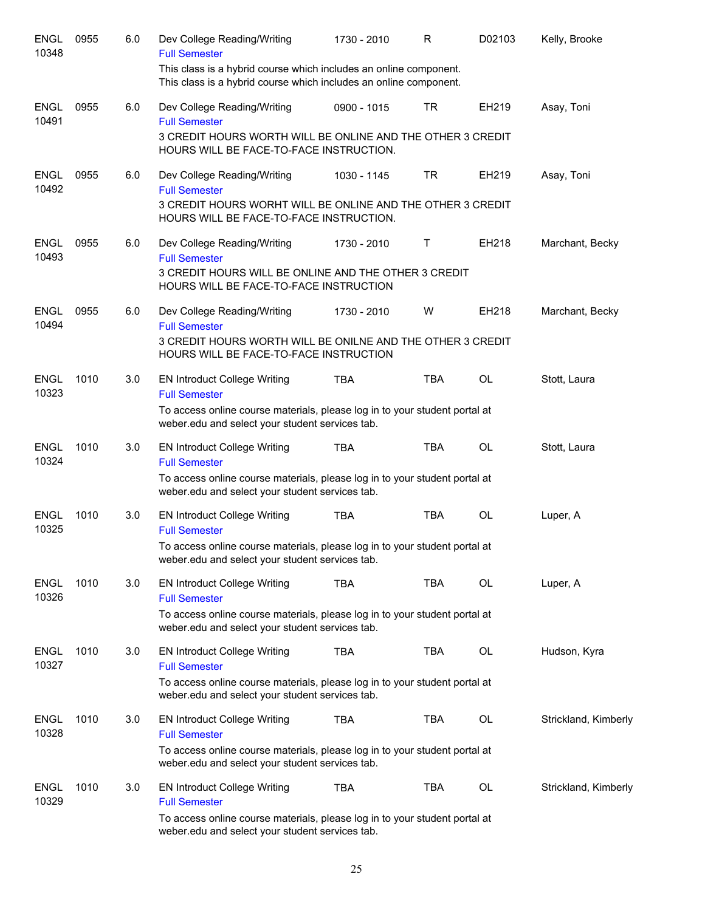| <b>ENGL</b><br>10348 | 0955 | 6.0 | Dev College Reading/Writing<br><b>Full Semester</b>                                                                                    | 1730 - 2010 | R          | D02103    | Kelly, Brooke        |
|----------------------|------|-----|----------------------------------------------------------------------------------------------------------------------------------------|-------------|------------|-----------|----------------------|
|                      |      |     | This class is a hybrid course which includes an online component.<br>This class is a hybrid course which includes an online component. |             |            |           |                      |
| <b>ENGL</b><br>10491 | 0955 | 6.0 | Dev College Reading/Writing<br><b>Full Semester</b>                                                                                    | 0900 - 1015 | <b>TR</b>  | EH219     | Asay, Toni           |
|                      |      |     | 3 CREDIT HOURS WORTH WILL BE ONLINE AND THE OTHER 3 CREDIT<br>HOURS WILL BE FACE-TO-FACE INSTRUCTION.                                  |             |            |           |                      |
| <b>ENGL</b><br>10492 | 0955 | 6.0 | Dev College Reading/Writing<br><b>Full Semester</b>                                                                                    | 1030 - 1145 | <b>TR</b>  | EH219     | Asay, Toni           |
|                      |      |     | 3 CREDIT HOURS WORHT WILL BE ONLINE AND THE OTHER 3 CREDIT<br>HOURS WILL BE FACE-TO-FACE INSTRUCTION.                                  |             |            |           |                      |
| <b>ENGL</b><br>10493 | 0955 | 6.0 | Dev College Reading/Writing<br><b>Full Semester</b>                                                                                    | 1730 - 2010 | Т          | EH218     | Marchant, Becky      |
|                      |      |     | 3 CREDIT HOURS WILL BE ONLINE AND THE OTHER 3 CREDIT<br>HOURS WILL BE FACE-TO-FACE INSTRUCTION                                         |             |            |           |                      |
| <b>ENGL</b><br>10494 | 0955 | 6.0 | Dev College Reading/Writing<br><b>Full Semester</b>                                                                                    | 1730 - 2010 | W          | EH218     | Marchant, Becky      |
|                      |      |     | 3 CREDIT HOURS WORTH WILL BE ONILNE AND THE OTHER 3 CREDIT<br>HOURS WILL BE FACE-TO-FACE INSTRUCTION                                   |             |            |           |                      |
| <b>ENGL</b><br>10323 | 1010 | 3.0 | <b>EN Introduct College Writing</b><br><b>Full Semester</b>                                                                            | <b>TBA</b>  | <b>TBA</b> | <b>OL</b> | Stott, Laura         |
|                      |      |     | To access online course materials, please log in to your student portal at<br>weber.edu and select your student services tab.          |             |            |           |                      |
| <b>ENGL</b><br>10324 | 1010 | 3.0 | <b>EN Introduct College Writing</b><br><b>Full Semester</b>                                                                            | <b>TBA</b>  | <b>TBA</b> | <b>OL</b> | Stott, Laura         |
|                      |      |     | To access online course materials, please log in to your student portal at<br>weber.edu and select your student services tab.          |             |            |           |                      |
| <b>ENGL</b><br>10325 | 1010 | 3.0 | <b>EN Introduct College Writing</b><br><b>Full Semester</b>                                                                            | <b>TBA</b>  | <b>TBA</b> | <b>OL</b> | Luper, A             |
|                      |      |     | To access online course materials, please log in to your student portal at<br>weber.edu and select your student services tab.          |             |            |           |                      |
| <b>ENGL</b><br>10326 | 1010 | 3.0 | <b>EN Introduct College Writing</b><br><b>Full Semester</b>                                                                            | <b>TBA</b>  | <b>TBA</b> | OL        | Luper, A             |
|                      |      |     | To access online course materials, please log in to your student portal at<br>weber.edu and select your student services tab.          |             |            |           |                      |
| <b>ENGL</b><br>10327 | 1010 | 3.0 | <b>EN Introduct College Writing</b><br><b>Full Semester</b>                                                                            | <b>TBA</b>  | TBA        | OL        | Hudson, Kyra         |
|                      |      |     | To access online course materials, please log in to your student portal at<br>weber.edu and select your student services tab.          |             |            |           |                      |
| <b>ENGL</b><br>10328 | 1010 | 3.0 | <b>EN Introduct College Writing</b><br><b>Full Semester</b>                                                                            | <b>TBA</b>  | TBA        | OL        | Strickland, Kimberly |
|                      |      |     | To access online course materials, please log in to your student portal at<br>weber.edu and select your student services tab.          |             |            |           |                      |
| <b>ENGL</b><br>10329 | 1010 | 3.0 | <b>EN Introduct College Writing</b><br><b>Full Semester</b>                                                                            | <b>TBA</b>  | <b>TBA</b> | OL        | Strickland, Kimberly |
|                      |      |     | To access online course materials, please log in to your student portal at<br>weber.edu and select your student services tab.          |             |            |           |                      |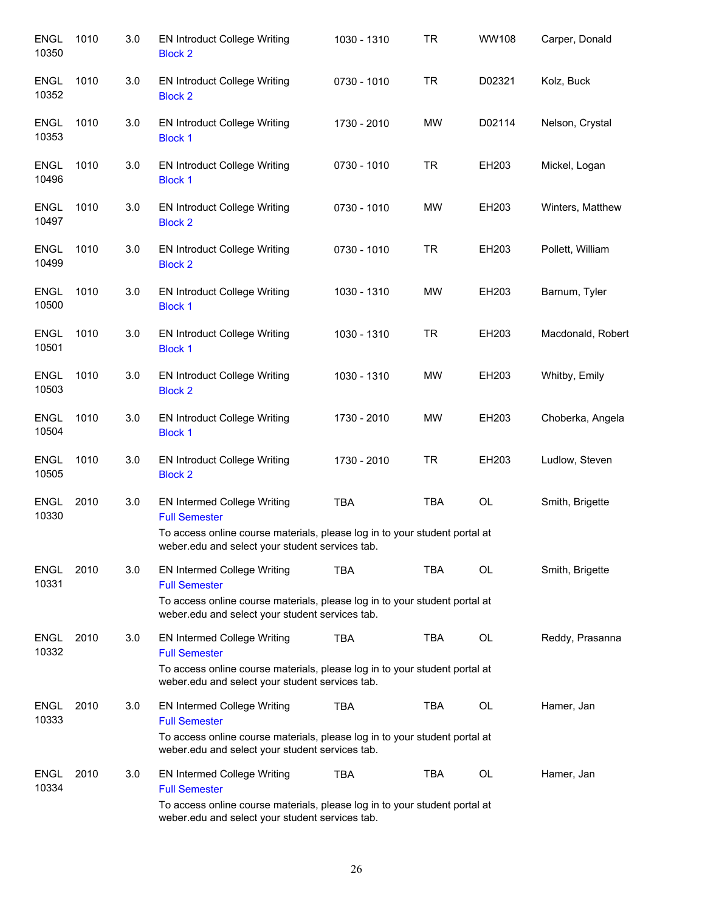| <b>ENGL</b><br>10350 | 1010 | 3.0 | <b>EN Introduct College Writing</b><br><b>Block 2</b>                                                                                                                                       | 1030 - 1310 | <b>TR</b>  | WW108     | Carper, Donald    |
|----------------------|------|-----|---------------------------------------------------------------------------------------------------------------------------------------------------------------------------------------------|-------------|------------|-----------|-------------------|
| <b>ENGL</b><br>10352 | 1010 | 3.0 | <b>EN Introduct College Writing</b><br><b>Block 2</b>                                                                                                                                       | 0730 - 1010 | <b>TR</b>  | D02321    | Kolz, Buck        |
| <b>ENGL</b><br>10353 | 1010 | 3.0 | <b>EN Introduct College Writing</b><br><b>Block 1</b>                                                                                                                                       | 1730 - 2010 | MW         | D02114    | Nelson, Crystal   |
| <b>ENGL</b><br>10496 | 1010 | 3.0 | <b>EN Introduct College Writing</b><br><b>Block 1</b>                                                                                                                                       | 0730 - 1010 | <b>TR</b>  | EH203     | Mickel, Logan     |
| <b>ENGL</b><br>10497 | 1010 | 3.0 | <b>EN Introduct College Writing</b><br><b>Block 2</b>                                                                                                                                       | 0730 - 1010 | MW         | EH203     | Winters, Matthew  |
| <b>ENGL</b><br>10499 | 1010 | 3.0 | <b>EN Introduct College Writing</b><br><b>Block 2</b>                                                                                                                                       | 0730 - 1010 | <b>TR</b>  | EH203     | Pollett, William  |
| <b>ENGL</b><br>10500 | 1010 | 3.0 | <b>EN Introduct College Writing</b><br><b>Block 1</b>                                                                                                                                       | 1030 - 1310 | MW         | EH203     | Barnum, Tyler     |
| <b>ENGL</b><br>10501 | 1010 | 3.0 | <b>EN Introduct College Writing</b><br><b>Block 1</b>                                                                                                                                       | 1030 - 1310 | <b>TR</b>  | EH203     | Macdonald, Robert |
| <b>ENGL</b><br>10503 | 1010 | 3.0 | <b>EN Introduct College Writing</b><br><b>Block 2</b>                                                                                                                                       | 1030 - 1310 | MW         | EH203     | Whitby, Emily     |
| <b>ENGL</b><br>10504 | 1010 | 3.0 | <b>EN Introduct College Writing</b><br><b>Block 1</b>                                                                                                                                       | 1730 - 2010 | MW         | EH203     | Choberka, Angela  |
| <b>ENGL</b><br>10505 | 1010 | 3.0 | <b>EN Introduct College Writing</b><br><b>Block 2</b>                                                                                                                                       | 1730 - 2010 | <b>TR</b>  | EH203     | Ludlow, Steven    |
| <b>ENGL</b><br>10330 | 2010 | 3.0 | EN Intermed College Writing<br><b>Full Semester</b><br>To access online course materials, please log in to your student portal at<br>weber.edu and select your student services tab.        | <b>TBA</b>  | <b>TBA</b> | OL        | Smith, Brigette   |
| <b>ENGL</b><br>10331 | 2010 | 3.0 | <b>EN Intermed College Writing</b><br><b>Full Semester</b><br>To access online course materials, please log in to your student portal at<br>weber.edu and select your student services tab. | <b>TBA</b>  | <b>TBA</b> | OL        | Smith, Brigette   |
| <b>ENGL</b><br>10332 | 2010 | 3.0 | <b>EN Intermed College Writing</b><br><b>Full Semester</b><br>To access online course materials, please log in to your student portal at<br>weber.edu and select your student services tab. | <b>TBA</b>  | <b>TBA</b> | <b>OL</b> | Reddy, Prasanna   |
| <b>ENGL</b><br>10333 | 2010 | 3.0 | EN Intermed College Writing<br><b>Full Semester</b><br>To access online course materials, please log in to your student portal at<br>weber.edu and select your student services tab.        | <b>TBA</b>  | <b>TBA</b> | <b>OL</b> | Hamer, Jan        |
| <b>ENGL</b><br>10334 | 2010 | 3.0 | <b>EN Intermed College Writing</b><br><b>Full Semester</b><br>To access online course materials, please log in to your student portal at<br>weber.edu and select your student services tab. | <b>TBA</b>  | <b>TBA</b> | <b>OL</b> | Hamer, Jan        |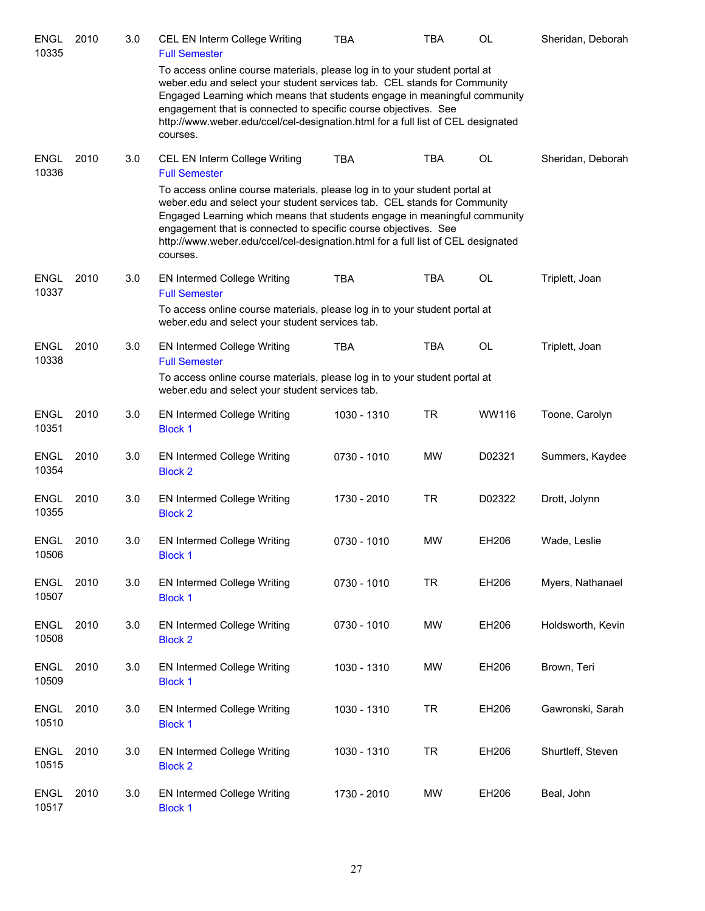| <b>ENGL</b><br>10335 | 2010 | 3.0 | CEL EN Interm College Writing<br><b>Full Semester</b>                                                                                                                                                                                                                                                                                                                                                                                               | TBA         | <b>TBA</b> | <b>OL</b> | Sheridan, Deborah |
|----------------------|------|-----|-----------------------------------------------------------------------------------------------------------------------------------------------------------------------------------------------------------------------------------------------------------------------------------------------------------------------------------------------------------------------------------------------------------------------------------------------------|-------------|------------|-----------|-------------------|
|                      |      |     | To access online course materials, please log in to your student portal at<br>weber.edu and select your student services tab. CEL stands for Community<br>Engaged Learning which means that students engage in meaningful community<br>engagement that is connected to specific course objectives. See<br>http://www.weber.edu/ccel/cel-designation.html for a full list of CEL designated<br>courses.                                              |             |            |           |                   |
| <b>ENGL</b><br>10336 | 2010 | 3.0 | CEL EN Interm College Writing<br><b>Full Semester</b><br>To access online course materials, please log in to your student portal at<br>weber.edu and select your student services tab. CEL stands for Community<br>Engaged Learning which means that students engage in meaningful community<br>engagement that is connected to specific course objectives. See<br>http://www.weber.edu/ccel/cel-designation.html for a full list of CEL designated | <b>TBA</b>  | <b>TBA</b> | OL        | Sheridan, Deborah |
| <b>ENGL</b><br>10337 | 2010 | 3.0 | courses.<br><b>EN Intermed College Writing</b><br><b>Full Semester</b>                                                                                                                                                                                                                                                                                                                                                                              | <b>TBA</b>  | <b>TBA</b> | OL        | Triplett, Joan    |
|                      |      |     | To access online course materials, please log in to your student portal at<br>weber.edu and select your student services tab.                                                                                                                                                                                                                                                                                                                       |             |            |           |                   |
| <b>ENGL</b><br>10338 | 2010 | 3.0 | <b>EN Intermed College Writing</b><br><b>Full Semester</b>                                                                                                                                                                                                                                                                                                                                                                                          | <b>TBA</b>  | <b>TBA</b> | OL        | Triplett, Joan    |
|                      |      |     | To access online course materials, please log in to your student portal at<br>weber.edu and select your student services tab.                                                                                                                                                                                                                                                                                                                       |             |            |           |                   |
| <b>ENGL</b><br>10351 | 2010 | 3.0 | EN Intermed College Writing<br><b>Block 1</b>                                                                                                                                                                                                                                                                                                                                                                                                       | 1030 - 1310 | <b>TR</b>  | WW116     | Toone, Carolyn    |
| <b>ENGL</b><br>10354 | 2010 | 3.0 | EN Intermed College Writing<br><b>Block 2</b>                                                                                                                                                                                                                                                                                                                                                                                                       | 0730 - 1010 | <b>MW</b>  | D02321    | Summers, Kaydee   |
| <b>ENGL</b><br>10355 | 2010 | 3.0 | EN Intermed College Writing<br><b>Block 2</b>                                                                                                                                                                                                                                                                                                                                                                                                       | 1730 - 2010 | <b>TR</b>  | D02322    | Drott, Jolynn     |
| ENGL<br>10506        | 2010 | 3.0 | <b>EN Intermed College Writing</b><br><b>Block 1</b>                                                                                                                                                                                                                                                                                                                                                                                                | 0730 - 1010 | <b>MW</b>  | EH206     | Wade, Leslie      |
| <b>ENGL</b><br>10507 | 2010 | 3.0 | <b>EN Intermed College Writing</b><br><b>Block 1</b>                                                                                                                                                                                                                                                                                                                                                                                                | 0730 - 1010 | <b>TR</b>  | EH206     | Myers, Nathanael  |
| <b>ENGL</b><br>10508 | 2010 | 3.0 | <b>EN Intermed College Writing</b><br><b>Block 2</b>                                                                                                                                                                                                                                                                                                                                                                                                | 0730 - 1010 | <b>MW</b>  | EH206     | Holdsworth, Kevin |
| <b>ENGL</b><br>10509 | 2010 | 3.0 | <b>EN Intermed College Writing</b><br><b>Block 1</b>                                                                                                                                                                                                                                                                                                                                                                                                | 1030 - 1310 | <b>MW</b>  | EH206     | Brown, Teri       |
| <b>ENGL</b><br>10510 | 2010 | 3.0 | <b>EN Intermed College Writing</b><br><b>Block 1</b>                                                                                                                                                                                                                                                                                                                                                                                                | 1030 - 1310 | <b>TR</b>  | EH206     | Gawronski, Sarah  |
| <b>ENGL</b><br>10515 | 2010 | 3.0 | <b>EN Intermed College Writing</b><br><b>Block 2</b>                                                                                                                                                                                                                                                                                                                                                                                                | 1030 - 1310 | <b>TR</b>  | EH206     | Shurtleff, Steven |
| <b>ENGL</b><br>10517 | 2010 | 3.0 | <b>EN Intermed College Writing</b><br><b>Block 1</b>                                                                                                                                                                                                                                                                                                                                                                                                | 1730 - 2010 | MW         | EH206     | Beal, John        |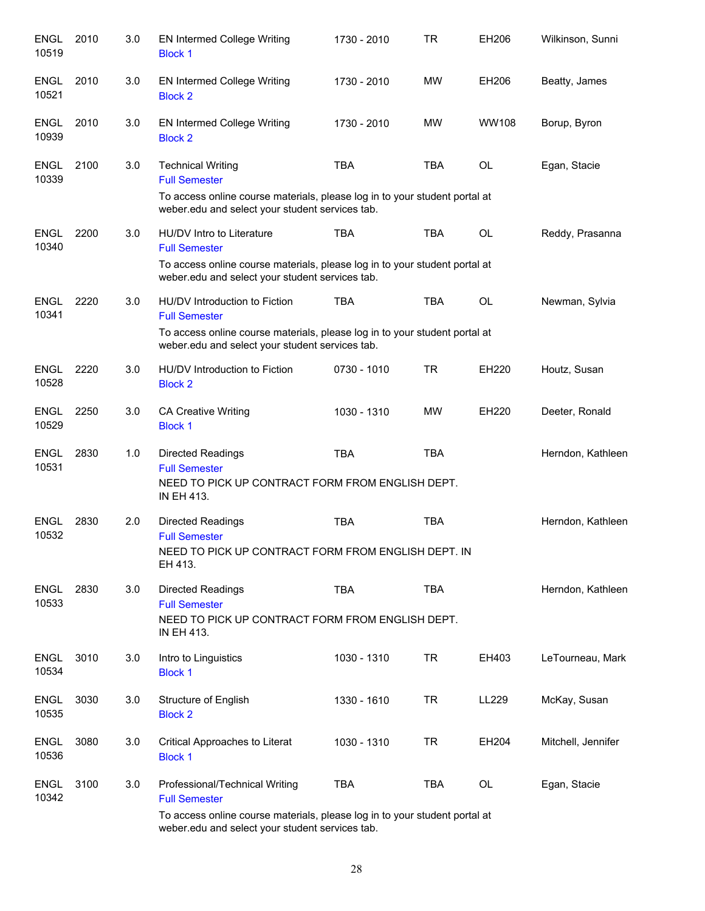| <b>ENGL</b><br>10519 | 2010 | 3.0 | <b>EN Intermed College Writing</b><br><b>Block 1</b>                                                                          | 1730 - 2010 | TR         | EH206     | Wilkinson, Sunni   |
|----------------------|------|-----|-------------------------------------------------------------------------------------------------------------------------------|-------------|------------|-----------|--------------------|
| <b>ENGL</b><br>10521 | 2010 | 3.0 | <b>EN Intermed College Writing</b><br><b>Block 2</b>                                                                          | 1730 - 2010 | MW         | EH206     | Beatty, James      |
| <b>ENGL</b><br>10939 | 2010 | 3.0 | <b>EN Intermed College Writing</b><br><b>Block 2</b>                                                                          | 1730 - 2010 | MW         | WW108     | Borup, Byron       |
| <b>ENGL</b><br>10339 | 2100 | 3.0 | <b>Technical Writing</b><br><b>Full Semester</b>                                                                              | <b>TBA</b>  | <b>TBA</b> | OL        | Egan, Stacie       |
|                      |      |     | To access online course materials, please log in to your student portal at<br>weber.edu and select your student services tab. |             |            |           |                    |
| <b>ENGL</b><br>10340 | 2200 | 3.0 | HU/DV Intro to Literature<br><b>Full Semester</b>                                                                             | <b>TBA</b>  | <b>TBA</b> | <b>OL</b> | Reddy, Prasanna    |
|                      |      |     | To access online course materials, please log in to your student portal at<br>weber.edu and select your student services tab. |             |            |           |                    |
| <b>ENGL</b><br>10341 | 2220 | 3.0 | HU/DV Introduction to Fiction<br><b>Full Semester</b>                                                                         | <b>TBA</b>  | <b>TBA</b> | OL        | Newman, Sylvia     |
|                      |      |     | To access online course materials, please log in to your student portal at<br>weber.edu and select your student services tab. |             |            |           |                    |
| ENGL<br>10528        | 2220 | 3.0 | HU/DV Introduction to Fiction<br><b>Block 2</b>                                                                               | 0730 - 1010 | <b>TR</b>  | EH220     | Houtz, Susan       |
| <b>ENGL</b><br>10529 | 2250 | 3.0 | <b>CA Creative Writing</b><br><b>Block 1</b>                                                                                  | 1030 - 1310 | MW         | EH220     | Deeter, Ronald     |
| <b>ENGL</b><br>10531 | 2830 | 1.0 | <b>Directed Readings</b><br><b>Full Semester</b><br>NEED TO PICK UP CONTRACT FORM FROM ENGLISH DEPT.<br>IN EH 413.            | <b>TBA</b>  | <b>TBA</b> |           | Herndon, Kathleen  |
| <b>ENGL</b><br>10532 | 2830 | 2.0 | Directed Readings<br><b>Full Semester</b>                                                                                     | <b>TBA</b>  | <b>TBA</b> |           | Herndon, Kathleen  |
|                      |      |     | NEED TO PICK UP CONTRACT FORM FROM ENGLISH DEPT. IN<br>EH 413.                                                                |             |            |           |                    |
| ENGL<br>10533        | 2830 | 3.0 | Directed Readings<br><b>Full Semester</b>                                                                                     | <b>TBA</b>  | <b>TBA</b> |           | Herndon, Kathleen  |
|                      |      |     | NEED TO PICK UP CONTRACT FORM FROM ENGLISH DEPT.<br>IN EH 413.                                                                |             |            |           |                    |
| <b>ENGL</b><br>10534 | 3010 | 3.0 | Intro to Linguistics<br><b>Block 1</b>                                                                                        | 1030 - 1310 | <b>TR</b>  | EH403     | LeTourneau, Mark   |
| <b>ENGL</b><br>10535 | 3030 | 3.0 | Structure of English<br><b>Block 2</b>                                                                                        | 1330 - 1610 | <b>TR</b>  | LL229     | McKay, Susan       |
| <b>ENGL</b><br>10536 | 3080 | 3.0 | Critical Approaches to Literat<br><b>Block 1</b>                                                                              | 1030 - 1310 | <b>TR</b>  | EH204     | Mitchell, Jennifer |
| <b>ENGL</b><br>10342 | 3100 | 3.0 | Professional/Technical Writing<br><b>Full Semester</b>                                                                        | <b>TBA</b>  | <b>TBA</b> | OL        | Egan, Stacie       |
|                      |      |     | To access online course materials, please log in to your student portal at<br>weber.edu and select your student services tab. |             |            |           |                    |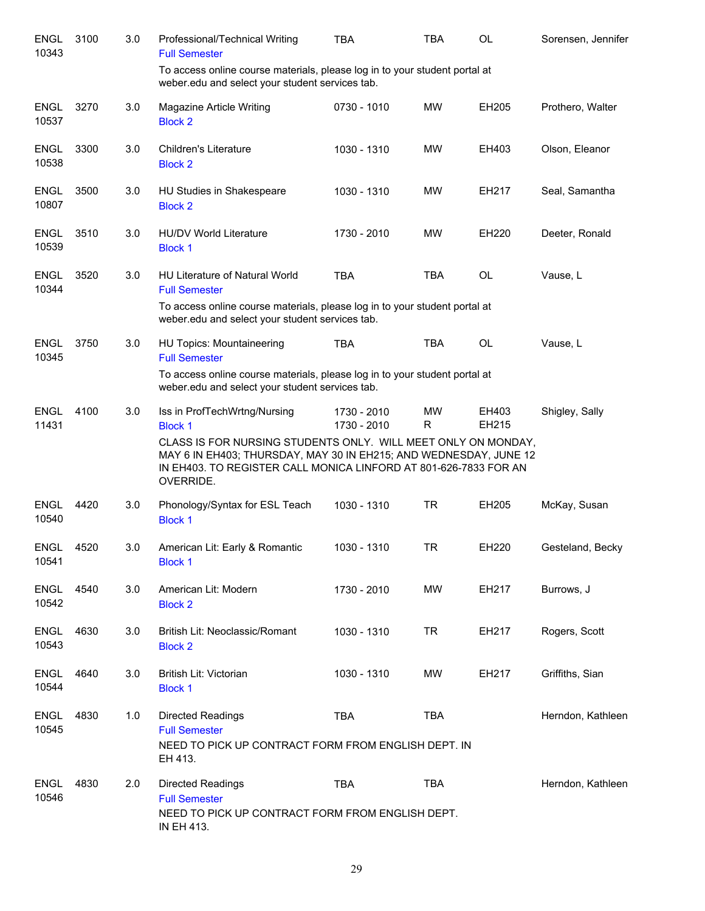| <b>ENGL</b><br>10343 | 3100 | 3.0 | Professional/Technical Writing<br><b>Full Semester</b>                                                                                                                                                                                                                | <b>TBA</b>                 | <b>TBA</b>      | <b>OL</b>      | Sorensen, Jennifer |
|----------------------|------|-----|-----------------------------------------------------------------------------------------------------------------------------------------------------------------------------------------------------------------------------------------------------------------------|----------------------------|-----------------|----------------|--------------------|
|                      |      |     | To access online course materials, please log in to your student portal at<br>weber.edu and select your student services tab.                                                                                                                                         |                            |                 |                |                    |
| <b>ENGL</b><br>10537 | 3270 | 3.0 | Magazine Article Writing<br><b>Block 2</b>                                                                                                                                                                                                                            | 0730 - 1010                | <b>MW</b>       | EH205          | Prothero, Walter   |
| <b>ENGL</b><br>10538 | 3300 | 3.0 | <b>Children's Literature</b><br><b>Block 2</b>                                                                                                                                                                                                                        | 1030 - 1310                | <b>MW</b>       | EH403          | Olson, Eleanor     |
| <b>ENGL</b><br>10807 | 3500 | 3.0 | HU Studies in Shakespeare<br><b>Block 2</b>                                                                                                                                                                                                                           | 1030 - 1310                | <b>MW</b>       | EH217          | Seal, Samantha     |
| <b>ENGL</b><br>10539 | 3510 | 3.0 | <b>HU/DV World Literature</b><br><b>Block 1</b>                                                                                                                                                                                                                       | 1730 - 2010                | <b>MW</b>       | <b>EH220</b>   | Deeter, Ronald     |
| <b>ENGL</b><br>10344 | 3520 | 3.0 | <b>HU Literature of Natural World</b><br><b>Full Semester</b><br>To access online course materials, please log in to your student portal at                                                                                                                           | <b>TBA</b>                 | <b>TBA</b>      | <b>OL</b>      | Vause, L           |
|                      |      |     | weber.edu and select your student services tab.                                                                                                                                                                                                                       |                            |                 |                |                    |
| <b>ENGL</b><br>10345 | 3750 | 3.0 | <b>HU Topics: Mountaineering</b><br><b>Full Semester</b>                                                                                                                                                                                                              | <b>TBA</b>                 | <b>TBA</b>      | <b>OL</b>      | Vause, L           |
|                      |      |     | To access online course materials, please log in to your student portal at<br>weber.edu and select your student services tab.                                                                                                                                         |                            |                 |                |                    |
| <b>ENGL</b><br>11431 | 4100 | 3.0 | Iss in ProfTechWrtng/Nursing<br><b>Block 1</b><br>CLASS IS FOR NURSING STUDENTS ONLY. WILL MEET ONLY ON MONDAY,<br>MAY 6 IN EH403; THURSDAY, MAY 30 IN EH215; AND WEDNESDAY, JUNE 12<br>IN EH403. TO REGISTER CALL MONICA LINFORD AT 801-626-7833 FOR AN<br>OVERRIDE. | 1730 - 2010<br>1730 - 2010 | <b>MW</b><br>R. | EH403<br>EH215 | Shigley, Sally     |
| <b>ENGL</b><br>10540 | 4420 | 3.0 | Phonology/Syntax for ESL Teach<br><b>Block 1</b>                                                                                                                                                                                                                      | 1030 - 1310                | <b>TR</b>       | EH205          | McKay, Susan       |
| ENGL<br>10541        | 4520 | 3.0 | American Lit: Early & Romantic<br><b>Block 1</b>                                                                                                                                                                                                                      | 1030 - 1310                | <b>TR</b>       | EH220          | Gesteland, Becky   |
| <b>ENGL</b><br>10542 | 4540 | 3.0 | American Lit: Modern<br><b>Block 2</b>                                                                                                                                                                                                                                | 1730 - 2010                | MW              | EH217          | Burrows, J         |
| <b>ENGL</b><br>10543 | 4630 | 3.0 | British Lit: Neoclassic/Romant<br><b>Block 2</b>                                                                                                                                                                                                                      | 1030 - 1310                | <b>TR</b>       | EH217          | Rogers, Scott      |
| <b>ENGL</b><br>10544 | 4640 | 3.0 | British Lit: Victorian<br><b>Block 1</b>                                                                                                                                                                                                                              | 1030 - 1310                | MW              | EH217          | Griffiths, Sian    |
| <b>ENGL</b><br>10545 | 4830 | 1.0 | <b>Directed Readings</b><br><b>Full Semester</b><br>NEED TO PICK UP CONTRACT FORM FROM ENGLISH DEPT. IN<br>EH 413.                                                                                                                                                    | <b>TBA</b>                 | <b>TBA</b>      |                | Herndon, Kathleen  |
| <b>ENGL</b><br>10546 | 4830 | 2.0 | Directed Readings<br><b>Full Semester</b><br>NEED TO PICK UP CONTRACT FORM FROM ENGLISH DEPT.<br>IN EH 413.                                                                                                                                                           | <b>TBA</b>                 | <b>TBA</b>      |                | Herndon, Kathleen  |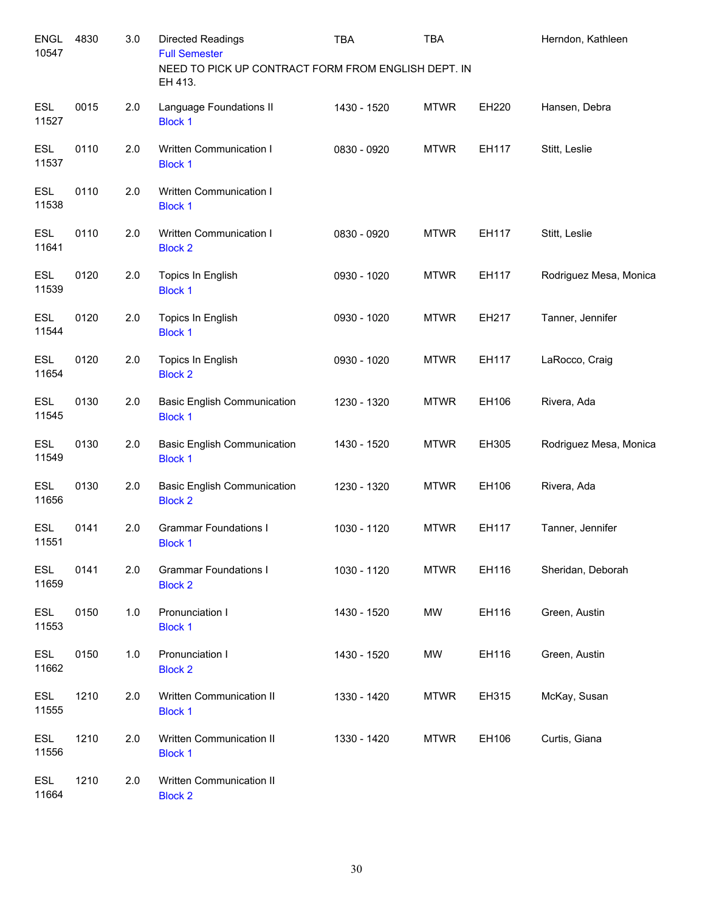| <b>ENGL</b><br>10547 | 4830 | 3.0 | Directed Readings<br><b>Full Semester</b><br>NEED TO PICK UP CONTRACT FORM FROM ENGLISH DEPT. IN | <b>TBA</b>  | <b>TBA</b>  |       | Herndon, Kathleen      |
|----------------------|------|-----|--------------------------------------------------------------------------------------------------|-------------|-------------|-------|------------------------|
|                      |      |     | EH 413.                                                                                          |             |             |       |                        |
| <b>ESL</b><br>11527  | 0015 | 2.0 | Language Foundations II<br><b>Block 1</b>                                                        | 1430 - 1520 | <b>MTWR</b> | EH220 | Hansen, Debra          |
| <b>ESL</b><br>11537  | 0110 | 2.0 | Written Communication I<br><b>Block 1</b>                                                        | 0830 - 0920 | <b>MTWR</b> | EH117 | Stitt, Leslie          |
| <b>ESL</b><br>11538  | 0110 | 2.0 | Written Communication I<br><b>Block 1</b>                                                        |             |             |       |                        |
| <b>ESL</b><br>11641  | 0110 | 2.0 | Written Communication I<br><b>Block 2</b>                                                        | 0830 - 0920 | <b>MTWR</b> | EH117 | Stitt, Leslie          |
| <b>ESL</b><br>11539  | 0120 | 2.0 | Topics In English<br><b>Block 1</b>                                                              | 0930 - 1020 | <b>MTWR</b> | EH117 | Rodriguez Mesa, Monica |
| <b>ESL</b><br>11544  | 0120 | 2.0 | Topics In English<br><b>Block 1</b>                                                              | 0930 - 1020 | <b>MTWR</b> | EH217 | Tanner, Jennifer       |
| ESL<br>11654         | 0120 | 2.0 | Topics In English<br><b>Block 2</b>                                                              | 0930 - 1020 | <b>MTWR</b> | EH117 | LaRocco, Craig         |
| ESL<br>11545         | 0130 | 2.0 | <b>Basic English Communication</b><br><b>Block 1</b>                                             | 1230 - 1320 | <b>MTWR</b> | EH106 | Rivera, Ada            |
| ESL<br>11549         | 0130 | 2.0 | <b>Basic English Communication</b><br><b>Block 1</b>                                             | 1430 - 1520 | <b>MTWR</b> | EH305 | Rodriguez Mesa, Monica |
| ESL<br>11656         | 0130 | 2.0 | <b>Basic English Communication</b><br><b>Block 2</b>                                             | 1230 - 1320 | <b>MTWR</b> | EH106 | Rivera, Ada            |
| <b>ESL</b><br>11551  | 0141 | 2.0 | <b>Grammar Foundations I</b><br><b>Block 1</b>                                                   | 1030 - 1120 | <b>MTWR</b> | EH117 | Tanner, Jennifer       |
| <b>ESL</b><br>11659  | 0141 | 2.0 | <b>Grammar Foundations I</b><br><b>Block 2</b>                                                   | 1030 - 1120 | <b>MTWR</b> | EH116 | Sheridan, Deborah      |
| ESL<br>11553         | 0150 | 1.0 | Pronunciation I<br><b>Block 1</b>                                                                | 1430 - 1520 | MW          | EH116 | Green, Austin          |
| ESL<br>11662         | 0150 | 1.0 | Pronunciation I<br><b>Block 2</b>                                                                | 1430 - 1520 | MW          | EH116 | Green, Austin          |
| <b>ESL</b><br>11555  | 1210 | 2.0 | <b>Written Communication II</b><br><b>Block 1</b>                                                | 1330 - 1420 | <b>MTWR</b> | EH315 | McKay, Susan           |
| <b>ESL</b><br>11556  | 1210 | 2.0 | Written Communication II<br><b>Block 1</b>                                                       | 1330 - 1420 | <b>MTWR</b> | EH106 | Curtis, Giana          |
| <b>ESL</b><br>11664  | 1210 | 2.0 | Written Communication II<br><b>Block 2</b>                                                       |             |             |       |                        |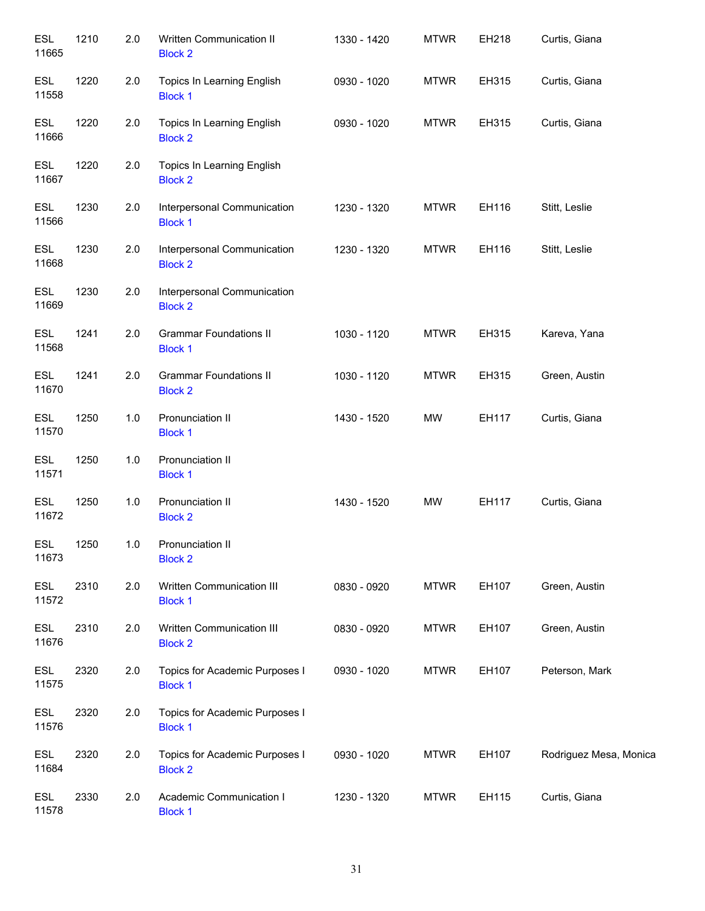| <b>ESL</b><br>11665 | 1210 | 2.0   | Written Communication II<br><b>Block 2</b>       | 1330 - 1420 | <b>MTWR</b> | EH218 | Curtis, Giana          |
|---------------------|------|-------|--------------------------------------------------|-------------|-------------|-------|------------------------|
| <b>ESL</b><br>11558 | 1220 | 2.0   | Topics In Learning English<br><b>Block 1</b>     | 0930 - 1020 | <b>MTWR</b> | EH315 | Curtis, Giana          |
| <b>ESL</b><br>11666 | 1220 | 2.0   | Topics In Learning English<br><b>Block 2</b>     | 0930 - 1020 | <b>MTWR</b> | EH315 | Curtis, Giana          |
| <b>ESL</b><br>11667 | 1220 | 2.0   | Topics In Learning English<br><b>Block 2</b>     |             |             |       |                        |
| <b>ESL</b><br>11566 | 1230 | 2.0   | Interpersonal Communication<br><b>Block 1</b>    | 1230 - 1320 | <b>MTWR</b> | EH116 | Stitt, Leslie          |
| <b>ESL</b><br>11668 | 1230 | 2.0   | Interpersonal Communication<br><b>Block 2</b>    | 1230 - 1320 | <b>MTWR</b> | EH116 | Stitt, Leslie          |
| <b>ESL</b><br>11669 | 1230 | 2.0   | Interpersonal Communication<br><b>Block 2</b>    |             |             |       |                        |
| <b>ESL</b><br>11568 | 1241 | 2.0   | <b>Grammar Foundations II</b><br><b>Block 1</b>  | 1030 - 1120 | <b>MTWR</b> | EH315 | Kareva, Yana           |
| <b>ESL</b><br>11670 | 1241 | 2.0   | <b>Grammar Foundations II</b><br><b>Block 2</b>  | 1030 - 1120 | <b>MTWR</b> | EH315 | Green, Austin          |
| <b>ESL</b><br>11570 | 1250 | $1.0$ | Pronunciation II<br><b>Block 1</b>               | 1430 - 1520 | <b>MW</b>   | EH117 | Curtis, Giana          |
| <b>ESL</b><br>11571 | 1250 | 1.0   | Pronunciation II<br><b>Block 1</b>               |             |             |       |                        |
| <b>ESL</b><br>11672 | 1250 | 1.0   | Pronunciation II<br><b>Block 2</b>               | 1430 - 1520 | MW          | EH117 | Curtis, Giana          |
| ESL<br>11673        | 1250 | 1.0   | Pronunciation II<br><b>Block 2</b>               |             |             |       |                        |
| <b>ESL</b><br>11572 | 2310 | 2.0   | Written Communication III<br><b>Block 1</b>      | 0830 - 0920 | <b>MTWR</b> | EH107 | Green, Austin          |
| <b>ESL</b><br>11676 | 2310 | 2.0   | Written Communication III<br><b>Block 2</b>      | 0830 - 0920 | <b>MTWR</b> | EH107 | Green, Austin          |
| ESL<br>11575        | 2320 | 2.0   | Topics for Academic Purposes I<br><b>Block 1</b> | 0930 - 1020 | <b>MTWR</b> | EH107 | Peterson, Mark         |
| ESL<br>11576        | 2320 | 2.0   | Topics for Academic Purposes I<br><b>Block 1</b> |             |             |       |                        |
| ESL<br>11684        | 2320 | 2.0   | Topics for Academic Purposes I<br><b>Block 2</b> | 0930 - 1020 | <b>MTWR</b> | EH107 | Rodriguez Mesa, Monica |
| ESL<br>11578        | 2330 | 2.0   | Academic Communication I<br><b>Block 1</b>       | 1230 - 1320 | <b>MTWR</b> | EH115 | Curtis, Giana          |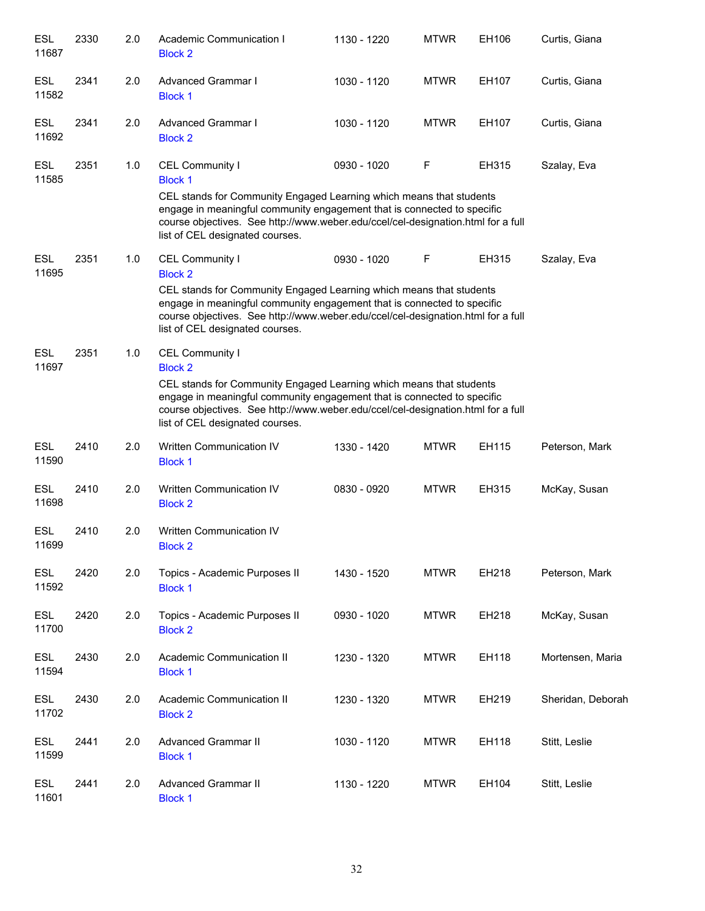| <b>ESL</b><br>11687 | 2330 | 2.0 | Academic Communication I<br><b>Block 2</b>                                                                                                                                                                                                                                                                 | 1130 - 1220 | <b>MTWR</b> | EH106 | Curtis, Giana     |
|---------------------|------|-----|------------------------------------------------------------------------------------------------------------------------------------------------------------------------------------------------------------------------------------------------------------------------------------------------------------|-------------|-------------|-------|-------------------|
| ESL<br>11582        | 2341 | 2.0 | Advanced Grammar I<br><b>Block 1</b>                                                                                                                                                                                                                                                                       | 1030 - 1120 | <b>MTWR</b> | EH107 | Curtis, Giana     |
| <b>ESL</b><br>11692 | 2341 | 2.0 | Advanced Grammar I<br><b>Block 2</b>                                                                                                                                                                                                                                                                       | 1030 - 1120 | <b>MTWR</b> | EH107 | Curtis, Giana     |
| <b>ESL</b><br>11585 | 2351 | 1.0 | CEL Community I<br><b>Block 1</b><br>CEL stands for Community Engaged Learning which means that students<br>engage in meaningful community engagement that is connected to specific<br>course objectives. See http://www.weber.edu/ccel/cel-designation.html for a full<br>list of CEL designated courses. | 0930 - 1020 | F           | EH315 | Szalay, Eva       |
| <b>ESL</b><br>11695 | 2351 | 1.0 | CEL Community I<br><b>Block 2</b><br>CEL stands for Community Engaged Learning which means that students<br>engage in meaningful community engagement that is connected to specific<br>course objectives. See http://www.weber.edu/ccel/cel-designation.html for a full<br>list of CEL designated courses. | 0930 - 1020 | F           | EH315 | Szalay, Eva       |
| <b>ESL</b><br>11697 | 2351 | 1.0 | CEL Community I<br><b>Block 2</b><br>CEL stands for Community Engaged Learning which means that students<br>engage in meaningful community engagement that is connected to specific<br>course objectives. See http://www.weber.edu/ccel/cel-designation.html for a full<br>list of CEL designated courses. |             |             |       |                   |
| <b>ESL</b><br>11590 | 2410 | 2.0 | Written Communication IV<br><b>Block 1</b>                                                                                                                                                                                                                                                                 | 1330 - 1420 | <b>MTWR</b> | EH115 | Peterson, Mark    |
| <b>ESL</b><br>11698 | 2410 | 2.0 | Written Communication IV<br><b>Block 2</b>                                                                                                                                                                                                                                                                 | 0830 - 0920 | <b>MTWR</b> | EH315 | McKay, Susan      |
| <b>ESL</b><br>11699 | 2410 | 2.0 | Written Communication IV<br><b>Block 2</b>                                                                                                                                                                                                                                                                 |             |             |       |                   |
| <b>ESL</b><br>11592 | 2420 | 2.0 | Topics - Academic Purposes II<br><b>Block 1</b>                                                                                                                                                                                                                                                            | 1430 - 1520 | <b>MTWR</b> | EH218 | Peterson, Mark    |
| <b>ESL</b><br>11700 | 2420 | 2.0 | Topics - Academic Purposes II<br><b>Block 2</b>                                                                                                                                                                                                                                                            | 0930 - 1020 | <b>MTWR</b> | EH218 | McKay, Susan      |
| <b>ESL</b><br>11594 | 2430 | 2.0 | Academic Communication II<br><b>Block 1</b>                                                                                                                                                                                                                                                                | 1230 - 1320 | <b>MTWR</b> | EH118 | Mortensen, Maria  |
| <b>ESL</b><br>11702 | 2430 | 2.0 | Academic Communication II<br><b>Block 2</b>                                                                                                                                                                                                                                                                | 1230 - 1320 | <b>MTWR</b> | EH219 | Sheridan, Deborah |
| <b>ESL</b><br>11599 | 2441 | 2.0 | Advanced Grammar II<br><b>Block 1</b>                                                                                                                                                                                                                                                                      | 1030 - 1120 | <b>MTWR</b> | EH118 | Stitt, Leslie     |
| <b>ESL</b><br>11601 | 2441 | 2.0 | Advanced Grammar II<br><b>Block 1</b>                                                                                                                                                                                                                                                                      | 1130 - 1220 | <b>MTWR</b> | EH104 | Stitt, Leslie     |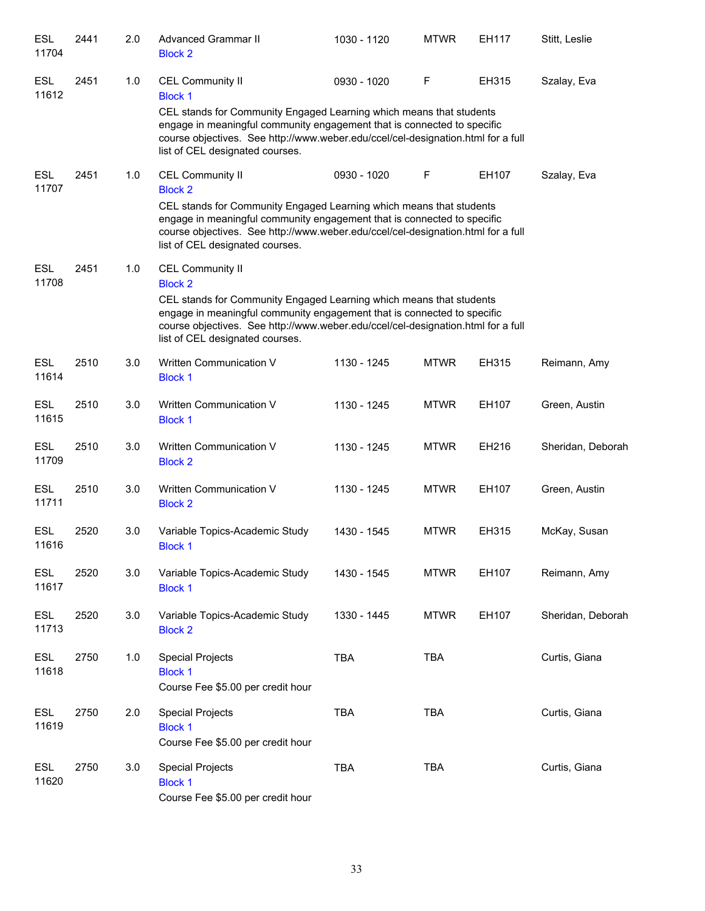| <b>ESL</b><br>11704 | 2441 | 2.0 | <b>Advanced Grammar II</b><br><b>Block 2</b>                                                                                                                                                                                                                                                                       | 1030 - 1120 | <b>MTWR</b> | EH117 | Stitt, Leslie     |
|---------------------|------|-----|--------------------------------------------------------------------------------------------------------------------------------------------------------------------------------------------------------------------------------------------------------------------------------------------------------------------|-------------|-------------|-------|-------------------|
| <b>ESL</b><br>11612 | 2451 | 1.0 | <b>CEL Community II</b><br><b>Block 1</b>                                                                                                                                                                                                                                                                          | 0930 - 1020 | F           | EH315 | Szalay, Eva       |
|                     |      |     | CEL stands for Community Engaged Learning which means that students<br>engage in meaningful community engagement that is connected to specific<br>course objectives. See http://www.weber.edu/ccel/cel-designation.html for a full<br>list of CEL designated courses.                                              |             |             |       |                   |
| <b>ESL</b><br>11707 | 2451 | 1.0 | <b>CEL Community II</b><br><b>Block 2</b><br>CEL stands for Community Engaged Learning which means that students<br>engage in meaningful community engagement that is connected to specific<br>course objectives. See http://www.weber.edu/ccel/cel-designation.html for a full<br>list of CEL designated courses. | 0930 - 1020 | F           | EH107 | Szalay, Eva       |
| ESL<br>11708        | 2451 | 1.0 | <b>CEL Community II</b><br><b>Block 2</b><br>CEL stands for Community Engaged Learning which means that students<br>engage in meaningful community engagement that is connected to specific<br>course objectives. See http://www.weber.edu/ccel/cel-designation.html for a full<br>list of CEL designated courses. |             |             |       |                   |
| <b>ESL</b><br>11614 | 2510 | 3.0 | Written Communication V<br><b>Block 1</b>                                                                                                                                                                                                                                                                          | 1130 - 1245 | <b>MTWR</b> | EH315 | Reimann, Amy      |
| ESL<br>11615        | 2510 | 3.0 | Written Communication V<br><b>Block 1</b>                                                                                                                                                                                                                                                                          | 1130 - 1245 | <b>MTWR</b> | EH107 | Green, Austin     |
| <b>ESL</b><br>11709 | 2510 | 3.0 | Written Communication V<br><b>Block 2</b>                                                                                                                                                                                                                                                                          | 1130 - 1245 | <b>MTWR</b> | EH216 | Sheridan, Deborah |
| <b>ESL</b><br>11711 | 2510 | 3.0 | Written Communication V<br><b>Block 2</b>                                                                                                                                                                                                                                                                          | 1130 - 1245 | <b>MTWR</b> | EH107 | Green, Austin     |
| <b>ESL</b><br>11616 | 2520 | 3.0 | Variable Topics-Academic Study<br><b>Block 1</b>                                                                                                                                                                                                                                                                   | 1430 - 1545 | <b>MTWR</b> | EH315 | McKay, Susan      |
| <b>ESL</b><br>11617 | 2520 | 3.0 | Variable Topics-Academic Study<br><b>Block 1</b>                                                                                                                                                                                                                                                                   | 1430 - 1545 | <b>MTWR</b> | EH107 | Reimann, Amy      |
| ESL<br>11713        | 2520 | 3.0 | Variable Topics-Academic Study<br><b>Block 2</b>                                                                                                                                                                                                                                                                   | 1330 - 1445 | <b>MTWR</b> | EH107 | Sheridan, Deborah |
| <b>ESL</b><br>11618 | 2750 | 1.0 | <b>Special Projects</b><br><b>Block 1</b><br>Course Fee \$5.00 per credit hour                                                                                                                                                                                                                                     | <b>TBA</b>  | <b>TBA</b>  |       | Curtis, Giana     |
| <b>ESL</b><br>11619 | 2750 | 2.0 | <b>Special Projects</b><br><b>Block 1</b><br>Course Fee \$5.00 per credit hour                                                                                                                                                                                                                                     | <b>TBA</b>  | <b>TBA</b>  |       | Curtis, Giana     |
| <b>ESL</b><br>11620 | 2750 | 3.0 | <b>Special Projects</b><br><b>Block 1</b><br>Course Fee \$5.00 per credit hour                                                                                                                                                                                                                                     | <b>TBA</b>  | <b>TBA</b>  |       | Curtis, Giana     |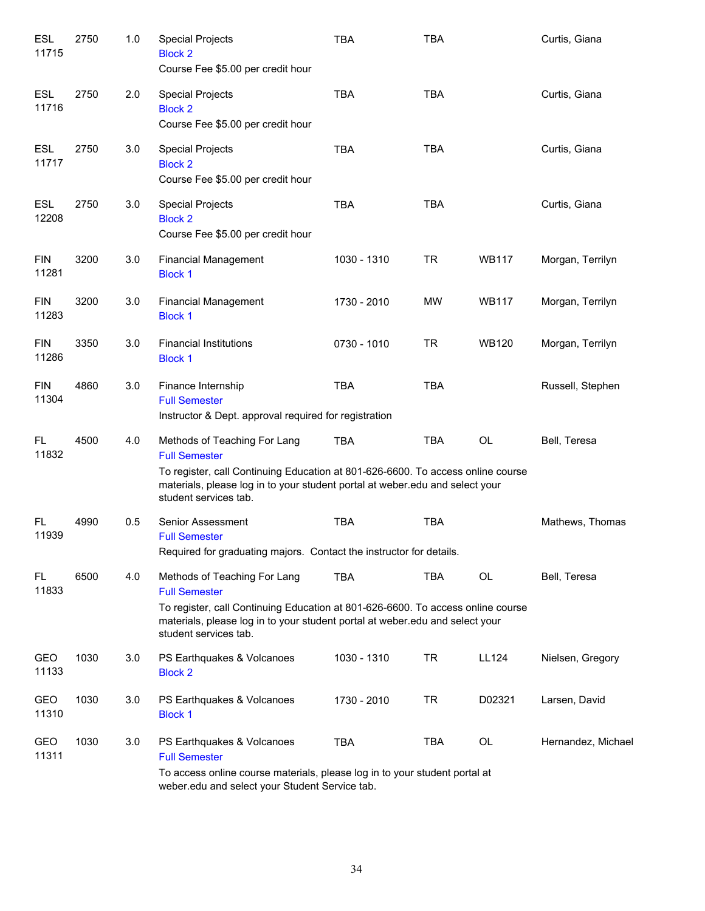| <b>ESL</b><br>11715 | 2750 | 1.0 | <b>Special Projects</b><br><b>Block 2</b><br>Course Fee \$5.00 per credit hour                                                                                                                                                                   | <b>TBA</b>  | <b>TBA</b> |              | Curtis, Giana      |
|---------------------|------|-----|--------------------------------------------------------------------------------------------------------------------------------------------------------------------------------------------------------------------------------------------------|-------------|------------|--------------|--------------------|
| <b>ESL</b><br>11716 | 2750 | 2.0 | <b>Special Projects</b><br><b>Block 2</b><br>Course Fee \$5.00 per credit hour                                                                                                                                                                   | <b>TBA</b>  | <b>TBA</b> |              | Curtis, Giana      |
| <b>ESL</b><br>11717 | 2750 | 3.0 | <b>Special Projects</b><br><b>Block 2</b><br>Course Fee \$5.00 per credit hour                                                                                                                                                                   | <b>TBA</b>  | <b>TBA</b> |              | Curtis, Giana      |
| <b>ESL</b><br>12208 | 2750 | 3.0 | <b>Special Projects</b><br><b>Block 2</b><br>Course Fee \$5.00 per credit hour                                                                                                                                                                   | <b>TBA</b>  | <b>TBA</b> |              | Curtis, Giana      |
| <b>FIN</b><br>11281 | 3200 | 3.0 | <b>Financial Management</b><br><b>Block 1</b>                                                                                                                                                                                                    | 1030 - 1310 | <b>TR</b>  | <b>WB117</b> | Morgan, Terrilyn   |
| <b>FIN</b><br>11283 | 3200 | 3.0 | <b>Financial Management</b><br><b>Block 1</b>                                                                                                                                                                                                    | 1730 - 2010 | <b>MW</b>  | <b>WB117</b> | Morgan, Terrilyn   |
| <b>FIN</b><br>11286 | 3350 | 3.0 | <b>Financial Institutions</b><br><b>Block 1</b>                                                                                                                                                                                                  | 0730 - 1010 | <b>TR</b>  | <b>WB120</b> | Morgan, Terrilyn   |
| <b>FIN</b><br>11304 | 4860 | 3.0 | Finance Internship<br><b>Full Semester</b><br>Instructor & Dept. approval required for registration                                                                                                                                              | <b>TBA</b>  | <b>TBA</b> |              | Russell, Stephen   |
| FL<br>11832         | 4500 | 4.0 | Methods of Teaching For Lang<br><b>Full Semester</b><br>To register, call Continuing Education at 801-626-6600. To access online course<br>materials, please log in to your student portal at weber edu and select your<br>student services tab. | <b>TBA</b>  | <b>TBA</b> | <b>OL</b>    | Bell, Teresa       |
| FL<br>11939         | 4990 | 0.5 | Senior Assessment<br><b>Full Semester</b><br>Required for graduating majors. Contact the instructor for details.                                                                                                                                 | <b>TBA</b>  | <b>TBA</b> |              | Mathews, Thomas    |
| FL.<br>11833        | 6500 | 4.0 | Methods of Teaching For Lang<br><b>Full Semester</b><br>To register, call Continuing Education at 801-626-6600. To access online course<br>materials, please log in to your student portal at weber.edu and select your<br>student services tab. | <b>TBA</b>  | <b>TBA</b> | <b>OL</b>    | Bell, Teresa       |
| GEO<br>11133        | 1030 | 3.0 | PS Earthquakes & Volcanoes<br><b>Block 2</b>                                                                                                                                                                                                     | 1030 - 1310 | <b>TR</b>  | <b>LL124</b> | Nielsen, Gregory   |
| GEO<br>11310        | 1030 | 3.0 | PS Earthquakes & Volcanoes<br><b>Block 1</b>                                                                                                                                                                                                     | 1730 - 2010 | <b>TR</b>  | D02321       | Larsen, David      |
| GEO<br>11311        | 1030 | 3.0 | PS Earthquakes & Volcanoes<br><b>Full Semester</b><br>To access online course materials, please log in to your student portal at<br>weber.edu and select your Student Service tab.                                                               | <b>TBA</b>  | <b>TBA</b> | OL           | Hernandez, Michael |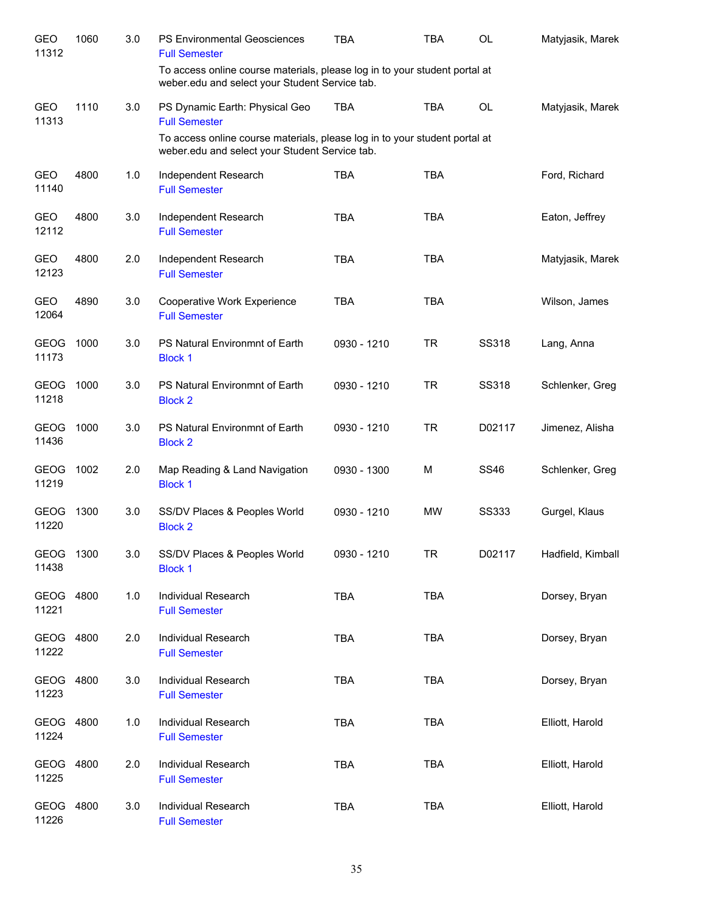| GEO<br>11312        | 1060 | 3.0 | PS Environmental Geosciences<br><b>Full Semester</b>                                                                         | TBA         | <b>TBA</b> | <b>OL</b>    | Matyjasik, Marek  |
|---------------------|------|-----|------------------------------------------------------------------------------------------------------------------------------|-------------|------------|--------------|-------------------|
|                     |      |     | To access online course materials, please log in to your student portal at<br>weber.edu and select your Student Service tab. |             |            |              |                   |
| <b>GEO</b><br>11313 | 1110 | 3.0 | PS Dynamic Earth: Physical Geo<br><b>Full Semester</b>                                                                       | <b>TBA</b>  | <b>TBA</b> | <b>OL</b>    | Matyjasik, Marek  |
|                     |      |     | To access online course materials, please log in to your student portal at<br>weber.edu and select your Student Service tab. |             |            |              |                   |
| <b>GEO</b><br>11140 | 4800 | 1.0 | Independent Research<br><b>Full Semester</b>                                                                                 | <b>TBA</b>  | <b>TBA</b> |              | Ford, Richard     |
| GEO<br>12112        | 4800 | 3.0 | Independent Research<br><b>Full Semester</b>                                                                                 | <b>TBA</b>  | <b>TBA</b> |              | Eaton, Jeffrey    |
| <b>GEO</b><br>12123 | 4800 | 2.0 | Independent Research<br><b>Full Semester</b>                                                                                 | <b>TBA</b>  | <b>TBA</b> |              | Matyjasik, Marek  |
| <b>GEO</b><br>12064 | 4890 | 3.0 | Cooperative Work Experience<br><b>Full Semester</b>                                                                          | <b>TBA</b>  | <b>TBA</b> |              | Wilson, James     |
| GEOG 1000<br>11173  |      | 3.0 | PS Natural Environmnt of Earth<br><b>Block 1</b>                                                                             | 0930 - 1210 | TR.        | <b>SS318</b> | Lang, Anna        |
| GEOG 1000<br>11218  |      | 3.0 | PS Natural Environmnt of Earth<br><b>Block 2</b>                                                                             | 0930 - 1210 | <b>TR</b>  | <b>SS318</b> | Schlenker, Greg   |
| GEOG 1000<br>11436  |      | 3.0 | PS Natural Environmnt of Earth<br><b>Block 2</b>                                                                             | 0930 - 1210 | <b>TR</b>  | D02117       | Jimenez, Alisha   |
| GEOG 1002<br>11219  |      | 2.0 | Map Reading & Land Navigation<br><b>Block 1</b>                                                                              | 0930 - 1300 | M          | <b>SS46</b>  | Schlenker, Greg   |
| GEOG 1300<br>11220  |      | 3.0 | SS/DV Places & Peoples World<br><b>Block 2</b>                                                                               | 0930 - 1210 | MW         | <b>SS333</b> | Gurgel, Klaus     |
| GEOG 1300<br>11438  |      | 3.0 | SS/DV Places & Peoples World<br><b>Block 1</b>                                                                               | 0930 - 1210 | TR         | D02117       | Hadfield, Kimball |
| GEOG<br>11221       | 4800 | 1.0 | Individual Research<br><b>Full Semester</b>                                                                                  | <b>TBA</b>  | <b>TBA</b> |              | Dorsey, Bryan     |
| GEOG<br>11222       | 4800 | 2.0 | <b>Individual Research</b><br><b>Full Semester</b>                                                                           | <b>TBA</b>  | <b>TBA</b> |              | Dorsey, Bryan     |
| GEOG<br>11223       | 4800 | 3.0 | Individual Research<br><b>Full Semester</b>                                                                                  | <b>TBA</b>  | <b>TBA</b> |              | Dorsey, Bryan     |
| GEOG<br>11224       | 4800 | 1.0 | Individual Research<br><b>Full Semester</b>                                                                                  | <b>TBA</b>  | <b>TBA</b> |              | Elliott, Harold   |
| GEOG 4800<br>11225  |      | 2.0 | Individual Research<br><b>Full Semester</b>                                                                                  | <b>TBA</b>  | <b>TBA</b> |              | Elliott, Harold   |
| GEOG<br>11226       | 4800 | 3.0 | Individual Research<br><b>Full Semester</b>                                                                                  | <b>TBA</b>  | <b>TBA</b> |              | Elliott, Harold   |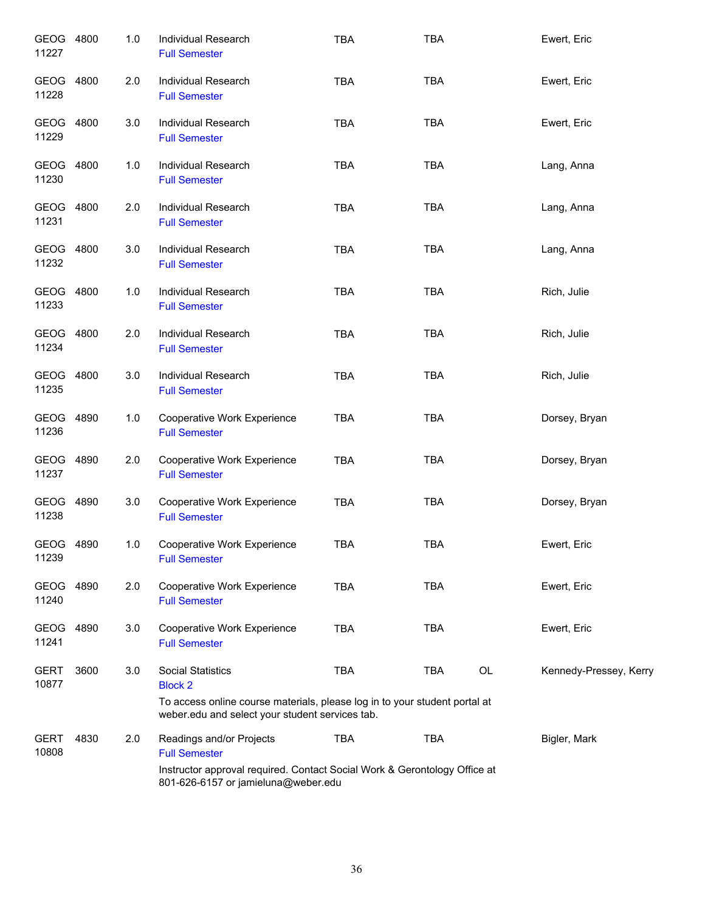| GEOG 4800<br>11227   |      | 1.0 | Individual Research<br><b>Full Semester</b>                                                                                                                          | <b>TBA</b> | <b>TBA</b> |    | Ewert, Eric            |
|----------------------|------|-----|----------------------------------------------------------------------------------------------------------------------------------------------------------------------|------------|------------|----|------------------------|
| GEOG<br>11228        | 4800 | 2.0 | Individual Research<br><b>Full Semester</b>                                                                                                                          | <b>TBA</b> | <b>TBA</b> |    | Ewert, Eric            |
| <b>GEOG</b><br>11229 | 4800 | 3.0 | Individual Research<br><b>Full Semester</b>                                                                                                                          | <b>TBA</b> | <b>TBA</b> |    | Ewert, Eric            |
| <b>GEOG</b><br>11230 | 4800 | 1.0 | Individual Research<br><b>Full Semester</b>                                                                                                                          | <b>TBA</b> | <b>TBA</b> |    | Lang, Anna             |
| GEOG<br>11231        | 4800 | 2.0 | Individual Research<br><b>Full Semester</b>                                                                                                                          | <b>TBA</b> | <b>TBA</b> |    | Lang, Anna             |
| GEOG<br>11232        | 4800 | 3.0 | Individual Research<br><b>Full Semester</b>                                                                                                                          | <b>TBA</b> | <b>TBA</b> |    | Lang, Anna             |
| GEOG<br>11233        | 4800 | 1.0 | Individual Research<br><b>Full Semester</b>                                                                                                                          | <b>TBA</b> | <b>TBA</b> |    | Rich, Julie            |
| <b>GEOG</b><br>11234 | 4800 | 2.0 | Individual Research<br><b>Full Semester</b>                                                                                                                          | <b>TBA</b> | <b>TBA</b> |    | Rich, Julie            |
| GEOG<br>11235        | 4800 | 3.0 | Individual Research<br><b>Full Semester</b>                                                                                                                          | <b>TBA</b> | <b>TBA</b> |    | Rich, Julie            |
| GEOG<br>11236        | 4890 | 1.0 | Cooperative Work Experience<br><b>Full Semester</b>                                                                                                                  | <b>TBA</b> | <b>TBA</b> |    | Dorsey, Bryan          |
| GEOG<br>11237        | 4890 | 2.0 | Cooperative Work Experience<br><b>Full Semester</b>                                                                                                                  | <b>TBA</b> | <b>TBA</b> |    | Dorsey, Bryan          |
| GEOG<br>11238        | 4890 | 3.0 | Cooperative Work Experience<br><b>Full Semester</b>                                                                                                                  | <b>TBA</b> | <b>TBA</b> |    | Dorsey, Bryan          |
| GEOG 4890<br>11239   |      | 1.0 | Cooperative Work Experience<br><b>Full Semester</b>                                                                                                                  | TBA        | <b>TBA</b> |    | Ewert, Eric            |
| GEOG 4890<br>11240   |      | 2.0 | Cooperative Work Experience<br><b>Full Semester</b>                                                                                                                  | <b>TBA</b> | <b>TBA</b> |    | Ewert, Eric            |
| GEOG<br>11241        | 4890 | 3.0 | Cooperative Work Experience<br><b>Full Semester</b>                                                                                                                  | <b>TBA</b> | <b>TBA</b> |    | Ewert, Eric            |
| <b>GERT</b><br>10877 | 3600 | 3.0 | <b>Social Statistics</b><br><b>Block 2</b><br>To access online course materials, please log in to your student portal at                                             | <b>TBA</b> | TBA        | OL | Kennedy-Pressey, Kerry |
|                      |      |     | weber.edu and select your student services tab.                                                                                                                      |            |            |    |                        |
| GERT<br>10808        | 4830 | 2.0 | Readings and/or Projects<br><b>Full Semester</b><br>Instructor approval required. Contact Social Work & Gerontology Office at<br>801-626-6157 or jamieluna@weber.edu | <b>TBA</b> | <b>TBA</b> |    | Bigler, Mark           |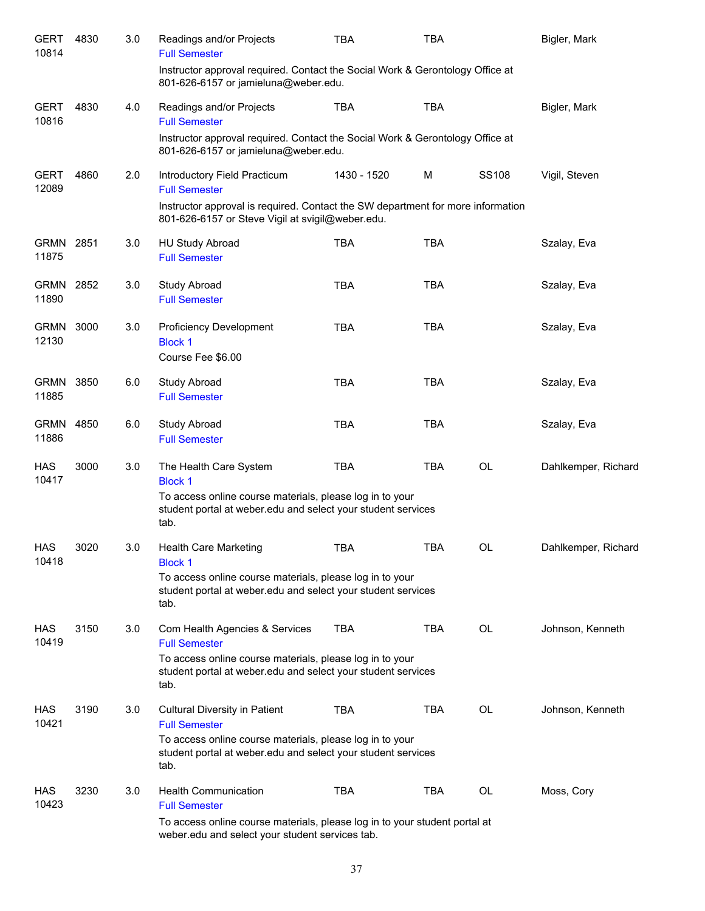| <b>GERT</b><br>10814 | 4830 | 3.0 | Readings and/or Projects<br><b>Full Semester</b>                                                                                    | TBA         | TBA        |           | Bigler, Mark        |
|----------------------|------|-----|-------------------------------------------------------------------------------------------------------------------------------------|-------------|------------|-----------|---------------------|
|                      |      |     | Instructor approval required. Contact the Social Work & Gerontology Office at<br>801-626-6157 or jamieluna@weber.edu.               |             |            |           |                     |
| <b>GERT</b><br>10816 | 4830 | 4.0 | Readings and/or Projects<br><b>Full Semester</b>                                                                                    | <b>TBA</b>  | <b>TBA</b> |           | Bigler, Mark        |
|                      |      |     | Instructor approval required. Contact the Social Work & Gerontology Office at<br>801-626-6157 or jamieluna@weber.edu.               |             |            |           |                     |
| <b>GERT</b><br>12089 | 4860 | 2.0 | Introductory Field Practicum<br><b>Full Semester</b>                                                                                | 1430 - 1520 | M          | SS108     | Vigil, Steven       |
|                      |      |     | Instructor approval is required. Contact the SW department for more information<br>801-626-6157 or Steve Vigil at svigil@weber.edu. |             |            |           |                     |
| <b>GRMN</b><br>11875 | 2851 | 3.0 | <b>HU Study Abroad</b><br><b>Full Semester</b>                                                                                      | <b>TBA</b>  | <b>TBA</b> |           | Szalay, Eva         |
| <b>GRMN</b><br>11890 | 2852 | 3.0 | Study Abroad<br><b>Full Semester</b>                                                                                                | <b>TBA</b>  | <b>TBA</b> |           | Szalay, Eva         |
| <b>GRMN</b><br>12130 | 3000 | 3.0 | <b>Proficiency Development</b><br><b>Block 1</b><br>Course Fee \$6.00                                                               | <b>TBA</b>  | <b>TBA</b> |           | Szalay, Eva         |
| <b>GRMN</b><br>11885 | 3850 | 6.0 | <b>Study Abroad</b><br><b>Full Semester</b>                                                                                         | <b>TBA</b>  | <b>TBA</b> |           | Szalay, Eva         |
| <b>GRMN</b><br>11886 | 4850 | 6.0 | <b>Study Abroad</b><br><b>Full Semester</b>                                                                                         | <b>TBA</b>  | <b>TBA</b> |           | Szalay, Eva         |
| <b>HAS</b><br>10417  | 3000 | 3.0 | The Health Care System<br><b>Block 1</b>                                                                                            | <b>TBA</b>  | <b>TBA</b> | <b>OL</b> | Dahlkemper, Richard |
|                      |      |     | To access online course materials, please log in to your<br>student portal at weber.edu and select your student services<br>tab.    |             |            |           |                     |
| <b>HAS</b><br>10418  | 3020 | 3.0 | Health Care Marketing<br><b>Block 1</b>                                                                                             | TBA         | <b>TBA</b> | OL        | Dahlkemper, Richard |
|                      |      |     | To access online course materials, please log in to your<br>student portal at weber edu and select your student services<br>tab.    |             |            |           |                     |
| HAS<br>10419         | 3150 | 3.0 | Com Health Agencies & Services<br><b>Full Semester</b>                                                                              | <b>TBA</b>  | <b>TBA</b> | OL        | Johnson, Kenneth    |
|                      |      |     | To access online course materials, please log in to your<br>student portal at weber edu and select your student services<br>tab.    |             |            |           |                     |
| <b>HAS</b><br>10421  | 3190 | 3.0 | <b>Cultural Diversity in Patient</b><br><b>Full Semester</b>                                                                        | <b>TBA</b>  | <b>TBA</b> | OL        | Johnson, Kenneth    |
|                      |      |     | To access online course materials, please log in to your<br>student portal at weber edu and select your student services<br>tab.    |             |            |           |                     |
| HAS<br>10423         | 3230 | 3.0 | <b>Health Communication</b><br><b>Full Semester</b>                                                                                 | <b>TBA</b>  | <b>TBA</b> | OL        | Moss, Cory          |
|                      |      |     | To access online course materials, please log in to your student portal at<br>weber.edu and select your student services tab.       |             |            |           |                     |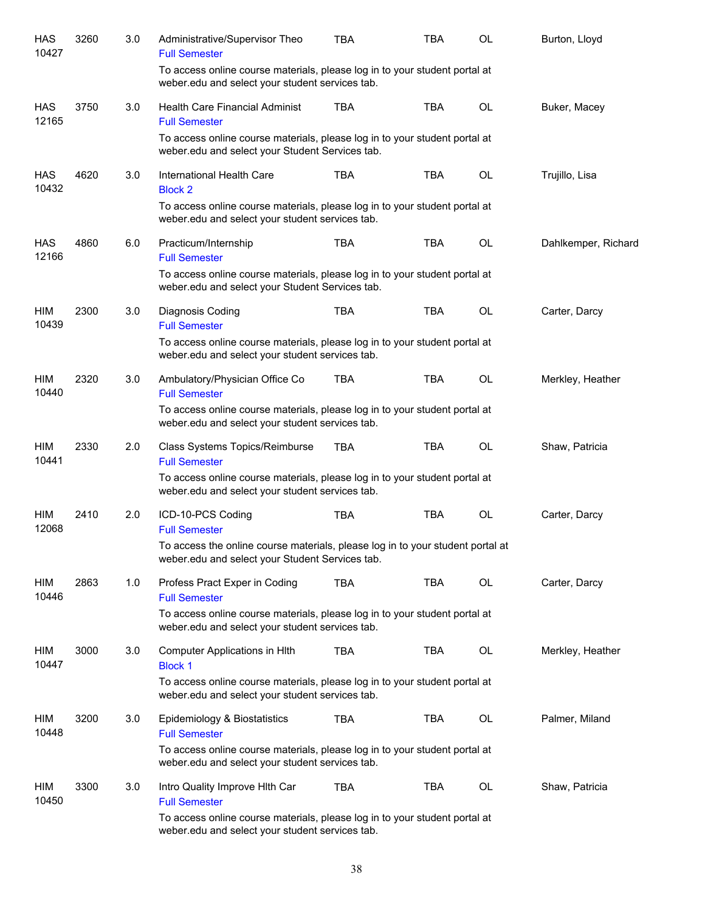| HAS<br>10427        | 3260 | 3.0 | Administrative/Supervisor Theo<br><b>Full Semester</b>                                                                            | <b>TBA</b> | TBA        | OL        | Burton, Lloyd       |
|---------------------|------|-----|-----------------------------------------------------------------------------------------------------------------------------------|------------|------------|-----------|---------------------|
|                     |      |     | To access online course materials, please log in to your student portal at<br>weber.edu and select your student services tab.     |            |            |           |                     |
| <b>HAS</b><br>12165 | 3750 | 3.0 | <b>Health Care Financial Administ</b><br><b>Full Semester</b>                                                                     | <b>TBA</b> | <b>TBA</b> | OL        | Buker, Macey        |
|                     |      |     | To access online course materials, please log in to your student portal at<br>weber.edu and select your Student Services tab.     |            |            |           |                     |
| HAS<br>10432        | 4620 | 3.0 | International Health Care<br><b>Block 2</b>                                                                                       | <b>TBA</b> | <b>TBA</b> | <b>OL</b> | Trujillo, Lisa      |
|                     |      |     | To access online course materials, please log in to your student portal at<br>weber.edu and select your student services tab.     |            |            |           |                     |
| HAS<br>12166        | 4860 | 6.0 | Practicum/Internship<br><b>Full Semester</b>                                                                                      | <b>TBA</b> | <b>TBA</b> | <b>OL</b> | Dahlkemper, Richard |
|                     |      |     | To access online course materials, please log in to your student portal at<br>weber.edu and select your Student Services tab.     |            |            |           |                     |
| HIM<br>10439        | 2300 | 3.0 | Diagnosis Coding<br><b>Full Semester</b>                                                                                          | <b>TBA</b> | <b>TBA</b> | OL        | Carter, Darcy       |
|                     |      |     | To access online course materials, please log in to your student portal at<br>weber.edu and select your student services tab.     |            |            |           |                     |
| HIM<br>10440        | 2320 | 3.0 | Ambulatory/Physician Office Co<br><b>Full Semester</b>                                                                            | <b>TBA</b> | <b>TBA</b> | OL        | Merkley, Heather    |
|                     |      |     | To access online course materials, please log in to your student portal at<br>weber.edu and select your student services tab.     |            |            |           |                     |
| HIM<br>10441        | 2330 | 2.0 | Class Systems Topics/Reimburse<br><b>Full Semester</b>                                                                            | <b>TBA</b> | <b>TBA</b> | OL        | Shaw, Patricia      |
|                     |      |     | To access online course materials, please log in to your student portal at<br>weber.edu and select your student services tab.     |            |            |           |                     |
| HIM<br>12068        | 2410 | 2.0 | ICD-10-PCS Coding<br><b>Full Semester</b>                                                                                         | <b>TBA</b> | <b>TBA</b> | <b>OL</b> | Carter, Darcy       |
|                     |      |     | To access the online course materials, please log in to your student portal at<br>weber.edu and select your Student Services tab. |            |            |           |                     |
| HIM<br>10446        | 2863 | 1.0 | Profess Pract Exper in Coding<br><b>Full Semester</b>                                                                             | <b>TBA</b> | <b>TBA</b> | OL        | Carter, Darcy       |
|                     |      |     | To access online course materials, please log in to your student portal at<br>weber.edu and select your student services tab.     |            |            |           |                     |
| HIM<br>10447        | 3000 | 3.0 | Computer Applications in HIth<br><b>Block 1</b>                                                                                   | TBA        | TBA        | OL        | Merkley, Heather    |
|                     |      |     | To access online course materials, please log in to your student portal at<br>weber.edu and select your student services tab.     |            |            |           |                     |
| HIM<br>10448        | 3200 | 3.0 | Epidemiology & Biostatistics<br><b>Full Semester</b>                                                                              | <b>TBA</b> | TBA        | OL        | Palmer, Miland      |
|                     |      |     | To access online course materials, please log in to your student portal at<br>weber.edu and select your student services tab.     |            |            |           |                     |
| HIM<br>10450        | 3300 | 3.0 | Intro Quality Improve Hith Car<br><b>Full Semester</b>                                                                            | <b>TBA</b> | TBA        | OL        | Shaw, Patricia      |
|                     |      |     | To access online course materials, please log in to your student portal at<br>weber.edu and select your student services tab.     |            |            |           |                     |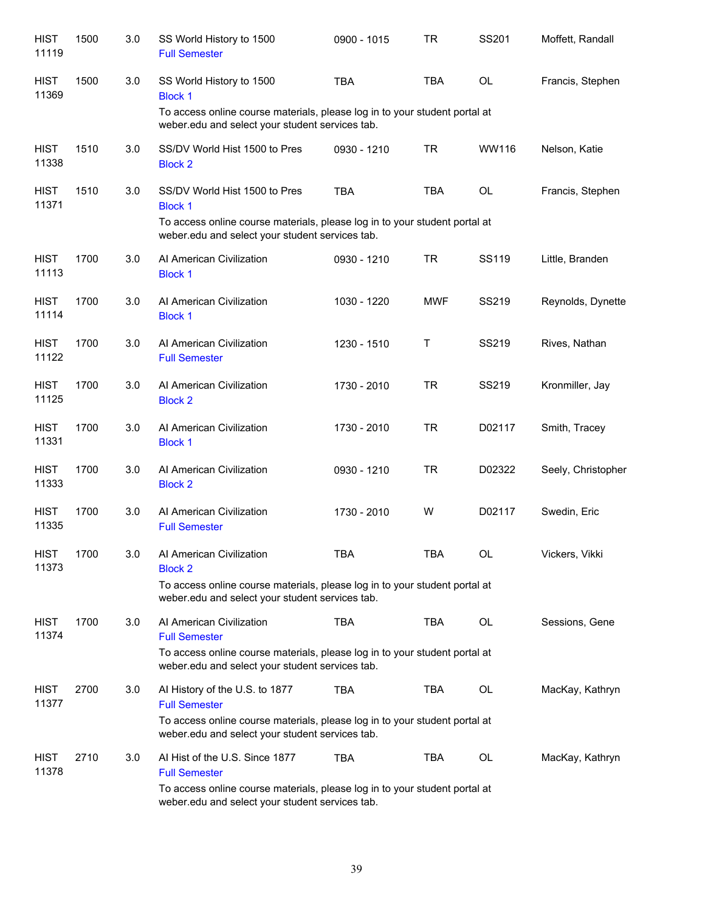| <b>HIST</b><br>11119 | 1500 | 3.0 | SS World History to 1500<br><b>Full Semester</b>                                                                              | 0900 - 1015 | TR         | SS201        | Moffett, Randall   |
|----------------------|------|-----|-------------------------------------------------------------------------------------------------------------------------------|-------------|------------|--------------|--------------------|
| <b>HIST</b><br>11369 | 1500 | 3.0 | SS World History to 1500<br><b>Block 1</b><br>To access online course materials, please log in to your student portal at      | <b>TBA</b>  | <b>TBA</b> | <b>OL</b>    | Francis, Stephen   |
|                      |      |     | weber.edu and select your student services tab.                                                                               |             |            |              |                    |
| <b>HIST</b><br>11338 | 1510 | 3.0 | SS/DV World Hist 1500 to Pres<br><b>Block 2</b>                                                                               | 0930 - 1210 | <b>TR</b>  | WW116        | Nelson, Katie      |
| <b>HIST</b><br>11371 | 1510 | 3.0 | SS/DV World Hist 1500 to Pres<br><b>Block 1</b>                                                                               | <b>TBA</b>  | <b>TBA</b> | <b>OL</b>    | Francis, Stephen   |
|                      |      |     | To access online course materials, please log in to your student portal at<br>weber.edu and select your student services tab. |             |            |              |                    |
| <b>HIST</b><br>11113 | 1700 | 3.0 | Al American Civilization<br><b>Block 1</b>                                                                                    | 0930 - 1210 | <b>TR</b>  | SS119        | Little, Branden    |
| <b>HIST</b><br>11114 | 1700 | 3.0 | Al American Civilization<br><b>Block 1</b>                                                                                    | 1030 - 1220 | <b>MWF</b> | SS219        | Reynolds, Dynette  |
| <b>HIST</b><br>11122 | 1700 | 3.0 | Al American Civilization<br><b>Full Semester</b>                                                                              | 1230 - 1510 | Τ          | <b>SS219</b> | Rives, Nathan      |
| <b>HIST</b><br>11125 | 1700 | 3.0 | Al American Civilization<br><b>Block 2</b>                                                                                    | 1730 - 2010 | <b>TR</b>  | SS219        | Kronmiller, Jay    |
| <b>HIST</b><br>11331 | 1700 | 3.0 | Al American Civilization<br><b>Block 1</b>                                                                                    | 1730 - 2010 | <b>TR</b>  | D02117       | Smith, Tracey      |
| <b>HIST</b><br>11333 | 1700 | 3.0 | Al American Civilization<br><b>Block 2</b>                                                                                    | 0930 - 1210 | <b>TR</b>  | D02322       | Seely, Christopher |
| <b>HIST</b><br>11335 | 1700 | 3.0 | Al American Civilization<br><b>Full Semester</b>                                                                              | 1730 - 2010 | W          | D02117       | Swedin, Eric       |
| <b>HIST</b><br>11373 | 1700 | 3.0 | Al American Civilization<br><b>Block 2</b>                                                                                    | TBA         | TBA        | OL           | Vickers, Vikki     |
|                      |      |     | To access online course materials, please log in to your student portal at<br>weber.edu and select your student services tab. |             |            |              |                    |
| <b>HIST</b><br>11374 | 1700 | 3.0 | Al American Civilization<br><b>Full Semester</b>                                                                              | <b>TBA</b>  | TBA        | OL           | Sessions, Gene     |
|                      |      |     | To access online course materials, please log in to your student portal at<br>weber.edu and select your student services tab. |             |            |              |                    |
| <b>HIST</b><br>11377 | 2700 | 3.0 | Al History of the U.S. to 1877<br><b>Full Semester</b>                                                                        | TBA         | <b>TBA</b> | OL           | MacKay, Kathryn    |
|                      |      |     | To access online course materials, please log in to your student portal at<br>weber.edu and select your student services tab. |             |            |              |                    |
| <b>HIST</b><br>11378 | 2710 | 3.0 | AI Hist of the U.S. Since 1877<br><b>Full Semester</b>                                                                        | <b>TBA</b>  | TBA        | OL           | MacKay, Kathryn    |
|                      |      |     | To access online course materials, please log in to your student portal at<br>weber.edu and select your student services tab. |             |            |              |                    |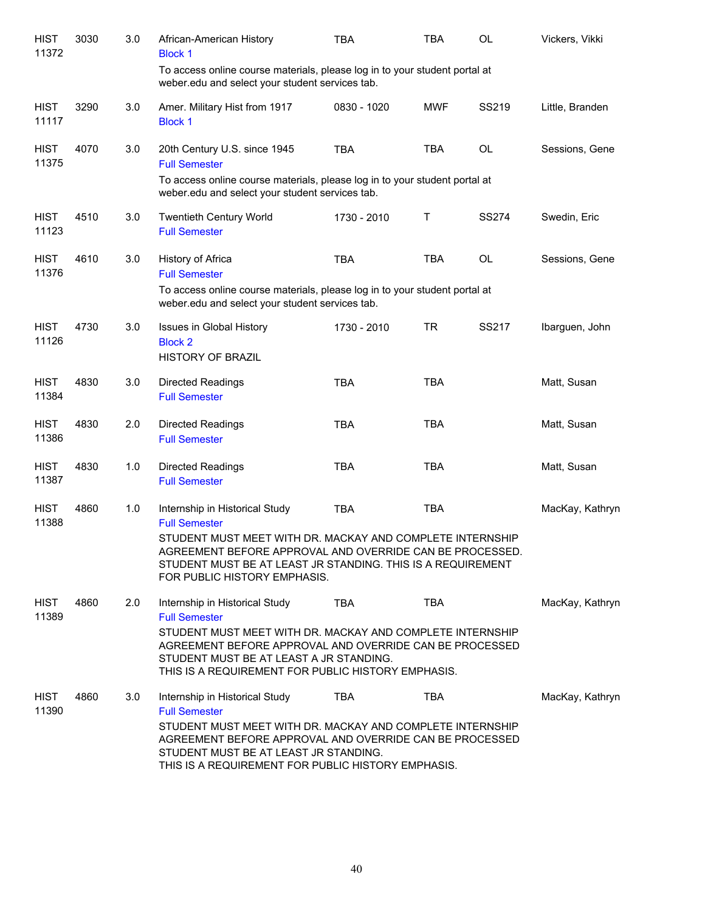| <b>HIST</b><br>11372 | 3030 | 3.0 | African-American History<br><b>Block 1</b>                                                                                                                                                                                                                                      | <b>TBA</b>  | <b>TBA</b> | <b>OL</b>    | Vickers, Vikki  |
|----------------------|------|-----|---------------------------------------------------------------------------------------------------------------------------------------------------------------------------------------------------------------------------------------------------------------------------------|-------------|------------|--------------|-----------------|
|                      |      |     | To access online course materials, please log in to your student portal at<br>weber.edu and select your student services tab.                                                                                                                                                   |             |            |              |                 |
| <b>HIST</b><br>11117 | 3290 | 3.0 | Amer. Military Hist from 1917<br><b>Block 1</b>                                                                                                                                                                                                                                 | 0830 - 1020 | <b>MWF</b> | SS219        | Little, Branden |
| <b>HIST</b><br>11375 | 4070 | 3.0 | 20th Century U.S. since 1945<br><b>Full Semester</b><br>To access online course materials, please log in to your student portal at<br>weber.edu and select your student services tab.                                                                                           | <b>TBA</b>  | <b>TBA</b> | <b>OL</b>    | Sessions, Gene  |
| <b>HIST</b><br>11123 | 4510 | 3.0 | Twentieth Century World<br><b>Full Semester</b>                                                                                                                                                                                                                                 | 1730 - 2010 | T          | <b>SS274</b> | Swedin, Eric    |
| <b>HIST</b><br>11376 | 4610 | 3.0 | History of Africa<br><b>Full Semester</b><br>To access online course materials, please log in to your student portal at<br>weber.edu and select your student services tab.                                                                                                      | <b>TBA</b>  | <b>TBA</b> | OL           | Sessions, Gene  |
| <b>HIST</b><br>11126 | 4730 | 3.0 | Issues in Global History<br><b>Block 2</b><br><b>HISTORY OF BRAZIL</b>                                                                                                                                                                                                          | 1730 - 2010 | <b>TR</b>  | <b>SS217</b> | Ibarguen, John  |
| <b>HIST</b><br>11384 | 4830 | 3.0 | <b>Directed Readings</b><br><b>Full Semester</b>                                                                                                                                                                                                                                | <b>TBA</b>  | <b>TBA</b> |              | Matt, Susan     |
| <b>HIST</b><br>11386 | 4830 | 2.0 | <b>Directed Readings</b><br><b>Full Semester</b>                                                                                                                                                                                                                                | <b>TBA</b>  | <b>TBA</b> |              | Matt, Susan     |
| <b>HIST</b><br>11387 | 4830 | 1.0 | Directed Readings<br><b>Full Semester</b>                                                                                                                                                                                                                                       | <b>TBA</b>  | <b>TBA</b> |              | Matt, Susan     |
| <b>HIST</b><br>11388 | 4860 | 1.0 | Internship in Historical Study<br><b>Full Semester</b><br>STUDENT MUST MEET WITH DR. MACKAY AND COMPLETE INTERNSHIP<br>AGREEMENT BEFORE APPROVAL AND OVERRIDE CAN BE PROCESSED.<br>STUDENT MUST BE AT LEAST JR STANDING. THIS IS A REQUIREMENT<br>FOR PUBLIC HISTORY EMPHASIS.  | <b>TBA</b>  | <b>TBA</b> |              | MacKay, Kathryn |
| HIST<br>11389        | 4860 | 2.0 | Internship in Historical Study<br><b>Full Semester</b><br>STUDENT MUST MEET WITH DR. MACKAY AND COMPLETE INTERNSHIP<br>AGREEMENT BEFORE APPROVAL AND OVERRIDE CAN BE PROCESSED<br>STUDENT MUST BE AT LEAST A JR STANDING.<br>THIS IS A REQUIREMENT FOR PUBLIC HISTORY EMPHASIS. | <b>TBA</b>  | <b>TBA</b> |              | MacKay, Kathryn |
| <b>HIST</b><br>11390 | 4860 | 3.0 | Internship in Historical Study<br><b>Full Semester</b><br>STUDENT MUST MEET WITH DR. MACKAY AND COMPLETE INTERNSHIP<br>AGREEMENT BEFORE APPROVAL AND OVERRIDE CAN BE PROCESSED<br>STUDENT MUST BE AT LEAST JR STANDING.<br>THIS IS A REQUIREMENT FOR PUBLIC HISTORY EMPHASIS.   | TBA         | <b>TBA</b> |              | MacKay, Kathryn |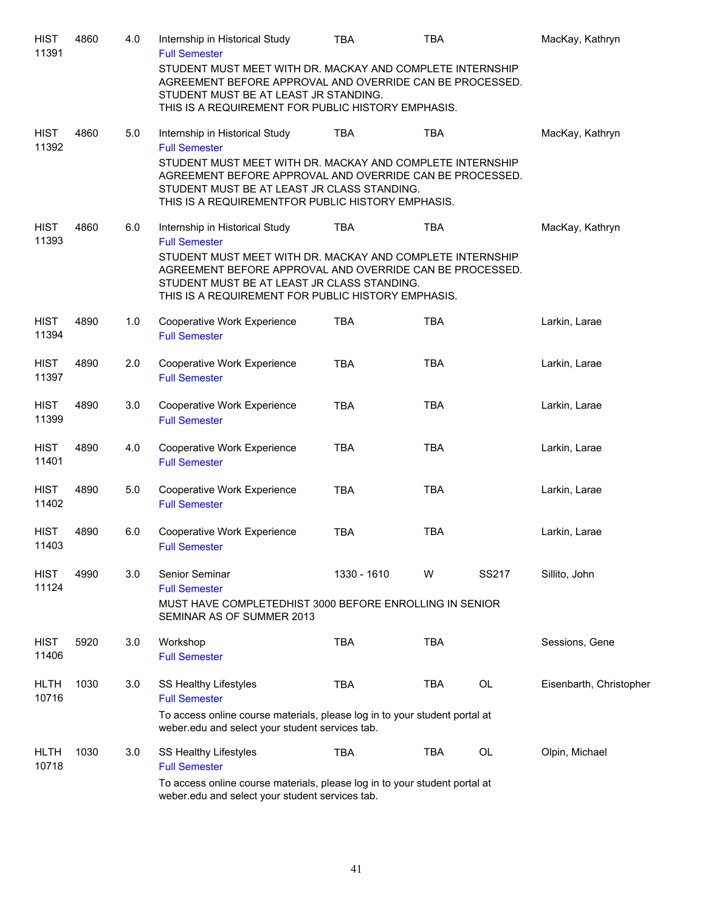| <b>HIST</b><br>11391 | 4860 | 4.0 | Internship in Historical Study<br><b>Full Semester</b>                                                                                                                                                                                             | <b>TBA</b>  | <b>TBA</b> |           | MacKay, Kathryn         |
|----------------------|------|-----|----------------------------------------------------------------------------------------------------------------------------------------------------------------------------------------------------------------------------------------------------|-------------|------------|-----------|-------------------------|
|                      |      |     | STUDENT MUST MEET WITH DR. MACKAY AND COMPLETE INTERNSHIP<br>AGREEMENT BEFORE APPROVAL AND OVERRIDE CAN BE PROCESSED.<br>STUDENT MUST BE AT LEAST JR STANDING.<br>THIS IS A REQUIREMENT FOR PUBLIC HISTORY EMPHASIS.                               |             |            |           |                         |
| <b>HIST</b><br>11392 | 4860 | 5.0 | Internship in Historical Study<br><b>Full Semester</b>                                                                                                                                                                                             | <b>TBA</b>  | <b>TBA</b> |           | MacKay, Kathryn         |
|                      |      |     | STUDENT MUST MEET WITH DR. MACKAY AND COMPLETE INTERNSHIP<br>AGREEMENT BEFORE APPROVAL AND OVERRIDE CAN BE PROCESSED.<br>STUDENT MUST BE AT LEAST JR CLASS STANDING.<br>THIS IS A REQUIREMENTFOR PUBLIC HISTORY EMPHASIS.                          |             |            |           |                         |
| <b>HIST</b><br>11393 | 4860 | 6.0 | Internship in Historical Study                                                                                                                                                                                                                     | <b>TBA</b>  | TBA        |           | MacKay, Kathryn         |
|                      |      |     | <b>Full Semester</b><br>STUDENT MUST MEET WITH DR. MACKAY AND COMPLETE INTERNSHIP<br>AGREEMENT BEFORE APPROVAL AND OVERRIDE CAN BE PROCESSED.<br>STUDENT MUST BE AT LEAST JR CLASS STANDING.<br>THIS IS A REQUIREMENT FOR PUBLIC HISTORY EMPHASIS. |             |            |           |                         |
| <b>HIST</b><br>11394 | 4890 | 1.0 | Cooperative Work Experience<br><b>Full Semester</b>                                                                                                                                                                                                | <b>TBA</b>  | <b>TBA</b> |           | Larkin, Larae           |
| <b>HIST</b><br>11397 | 4890 | 2.0 | Cooperative Work Experience<br><b>Full Semester</b>                                                                                                                                                                                                | <b>TBA</b>  | <b>TBA</b> |           | Larkin, Larae           |
| <b>HIST</b><br>11399 | 4890 | 3.0 | Cooperative Work Experience<br><b>Full Semester</b>                                                                                                                                                                                                | <b>TBA</b>  | <b>TBA</b> |           | Larkin, Larae           |
| <b>HIST</b><br>11401 | 4890 | 4.0 | Cooperative Work Experience<br><b>Full Semester</b>                                                                                                                                                                                                | <b>TBA</b>  | <b>TBA</b> |           | Larkin, Larae           |
| <b>HIST</b><br>11402 | 4890 | 5.0 | Cooperative Work Experience<br><b>Full Semester</b>                                                                                                                                                                                                | <b>TBA</b>  | <b>TBA</b> |           | Larkin, Larae           |
| <b>HIST</b><br>11403 | 4890 | 6.0 | <b>Cooperative Work Experience</b><br><b>Full Semester</b>                                                                                                                                                                                         | <b>TBA</b>  | <b>TBA</b> |           | Larkin, Larae           |
| <b>HIST</b><br>11124 | 4990 | 3.0 | Senior Seminar<br><b>Full Semester</b><br>MUST HAVE COMPLETEDHIST 3000 BEFORE ENROLLING IN SENIOR<br>SEMINAR AS OF SUMMER 2013                                                                                                                     | 1330 - 1610 | W          | SS217     | Sillito, John           |
| <b>HIST</b><br>11406 | 5920 | 3.0 | Workshop<br><b>Full Semester</b>                                                                                                                                                                                                                   | <b>TBA</b>  | <b>TBA</b> |           | Sessions, Gene          |
| <b>HLTH</b><br>10716 | 1030 | 3.0 | SS Healthy Lifestyles<br><b>Full Semester</b><br>To access online course materials, please log in to your student portal at                                                                                                                        | <b>TBA</b>  | <b>TBA</b> | <b>OL</b> | Eisenbarth, Christopher |
|                      |      |     | weber.edu and select your student services tab.                                                                                                                                                                                                    |             |            |           |                         |
| <b>HLTH</b><br>10718 | 1030 | 3.0 | <b>SS Healthy Lifestyles</b><br><b>Full Semester</b>                                                                                                                                                                                               | TBA         | <b>TBA</b> | <b>OL</b> | Olpin, Michael          |
|                      |      |     | To access online course materials, please log in to your student portal at<br>weber.edu and select your student services tab.                                                                                                                      |             |            |           |                         |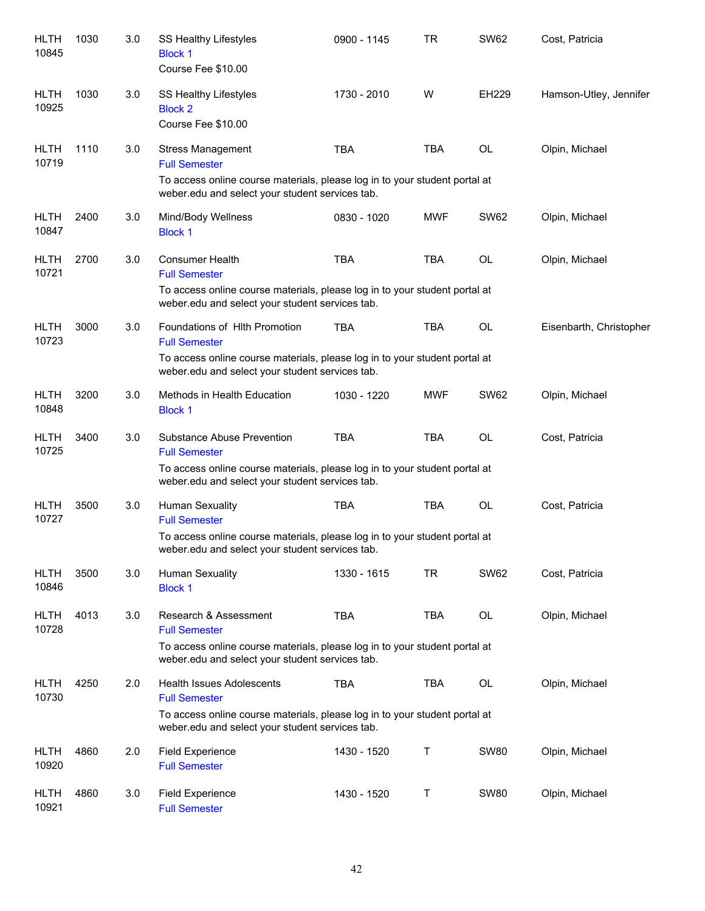| <b>HLTH</b><br>10845 | 1030 | 3.0 | SS Healthy Lifestyles<br><b>Block 1</b><br>Course Fee \$10.00                                                                 | 0900 - 1145 | <b>TR</b>  | <b>SW62</b>  | Cost, Patricia          |
|----------------------|------|-----|-------------------------------------------------------------------------------------------------------------------------------|-------------|------------|--------------|-------------------------|
| <b>HLTH</b><br>10925 | 1030 | 3.0 | SS Healthy Lifestyles<br><b>Block 2</b><br>Course Fee \$10.00                                                                 | 1730 - 2010 | W          | <b>EH229</b> | Hamson-Utley, Jennifer  |
| <b>HLTH</b><br>10719 | 1110 | 3.0 | <b>Stress Management</b><br><b>Full Semester</b>                                                                              | <b>TBA</b>  | <b>TBA</b> | <b>OL</b>    | Olpin, Michael          |
|                      |      |     | To access online course materials, please log in to your student portal at<br>weber.edu and select your student services tab. |             |            |              |                         |
| <b>HLTH</b><br>10847 | 2400 | 3.0 | Mind/Body Wellness<br><b>Block 1</b>                                                                                          | 0830 - 1020 | <b>MWF</b> | <b>SW62</b>  | Olpin, Michael          |
| <b>HLTH</b><br>10721 | 2700 | 3.0 | <b>Consumer Health</b><br><b>Full Semester</b>                                                                                | <b>TBA</b>  | <b>TBA</b> | OL           | Olpin, Michael          |
|                      |      |     | To access online course materials, please log in to your student portal at<br>weber.edu and select your student services tab. |             |            |              |                         |
| <b>HLTH</b><br>10723 | 3000 | 3.0 | Foundations of HIth Promotion<br><b>Full Semester</b>                                                                         | <b>TBA</b>  | <b>TBA</b> | <b>OL</b>    | Eisenbarth, Christopher |
|                      |      |     | To access online course materials, please log in to your student portal at<br>weber.edu and select your student services tab. |             |            |              |                         |
| <b>HLTH</b><br>10848 | 3200 | 3.0 | Methods in Health Education<br><b>Block 1</b>                                                                                 | 1030 - 1220 | <b>MWF</b> | <b>SW62</b>  | Olpin, Michael          |
| <b>HLTH</b><br>10725 | 3400 | 3.0 | Substance Abuse Prevention<br><b>Full Semester</b>                                                                            | <b>TBA</b>  | <b>TBA</b> | <b>OL</b>    | Cost, Patricia          |
|                      |      |     | To access online course materials, please log in to your student portal at<br>weber.edu and select your student services tab. |             |            |              |                         |
| <b>HLTH</b><br>10727 | 3500 | 3.0 | <b>Human Sexuality</b><br><b>Full Semester</b>                                                                                | <b>TBA</b>  | <b>TBA</b> | OL           | Cost, Patricia          |
|                      |      |     | To access online course materials, please log in to your student portal at<br>weber.edu and select your student services tab. |             |            |              |                         |
| <b>HLTH</b><br>10846 | 3500 | 3.0 | <b>Human Sexuality</b><br><b>Block 1</b>                                                                                      | 1330 - 1615 | <b>TR</b>  | <b>SW62</b>  | Cost, Patricia          |
| <b>HLTH</b><br>10728 | 4013 | 3.0 | Research & Assessment<br><b>Full Semester</b>                                                                                 | <b>TBA</b>  | <b>TBA</b> | OL           | Olpin, Michael          |
|                      |      |     | To access online course materials, please log in to your student portal at<br>weber.edu and select your student services tab. |             |            |              |                         |
| <b>HLTH</b><br>10730 | 4250 | 2.0 | <b>Health Issues Adolescents</b><br><b>Full Semester</b>                                                                      | <b>TBA</b>  | TBA        | OL           | Olpin, Michael          |
|                      |      |     | To access online course materials, please log in to your student portal at<br>weber.edu and select your student services tab. |             |            |              |                         |
| <b>HLTH</b><br>10920 | 4860 | 2.0 | <b>Field Experience</b><br><b>Full Semester</b>                                                                               | 1430 - 1520 | т          | <b>SW80</b>  | Olpin, Michael          |
| <b>HLTH</b><br>10921 | 4860 | 3.0 | <b>Field Experience</b><br><b>Full Semester</b>                                                                               | 1430 - 1520 | т          | <b>SW80</b>  | Olpin, Michael          |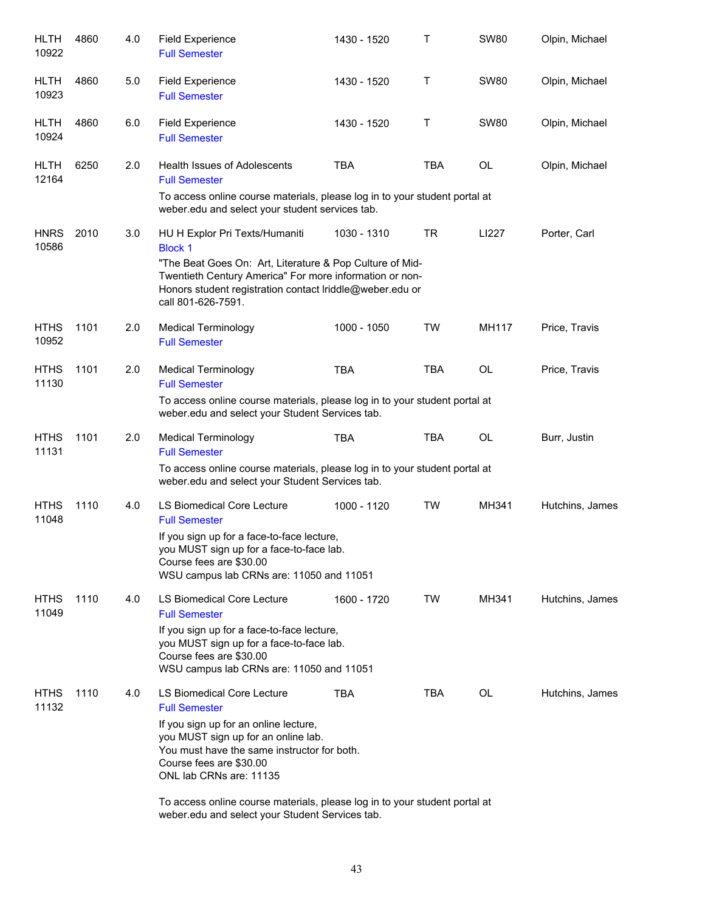| <b>HLTH</b><br>10922 | 4860 | 4.0 | <b>Field Experience</b><br><b>Full Semester</b>                                                                                                                                                                                                                                                                       | 1430 - 1520 | Τ          | <b>SW80</b>  | Olpin, Michael  |
|----------------------|------|-----|-----------------------------------------------------------------------------------------------------------------------------------------------------------------------------------------------------------------------------------------------------------------------------------------------------------------------|-------------|------------|--------------|-----------------|
| <b>HLTH</b><br>10923 | 4860 | 5.0 | <b>Field Experience</b><br><b>Full Semester</b>                                                                                                                                                                                                                                                                       | 1430 - 1520 | Τ          | <b>SW80</b>  | Olpin, Michael  |
| <b>HLTH</b><br>10924 | 4860 | 6.0 | <b>Field Experience</b><br><b>Full Semester</b>                                                                                                                                                                                                                                                                       | 1430 - 1520 | Τ          | <b>SW80</b>  | Olpin, Michael  |
| <b>HLTH</b><br>12164 | 6250 | 2.0 | <b>Health Issues of Adolescents</b><br><b>Full Semester</b>                                                                                                                                                                                                                                                           | <b>TBA</b>  | <b>TBA</b> | OL           | Olpin, Michael  |
|                      |      |     | To access online course materials, please log in to your student portal at<br>weber.edu and select your student services tab.                                                                                                                                                                                         |             |            |              |                 |
| <b>HNRS</b><br>10586 | 2010 | 3.0 | HU H Explor Pri Texts/Humaniti<br><b>Block 1</b><br>"The Beat Goes On: Art, Literature & Pop Culture of Mid-<br>Twentieth Century America" For more information or non-<br>Honors student registration contact Iriddle@weber.edu or<br>call 801-626-7591.                                                             | 1030 - 1310 | TR         | LI227        | Porter, Carl    |
| <b>HTHS</b><br>10952 | 1101 | 2.0 | <b>Medical Terminology</b><br><b>Full Semester</b>                                                                                                                                                                                                                                                                    | 1000 - 1050 | <b>TW</b>  | <b>MH117</b> | Price, Travis   |
| <b>HTHS</b><br>11130 | 1101 | 2.0 | <b>Medical Terminology</b><br><b>Full Semester</b><br>To access online course materials, please log in to your student portal at<br>weber.edu and select your Student Services tab.                                                                                                                                   | <b>TBA</b>  | <b>TBA</b> | <b>OL</b>    | Price, Travis   |
| <b>HTHS</b><br>11131 | 1101 | 2.0 | <b>Medical Terminology</b><br><b>Full Semester</b><br>To access online course materials, please log in to your student portal at<br>weber.edu and select your Student Services tab.                                                                                                                                   | <b>TBA</b>  | <b>TBA</b> | <b>OL</b>    | Burr, Justin    |
| <b>HTHS</b><br>11048 | 1110 | 4.0 | LS Biomedical Core Lecture<br><b>Full Semester</b><br>If you sign up for a face-to-face lecture,<br>you MUST sign up for a face-to-face lab.<br>Course fees are \$30.00<br>WSU campus lab CRNs are: 11050 and 11051                                                                                                   | 1000 - 1120 | TW         | MH341        | Hutchins, James |
| <b>HTHS</b><br>11049 | 1110 | 4.0 | <b>LS Biomedical Core Lecture</b><br><b>Full Semester</b><br>If you sign up for a face-to-face lecture,<br>you MUST sign up for a face-to-face lab.<br>Course fees are \$30.00<br>WSU campus lab CRNs are: 11050 and 11051                                                                                            | 1600 - 1720 | TW         | MH341        | Hutchins, James |
| <b>HTHS</b><br>11132 | 1110 | 4.0 | LS Biomedical Core Lecture<br><b>Full Semester</b><br>If you sign up for an online lecture,<br>you MUST sign up for an online lab.<br>You must have the same instructor for both.<br>Course fees are \$30.00<br>ONL lab CRNs are: 11135<br>To access online course materials, please log in to your student portal at | <b>TBA</b>  | <b>TBA</b> | <b>OL</b>    | Hutchins, James |

weber.edu and select your Student Services tab.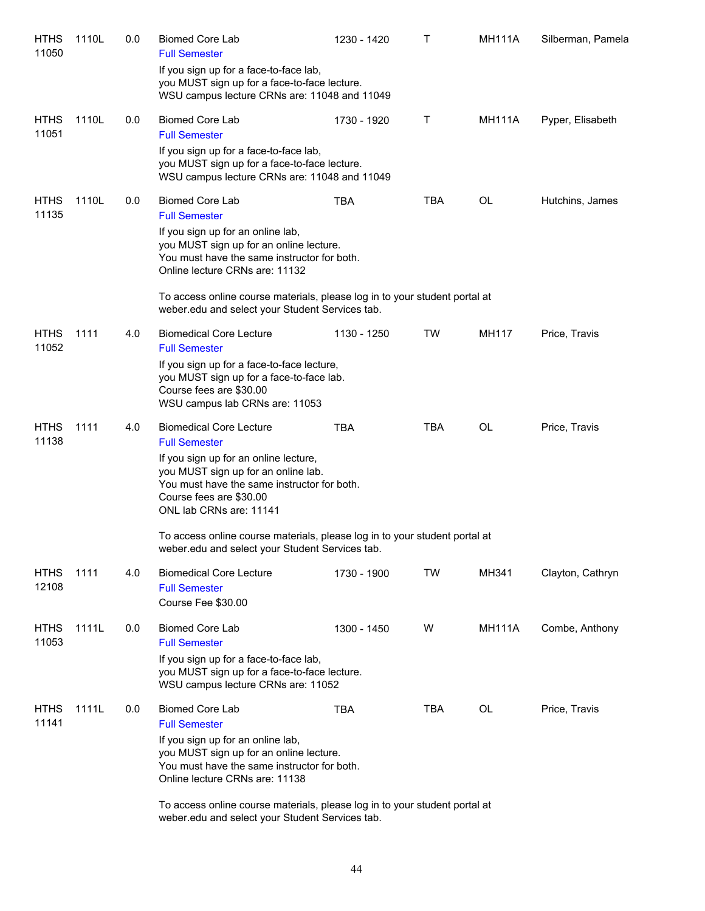| <b>HTHS</b><br>11050 | 1110L | 0.0 | <b>Biomed Core Lab</b><br><b>Full Semester</b>                                                                                                                                    | 1230 - 1420 | T          | <b>MH111A</b> | Silberman, Pamela |
|----------------------|-------|-----|-----------------------------------------------------------------------------------------------------------------------------------------------------------------------------------|-------------|------------|---------------|-------------------|
|                      |       |     | If you sign up for a face-to-face lab,<br>you MUST sign up for a face-to-face lecture.<br>WSU campus lecture CRNs are: 11048 and 11049                                            |             |            |               |                   |
| <b>HTHS</b><br>11051 | 1110L | 0.0 | <b>Biomed Core Lab</b><br><b>Full Semester</b>                                                                                                                                    | 1730 - 1920 | Τ          | <b>MH111A</b> | Pyper, Elisabeth  |
|                      |       |     | If you sign up for a face-to-face lab,<br>you MUST sign up for a face-to-face lecture.<br>WSU campus lecture CRNs are: 11048 and 11049                                            |             |            |               |                   |
| <b>HTHS</b><br>11135 | 1110L | 0.0 | <b>Biomed Core Lab</b><br><b>Full Semester</b>                                                                                                                                    | <b>TBA</b>  | <b>TBA</b> | OL            | Hutchins, James   |
|                      |       |     | If you sign up for an online lab,<br>you MUST sign up for an online lecture.<br>You must have the same instructor for both.<br>Online lecture CRNs are: 11132                     |             |            |               |                   |
|                      |       |     | To access online course materials, please log in to your student portal at<br>weber.edu and select your Student Services tab.                                                     |             |            |               |                   |
| <b>HTHS</b><br>11052 | 1111  | 4.0 | <b>Biomedical Core Lecture</b><br><b>Full Semester</b>                                                                                                                            | 1130 - 1250 | TW         | MH117         | Price, Travis     |
|                      |       |     | If you sign up for a face-to-face lecture,<br>you MUST sign up for a face-to-face lab.<br>Course fees are \$30.00<br>WSU campus lab CRNs are: 11053                               |             |            |               |                   |
| <b>HTHS</b><br>11138 | 1111  | 4.0 | <b>Biomedical Core Lecture</b><br><b>Full Semester</b>                                                                                                                            | TBA         | <b>TBA</b> | OL            | Price, Travis     |
|                      |       |     | If you sign up for an online lecture,<br>you MUST sign up for an online lab.<br>You must have the same instructor for both.<br>Course fees are \$30.00<br>ONL lab CRNs are: 11141 |             |            |               |                   |
|                      |       |     | To access online course materials, please log in to your student portal at<br>weber.edu and select your Student Services tab.                                                     |             |            |               |                   |
| <b>HTHS</b><br>12108 | 1111  | 4.0 | <b>Biomedical Core Lecture</b><br><b>Full Semester</b><br>Course Fee \$30.00                                                                                                      | 1730 - 1900 | TW         | MH341         | Clayton, Cathryn  |
| <b>HTHS</b><br>11053 | 1111L | 0.0 | <b>Biomed Core Lab</b><br><b>Full Semester</b>                                                                                                                                    | 1300 - 1450 | W          | <b>MH111A</b> | Combe, Anthony    |
|                      |       |     | If you sign up for a face-to-face lab,<br>you MUST sign up for a face-to-face lecture.<br>WSU campus lecture CRNs are: 11052                                                      |             |            |               |                   |
| <b>HTHS</b><br>11141 | 1111L | 0.0 | <b>Biomed Core Lab</b><br><b>Full Semester</b>                                                                                                                                    | <b>TBA</b>  | <b>TBA</b> | OL            | Price, Travis     |
|                      |       |     | If you sign up for an online lab,<br>you MUST sign up for an online lecture.<br>You must have the same instructor for both.<br>Online lecture CRNs are: 11138                     |             |            |               |                   |
|                      |       |     | To access online course materials, please log in to your student portal at<br>weber.edu and select your Student Services tab.                                                     |             |            |               |                   |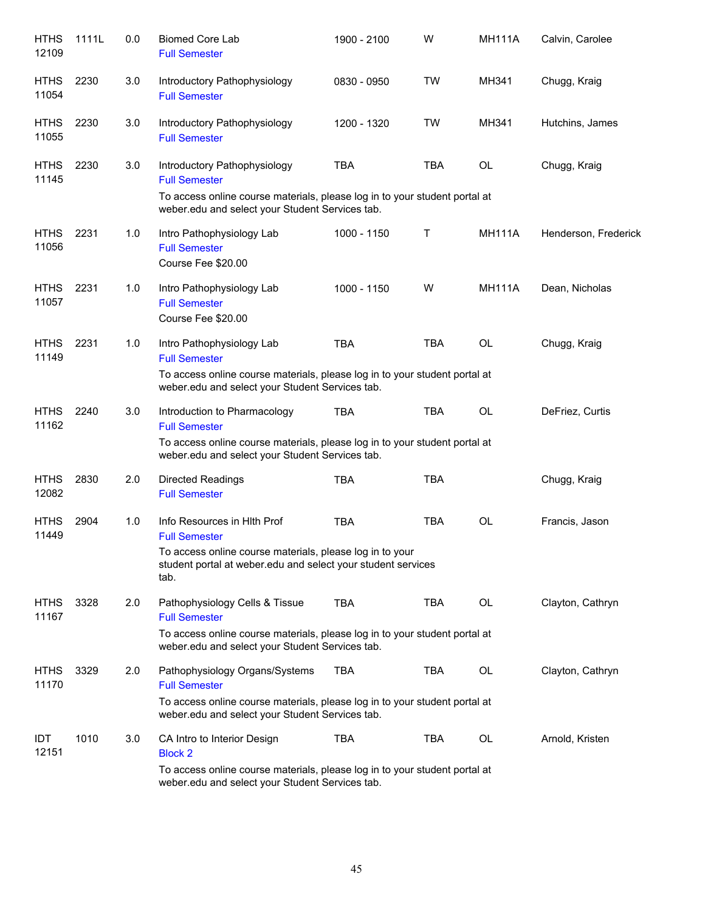| <b>HTHS</b><br>12109 | 1111L | 0.0 | <b>Biomed Core Lab</b><br><b>Full Semester</b>                                                                                   | 1900 - 2100 | W          | <b>MH111A</b> | Calvin, Carolee      |
|----------------------|-------|-----|----------------------------------------------------------------------------------------------------------------------------------|-------------|------------|---------------|----------------------|
| <b>HTHS</b><br>11054 | 2230  | 3.0 | Introductory Pathophysiology<br><b>Full Semester</b>                                                                             | 0830 - 0950 | <b>TW</b>  | MH341         | Chugg, Kraig         |
| <b>HTHS</b><br>11055 | 2230  | 3.0 | Introductory Pathophysiology<br><b>Full Semester</b>                                                                             | 1200 - 1320 | <b>TW</b>  | MH341         | Hutchins, James      |
| <b>HTHS</b><br>11145 | 2230  | 3.0 | Introductory Pathophysiology<br><b>Full Semester</b>                                                                             | <b>TBA</b>  | <b>TBA</b> | OL            | Chugg, Kraig         |
|                      |       |     | To access online course materials, please log in to your student portal at<br>weber.edu and select your Student Services tab.    |             |            |               |                      |
| <b>HTHS</b><br>11056 | 2231  | 1.0 | Intro Pathophysiology Lab<br><b>Full Semester</b><br>Course Fee \$20.00                                                          | 1000 - 1150 | Τ          | <b>MH111A</b> | Henderson, Frederick |
| <b>HTHS</b><br>11057 | 2231  | 1.0 | Intro Pathophysiology Lab<br><b>Full Semester</b><br>Course Fee \$20.00                                                          | 1000 - 1150 | W          | <b>MH111A</b> | Dean, Nicholas       |
| <b>HTHS</b><br>11149 | 2231  | 1.0 | Intro Pathophysiology Lab<br><b>Full Semester</b>                                                                                | <b>TBA</b>  | <b>TBA</b> | <b>OL</b>     | Chugg, Kraig         |
|                      |       |     | To access online course materials, please log in to your student portal at<br>weber.edu and select your Student Services tab.    |             |            |               |                      |
| <b>HTHS</b><br>11162 | 2240  | 3.0 | Introduction to Pharmacology<br><b>Full Semester</b>                                                                             | <b>TBA</b>  | <b>TBA</b> | <b>OL</b>     | DeFriez, Curtis      |
|                      |       |     | To access online course materials, please log in to your student portal at<br>weber.edu and select your Student Services tab.    |             |            |               |                      |
| <b>HTHS</b><br>12082 | 2830  | 2.0 | <b>Directed Readings</b><br><b>Full Semester</b>                                                                                 | <b>TBA</b>  | <b>TBA</b> |               | Chugg, Kraig         |
| <b>HTHS</b><br>11449 | 2904  | 1.0 | Info Resources in Hith Prof<br><b>Full Semester</b>                                                                              | <b>TBA</b>  | <b>TBA</b> | <b>OL</b>     | Francis, Jason       |
|                      |       |     | To access online course materials, please log in to your<br>student portal at weber edu and select your student services<br>tab. |             |            |               |                      |
| <b>HTHS</b><br>11167 | 3328  | 2.0 | Pathophysiology Cells & Tissue<br><b>Full Semester</b>                                                                           | <b>TBA</b>  | <b>TBA</b> | OL            | Clayton, Cathryn     |
|                      |       |     | To access online course materials, please log in to your student portal at<br>weber.edu and select your Student Services tab.    |             |            |               |                      |
| <b>HTHS</b><br>11170 | 3329  | 2.0 | Pathophysiology Organs/Systems<br><b>Full Semester</b>                                                                           | <b>TBA</b>  | TBA        | OL            | Clayton, Cathryn     |
|                      |       |     | To access online course materials, please log in to your student portal at<br>weber.edu and select your Student Services tab.    |             |            |               |                      |
| IDT<br>12151         | 1010  | 3.0 | CA Intro to Interior Design<br><b>Block 2</b>                                                                                    | <b>TBA</b>  | TBA        | OL            | Arnold, Kristen      |
|                      |       |     | To access online course materials, please log in to your student portal at<br>weber.edu and select your Student Services tab.    |             |            |               |                      |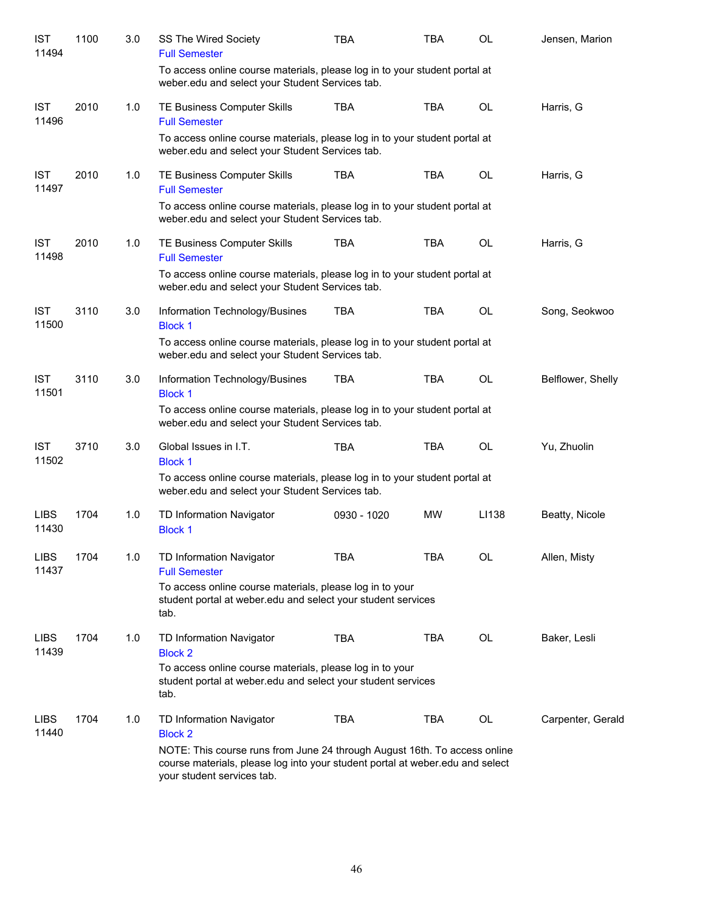| <b>IST</b><br>11494  | 1100 | 3.0 | SS The Wired Society<br><b>Full Semester</b>                                                                                                                                             | <b>TBA</b>  | <b>TBA</b> | OL        | Jensen, Marion    |
|----------------------|------|-----|------------------------------------------------------------------------------------------------------------------------------------------------------------------------------------------|-------------|------------|-----------|-------------------|
|                      |      |     | To access online course materials, please log in to your student portal at<br>weber.edu and select your Student Services tab.                                                            |             |            |           |                   |
| <b>IST</b><br>11496  | 2010 | 1.0 | TE Business Computer Skills<br><b>Full Semester</b>                                                                                                                                      | <b>TBA</b>  | <b>TBA</b> | <b>OL</b> | Harris, G         |
|                      |      |     | To access online course materials, please log in to your student portal at<br>weber.edu and select your Student Services tab.                                                            |             |            |           |                   |
| <b>IST</b><br>11497  | 2010 | 1.0 | TE Business Computer Skills<br><b>Full Semester</b>                                                                                                                                      | <b>TBA</b>  | <b>TBA</b> | OL        | Harris, G         |
|                      |      |     | To access online course materials, please log in to your student portal at<br>weber.edu and select your Student Services tab.                                                            |             |            |           |                   |
| <b>IST</b><br>11498  | 2010 | 1.0 | TE Business Computer Skills<br><b>Full Semester</b>                                                                                                                                      | <b>TBA</b>  | <b>TBA</b> | <b>OL</b> | Harris, G         |
|                      |      |     | To access online course materials, please log in to your student portal at<br>weber.edu and select your Student Services tab.                                                            |             |            |           |                   |
| <b>IST</b><br>11500  | 3110 | 3.0 | Information Technology/Busines<br><b>Block 1</b>                                                                                                                                         | <b>TBA</b>  | <b>TBA</b> | <b>OL</b> | Song, Seokwoo     |
|                      |      |     | To access online course materials, please log in to your student portal at<br>weber.edu and select your Student Services tab.                                                            |             |            |           |                   |
| <b>IST</b><br>11501  | 3110 | 3.0 | Information Technology/Busines<br><b>Block 1</b>                                                                                                                                         | <b>TBA</b>  | <b>TBA</b> | OL        | Belflower, Shelly |
|                      |      |     | To access online course materials, please log in to your student portal at<br>weber.edu and select your Student Services tab.                                                            |             |            |           |                   |
| <b>IST</b><br>11502  | 3710 | 3.0 | Global Issues in I.T.<br><b>Block 1</b>                                                                                                                                                  | <b>TBA</b>  | <b>TBA</b> | <b>OL</b> | Yu, Zhuolin       |
|                      |      |     | To access online course materials, please log in to your student portal at<br>weber.edu and select your Student Services tab.                                                            |             |            |           |                   |
| <b>LIBS</b><br>11430 | 1704 | 1.0 | TD Information Navigator<br><b>Block 1</b>                                                                                                                                               | 0930 - 1020 | <b>MW</b>  | LI138     | Beatty, Nicole    |
| <b>LIBS</b><br>11437 | 1704 | 1.0 | TD Information Navigator<br><b>Full Semester</b>                                                                                                                                         | TBA         | TBA        | <b>OL</b> | Allen, Misty      |
|                      |      |     | To access online course materials, please log in to your<br>student portal at weber.edu and select your student services<br>tab.                                                         |             |            |           |                   |
| <b>LIBS</b><br>11439 | 1704 | 1.0 | TD Information Navigator<br><b>Block 2</b>                                                                                                                                               | <b>TBA</b>  | TBA        | OL        | Baker, Lesli      |
|                      |      |     | To access online course materials, please log in to your<br>student portal at weber edu and select your student services<br>tab.                                                         |             |            |           |                   |
| <b>LIBS</b><br>11440 | 1704 | 1.0 | TD Information Navigator<br><b>Block 2</b>                                                                                                                                               | <b>TBA</b>  | TBA        | OL        | Carpenter, Gerald |
|                      |      |     | NOTE: This course runs from June 24 through August 16th. To access online<br>course materials, please log into your student portal at weber.edu and select<br>your student services tab. |             |            |           |                   |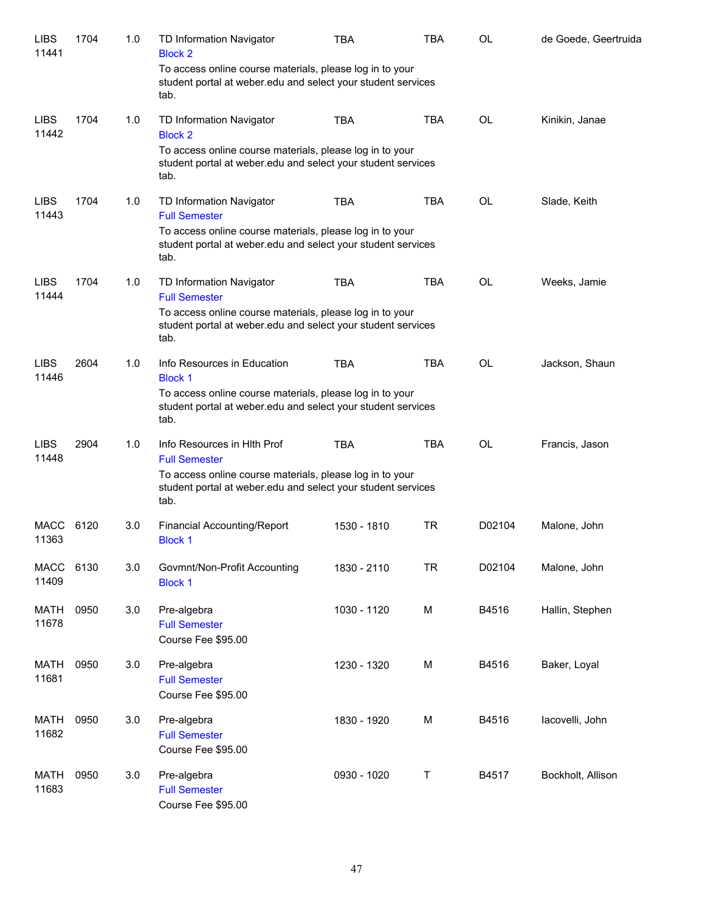| <b>LIBS</b><br>11441 | 1704 | 1.0 | TD Information Navigator<br><b>Block 2</b>                                                                                       | <b>TBA</b>  | <b>TBA</b> | <b>OL</b> | de Goede, Geertruida |
|----------------------|------|-----|----------------------------------------------------------------------------------------------------------------------------------|-------------|------------|-----------|----------------------|
|                      |      |     | To access online course materials, please log in to your<br>student portal at weber edu and select your student services<br>tab. |             |            |           |                      |
| <b>LIBS</b><br>11442 | 1704 | 1.0 | TD Information Navigator<br><b>Block 2</b>                                                                                       | <b>TBA</b>  | <b>TBA</b> | <b>OL</b> | Kinikin, Janae       |
|                      |      |     | To access online course materials, please log in to your<br>student portal at weber edu and select your student services<br>tab. |             |            |           |                      |
| <b>LIBS</b><br>11443 | 1704 | 1.0 | TD Information Navigator<br><b>Full Semester</b>                                                                                 | <b>TBA</b>  | <b>TBA</b> | <b>OL</b> | Slade, Keith         |
|                      |      |     | To access online course materials, please log in to your<br>student portal at weber edu and select your student services<br>tab. |             |            |           |                      |
| <b>LIBS</b><br>11444 | 1704 | 1.0 | TD Information Navigator<br><b>Full Semester</b>                                                                                 | <b>TBA</b>  | <b>TBA</b> | <b>OL</b> | Weeks, Jamie         |
|                      |      |     | To access online course materials, please log in to your<br>student portal at weber.edu and select your student services<br>tab. |             |            |           |                      |
| <b>LIBS</b><br>11446 | 2604 | 1.0 | Info Resources in Education<br><b>Block 1</b>                                                                                    | <b>TBA</b>  | <b>TBA</b> | OL        | Jackson, Shaun       |
|                      |      |     | To access online course materials, please log in to your<br>student portal at weber edu and select your student services<br>tab. |             |            |           |                      |
| <b>LIBS</b><br>11448 | 2904 | 1.0 | Info Resources in HIth Prof<br><b>Full Semester</b>                                                                              | <b>TBA</b>  | <b>TBA</b> | <b>OL</b> | Francis, Jason       |
|                      |      |     | To access online course materials, please log in to your<br>student portal at weber edu and select your student services<br>tab. |             |            |           |                      |
| <b>MACC</b><br>11363 | 6120 | 3.0 | <b>Financial Accounting/Report</b><br><b>Block 1</b>                                                                             | 1530 - 1810 | TR         | D02104    | Malone, John         |
| <b>MACC</b><br>11409 | 6130 | 3.0 | Govmnt/Non-Profit Accounting<br><b>Block 1</b>                                                                                   | 1830 - 2110 | <b>TR</b>  | D02104    | Malone, John         |
| <b>MATH</b><br>11678 | 0950 | 3.0 | Pre-algebra<br><b>Full Semester</b><br>Course Fee \$95.00                                                                        | 1030 - 1120 | M          | B4516     | Hallin, Stephen      |
| <b>MATH</b><br>11681 | 0950 | 3.0 | Pre-algebra<br><b>Full Semester</b><br>Course Fee \$95.00                                                                        | 1230 - 1320 | M          | B4516     | Baker, Loyal         |
| <b>MATH</b><br>11682 | 0950 | 3.0 | Pre-algebra<br><b>Full Semester</b><br>Course Fee \$95.00                                                                        | 1830 - 1920 | M          | B4516     | lacovelli, John      |
| <b>MATH</b><br>11683 | 0950 | 3.0 | Pre-algebra<br><b>Full Semester</b><br>Course Fee \$95.00                                                                        | 0930 - 1020 | Τ          | B4517     | Bockholt, Allison    |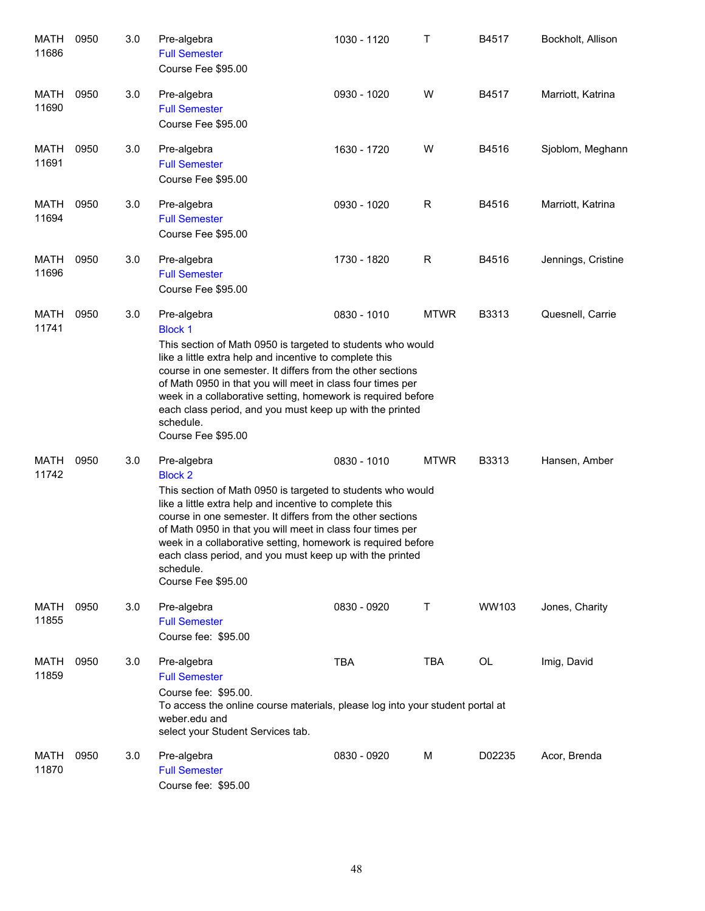| MATH<br>11686 | 0950 | 3.0 | Pre-algebra<br><b>Full Semester</b><br>Course Fee \$95.00                                                                                                                                                                                                                                                                                                                                                                                          | 1030 - 1120 | Т           | B4517  | Bockholt, Allison  |
|---------------|------|-----|----------------------------------------------------------------------------------------------------------------------------------------------------------------------------------------------------------------------------------------------------------------------------------------------------------------------------------------------------------------------------------------------------------------------------------------------------|-------------|-------------|--------|--------------------|
| MATH<br>11690 | 0950 | 3.0 | Pre-algebra<br><b>Full Semester</b><br>Course Fee \$95.00                                                                                                                                                                                                                                                                                                                                                                                          | 0930 - 1020 | W           | B4517  | Marriott, Katrina  |
| MATH<br>11691 | 0950 | 3.0 | Pre-algebra<br><b>Full Semester</b><br>Course Fee \$95.00                                                                                                                                                                                                                                                                                                                                                                                          | 1630 - 1720 | W           | B4516  | Sjoblom, Meghann   |
| MATH<br>11694 | 0950 | 3.0 | Pre-algebra<br><b>Full Semester</b><br>Course Fee \$95.00                                                                                                                                                                                                                                                                                                                                                                                          | 0930 - 1020 | R           | B4516  | Marriott, Katrina  |
| MATH<br>11696 | 0950 | 3.0 | Pre-algebra<br><b>Full Semester</b><br>Course Fee \$95.00                                                                                                                                                                                                                                                                                                                                                                                          | 1730 - 1820 | R           | B4516  | Jennings, Cristine |
| MATH<br>11741 | 0950 | 3.0 | Pre-algebra<br><b>Block 1</b><br>This section of Math 0950 is targeted to students who would<br>like a little extra help and incentive to complete this<br>course in one semester. It differs from the other sections<br>of Math 0950 in that you will meet in class four times per<br>week in a collaborative setting, homework is required before<br>each class period, and you must keep up with the printed<br>schedule.<br>Course Fee \$95.00 | 0830 - 1010 | <b>MTWR</b> | B3313  | Quesnell, Carrie   |
| MATH<br>11742 | 0950 | 3.0 | Pre-algebra<br><b>Block 2</b><br>This section of Math 0950 is targeted to students who would<br>like a little extra help and incentive to complete this<br>course in one semester. It differs from the other sections<br>of Math 0950 in that you will meet in class four times per<br>week in a collaborative setting, homework is required before<br>each class period, and you must keep up with the printed<br>schedule.<br>Course Fee \$95.00 | 0830 - 1010 | <b>MTWR</b> | B3313  | Hansen, Amber      |
| MATH<br>11855 | 0950 | 3.0 | Pre-algebra<br><b>Full Semester</b><br>Course fee: \$95.00                                                                                                                                                                                                                                                                                                                                                                                         | 0830 - 0920 | Τ           | WW103  | Jones, Charity     |
| MATH<br>11859 | 0950 | 3.0 | Pre-algebra<br><b>Full Semester</b><br>Course fee: \$95.00.<br>To access the online course materials, please log into your student portal at<br>weber.edu and<br>select your Student Services tab.                                                                                                                                                                                                                                                 | <b>TBA</b>  | TBA         | OL     | Imig, David        |
| MATH<br>11870 | 0950 | 3.0 | Pre-algebra<br><b>Full Semester</b><br>Course fee: \$95.00                                                                                                                                                                                                                                                                                                                                                                                         | 0830 - 0920 | M           | D02235 | Acor, Brenda       |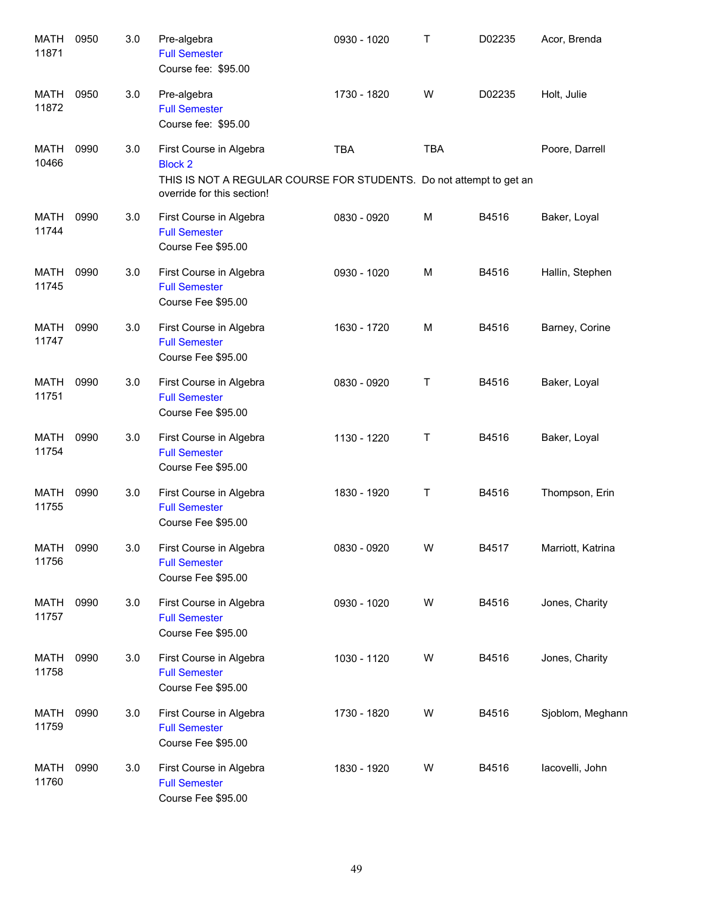| <b>MATH</b><br>11871 | 0950 | 3.0 | Pre-algebra<br><b>Full Semester</b><br>Course fee: \$95.00                                                                                     | 0930 - 1020 | $\mathsf{T}$ | D02235 | Acor, Brenda      |
|----------------------|------|-----|------------------------------------------------------------------------------------------------------------------------------------------------|-------------|--------------|--------|-------------------|
| MATH<br>11872        | 0950 | 3.0 | Pre-algebra<br><b>Full Semester</b><br>Course fee: \$95.00                                                                                     | 1730 - 1820 | W            | D02235 | Holt, Julie       |
| MATH<br>10466        | 0990 | 3.0 | First Course in Algebra<br><b>Block 2</b><br>THIS IS NOT A REGULAR COURSE FOR STUDENTS. Do not attempt to get an<br>override for this section! | <b>TBA</b>  | <b>TBA</b>   |        | Poore, Darrell    |
| MATH<br>11744        | 0990 | 3.0 | First Course in Algebra<br><b>Full Semester</b><br>Course Fee \$95.00                                                                          | 0830 - 0920 | M            | B4516  | Baker, Loyal      |
| MATH<br>11745        | 0990 | 3.0 | First Course in Algebra<br><b>Full Semester</b><br>Course Fee \$95.00                                                                          | 0930 - 1020 | M            | B4516  | Hallin, Stephen   |
| MATH<br>11747        | 0990 | 3.0 | First Course in Algebra<br><b>Full Semester</b><br>Course Fee \$95.00                                                                          | 1630 - 1720 | M            | B4516  | Barney, Corine    |
| <b>MATH</b><br>11751 | 0990 | 3.0 | First Course in Algebra<br><b>Full Semester</b><br>Course Fee \$95.00                                                                          | 0830 - 0920 | Τ            | B4516  | Baker, Loyal      |
| <b>MATH</b><br>11754 | 0990 | 3.0 | First Course in Algebra<br><b>Full Semester</b><br>Course Fee \$95.00                                                                          | 1130 - 1220 | Т            | B4516  | Baker, Loyal      |
| MATH<br>11755        | 0990 | 3.0 | First Course in Algebra<br><b>Full Semester</b><br>Course Fee \$95.00                                                                          | 1830 - 1920 | Т            | B4516  | Thompson, Erin    |
| <b>MATH</b><br>11756 | 0990 | 3.0 | First Course in Algebra<br><b>Full Semester</b><br>Course Fee \$95.00                                                                          | 0830 - 0920 | W            | B4517  | Marriott, Katrina |
| MATH<br>11757        | 0990 | 3.0 | First Course in Algebra<br><b>Full Semester</b><br>Course Fee \$95.00                                                                          | 0930 - 1020 | W            | B4516  | Jones, Charity    |
| MATH<br>11758        | 0990 | 3.0 | First Course in Algebra<br><b>Full Semester</b><br>Course Fee \$95.00                                                                          | 1030 - 1120 | W            | B4516  | Jones, Charity    |
| MATH<br>11759        | 0990 | 3.0 | First Course in Algebra<br><b>Full Semester</b><br>Course Fee \$95.00                                                                          | 1730 - 1820 | W            | B4516  | Sjoblom, Meghann  |
| MATH<br>11760        | 0990 | 3.0 | First Course in Algebra<br><b>Full Semester</b><br>Course Fee \$95.00                                                                          | 1830 - 1920 | W            | B4516  | lacovelli, John   |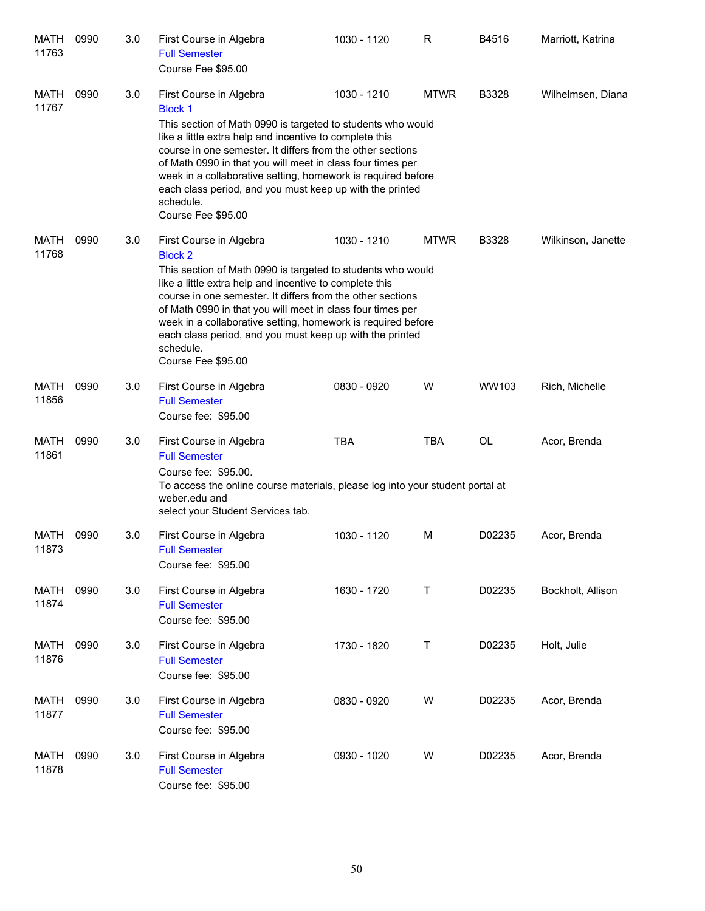| MATH<br>11763        | 0990 | 3.0 | First Course in Algebra<br><b>Full Semester</b><br>Course Fee \$95.00                                                                                                                                                                                                                                                                                                                                                                                          | 1030 - 1120 | R           | B4516  | Marriott, Katrina  |
|----------------------|------|-----|----------------------------------------------------------------------------------------------------------------------------------------------------------------------------------------------------------------------------------------------------------------------------------------------------------------------------------------------------------------------------------------------------------------------------------------------------------------|-------------|-------------|--------|--------------------|
| MATH<br>11767        | 0990 | 3.0 | First Course in Algebra<br><b>Block 1</b><br>This section of Math 0990 is targeted to students who would<br>like a little extra help and incentive to complete this<br>course in one semester. It differs from the other sections<br>of Math 0990 in that you will meet in class four times per<br>week in a collaborative setting, homework is required before<br>each class period, and you must keep up with the printed<br>schedule.<br>Course Fee \$95.00 | 1030 - 1210 | <b>MTWR</b> | B3328  | Wilhelmsen, Diana  |
| MATH<br>11768        | 0990 | 3.0 | First Course in Algebra<br><b>Block 2</b><br>This section of Math 0990 is targeted to students who would<br>like a little extra help and incentive to complete this<br>course in one semester. It differs from the other sections<br>of Math 0990 in that you will meet in class four times per<br>week in a collaborative setting, homework is required before<br>each class period, and you must keep up with the printed<br>schedule.<br>Course Fee \$95.00 | 1030 - 1210 | <b>MTWR</b> | B3328  | Wilkinson, Janette |
| <b>MATH</b><br>11856 | 0990 | 3.0 | First Course in Algebra<br><b>Full Semester</b><br>Course fee: \$95.00                                                                                                                                                                                                                                                                                                                                                                                         | 0830 - 0920 | W           | WW103  | Rich, Michelle     |
| <b>MATH</b><br>11861 | 0990 | 3.0 | First Course in Algebra<br><b>Full Semester</b><br>Course fee: \$95.00.<br>To access the online course materials, please log into your student portal at<br>weber.edu and<br>select your Student Services tab.                                                                                                                                                                                                                                                 | <b>TBA</b>  | <b>TBA</b>  | OL     | Acor, Brenda       |
| MATH<br>11873        | 0990 | 3.0 | First Course in Algebra<br><b>Full Semester</b><br>Course fee: \$95.00                                                                                                                                                                                                                                                                                                                                                                                         | 1030 - 1120 | м           | D02235 | Acor, Brenda       |
| MATH<br>11874        | 0990 | 3.0 | First Course in Algebra<br><b>Full Semester</b><br>Course fee: \$95.00                                                                                                                                                                                                                                                                                                                                                                                         | 1630 - 1720 | T           | D02235 | Bockholt, Allison  |
| MATH<br>11876        | 0990 | 3.0 | First Course in Algebra<br><b>Full Semester</b><br>Course fee: \$95.00                                                                                                                                                                                                                                                                                                                                                                                         | 1730 - 1820 | T           | D02235 | Holt, Julie        |
| MATH<br>11877        | 0990 | 3.0 | First Course in Algebra<br><b>Full Semester</b><br>Course fee: \$95.00                                                                                                                                                                                                                                                                                                                                                                                         | 0830 - 0920 | W           | D02235 | Acor, Brenda       |
| MATH<br>11878        | 0990 | 3.0 | First Course in Algebra<br><b>Full Semester</b><br>Course fee: \$95.00                                                                                                                                                                                                                                                                                                                                                                                         | 0930 - 1020 | W           | D02235 | Acor, Brenda       |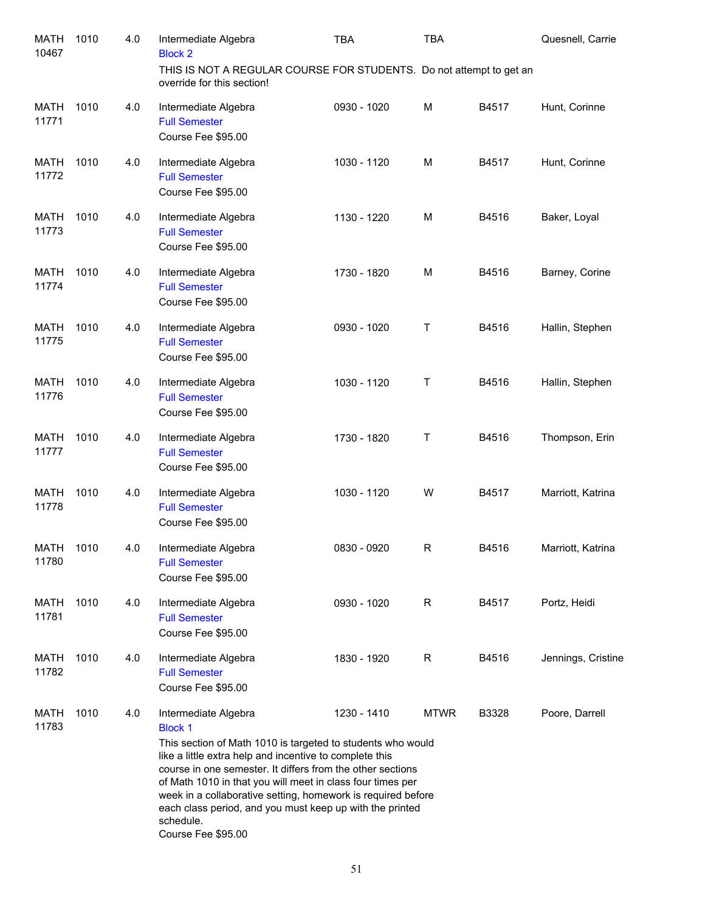| <b>MATH</b><br>10467 | 1010 | 4.0 | Intermediate Algebra<br><b>Block 2</b>                                                                                                                                                                                                                                                                                                                                                                                                                      | TBA         | <b>TBA</b>  |       | Quesnell, Carrie   |
|----------------------|------|-----|-------------------------------------------------------------------------------------------------------------------------------------------------------------------------------------------------------------------------------------------------------------------------------------------------------------------------------------------------------------------------------------------------------------------------------------------------------------|-------------|-------------|-------|--------------------|
|                      |      |     | THIS IS NOT A REGULAR COURSE FOR STUDENTS. Do not attempt to get an<br>override for this section!                                                                                                                                                                                                                                                                                                                                                           |             |             |       |                    |
| <b>MATH</b><br>11771 | 1010 | 4.0 | Intermediate Algebra<br><b>Full Semester</b><br>Course Fee \$95.00                                                                                                                                                                                                                                                                                                                                                                                          | 0930 - 1020 | M           | B4517 | Hunt, Corinne      |
| <b>MATH</b><br>11772 | 1010 | 4.0 | Intermediate Algebra<br><b>Full Semester</b><br>Course Fee \$95.00                                                                                                                                                                                                                                                                                                                                                                                          | 1030 - 1120 | М           | B4517 | Hunt, Corinne      |
| <b>MATH</b><br>11773 | 1010 | 4.0 | Intermediate Algebra<br><b>Full Semester</b><br>Course Fee \$95.00                                                                                                                                                                                                                                                                                                                                                                                          | 1130 - 1220 | М           | B4516 | Baker, Loyal       |
| <b>MATH</b><br>11774 | 1010 | 4.0 | Intermediate Algebra<br><b>Full Semester</b><br>Course Fee \$95.00                                                                                                                                                                                                                                                                                                                                                                                          | 1730 - 1820 | М           | B4516 | Barney, Corine     |
| <b>MATH</b><br>11775 | 1010 | 4.0 | Intermediate Algebra<br><b>Full Semester</b><br>Course Fee \$95.00                                                                                                                                                                                                                                                                                                                                                                                          | 0930 - 1020 | Τ           | B4516 | Hallin, Stephen    |
| <b>MATH</b><br>11776 | 1010 | 4.0 | Intermediate Algebra<br><b>Full Semester</b><br>Course Fee \$95.00                                                                                                                                                                                                                                                                                                                                                                                          | 1030 - 1120 | Τ           | B4516 | Hallin, Stephen    |
| <b>MATH</b><br>11777 | 1010 | 4.0 | Intermediate Algebra<br><b>Full Semester</b><br>Course Fee \$95.00                                                                                                                                                                                                                                                                                                                                                                                          | 1730 - 1820 | Τ           | B4516 | Thompson, Erin     |
| <b>MATH</b><br>11778 | 1010 | 4.0 | Intermediate Algebra<br><b>Full Semester</b><br>Course Fee \$95.00                                                                                                                                                                                                                                                                                                                                                                                          | 1030 - 1120 | W           | B4517 | Marriott, Katrina  |
| MATH<br>11780        | 1010 | 4.0 | Intermediate Algebra<br><b>Full Semester</b><br>Course Fee \$95.00                                                                                                                                                                                                                                                                                                                                                                                          | 0830 - 0920 | R           | B4516 | Marriott, Katrina  |
| MATH<br>11781        | 1010 | 4.0 | Intermediate Algebra<br><b>Full Semester</b><br>Course Fee \$95.00                                                                                                                                                                                                                                                                                                                                                                                          | 0930 - 1020 | R           | B4517 | Portz, Heidi       |
| MATH<br>11782        | 1010 | 4.0 | Intermediate Algebra<br><b>Full Semester</b><br>Course Fee \$95.00                                                                                                                                                                                                                                                                                                                                                                                          | 1830 - 1920 | R           | B4516 | Jennings, Cristine |
| MATH<br>11783        | 1010 | 4.0 | Intermediate Algebra<br><b>Block 1</b><br>This section of Math 1010 is targeted to students who would<br>like a little extra help and incentive to complete this<br>course in one semester. It differs from the other sections<br>of Math 1010 in that you will meet in class four times per<br>week in a collaborative setting, homework is required before<br>each class period, and you must keep up with the printed<br>schedule.<br>Course Fee \$95.00 | 1230 - 1410 | <b>MTWR</b> | B3328 | Poore, Darrell     |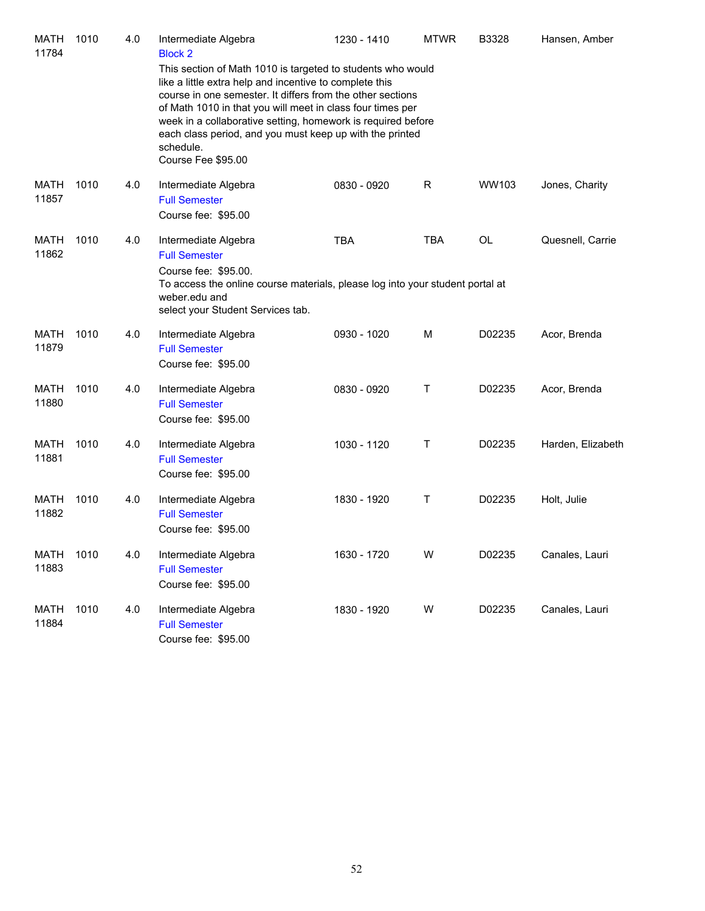| MATH<br>11784        | 1010 | 4.0 | Intermediate Algebra<br><b>Block 2</b><br>This section of Math 1010 is targeted to students who would<br>like a little extra help and incentive to complete this<br>course in one semester. It differs from the other sections<br>of Math 1010 in that you will meet in class four times per<br>week in a collaborative setting, homework is required before<br>each class period, and you must keep up with the printed<br>schedule.<br>Course Fee \$95.00 | 1230 - 1410 | <b>MTWR</b> | B3328     | Hansen, Amber     |
|----------------------|------|-----|-------------------------------------------------------------------------------------------------------------------------------------------------------------------------------------------------------------------------------------------------------------------------------------------------------------------------------------------------------------------------------------------------------------------------------------------------------------|-------------|-------------|-----------|-------------------|
| MATH<br>11857        | 1010 | 4.0 | Intermediate Algebra<br><b>Full Semester</b><br>Course fee: \$95.00                                                                                                                                                                                                                                                                                                                                                                                         | 0830 - 0920 | R           | WW103     | Jones, Charity    |
| MATH<br>11862        | 1010 | 4.0 | Intermediate Algebra<br><b>Full Semester</b><br>Course fee: \$95.00.<br>To access the online course materials, please log into your student portal at<br>weber.edu and<br>select your Student Services tab.                                                                                                                                                                                                                                                 | <b>TBA</b>  | <b>TBA</b>  | <b>OL</b> | Quesnell, Carrie  |
| MATH<br>11879        | 1010 | 4.0 | Intermediate Algebra<br><b>Full Semester</b><br>Course fee: \$95.00                                                                                                                                                                                                                                                                                                                                                                                         | 0930 - 1020 | м           | D02235    | Acor, Brenda      |
| MATH<br>11880        | 1010 | 4.0 | Intermediate Algebra<br><b>Full Semester</b><br>Course fee: \$95.00                                                                                                                                                                                                                                                                                                                                                                                         | 0830 - 0920 | Τ           | D02235    | Acor, Brenda      |
| <b>MATH</b><br>11881 | 1010 | 4.0 | Intermediate Algebra<br><b>Full Semester</b><br>Course fee: \$95.00                                                                                                                                                                                                                                                                                                                                                                                         | 1030 - 1120 | Τ           | D02235    | Harden, Elizabeth |
| <b>MATH</b><br>11882 | 1010 | 4.0 | Intermediate Algebra<br><b>Full Semester</b><br>Course fee: \$95.00                                                                                                                                                                                                                                                                                                                                                                                         | 1830 - 1920 | Τ           | D02235    | Holt, Julie       |
| MATH<br>11883        | 1010 | 4.0 | Intermediate Algebra<br><b>Full Semester</b><br>Course fee: \$95.00                                                                                                                                                                                                                                                                                                                                                                                         | 1630 - 1720 | W           | D02235    | Canales, Lauri    |
| <b>MATH</b><br>11884 | 1010 | 4.0 | Intermediate Algebra<br><b>Full Semester</b><br>Course fee: \$95.00                                                                                                                                                                                                                                                                                                                                                                                         | 1830 - 1920 | W           | D02235    | Canales, Lauri    |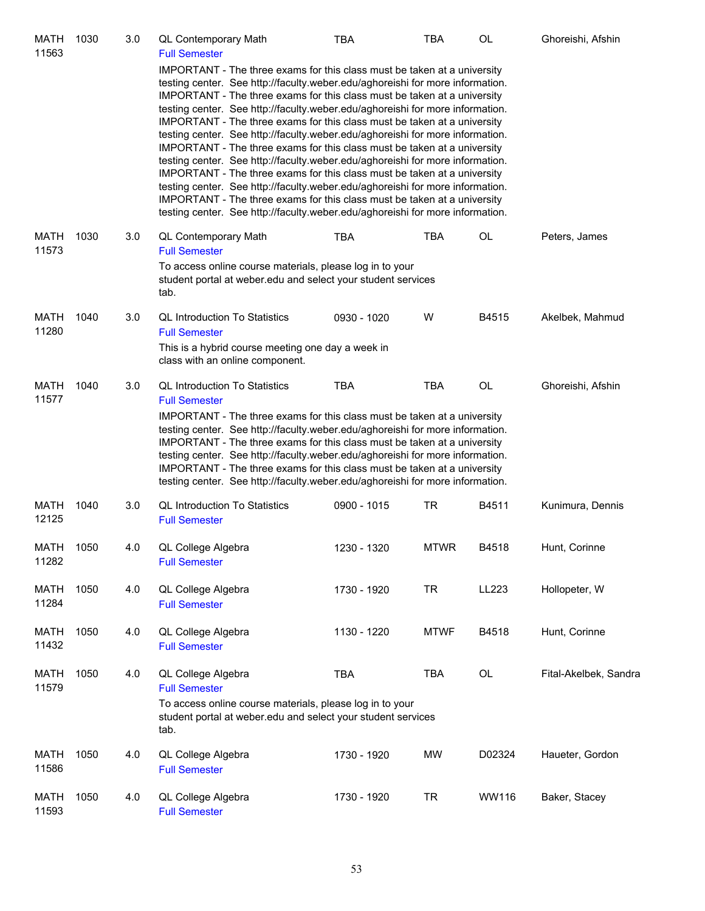| MATH<br>11563        | 1030 | 3.0 | <b>QL Contemporary Math</b><br><b>Full Semester</b>                                                                                                                                                                                                                                                                                                                                                                                                                                                                                                                                                                                                                                                                                                                                                                                                                                                                                                                        | <b>TBA</b>  | TBA         | OL     | Ghoreishi, Afshin     |
|----------------------|------|-----|----------------------------------------------------------------------------------------------------------------------------------------------------------------------------------------------------------------------------------------------------------------------------------------------------------------------------------------------------------------------------------------------------------------------------------------------------------------------------------------------------------------------------------------------------------------------------------------------------------------------------------------------------------------------------------------------------------------------------------------------------------------------------------------------------------------------------------------------------------------------------------------------------------------------------------------------------------------------------|-------------|-------------|--------|-----------------------|
|                      |      |     | IMPORTANT - The three exams for this class must be taken at a university<br>testing center. See http://faculty.weber.edu/aghoreishi for more information.<br>IMPORTANT - The three exams for this class must be taken at a university<br>testing center. See http://faculty.weber.edu/aghoreishi for more information.<br>IMPORTANT - The three exams for this class must be taken at a university<br>testing center. See http://faculty.weber.edu/aghoreishi for more information.<br>IMPORTANT - The three exams for this class must be taken at a university<br>testing center. See http://faculty.weber.edu/aghoreishi for more information.<br>IMPORTANT - The three exams for this class must be taken at a university<br>testing center. See http://faculty.weber.edu/aghoreishi for more information.<br>IMPORTANT - The three exams for this class must be taken at a university<br>testing center. See http://faculty.weber.edu/aghoreishi for more information. |             |             |        |                       |
| MATH<br>11573        | 1030 | 3.0 | QL Contemporary Math<br><b>Full Semester</b><br>To access online course materials, please log in to your<br>student portal at weber edu and select your student services<br>tab.                                                                                                                                                                                                                                                                                                                                                                                                                                                                                                                                                                                                                                                                                                                                                                                           | TBA         | <b>TBA</b>  | OL     | Peters, James         |
| <b>MATH</b><br>11280 | 1040 | 3.0 | <b>QL Introduction To Statistics</b><br><b>Full Semester</b><br>This is a hybrid course meeting one day a week in<br>class with an online component.                                                                                                                                                                                                                                                                                                                                                                                                                                                                                                                                                                                                                                                                                                                                                                                                                       | 0930 - 1020 | W           | B4515  | Akelbek, Mahmud       |
| MATH<br>11577        | 1040 | 3.0 | <b>QL Introduction To Statistics</b><br><b>Full Semester</b><br>IMPORTANT - The three exams for this class must be taken at a university<br>testing center. See http://faculty.weber.edu/aghoreishi for more information.<br>IMPORTANT - The three exams for this class must be taken at a university<br>testing center. See http://faculty.weber.edu/aghoreishi for more information.<br>IMPORTANT - The three exams for this class must be taken at a university<br>testing center. See http://faculty.weber.edu/aghoreishi for more information.                                                                                                                                                                                                                                                                                                                                                                                                                        | <b>TBA</b>  | <b>TBA</b>  | OL     | Ghoreishi, Afshin     |
| <b>MATH</b><br>12125 | 1040 | 3.0 | <b>QL Introduction To Statistics</b><br><b>Full Semester</b>                                                                                                                                                                                                                                                                                                                                                                                                                                                                                                                                                                                                                                                                                                                                                                                                                                                                                                               | 0900 - 1015 | TR          | B4511  | Kunimura, Dennis      |
| <b>MATH</b><br>11282 | 1050 | 4.0 | QL College Algebra<br><b>Full Semester</b>                                                                                                                                                                                                                                                                                                                                                                                                                                                                                                                                                                                                                                                                                                                                                                                                                                                                                                                                 | 1230 - 1320 | <b>MTWR</b> | B4518  | Hunt, Corinne         |
| MATH<br>11284        | 1050 | 4.0 | QL College Algebra<br><b>Full Semester</b>                                                                                                                                                                                                                                                                                                                                                                                                                                                                                                                                                                                                                                                                                                                                                                                                                                                                                                                                 | 1730 - 1920 | <b>TR</b>   | LL223  | Hollopeter, W         |
| <b>MATH</b><br>11432 | 1050 | 4.0 | QL College Algebra<br><b>Full Semester</b>                                                                                                                                                                                                                                                                                                                                                                                                                                                                                                                                                                                                                                                                                                                                                                                                                                                                                                                                 | 1130 - 1220 | <b>MTWF</b> | B4518  | Hunt, Corinne         |
| <b>MATH</b><br>11579 | 1050 | 4.0 | QL College Algebra<br><b>Full Semester</b><br>To access online course materials, please log in to your<br>student portal at weber edu and select your student services<br>tab.                                                                                                                                                                                                                                                                                                                                                                                                                                                                                                                                                                                                                                                                                                                                                                                             | <b>TBA</b>  | <b>TBA</b>  | OL     | Fital-Akelbek, Sandra |
| <b>MATH</b><br>11586 | 1050 | 4.0 | QL College Algebra<br><b>Full Semester</b>                                                                                                                                                                                                                                                                                                                                                                                                                                                                                                                                                                                                                                                                                                                                                                                                                                                                                                                                 | 1730 - 1920 | <b>MW</b>   | D02324 | Haueter, Gordon       |
| MATH<br>11593        | 1050 | 4.0 | QL College Algebra<br><b>Full Semester</b>                                                                                                                                                                                                                                                                                                                                                                                                                                                                                                                                                                                                                                                                                                                                                                                                                                                                                                                                 | 1730 - 1920 | <b>TR</b>   | WW116  | Baker, Stacey         |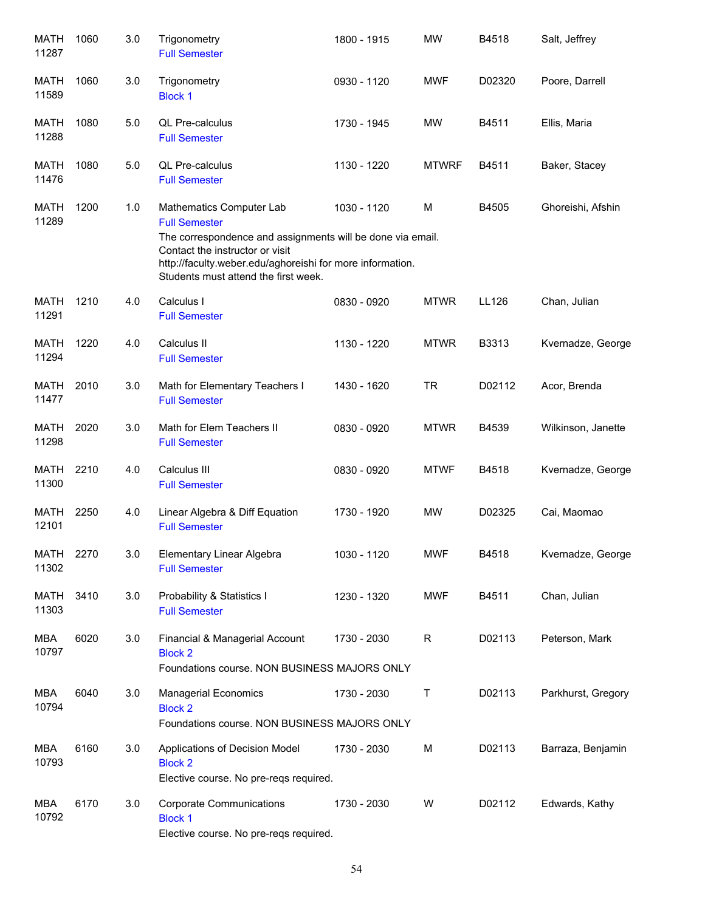| <b>MATH</b><br>11287 | 1060 | 3.0 | Trigonometry<br><b>Full Semester</b>                                                                                                                                                                                                                   | 1800 - 1915 | <b>MW</b>    | B4518  | Salt, Jeffrey      |
|----------------------|------|-----|--------------------------------------------------------------------------------------------------------------------------------------------------------------------------------------------------------------------------------------------------------|-------------|--------------|--------|--------------------|
| MATH<br>11589        | 1060 | 3.0 | Trigonometry<br><b>Block 1</b>                                                                                                                                                                                                                         | 0930 - 1120 | <b>MWF</b>   | D02320 | Poore, Darrell     |
| MATH<br>11288        | 1080 | 5.0 | <b>QL Pre-calculus</b><br><b>Full Semester</b>                                                                                                                                                                                                         | 1730 - 1945 | <b>MW</b>    | B4511  | Ellis, Maria       |
| <b>MATH</b><br>11476 | 1080 | 5.0 | <b>QL Pre-calculus</b><br><b>Full Semester</b>                                                                                                                                                                                                         | 1130 - 1220 | <b>MTWRF</b> | B4511  | Baker, Stacey      |
| <b>MATH</b><br>11289 | 1200 | 1.0 | Mathematics Computer Lab<br><b>Full Semester</b><br>The correspondence and assignments will be done via email.<br>Contact the instructor or visit<br>http://faculty.weber.edu/aghoreishi for more information.<br>Students must attend the first week. | 1030 - 1120 | M            | B4505  | Ghoreishi, Afshin  |
| MATH<br>11291        | 1210 | 4.0 | Calculus I<br><b>Full Semester</b>                                                                                                                                                                                                                     | 0830 - 0920 | <b>MTWR</b>  | LL126  | Chan, Julian       |
| MATH<br>11294        | 1220 | 4.0 | Calculus II<br><b>Full Semester</b>                                                                                                                                                                                                                    | 1130 - 1220 | <b>MTWR</b>  | B3313  | Kvernadze, George  |
| <b>MATH</b><br>11477 | 2010 | 3.0 | Math for Elementary Teachers I<br><b>Full Semester</b>                                                                                                                                                                                                 | 1430 - 1620 | <b>TR</b>    | D02112 | Acor, Brenda       |
| <b>MATH</b><br>11298 | 2020 | 3.0 | Math for Elem Teachers II<br><b>Full Semester</b>                                                                                                                                                                                                      | 0830 - 0920 | <b>MTWR</b>  | B4539  | Wilkinson, Janette |
| <b>MATH</b><br>11300 | 2210 | 4.0 | Calculus III<br><b>Full Semester</b>                                                                                                                                                                                                                   | 0830 - 0920 | <b>MTWF</b>  | B4518  | Kvernadze, George  |
| <b>MATH</b><br>12101 | 2250 | 4.0 | Linear Algebra & Diff Equation<br><b>Full Semester</b>                                                                                                                                                                                                 | 1730 - 1920 | <b>MW</b>    | D02325 | Cai, Maomao        |
| <b>MATH</b><br>11302 | 2270 | 3.0 | Elementary Linear Algebra<br><b>Full Semester</b>                                                                                                                                                                                                      | 1030 - 1120 | <b>MWF</b>   | B4518  | Kvernadze, George  |
| <b>MATH</b><br>11303 | 3410 | 3.0 | Probability & Statistics I<br><b>Full Semester</b>                                                                                                                                                                                                     | 1230 - 1320 | <b>MWF</b>   | B4511  | Chan, Julian       |
| <b>MBA</b><br>10797  | 6020 | 3.0 | Financial & Managerial Account<br><b>Block 2</b><br>Foundations course. NON BUSINESS MAJORS ONLY                                                                                                                                                       | 1730 - 2030 | R            | D02113 | Peterson, Mark     |
| <b>MBA</b><br>10794  | 6040 | 3.0 | <b>Managerial Economics</b><br><b>Block 2</b><br>Foundations course. NON BUSINESS MAJORS ONLY                                                                                                                                                          | 1730 - 2030 | T            | D02113 | Parkhurst, Gregory |
| <b>MBA</b><br>10793  | 6160 | 3.0 | Applications of Decision Model<br><b>Block 2</b><br>Elective course. No pre-reqs required.                                                                                                                                                             | 1730 - 2030 | M            | D02113 | Barraza, Benjamin  |
| <b>MBA</b><br>10792  | 6170 | 3.0 | <b>Corporate Communications</b><br><b>Block 1</b><br>Elective course. No pre-reqs required.                                                                                                                                                            | 1730 - 2030 | W            | D02112 | Edwards, Kathy     |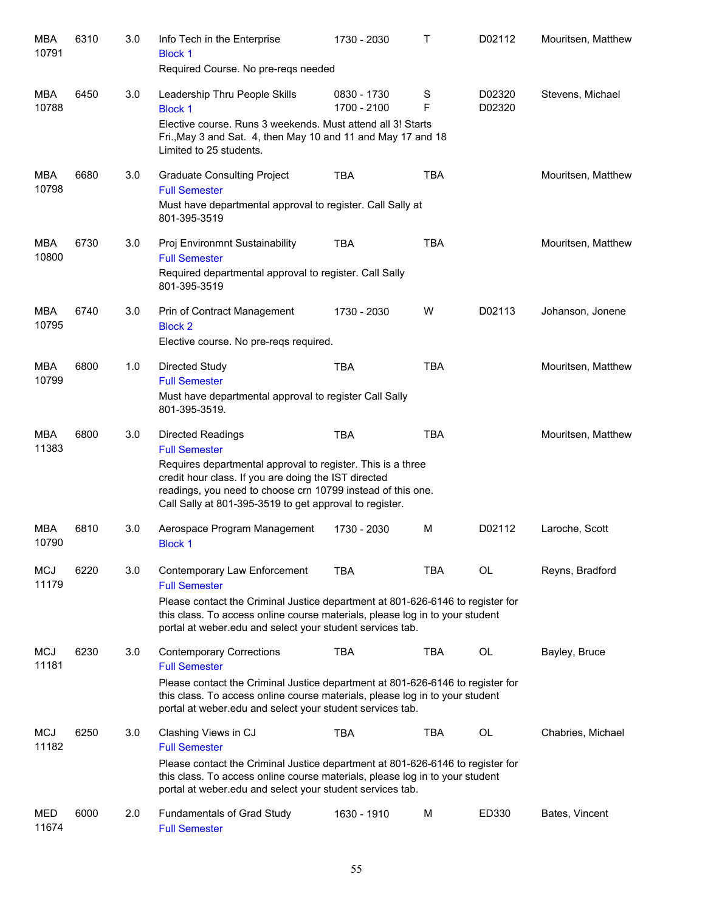| MBA<br>10791        | 6310 | 3.0 | Info Tech in the Enterprise<br><b>Block 1</b><br>Required Course. No pre-reqs needed                                                                                                                                                                                                              | 1730 - 2030                | т          | D02112           | Mouritsen, Matthew |
|---------------------|------|-----|---------------------------------------------------------------------------------------------------------------------------------------------------------------------------------------------------------------------------------------------------------------------------------------------------|----------------------------|------------|------------------|--------------------|
| MBA<br>10788        | 6450 | 3.0 | Leadership Thru People Skills<br><b>Block 1</b><br>Elective course. Runs 3 weekends. Must attend all 3! Starts<br>Fri., May 3 and Sat. 4, then May 10 and 11 and May 17 and 18<br>Limited to 25 students.                                                                                         | 0830 - 1730<br>1700 - 2100 | S<br>F     | D02320<br>D02320 | Stevens, Michael   |
| MBA<br>10798        | 6680 | 3.0 | <b>Graduate Consulting Project</b><br><b>Full Semester</b><br>Must have departmental approval to register. Call Sally at<br>801-395-3519                                                                                                                                                          | <b>TBA</b>                 | <b>TBA</b> |                  | Mouritsen, Matthew |
| MBA<br>10800        | 6730 | 3.0 | Proj Environmnt Sustainability<br><b>Full Semester</b><br>Required departmental approval to register. Call Sally<br>801-395-3519                                                                                                                                                                  | <b>TBA</b>                 | <b>TBA</b> |                  | Mouritsen, Matthew |
| <b>MBA</b><br>10795 | 6740 | 3.0 | Prin of Contract Management<br><b>Block 2</b><br>Elective course. No pre-reqs required.                                                                                                                                                                                                           | 1730 - 2030                | W          | D02113           | Johanson, Jonene   |
| <b>MBA</b><br>10799 | 6800 | 1.0 | Directed Study<br><b>Full Semester</b><br>Must have departmental approval to register Call Sally<br>801-395-3519.                                                                                                                                                                                 | <b>TBA</b>                 | <b>TBA</b> |                  | Mouritsen, Matthew |
| MBA<br>11383        | 6800 | 3.0 | <b>Directed Readings</b><br><b>Full Semester</b><br>Requires departmental approval to register. This is a three<br>credit hour class. If you are doing the IST directed<br>readings, you need to choose crn 10799 instead of this one.<br>Call Sally at 801-395-3519 to get approval to register. | <b>TBA</b>                 | <b>TBA</b> |                  | Mouritsen, Matthew |
| <b>MBA</b><br>10790 | 6810 | 3.0 | Aerospace Program Management<br><b>Block 1</b>                                                                                                                                                                                                                                                    | 1730 - 2030                | M          | D02112           | Laroche, Scott     |
| <b>MCJ</b><br>11179 | 6220 | 3.0 | Contemporary Law Enforcement<br><b>Full Semester</b><br>Please contact the Criminal Justice department at 801-626-6146 to register for<br>this class. To access online course materials, please log in to your student<br>portal at weber edu and select your student services tab.               | TBA                        | TBA        | OL               | Reyns, Bradford    |
| MCJ<br>11181        | 6230 | 3.0 | <b>Contemporary Corrections</b><br><b>Full Semester</b><br>Please contact the Criminal Justice department at 801-626-6146 to register for<br>this class. To access online course materials, please log in to your student<br>portal at weber edu and select your student services tab.            | <b>TBA</b>                 | <b>TBA</b> | <b>OL</b>        | Bayley, Bruce      |
| MCJ<br>11182        | 6250 | 3.0 | Clashing Views in CJ<br><b>Full Semester</b><br>Please contact the Criminal Justice department at 801-626-6146 to register for<br>this class. To access online course materials, please log in to your student<br>portal at weber edu and select your student services tab.                       | <b>TBA</b>                 | <b>TBA</b> | <b>OL</b>        | Chabries, Michael  |
| MED<br>11674        | 6000 | 2.0 | Fundamentals of Grad Study<br><b>Full Semester</b>                                                                                                                                                                                                                                                | 1630 - 1910                | M          | ED330            | Bates, Vincent     |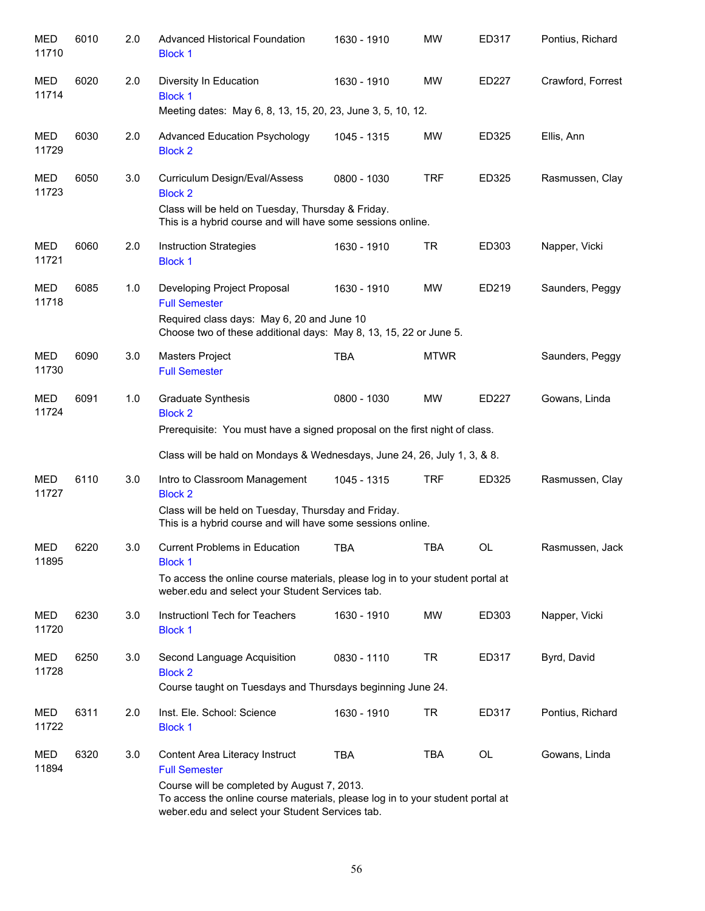| <b>MED</b><br>11710 | 6010 | 2.0 | <b>Advanced Historical Foundation</b><br><b>Block 1</b>                                                                                                                                                                                    | 1630 - 1910 | <b>MW</b>   | ED317 | Pontius, Richard  |
|---------------------|------|-----|--------------------------------------------------------------------------------------------------------------------------------------------------------------------------------------------------------------------------------------------|-------------|-------------|-------|-------------------|
| MED<br>11714        | 6020 | 2.0 | Diversity In Education<br><b>Block 1</b><br>Meeting dates: May 6, 8, 13, 15, 20, 23, June 3, 5, 10, 12.                                                                                                                                    | 1630 - 1910 | <b>MW</b>   | ED227 | Crawford, Forrest |
| MED<br>11729        | 6030 | 2.0 | <b>Advanced Education Psychology</b><br><b>Block 2</b>                                                                                                                                                                                     | 1045 - 1315 | <b>MW</b>   | ED325 | Ellis, Ann        |
| MED<br>11723        | 6050 | 3.0 | Curriculum Design/Eval/Assess<br><b>Block 2</b><br>Class will be held on Tuesday, Thursday & Friday.<br>This is a hybrid course and will have some sessions online.                                                                        | 0800 - 1030 | <b>TRF</b>  | ED325 | Rasmussen, Clay   |
| MED<br>11721        | 6060 | 2.0 | <b>Instruction Strategies</b><br><b>Block 1</b>                                                                                                                                                                                            | 1630 - 1910 | <b>TR</b>   | ED303 | Napper, Vicki     |
| MED<br>11718        | 6085 | 1.0 | Developing Project Proposal<br><b>Full Semester</b><br>Required class days: May 6, 20 and June 10<br>Choose two of these additional days: May 8, 13, 15, 22 or June 5.                                                                     | 1630 - 1910 | MW          | ED219 | Saunders, Peggy   |
| MED<br>11730        | 6090 | 3.0 | Masters Project<br><b>Full Semester</b>                                                                                                                                                                                                    | <b>TBA</b>  | <b>MTWR</b> |       | Saunders, Peggy   |
| MED<br>11724        | 6091 | 1.0 | <b>Graduate Synthesis</b><br><b>Block 2</b><br>Prerequisite: You must have a signed proposal on the first night of class.<br>Class will be hald on Mondays & Wednesdays, June 24, 26, July 1, 3, & 8.                                      | 0800 - 1030 | <b>MW</b>   | ED227 | Gowans, Linda     |
| <b>MED</b><br>11727 | 6110 | 3.0 | Intro to Classroom Management<br><b>Block 2</b><br>Class will be held on Tuesday, Thursday and Friday.<br>This is a hybrid course and will have some sessions online.                                                                      | 1045 - 1315 | <b>TRF</b>  | ED325 | Rasmussen, Clay   |
| <b>MED</b><br>11895 | 6220 | 3.0 | Current Problems in Education<br><b>Block 1</b><br>To access the online course materials, please log in to your student portal at<br>weber.edu and select your Student Services tab.                                                       | <b>TBA</b>  | TBA         | OL    | Rasmussen, Jack   |
| MED<br>11720        | 6230 | 3.0 | Instructionl Tech for Teachers<br><b>Block 1</b>                                                                                                                                                                                           | 1630 - 1910 | MW          | ED303 | Napper, Vicki     |
| MED<br>11728        | 6250 | 3.0 | Second Language Acquisition<br><b>Block 2</b><br>Course taught on Tuesdays and Thursdays beginning June 24.                                                                                                                                | 0830 - 1110 | <b>TR</b>   | ED317 | Byrd, David       |
| MED<br>11722        | 6311 | 2.0 | Inst. Ele. School: Science<br><b>Block 1</b>                                                                                                                                                                                               | 1630 - 1910 | <b>TR</b>   | ED317 | Pontius, Richard  |
| MED<br>11894        | 6320 | 3.0 | Content Area Literacy Instruct<br><b>Full Semester</b><br>Course will be completed by August 7, 2013.<br>To access the online course materials, please log in to your student portal at<br>weber.edu and select your Student Services tab. | <b>TBA</b>  | <b>TBA</b>  | OL    | Gowans, Linda     |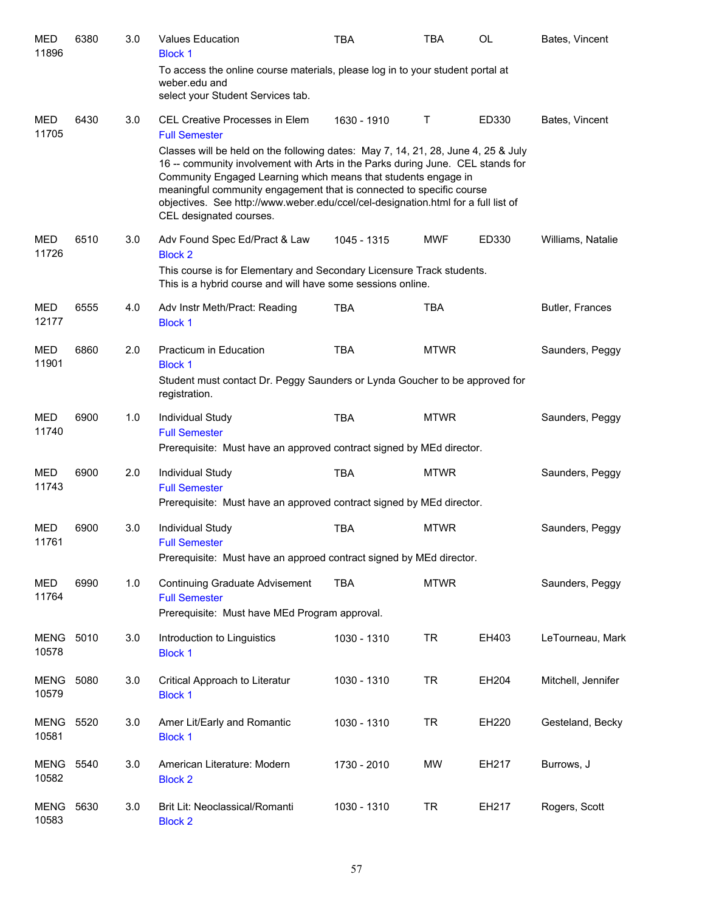| <b>MED</b><br>11896  | 6380 | 3.0 | <b>Values Education</b><br><b>Block 1</b>                                                                                                                                                                                                                                                                                                                                                                                     | <b>TBA</b>  | TBA          | <b>OL</b> | Bates, Vincent     |
|----------------------|------|-----|-------------------------------------------------------------------------------------------------------------------------------------------------------------------------------------------------------------------------------------------------------------------------------------------------------------------------------------------------------------------------------------------------------------------------------|-------------|--------------|-----------|--------------------|
|                      |      |     | To access the online course materials, please log in to your student portal at<br>weber.edu and<br>select your Student Services tab.                                                                                                                                                                                                                                                                                          |             |              |           |                    |
| <b>MED</b><br>11705  | 6430 | 3.0 | CEL Creative Processes in Elem<br><b>Full Semester</b>                                                                                                                                                                                                                                                                                                                                                                        | 1630 - 1910 | $\mathsf{T}$ | ED330     | Bates, Vincent     |
|                      |      |     | Classes will be held on the following dates: May 7, 14, 21, 28, June 4, 25 & July<br>16 -- community involvement with Arts in the Parks during June. CEL stands for<br>Community Engaged Learning which means that students engage in<br>meaningful community engagement that is connected to specific course<br>objectives. See http://www.weber.edu/ccel/cel-designation.html for a full list of<br>CEL designated courses. |             |              |           |                    |
| <b>MED</b><br>11726  | 6510 | 3.0 | Adv Found Spec Ed/Pract & Law<br><b>Block 2</b>                                                                                                                                                                                                                                                                                                                                                                               | 1045 - 1315 | <b>MWF</b>   | ED330     | Williams, Natalie  |
|                      |      |     | This course is for Elementary and Secondary Licensure Track students.<br>This is a hybrid course and will have some sessions online.                                                                                                                                                                                                                                                                                          |             |              |           |                    |
| <b>MED</b><br>12177  | 6555 | 4.0 | Adv Instr Meth/Pract: Reading<br><b>Block 1</b>                                                                                                                                                                                                                                                                                                                                                                               | <b>TBA</b>  | <b>TBA</b>   |           | Butler, Frances    |
| <b>MED</b><br>11901  | 6860 | 2.0 | Practicum in Education<br><b>Block 1</b><br>Student must contact Dr. Peggy Saunders or Lynda Goucher to be approved for<br>registration.                                                                                                                                                                                                                                                                                      | <b>TBA</b>  | <b>MTWR</b>  |           | Saunders, Peggy    |
| <b>MED</b><br>11740  | 6900 | 1.0 | Individual Study<br><b>Full Semester</b><br>Prerequisite: Must have an approved contract signed by MEd director.                                                                                                                                                                                                                                                                                                              | <b>TBA</b>  | <b>MTWR</b>  |           | Saunders, Peggy    |
| <b>MED</b><br>11743  | 6900 | 2.0 | Individual Study<br><b>Full Semester</b><br>Prerequisite: Must have an approved contract signed by MEd director.                                                                                                                                                                                                                                                                                                              | <b>TBA</b>  | <b>MTWR</b>  |           | Saunders, Peggy    |
| <b>MED</b><br>11761  | 6900 | 3.0 | Individual Study<br><b>Full Semester</b><br>Prerequisite: Must have an approed contract signed by MEd director.                                                                                                                                                                                                                                                                                                               | <b>TBA</b>  | <b>MTWR</b>  |           | Saunders, Peggy    |
| <b>MED</b><br>11764  | 6990 | 1.0 | <b>Continuing Graduate Advisement</b><br><b>Full Semester</b><br>Prerequisite: Must have MEd Program approval.                                                                                                                                                                                                                                                                                                                | <b>TBA</b>  | <b>MTWR</b>  |           | Saunders, Peggy    |
| <b>MENG</b><br>10578 | 5010 | 3.0 | Introduction to Linguistics<br><b>Block 1</b>                                                                                                                                                                                                                                                                                                                                                                                 | 1030 - 1310 | <b>TR</b>    | EH403     | LeTourneau, Mark   |
| <b>MENG</b><br>10579 | 5080 | 3.0 | Critical Approach to Literatur<br><b>Block 1</b>                                                                                                                                                                                                                                                                                                                                                                              | 1030 - 1310 | <b>TR</b>    | EH204     | Mitchell, Jennifer |
| <b>MENG</b><br>10581 | 5520 | 3.0 | Amer Lit/Early and Romantic<br><b>Block 1</b>                                                                                                                                                                                                                                                                                                                                                                                 | 1030 - 1310 | <b>TR</b>    | EH220     | Gesteland, Becky   |
| MENG<br>10582        | 5540 | 3.0 | American Literature: Modern<br><b>Block 2</b>                                                                                                                                                                                                                                                                                                                                                                                 | 1730 - 2010 | МW           | EH217     | Burrows, J         |
| MENG<br>10583        | 5630 | 3.0 | Brit Lit: Neoclassical/Romanti<br><b>Block 2</b>                                                                                                                                                                                                                                                                                                                                                                              | 1030 - 1310 | <b>TR</b>    | EH217     | Rogers, Scott      |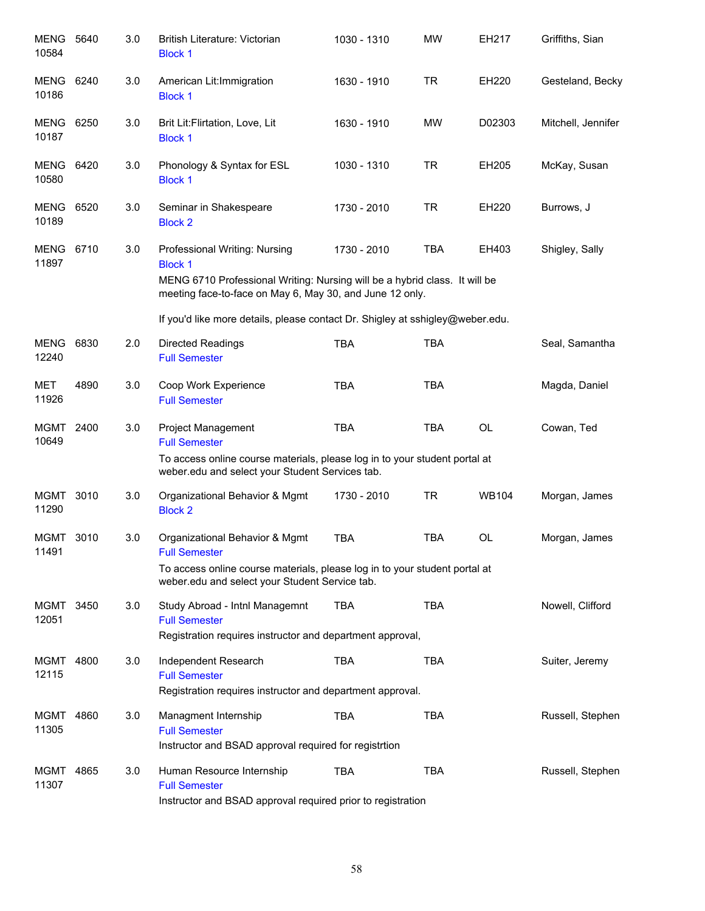| <b>MENG</b><br>10584      | 5640 | 3.0 | <b>British Literature: Victorian</b><br><b>Block 1</b>                                                                                                                                    | 1030 - 1310 | <b>MW</b>  | EH217        | Griffiths, Sian    |
|---------------------------|------|-----|-------------------------------------------------------------------------------------------------------------------------------------------------------------------------------------------|-------------|------------|--------------|--------------------|
| <b>MENG</b><br>10186      | 6240 | 3.0 | American Lit: Immigration<br><b>Block 1</b>                                                                                                                                               | 1630 - 1910 | <b>TR</b>  | EH220        | Gesteland, Becky   |
| MENG<br>10187             | 6250 | 3.0 | Brit Lit:Flirtation, Love, Lit<br><b>Block 1</b>                                                                                                                                          | 1630 - 1910 | <b>MW</b>  | D02303       | Mitchell, Jennifer |
| <b>MENG 6420</b><br>10580 |      | 3.0 | Phonology & Syntax for ESL<br><b>Block 1</b>                                                                                                                                              | 1030 - 1310 | <b>TR</b>  | EH205        | McKay, Susan       |
| <b>MENG 6520</b><br>10189 |      | 3.0 | Seminar in Shakespeare<br><b>Block 2</b>                                                                                                                                                  | 1730 - 2010 | <b>TR</b>  | EH220        | Burrows, J         |
| MENG 6710<br>11897        |      | 3.0 | Professional Writing: Nursing<br><b>Block 1</b><br>MENG 6710 Professional Writing: Nursing will be a hybrid class. It will be<br>meeting face-to-face on May 6, May 30, and June 12 only. | 1730 - 2010 | <b>TBA</b> | EH403        | Shigley, Sally     |
|                           |      |     | If you'd like more details, please contact Dr. Shigley at sshigley@weber.edu.                                                                                                             |             |            |              |                    |
| <b>MENG</b><br>12240      | 6830 | 2.0 | <b>Directed Readings</b><br><b>Full Semester</b>                                                                                                                                          | <b>TBA</b>  | <b>TBA</b> |              | Seal, Samantha     |
| MET<br>11926              | 4890 | 3.0 | Coop Work Experience<br><b>Full Semester</b>                                                                                                                                              | <b>TBA</b>  | <b>TBA</b> |              | Magda, Daniel      |
| MGMT 2400<br>10649        |      | 3.0 | Project Management<br><b>Full Semester</b><br>To access online course materials, please log in to your student portal at                                                                  | <b>TBA</b>  | <b>TBA</b> | <b>OL</b>    | Cowan, Ted         |
|                           |      |     | weber.edu and select your Student Services tab.                                                                                                                                           |             |            |              |                    |
| MGMT<br>11290             | 3010 | 3.0 | Organizational Behavior & Mgmt<br><b>Block 2</b>                                                                                                                                          | 1730 - 2010 | TR         | <b>WB104</b> | Morgan, James      |
| MGMT 3010<br>11491        |      | 3.0 | Organizational Behavior & Mgmt<br><b>Full Semester</b>                                                                                                                                    | <b>TBA</b>  | <b>TBA</b> | <b>OL</b>    | Morgan, James      |
|                           |      |     | To access online course materials, please log in to your student portal at<br>weber.edu and select your Student Service tab.                                                              |             |            |              |                    |
| MGMT<br>12051             | 3450 | 3.0 | Study Abroad - Intnl Managemnt<br><b>Full Semester</b><br>Registration requires instructor and department approval,                                                                       | <b>TBA</b>  | <b>TBA</b> |              | Nowell, Clifford   |
| MGMT<br>12115             | 4800 | 3.0 | Independent Research<br><b>Full Semester</b><br>Registration requires instructor and department approval.                                                                                 | <b>TBA</b>  | <b>TBA</b> |              | Suiter, Jeremy     |
| MGMT<br>11305             | 4860 | 3.0 | Managment Internship<br><b>Full Semester</b><br>Instructor and BSAD approval required for registrtion                                                                                     | <b>TBA</b>  | <b>TBA</b> |              | Russell, Stephen   |
| MGMT<br>11307             | 4865 | 3.0 | Human Resource Internship<br><b>Full Semester</b><br>Instructor and BSAD approval required prior to registration                                                                          | <b>TBA</b>  | <b>TBA</b> |              | Russell, Stephen   |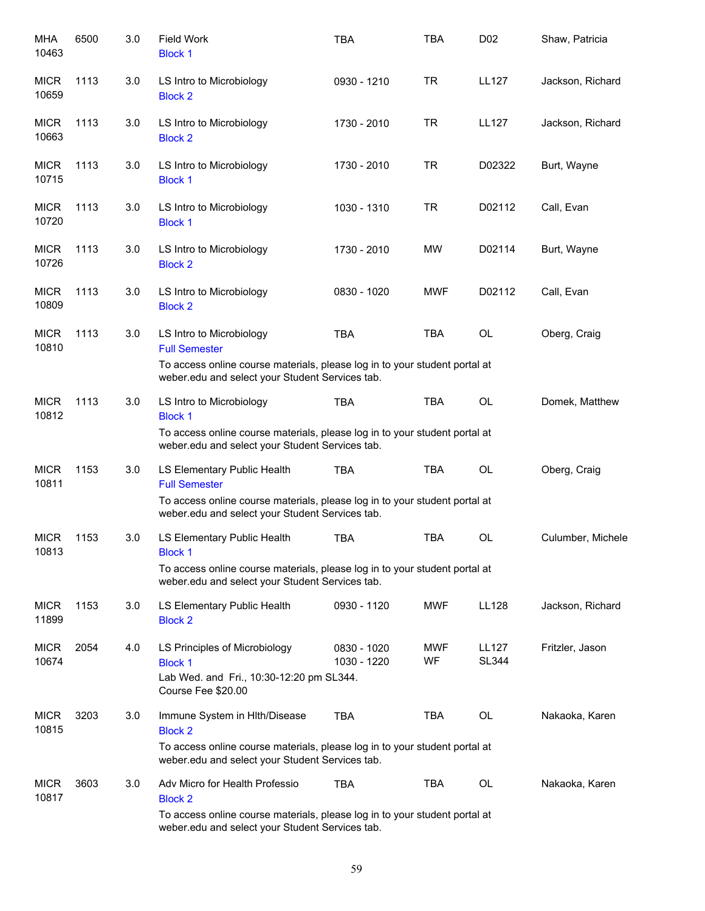| MHA<br>10463         | 6500 | 3.0 | <b>Field Work</b><br><b>Block 1</b>                                                                                           | <b>TBA</b>                 | <b>TBA</b>       | D <sub>0</sub> 2 | Shaw, Patricia    |
|----------------------|------|-----|-------------------------------------------------------------------------------------------------------------------------------|----------------------------|------------------|------------------|-------------------|
| <b>MICR</b><br>10659 | 1113 | 3.0 | LS Intro to Microbiology<br><b>Block 2</b>                                                                                    | 0930 - 1210                | <b>TR</b>        | <b>LL127</b>     | Jackson, Richard  |
| <b>MICR</b><br>10663 | 1113 | 3.0 | LS Intro to Microbiology<br><b>Block 2</b>                                                                                    | 1730 - 2010                | <b>TR</b>        | <b>LL127</b>     | Jackson, Richard  |
| <b>MICR</b><br>10715 | 1113 | 3.0 | LS Intro to Microbiology<br><b>Block 1</b>                                                                                    | 1730 - 2010                | <b>TR</b>        | D02322           | Burt, Wayne       |
| <b>MICR</b><br>10720 | 1113 | 3.0 | LS Intro to Microbiology<br><b>Block 1</b>                                                                                    | 1030 - 1310                | <b>TR</b>        | D02112           | Call, Evan        |
| <b>MICR</b><br>10726 | 1113 | 3.0 | LS Intro to Microbiology<br><b>Block 2</b>                                                                                    | 1730 - 2010                | <b>MW</b>        | D02114           | Burt, Wayne       |
| <b>MICR</b><br>10809 | 1113 | 3.0 | LS Intro to Microbiology<br><b>Block 2</b>                                                                                    | 0830 - 1020                | <b>MWF</b>       | D02112           | Call, Evan        |
| <b>MICR</b><br>10810 | 1113 | 3.0 | LS Intro to Microbiology<br><b>Full Semester</b>                                                                              | <b>TBA</b>                 | <b>TBA</b>       | <b>OL</b>        | Oberg, Craig      |
|                      |      |     | To access online course materials, please log in to your student portal at<br>weber.edu and select your Student Services tab. |                            |                  |                  |                   |
| <b>MICR</b><br>10812 | 1113 | 3.0 | LS Intro to Microbiology<br><b>Block 1</b>                                                                                    | <b>TBA</b>                 | <b>TBA</b>       | <b>OL</b>        | Domek, Matthew    |
|                      |      |     | To access online course materials, please log in to your student portal at<br>weber.edu and select your Student Services tab. |                            |                  |                  |                   |
| <b>MICR</b><br>10811 | 1153 | 3.0 | LS Elementary Public Health<br><b>Full Semester</b>                                                                           | <b>TBA</b>                 | <b>TBA</b>       | <b>OL</b>        | Oberg, Craig      |
|                      |      |     | To access online course materials, please log in to your student portal at<br>weber.edu and select your Student Services tab. |                            |                  |                  |                   |
| <b>MICR</b><br>10813 | 1153 | 3.0 | LS Elementary Public Health<br><b>Block 1</b>                                                                                 | <b>TBA</b>                 | <b>TBA</b>       | <b>OL</b>        | Culumber, Michele |
|                      |      |     | To access online course materials, please log in to your student portal at<br>weber.edu and select your Student Services tab. |                            |                  |                  |                   |
| <b>MICR</b><br>11899 | 1153 | 3.0 | LS Elementary Public Health<br><b>Block 2</b>                                                                                 | 0930 - 1120                | <b>MWF</b>       | LL128            | Jackson, Richard  |
| <b>MICR</b><br>10674 | 2054 | 4.0 | LS Principles of Microbiology<br><b>Block 1</b><br>Lab Wed. and Fri., 10:30-12:20 pm SL344.<br>Course Fee \$20.00             | 0830 - 1020<br>1030 - 1220 | <b>MWF</b><br>WF | LL127<br>SL344   | Fritzler, Jason   |
| <b>MICR</b><br>10815 | 3203 | 3.0 | Immune System in Hlth/Disease<br><b>Block 2</b>                                                                               | <b>TBA</b>                 | TBA              | OL               | Nakaoka, Karen    |
|                      |      |     | To access online course materials, please log in to your student portal at<br>weber.edu and select your Student Services tab. |                            |                  |                  |                   |
| <b>MICR</b><br>10817 | 3603 | 3.0 | Adv Micro for Health Professio<br><b>Block 2</b>                                                                              | <b>TBA</b>                 | TBA              | OL               | Nakaoka, Karen    |
|                      |      |     | To access online course materials, please log in to your student portal at<br>weber.edu and select your Student Services tab. |                            |                  |                  |                   |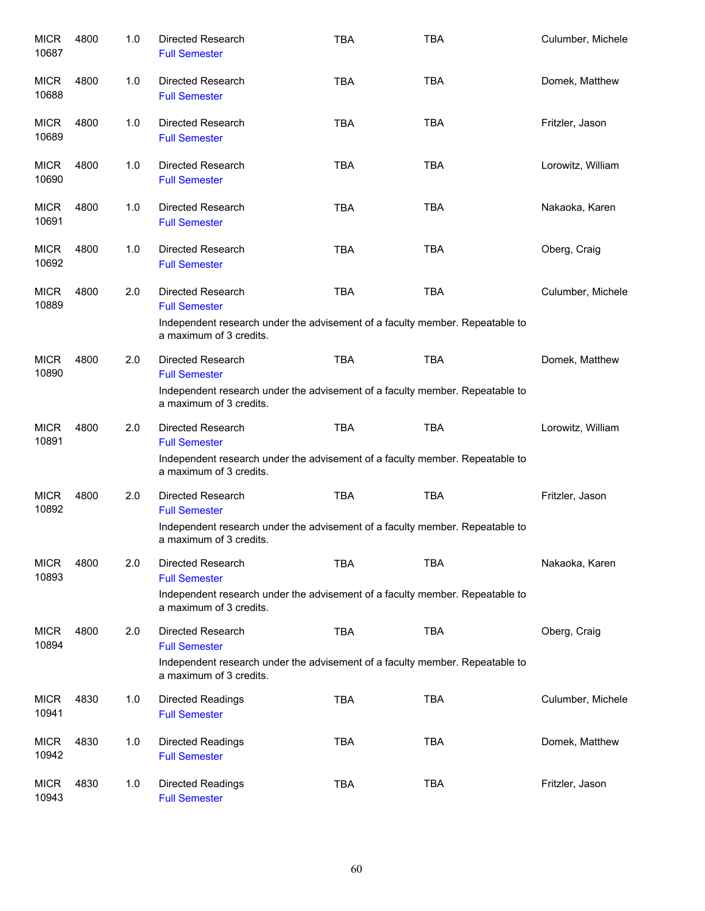| <b>MICR</b><br>10687 | 4800 | 1.0 | Directed Research<br><b>Full Semester</b>                                                               | <b>TBA</b> | <b>TBA</b> | Culumber, Michele |
|----------------------|------|-----|---------------------------------------------------------------------------------------------------------|------------|------------|-------------------|
| <b>MICR</b><br>10688 | 4800 | 1.0 | Directed Research<br><b>Full Semester</b>                                                               | <b>TBA</b> | <b>TBA</b> | Domek, Matthew    |
| <b>MICR</b><br>10689 | 4800 | 1.0 | Directed Research<br><b>Full Semester</b>                                                               | <b>TBA</b> | <b>TBA</b> | Fritzler, Jason   |
| <b>MICR</b><br>10690 | 4800 | 1.0 | Directed Research<br><b>Full Semester</b>                                                               | <b>TBA</b> | <b>TBA</b> | Lorowitz, William |
| <b>MICR</b><br>10691 | 4800 | 1.0 | Directed Research<br><b>Full Semester</b>                                                               | <b>TBA</b> | <b>TBA</b> | Nakaoka, Karen    |
| <b>MICR</b><br>10692 | 4800 | 1.0 | Directed Research<br><b>Full Semester</b>                                                               | <b>TBA</b> | <b>TBA</b> | Oberg, Craig      |
| <b>MICR</b><br>10889 | 4800 | 2.0 | Directed Research<br><b>Full Semester</b>                                                               | <b>TBA</b> | <b>TBA</b> | Culumber, Michele |
|                      |      |     | Independent research under the advisement of a faculty member. Repeatable to<br>a maximum of 3 credits. |            |            |                   |
| <b>MICR</b><br>10890 | 4800 | 2.0 | Directed Research<br><b>Full Semester</b>                                                               | <b>TBA</b> | <b>TBA</b> | Domek, Matthew    |
|                      |      |     | Independent research under the advisement of a faculty member. Repeatable to<br>a maximum of 3 credits. |            |            |                   |
| <b>MICR</b><br>10891 | 4800 | 2.0 | Directed Research<br><b>Full Semester</b>                                                               | <b>TBA</b> | <b>TBA</b> | Lorowitz, William |
|                      |      |     | Independent research under the advisement of a faculty member. Repeatable to<br>a maximum of 3 credits. |            |            |                   |
| <b>MICR</b><br>10892 | 4800 | 2.0 | Directed Research<br><b>Full Semester</b>                                                               | <b>TBA</b> | <b>TBA</b> | Fritzler, Jason   |
|                      |      |     | Independent research under the advisement of a faculty member. Repeatable to<br>a maximum of 3 credits. |            |            |                   |
| <b>MICR</b><br>10893 | 4800 | 2.0 | Directed Research<br><b>Full Semester</b>                                                               | <b>TBA</b> | <b>TBA</b> | Nakaoka, Karen    |
|                      |      |     | Independent research under the advisement of a faculty member. Repeatable to<br>a maximum of 3 credits. |            |            |                   |
| <b>MICR</b><br>10894 | 4800 | 2.0 | Directed Research<br><b>Full Semester</b>                                                               | <b>TBA</b> | <b>TBA</b> | Oberg, Craig      |
|                      |      |     | Independent research under the advisement of a faculty member. Repeatable to<br>a maximum of 3 credits. |            |            |                   |
| <b>MICR</b><br>10941 | 4830 | 1.0 | Directed Readings<br><b>Full Semester</b>                                                               | <b>TBA</b> | <b>TBA</b> | Culumber, Michele |
| <b>MICR</b><br>10942 | 4830 | 1.0 | Directed Readings<br><b>Full Semester</b>                                                               | <b>TBA</b> | <b>TBA</b> | Domek, Matthew    |
| <b>MICR</b><br>10943 | 4830 | 1.0 | Directed Readings<br><b>Full Semester</b>                                                               | <b>TBA</b> | <b>TBA</b> | Fritzler, Jason   |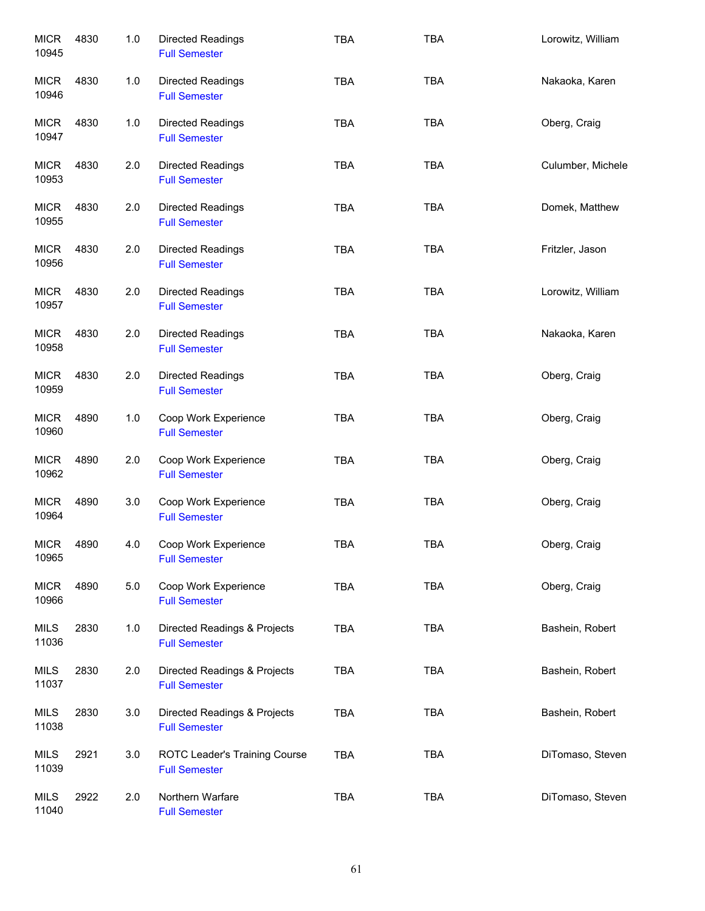| <b>MICR</b><br>10945 | 4830 | 1.0 | Directed Readings<br><b>Full Semester</b>             | <b>TBA</b> | <b>TBA</b> | Lorowitz, William |
|----------------------|------|-----|-------------------------------------------------------|------------|------------|-------------------|
| <b>MICR</b><br>10946 | 4830 | 1.0 | Directed Readings<br><b>Full Semester</b>             | <b>TBA</b> | <b>TBA</b> | Nakaoka, Karen    |
| <b>MICR</b><br>10947 | 4830 | 1.0 | Directed Readings<br><b>Full Semester</b>             | <b>TBA</b> | <b>TBA</b> | Oberg, Craig      |
| <b>MICR</b><br>10953 | 4830 | 2.0 | Directed Readings<br><b>Full Semester</b>             | <b>TBA</b> | <b>TBA</b> | Culumber, Michele |
| <b>MICR</b><br>10955 | 4830 | 2.0 | Directed Readings<br><b>Full Semester</b>             | <b>TBA</b> | <b>TBA</b> | Domek, Matthew    |
| <b>MICR</b><br>10956 | 4830 | 2.0 | Directed Readings<br><b>Full Semester</b>             | <b>TBA</b> | <b>TBA</b> | Fritzler, Jason   |
| <b>MICR</b><br>10957 | 4830 | 2.0 | Directed Readings<br><b>Full Semester</b>             | <b>TBA</b> | <b>TBA</b> | Lorowitz, William |
| <b>MICR</b><br>10958 | 4830 | 2.0 | Directed Readings<br><b>Full Semester</b>             | <b>TBA</b> | <b>TBA</b> | Nakaoka, Karen    |
| <b>MICR</b><br>10959 | 4830 | 2.0 | Directed Readings<br><b>Full Semester</b>             | <b>TBA</b> | <b>TBA</b> | Oberg, Craig      |
| <b>MICR</b><br>10960 | 4890 | 1.0 | Coop Work Experience<br><b>Full Semester</b>          | <b>TBA</b> | <b>TBA</b> | Oberg, Craig      |
| <b>MICR</b><br>10962 | 4890 | 2.0 | Coop Work Experience<br><b>Full Semester</b>          | <b>TBA</b> | <b>TBA</b> | Oberg, Craig      |
| <b>MICR</b><br>10964 | 4890 | 3.0 | Coop Work Experience<br><b>Full Semester</b>          | <b>TBA</b> | <b>TBA</b> | Oberg, Craig      |
| <b>MICR</b><br>10965 | 4890 | 4.0 | Coop Work Experience<br><b>Full Semester</b>          | <b>TBA</b> | <b>TBA</b> | Oberg, Craig      |
| <b>MICR</b><br>10966 | 4890 | 5.0 | Coop Work Experience<br><b>Full Semester</b>          | <b>TBA</b> | TBA        | Oberg, Craig      |
| <b>MILS</b><br>11036 | 2830 | 1.0 | Directed Readings & Projects<br><b>Full Semester</b>  | <b>TBA</b> | <b>TBA</b> | Bashein, Robert   |
| <b>MILS</b><br>11037 | 2830 | 2.0 | Directed Readings & Projects<br><b>Full Semester</b>  | <b>TBA</b> | <b>TBA</b> | Bashein, Robert   |
| <b>MILS</b><br>11038 | 2830 | 3.0 | Directed Readings & Projects<br><b>Full Semester</b>  | <b>TBA</b> | <b>TBA</b> | Bashein, Robert   |
| <b>MILS</b><br>11039 | 2921 | 3.0 | ROTC Leader's Training Course<br><b>Full Semester</b> | <b>TBA</b> | <b>TBA</b> | DiTomaso, Steven  |
| <b>MILS</b><br>11040 | 2922 | 2.0 | Northern Warfare<br><b>Full Semester</b>              | <b>TBA</b> | <b>TBA</b> | DiTomaso, Steven  |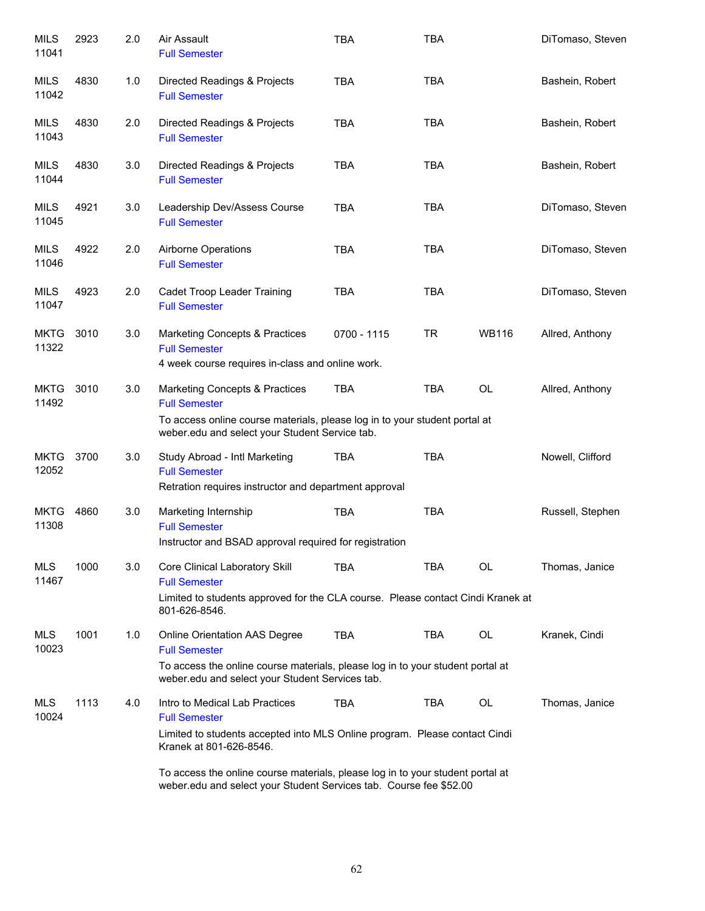| <b>MILS</b><br>11041 | 2923 | 2.0 | Air Assault<br><b>Full Semester</b>                                                                                                                                                                                                               | <b>TBA</b>  | <b>TBA</b> |              | DiTomaso, Steven |
|----------------------|------|-----|---------------------------------------------------------------------------------------------------------------------------------------------------------------------------------------------------------------------------------------------------|-------------|------------|--------------|------------------|
| MILS<br>11042        | 4830 | 1.0 | Directed Readings & Projects<br><b>Full Semester</b>                                                                                                                                                                                              | <b>TBA</b>  | <b>TBA</b> |              | Bashein, Robert  |
| <b>MILS</b><br>11043 | 4830 | 2.0 | Directed Readings & Projects<br><b>Full Semester</b>                                                                                                                                                                                              | <b>TBA</b>  | <b>TBA</b> |              | Bashein, Robert  |
| <b>MILS</b><br>11044 | 4830 | 3.0 | Directed Readings & Projects<br><b>Full Semester</b>                                                                                                                                                                                              | <b>TBA</b>  | <b>TBA</b> |              | Bashein, Robert  |
| <b>MILS</b><br>11045 | 4921 | 3.0 | Leadership Dev/Assess Course<br><b>Full Semester</b>                                                                                                                                                                                              | <b>TBA</b>  | <b>TBA</b> |              | DiTomaso, Steven |
| <b>MILS</b><br>11046 | 4922 | 2.0 | Airborne Operations<br><b>Full Semester</b>                                                                                                                                                                                                       | <b>TBA</b>  | <b>TBA</b> |              | DiTomaso, Steven |
| <b>MILS</b><br>11047 | 4923 | 2.0 | Cadet Troop Leader Training<br><b>Full Semester</b>                                                                                                                                                                                               | <b>TBA</b>  | <b>TBA</b> |              | DiTomaso, Steven |
| <b>MKTG</b><br>11322 | 3010 | 3.0 | <b>Marketing Concepts &amp; Practices</b><br><b>Full Semester</b><br>4 week course requires in-class and online work.                                                                                                                             | 0700 - 1115 | <b>TR</b>  | <b>WB116</b> | Allred, Anthony  |
| <b>MKTG</b><br>11492 | 3010 | 3.0 | <b>Marketing Concepts &amp; Practices</b><br><b>Full Semester</b><br>To access online course materials, please log in to your student portal at<br>weber.edu and select your Student Service tab.                                                 | <b>TBA</b>  | <b>TBA</b> | <b>OL</b>    | Allred, Anthony  |
| <b>MKTG</b><br>12052 | 3700 | 3.0 | Study Abroad - Intl Marketing<br><b>Full Semester</b><br>Retration requires instructor and department approval                                                                                                                                    | <b>TBA</b>  | <b>TBA</b> |              | Nowell, Clifford |
| <b>MKTG</b><br>11308 | 4860 | 3.0 | Marketing Internship<br><b>Full Semester</b><br>Instructor and BSAD approval required for registration                                                                                                                                            | <b>TBA</b>  | <b>TBA</b> |              | Russell, Stephen |
| <b>MLS</b><br>11467  | 1000 | 3.0 | Core Clinical Laboratory Skill<br><b>Full Semester</b><br>Limited to students approved for the CLA course. Please contact Cindi Kranek at<br>801-626-8546.                                                                                        | <b>TBA</b>  | TBA        | OL           | Thomas, Janice   |
| MLS<br>10023         | 1001 | 1.0 | Online Orientation AAS Degree<br><b>Full Semester</b><br>To access the online course materials, please log in to your student portal at<br>weber.edu and select your Student Services tab.                                                        | <b>TBA</b>  | <b>TBA</b> | <b>OL</b>    | Kranek, Cindi    |
| <b>MLS</b><br>10024  | 1113 | 4.0 | Intro to Medical Lab Practices<br><b>Full Semester</b><br>Limited to students accepted into MLS Online program. Please contact Cindi<br>Kranek at 801-626-8546.<br>To access the online course materials, please log in to your student portal at | <b>TBA</b>  | <b>TBA</b> | OL           | Thomas, Janice   |
|                      |      |     | weber.edu and select your Student Services tab. Course fee \$52.00                                                                                                                                                                                |             |            |              |                  |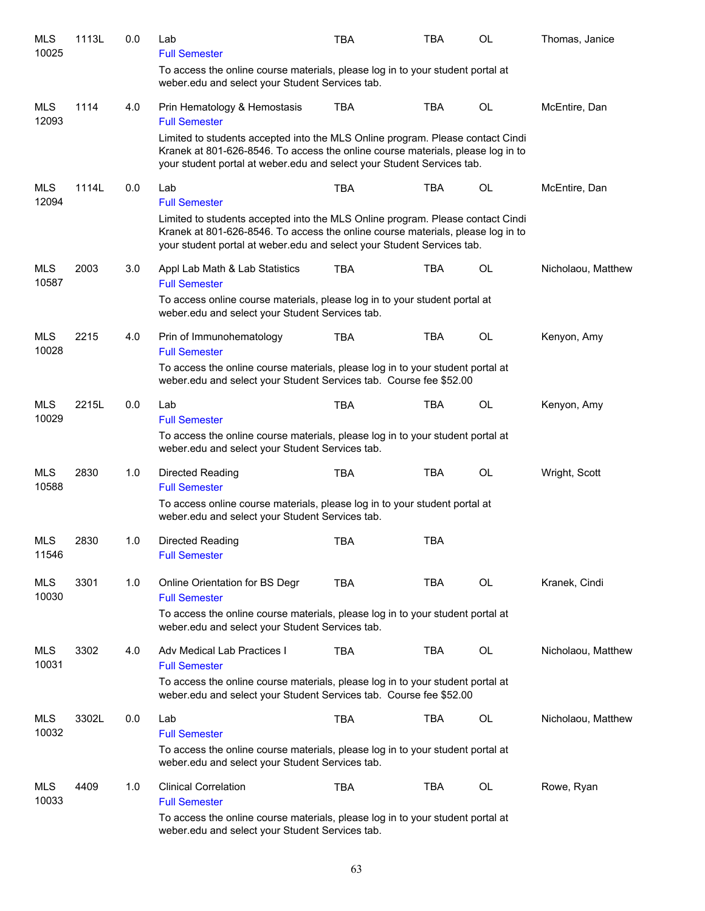| <b>MLS</b><br>10025 | 1113L | 0.0 | Lab<br><b>Full Semester</b>                                                                                                                                                                                                                 | <b>TBA</b> | TBA        | <b>OL</b> | Thomas, Janice     |
|---------------------|-------|-----|---------------------------------------------------------------------------------------------------------------------------------------------------------------------------------------------------------------------------------------------|------------|------------|-----------|--------------------|
|                     |       |     | To access the online course materials, please log in to your student portal at<br>weber.edu and select your Student Services tab.                                                                                                           |            |            |           |                    |
| <b>MLS</b><br>12093 | 1114  | 4.0 | Prin Hematology & Hemostasis<br><b>Full Semester</b>                                                                                                                                                                                        | <b>TBA</b> | <b>TBA</b> | <b>OL</b> | McEntire, Dan      |
|                     |       |     | Limited to students accepted into the MLS Online program. Please contact Cindi<br>Kranek at 801-626-8546. To access the online course materials, please log in to<br>your student portal at weber.edu and select your Student Services tab. |            |            |           |                    |
| MLS<br>12094        | 1114L | 0.0 | Lab<br><b>Full Semester</b>                                                                                                                                                                                                                 | <b>TBA</b> | <b>TBA</b> | OL        | McEntire, Dan      |
|                     |       |     | Limited to students accepted into the MLS Online program. Please contact Cindi<br>Kranek at 801-626-8546. To access the online course materials, please log in to<br>your student portal at weber edu and select your Student Services tab. |            |            |           |                    |
| <b>MLS</b><br>10587 | 2003  | 3.0 | Appl Lab Math & Lab Statistics<br><b>Full Semester</b>                                                                                                                                                                                      | <b>TBA</b> | <b>TBA</b> | OL        | Nicholaou, Matthew |
|                     |       |     | To access online course materials, please log in to your student portal at<br>weber.edu and select your Student Services tab.                                                                                                               |            |            |           |                    |
| <b>MLS</b><br>10028 | 2215  | 4.0 | Prin of Immunohematology<br><b>Full Semester</b>                                                                                                                                                                                            | <b>TBA</b> | TBA        | OL        | Kenyon, Amy        |
|                     |       |     | To access the online course materials, please log in to your student portal at<br>weber.edu and select your Student Services tab. Course fee \$52.00                                                                                        |            |            |           |                    |
| MLS<br>10029        | 2215L | 0.0 | Lab<br><b>Full Semester</b>                                                                                                                                                                                                                 | <b>TBA</b> | <b>TBA</b> | OL        | Kenyon, Amy        |
|                     |       |     | To access the online course materials, please log in to your student portal at<br>weber.edu and select your Student Services tab.                                                                                                           |            |            |           |                    |
| <b>MLS</b><br>10588 | 2830  | 1.0 | Directed Reading<br><b>Full Semester</b>                                                                                                                                                                                                    | <b>TBA</b> | <b>TBA</b> | OL        | Wright, Scott      |
|                     |       |     | To access online course materials, please log in to your student portal at<br>weber.edu and select your Student Services tab.                                                                                                               |            |            |           |                    |
| <b>MLS</b><br>11546 | 2830  | 1.0 | Directed Reading<br><b>Full Semester</b>                                                                                                                                                                                                    | <b>TBA</b> | <b>TBA</b> |           |                    |
| <b>MLS</b><br>10030 | 3301  | 1.0 | Online Orientation for BS Degr<br><b>Full Semester</b>                                                                                                                                                                                      | <b>TBA</b> | <b>TBA</b> | <b>OL</b> | Kranek, Cindi      |
|                     |       |     | To access the online course materials, please log in to your student portal at<br>weber.edu and select your Student Services tab.                                                                                                           |            |            |           |                    |
| MLS<br>10031        | 3302  | 4.0 | Adv Medical Lab Practices I<br><b>Full Semester</b>                                                                                                                                                                                         | <b>TBA</b> | <b>TBA</b> | <b>OL</b> | Nicholaou, Matthew |
|                     |       |     | To access the online course materials, please log in to your student portal at<br>weber.edu and select your Student Services tab. Course fee \$52.00                                                                                        |            |            |           |                    |
| MLS<br>10032        | 3302L | 0.0 | Lab<br><b>Full Semester</b>                                                                                                                                                                                                                 | <b>TBA</b> | <b>TBA</b> | OL        | Nicholaou, Matthew |
|                     |       |     | To access the online course materials, please log in to your student portal at<br>weber.edu and select your Student Services tab.                                                                                                           |            |            |           |                    |
| MLS<br>10033        | 4409  | 1.0 | <b>Clinical Correlation</b><br><b>Full Semester</b>                                                                                                                                                                                         | <b>TBA</b> | <b>TBA</b> | OL        | Rowe, Ryan         |
|                     |       |     | To access the online course materials, please log in to your student portal at<br>weber.edu and select your Student Services tab.                                                                                                           |            |            |           |                    |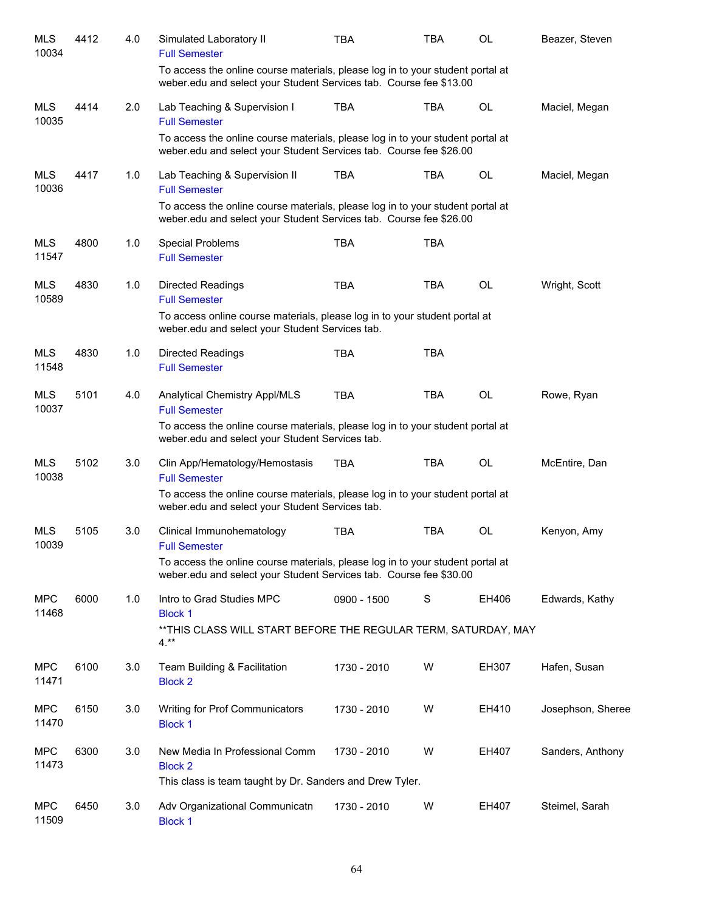| <b>MLS</b><br>10034 | 4412 | 4.0 | Simulated Laboratory II<br><b>Full Semester</b>                                                                                                      | TBA         | TBA        | <b>OL</b> | Beazer, Steven    |
|---------------------|------|-----|------------------------------------------------------------------------------------------------------------------------------------------------------|-------------|------------|-----------|-------------------|
|                     |      |     | To access the online course materials, please log in to your student portal at<br>weber.edu and select your Student Services tab. Course fee \$13.00 |             |            |           |                   |
| <b>MLS</b><br>10035 | 4414 | 2.0 | Lab Teaching & Supervision I<br><b>Full Semester</b>                                                                                                 | <b>TBA</b>  | <b>TBA</b> | <b>OL</b> | Maciel, Megan     |
|                     |      |     | To access the online course materials, please log in to your student portal at<br>weber.edu and select your Student Services tab. Course fee \$26.00 |             |            |           |                   |
| <b>MLS</b><br>10036 | 4417 | 1.0 | Lab Teaching & Supervision II<br><b>Full Semester</b>                                                                                                | <b>TBA</b>  | <b>TBA</b> | OL        | Maciel, Megan     |
|                     |      |     | To access the online course materials, please log in to your student portal at<br>weber.edu and select your Student Services tab. Course fee \$26.00 |             |            |           |                   |
| <b>MLS</b><br>11547 | 4800 | 1.0 | <b>Special Problems</b><br><b>Full Semester</b>                                                                                                      | <b>TBA</b>  | <b>TBA</b> |           |                   |
| <b>MLS</b><br>10589 | 4830 | 1.0 | <b>Directed Readings</b><br><b>Full Semester</b>                                                                                                     | <b>TBA</b>  | <b>TBA</b> | OL        | Wright, Scott     |
|                     |      |     | To access online course materials, please log in to your student portal at<br>weber.edu and select your Student Services tab.                        |             |            |           |                   |
| <b>MLS</b><br>11548 | 4830 | 1.0 | <b>Directed Readings</b><br><b>Full Semester</b>                                                                                                     | <b>TBA</b>  | <b>TBA</b> |           |                   |
| <b>MLS</b><br>10037 | 5101 | 4.0 | Analytical Chemistry Appl/MLS<br><b>Full Semester</b>                                                                                                | <b>TBA</b>  | <b>TBA</b> | OL        | Rowe, Ryan        |
|                     |      |     | To access the online course materials, please log in to your student portal at<br>weber.edu and select your Student Services tab.                    |             |            |           |                   |
| <b>MLS</b><br>10038 | 5102 | 3.0 | Clin App/Hematology/Hemostasis<br><b>Full Semester</b>                                                                                               | <b>TBA</b>  | <b>TBA</b> | OL        | McEntire, Dan     |
|                     |      |     | To access the online course materials, please log in to your student portal at<br>weber.edu and select your Student Services tab.                    |             |            |           |                   |
| <b>MLS</b><br>10039 | 5105 | 3.0 | Clinical Immunohematology<br><b>Full Semester</b>                                                                                                    | TBA         | <b>TBA</b> | OL        | Kenyon, Amy       |
|                     |      |     | To access the online course materials, please log in to your student portal at<br>weber.edu and select your Student Services tab. Course fee \$30.00 |             |            |           |                   |
| <b>MPC</b><br>11468 | 6000 | 1.0 | Intro to Grad Studies MPC<br><b>Block 1</b>                                                                                                          | 0900 - 1500 | S          | EH406     | Edwards, Kathy    |
|                     |      |     | ** THIS CLASS WILL START BEFORE THE REGULAR TERM, SATURDAY, MAY<br>$4.***$                                                                           |             |            |           |                   |
| <b>MPC</b><br>11471 | 6100 | 3.0 | Team Building & Facilitation<br><b>Block 2</b>                                                                                                       | 1730 - 2010 | W          | EH307     | Hafen, Susan      |
| <b>MPC</b><br>11470 | 6150 | 3.0 | Writing for Prof Communicators<br><b>Block 1</b>                                                                                                     | 1730 - 2010 | W          | EH410     | Josephson, Sheree |
| <b>MPC</b><br>11473 | 6300 | 3.0 | New Media In Professional Comm<br><b>Block 2</b><br>This class is team taught by Dr. Sanders and Drew Tyler.                                         | 1730 - 2010 | W          | EH407     | Sanders, Anthony  |
|                     |      |     |                                                                                                                                                      |             |            |           |                   |
| <b>MPC</b><br>11509 | 6450 | 3.0 | Adv Organizational Communicatn<br><b>Block 1</b>                                                                                                     | 1730 - 2010 | W          | EH407     | Steimel, Sarah    |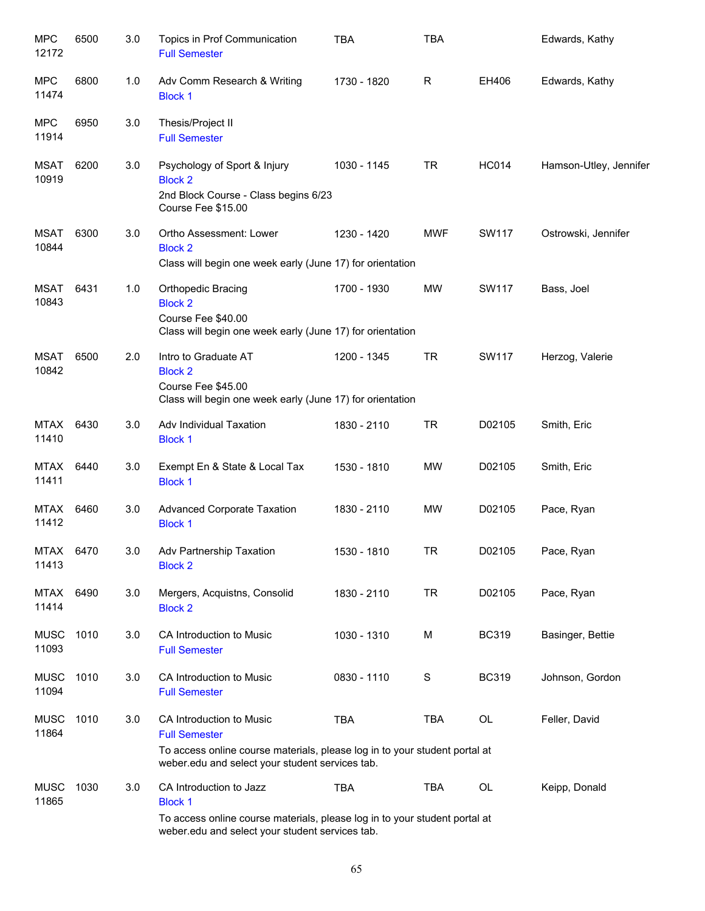| <b>MPC</b><br>12172  | 6500 | 3.0 | Topics in Prof Communication<br><b>Full Semester</b>                                                                                                                              | <b>TBA</b>  | <b>TBA</b>  |              | Edwards, Kathy         |
|----------------------|------|-----|-----------------------------------------------------------------------------------------------------------------------------------------------------------------------------------|-------------|-------------|--------------|------------------------|
| <b>MPC</b><br>11474  | 6800 | 1.0 | Adv Comm Research & Writing<br><b>Block 1</b>                                                                                                                                     | 1730 - 1820 | R           | EH406        | Edwards, Kathy         |
| <b>MPC</b><br>11914  | 6950 | 3.0 | Thesis/Project II<br><b>Full Semester</b>                                                                                                                                         |             |             |              |                        |
| MSAT<br>10919        | 6200 | 3.0 | Psychology of Sport & Injury<br><b>Block 2</b><br>2nd Block Course - Class begins 6/23<br>Course Fee \$15.00                                                                      | 1030 - 1145 | <b>TR</b>   | <b>HC014</b> | Hamson-Utley, Jennifer |
| MSAT<br>10844        | 6300 | 3.0 | Ortho Assessment: Lower<br><b>Block 2</b><br>Class will begin one week early (June 17) for orientation                                                                            | 1230 - 1420 | <b>MWF</b>  | SW117        | Ostrowski, Jennifer    |
| MSAT<br>10843        | 6431 | 1.0 | Orthopedic Bracing<br><b>Block 2</b><br>Course Fee \$40.00<br>Class will begin one week early (June 17) for orientation                                                           | 1700 - 1930 | MW          | SW117        | Bass, Joel             |
| MSAT<br>10842        | 6500 | 2.0 | Intro to Graduate AT<br><b>Block 2</b><br>Course Fee \$45.00<br>Class will begin one week early (June 17) for orientation                                                         | 1200 - 1345 | <b>TR</b>   | SW117        | Herzog, Valerie        |
| MTAX<br>11410        | 6430 | 3.0 | Adv Individual Taxation<br><b>Block 1</b>                                                                                                                                         | 1830 - 2110 | <b>TR</b>   | D02105       | Smith, Eric            |
| MTAX<br>11411        | 6440 | 3.0 | Exempt En & State & Local Tax<br><b>Block 1</b>                                                                                                                                   | 1530 - 1810 | <b>MW</b>   | D02105       | Smith, Eric            |
| MTAX<br>11412        | 6460 | 3.0 | <b>Advanced Corporate Taxation</b><br><b>Block 1</b>                                                                                                                              | 1830 - 2110 | <b>MW</b>   | D02105       | Pace, Ryan             |
| <b>MTAX</b><br>11413 | 6470 | 3.0 | Adv Partnership Taxation<br><b>Block 2</b>                                                                                                                                        | 1530 - 1810 | TR          | D02105       | Pace, Ryan             |
| <b>MTAX</b><br>11414 | 6490 | 3.0 | Mergers, Acquistns, Consolid<br><b>Block 2</b>                                                                                                                                    | 1830 - 2110 | <b>TR</b>   | D02105       | Pace, Ryan             |
| <b>MUSC</b><br>11093 | 1010 | 3.0 | CA Introduction to Music<br><b>Full Semester</b>                                                                                                                                  | 1030 - 1310 | M           | <b>BC319</b> | Basinger, Bettie       |
| <b>MUSC</b><br>11094 | 1010 | 3.0 | CA Introduction to Music<br><b>Full Semester</b>                                                                                                                                  | 0830 - 1110 | $\mathbf S$ | <b>BC319</b> | Johnson, Gordon        |
| <b>MUSC</b><br>11864 | 1010 | 3.0 | CA Introduction to Music<br><b>Full Semester</b><br>To access online course materials, please log in to your student portal at<br>weber.edu and select your student services tab. | <b>TBA</b>  | <b>TBA</b>  | OL           | Feller, David          |
| <b>MUSC</b><br>11865 | 1030 | 3.0 | CA Introduction to Jazz<br><b>Block 1</b><br>To access online course materials, please log in to your student portal at<br>weber.edu and select your student services tab.        | <b>TBA</b>  | <b>TBA</b>  | OL           | Keipp, Donald          |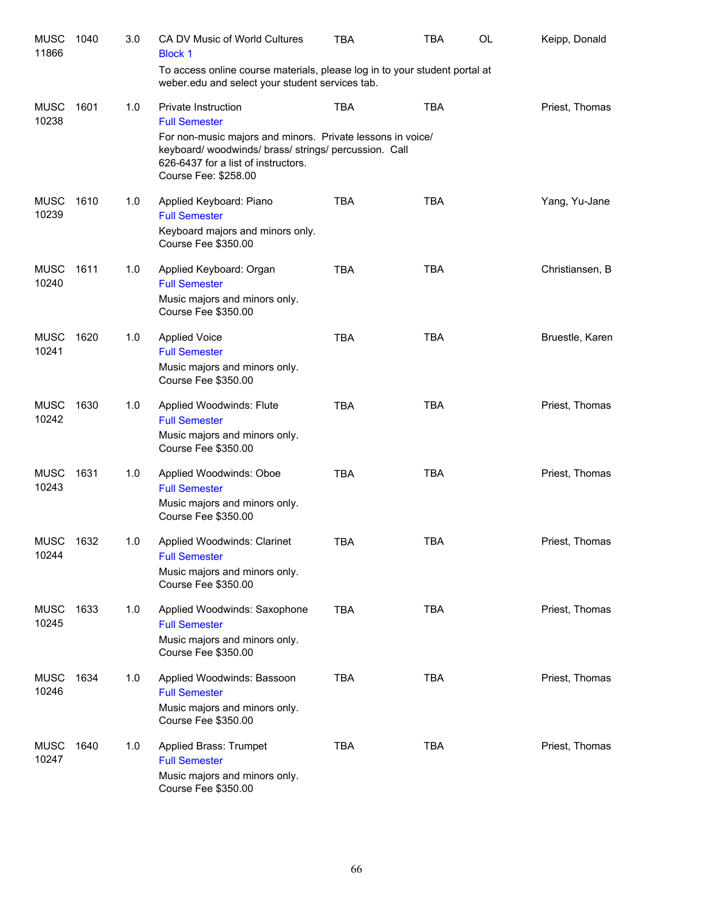| <b>MUSC</b><br>11866 | 1040 | 3.0 | CA DV Music of World Cultures<br><b>Block 1</b>                                                                                                                                | <b>TBA</b> | <b>TBA</b> | OL | Keipp, Donald   |
|----------------------|------|-----|--------------------------------------------------------------------------------------------------------------------------------------------------------------------------------|------------|------------|----|-----------------|
|                      |      |     | To access online course materials, please log in to your student portal at<br>weber.edu and select your student services tab.                                                  |            |            |    |                 |
| <b>MUSC</b><br>10238 | 1601 | 1.0 | Private Instruction<br><b>Full Semester</b>                                                                                                                                    | <b>TBA</b> | <b>TBA</b> |    | Priest, Thomas  |
|                      |      |     | For non-music majors and minors. Private lessons in voice/<br>keyboard/woodwinds/brass/strings/percussion. Call<br>626-6437 for a list of instructors.<br>Course Fee: \$258.00 |            |            |    |                 |
| <b>MUSC</b><br>10239 | 1610 | 1.0 | Applied Keyboard: Piano<br><b>Full Semester</b><br>Keyboard majors and minors only.<br>Course Fee \$350.00                                                                     | <b>TBA</b> | <b>TBA</b> |    | Yang, Yu-Jane   |
| <b>MUSC</b><br>10240 | 1611 | 1.0 | Applied Keyboard: Organ<br><b>Full Semester</b><br>Music majors and minors only.<br>Course Fee \$350.00                                                                        | <b>TBA</b> | <b>TBA</b> |    | Christiansen, B |
| <b>MUSC</b><br>10241 | 1620 | 1.0 | <b>Applied Voice</b><br><b>Full Semester</b><br>Music majors and minors only.<br>Course Fee \$350.00                                                                           | <b>TBA</b> | <b>TBA</b> |    | Bruestle, Karen |
| <b>MUSC</b><br>10242 | 1630 | 1.0 | Applied Woodwinds: Flute<br><b>Full Semester</b><br>Music majors and minors only.<br>Course Fee \$350.00                                                                       | <b>TBA</b> | <b>TBA</b> |    | Priest, Thomas  |
| <b>MUSC</b><br>10243 | 1631 | 1.0 | Applied Woodwinds: Oboe<br><b>Full Semester</b><br>Music majors and minors only.<br>Course Fee \$350.00                                                                        | <b>TBA</b> | <b>TBA</b> |    | Priest, Thomas  |
| <b>MUSC</b><br>10244 | 1632 | 1.0 | Applied Woodwinds: Clarinet<br><b>Full Semester</b><br>Music majors and minors only.<br>Course Fee \$350.00                                                                    | <b>TBA</b> | <b>TBA</b> |    | Priest, Thomas  |
| <b>MUSC</b><br>10245 | 1633 | 1.0 | Applied Woodwinds: Saxophone<br><b>Full Semester</b><br>Music majors and minors only.<br>Course Fee \$350.00                                                                   | <b>TBA</b> | <b>TBA</b> |    | Priest, Thomas  |
| <b>MUSC</b><br>10246 | 1634 | 1.0 | Applied Woodwinds: Bassoon<br><b>Full Semester</b><br>Music majors and minors only.<br>Course Fee \$350.00                                                                     | <b>TBA</b> | <b>TBA</b> |    | Priest, Thomas  |
| <b>MUSC</b><br>10247 | 1640 | 1.0 | Applied Brass: Trumpet<br><b>Full Semester</b><br>Music majors and minors only.<br>Course Fee \$350.00                                                                         | <b>TBA</b> | <b>TBA</b> |    | Priest, Thomas  |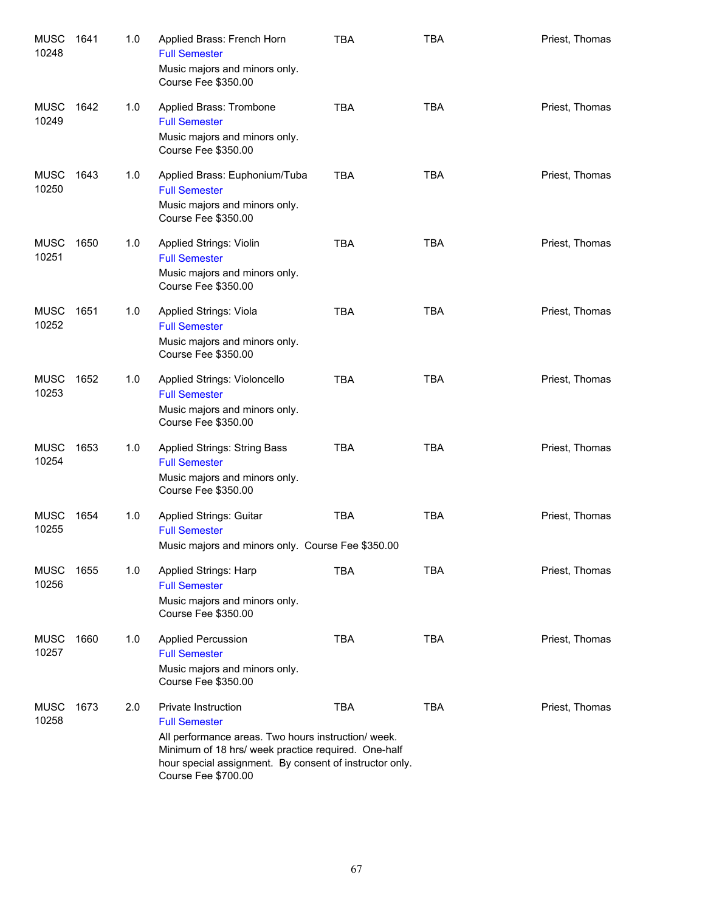| <b>MUSC</b><br>10248 | 1641 | 1.0 | Applied Brass: French Horn<br><b>Full Semester</b><br>Music majors and minors only.<br>Course Fee \$350.00                                                                                                                                 | <b>TBA</b> | <b>TBA</b> | Priest, Thomas |
|----------------------|------|-----|--------------------------------------------------------------------------------------------------------------------------------------------------------------------------------------------------------------------------------------------|------------|------------|----------------|
| <b>MUSC</b><br>10249 | 1642 | 1.0 | Applied Brass: Trombone<br><b>Full Semester</b><br>Music majors and minors only.<br>Course Fee \$350.00                                                                                                                                    | <b>TBA</b> | <b>TBA</b> | Priest, Thomas |
| <b>MUSC</b><br>10250 | 1643 | 1.0 | Applied Brass: Euphonium/Tuba<br><b>Full Semester</b><br>Music majors and minors only.<br>Course Fee \$350.00                                                                                                                              | <b>TBA</b> | <b>TBA</b> | Priest, Thomas |
| <b>MUSC</b><br>10251 | 1650 | 1.0 | <b>Applied Strings: Violin</b><br><b>Full Semester</b><br>Music majors and minors only.<br>Course Fee \$350.00                                                                                                                             | <b>TBA</b> | <b>TBA</b> | Priest, Thomas |
| <b>MUSC</b><br>10252 | 1651 | 1.0 | <b>Applied Strings: Viola</b><br><b>Full Semester</b><br>Music majors and minors only.<br>Course Fee \$350.00                                                                                                                              | <b>TBA</b> | <b>TBA</b> | Priest, Thomas |
| <b>MUSC</b><br>10253 | 1652 | 1.0 | Applied Strings: Violoncello<br><b>Full Semester</b><br>Music majors and minors only.<br>Course Fee \$350.00                                                                                                                               | <b>TBA</b> | <b>TBA</b> | Priest, Thomas |
| <b>MUSC</b><br>10254 | 1653 | 1.0 | <b>Applied Strings: String Bass</b><br><b>Full Semester</b><br>Music majors and minors only.<br>Course Fee \$350.00                                                                                                                        | <b>TBA</b> | <b>TBA</b> | Priest, Thomas |
| <b>MUSC</b><br>10255 | 1654 | 1.0 | <b>Applied Strings: Guitar</b><br><b>Full Semester</b><br>Music majors and minors only. Course Fee \$350.00                                                                                                                                | <b>TBA</b> | <b>TBA</b> | Priest, Thomas |
| <b>MUSC</b><br>10256 | 1655 | 1.0 | Applied Strings: Harp<br><b>Full Semester</b><br>Music majors and minors only.<br>Course Fee \$350.00                                                                                                                                      | <b>TBA</b> | <b>TBA</b> | Priest, Thomas |
| <b>MUSC</b><br>10257 | 1660 | 1.0 | <b>Applied Percussion</b><br><b>Full Semester</b><br>Music majors and minors only.<br>Course Fee \$350.00                                                                                                                                  | <b>TBA</b> | <b>TBA</b> | Priest, Thomas |
| <b>MUSC</b><br>10258 | 1673 | 2.0 | Private Instruction<br><b>Full Semester</b><br>All performance areas. Two hours instruction/week.<br>Minimum of 18 hrs/ week practice required. One-half<br>hour special assignment. By consent of instructor only.<br>Course Fee \$700.00 | <b>TBA</b> | <b>TBA</b> | Priest, Thomas |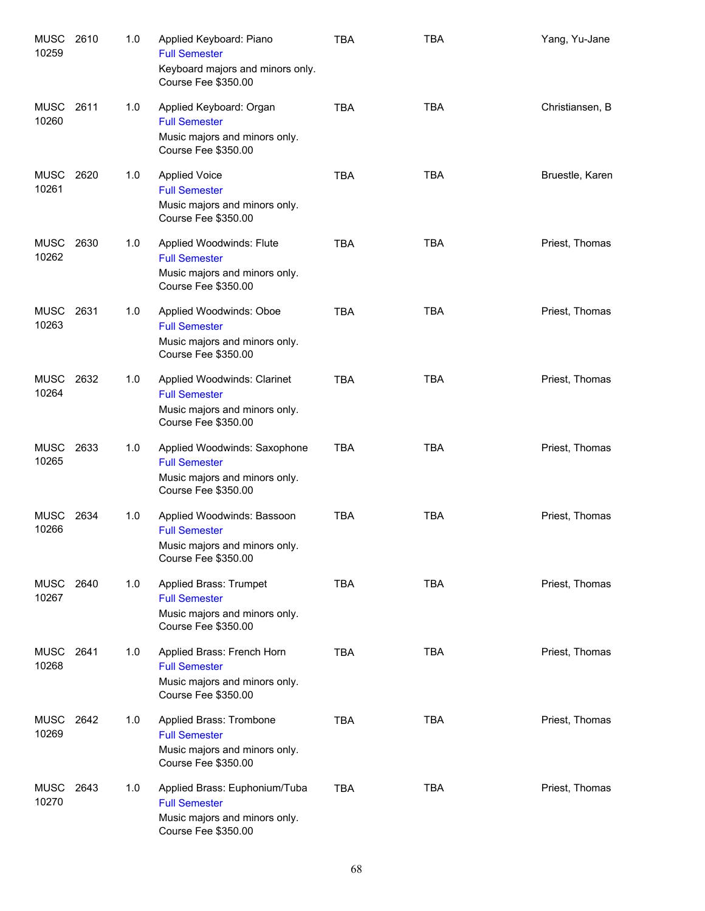| <b>MUSC</b><br>10259 | 2610 | 1.0 | Applied Keyboard: Piano<br><b>Full Semester</b><br>Keyboard majors and minors only.<br>Course Fee \$350.00    | <b>TBA</b> | <b>TBA</b> | Yang, Yu-Jane   |
|----------------------|------|-----|---------------------------------------------------------------------------------------------------------------|------------|------------|-----------------|
| <b>MUSC</b><br>10260 | 2611 | 1.0 | Applied Keyboard: Organ<br><b>Full Semester</b><br>Music majors and minors only.<br>Course Fee \$350.00       | <b>TBA</b> | <b>TBA</b> | Christiansen, B |
| <b>MUSC</b><br>10261 | 2620 | 1.0 | <b>Applied Voice</b><br><b>Full Semester</b><br>Music majors and minors only.<br>Course Fee \$350.00          | <b>TBA</b> | <b>TBA</b> | Bruestle, Karen |
| MUSC<br>10262        | 2630 | 1.0 | Applied Woodwinds: Flute<br><b>Full Semester</b><br>Music majors and minors only.<br>Course Fee \$350.00      | <b>TBA</b> | <b>TBA</b> | Priest, Thomas  |
| <b>MUSC</b><br>10263 | 2631 | 1.0 | Applied Woodwinds: Oboe<br><b>Full Semester</b><br>Music majors and minors only.<br>Course Fee \$350.00       | <b>TBA</b> | <b>TBA</b> | Priest, Thomas  |
| <b>MUSC</b><br>10264 | 2632 | 1.0 | Applied Woodwinds: Clarinet<br><b>Full Semester</b><br>Music majors and minors only.<br>Course Fee \$350.00   | <b>TBA</b> | <b>TBA</b> | Priest, Thomas  |
| MUSC<br>10265        | 2633 | 1.0 | Applied Woodwinds: Saxophone<br><b>Full Semester</b><br>Music majors and minors only.<br>Course Fee \$350.00  | <b>TBA</b> | <b>TBA</b> | Priest, Thomas  |
| MUSC<br>10266        | 2634 | 1.0 | Applied Woodwinds: Bassoon<br><b>Full Semester</b><br>Music majors and minors only.<br>Course Fee \$350.00    | <b>TBA</b> | <b>TBA</b> | Priest, Thomas  |
| MUSC<br>10267        | 2640 | 1.0 | Applied Brass: Trumpet<br><b>Full Semester</b><br>Music majors and minors only.<br>Course Fee \$350.00        | <b>TBA</b> | <b>TBA</b> | Priest, Thomas  |
| <b>MUSC</b><br>10268 | 2641 | 1.0 | Applied Brass: French Horn<br><b>Full Semester</b><br>Music majors and minors only.<br>Course Fee \$350.00    | <b>TBA</b> | <b>TBA</b> | Priest, Thomas  |
| MUSC<br>10269        | 2642 | 1.0 | Applied Brass: Trombone<br><b>Full Semester</b><br>Music majors and minors only.<br>Course Fee \$350.00       | <b>TBA</b> | <b>TBA</b> | Priest, Thomas  |
| MUSC<br>10270        | 2643 | 1.0 | Applied Brass: Euphonium/Tuba<br><b>Full Semester</b><br>Music majors and minors only.<br>Course Fee \$350.00 | <b>TBA</b> | <b>TBA</b> | Priest, Thomas  |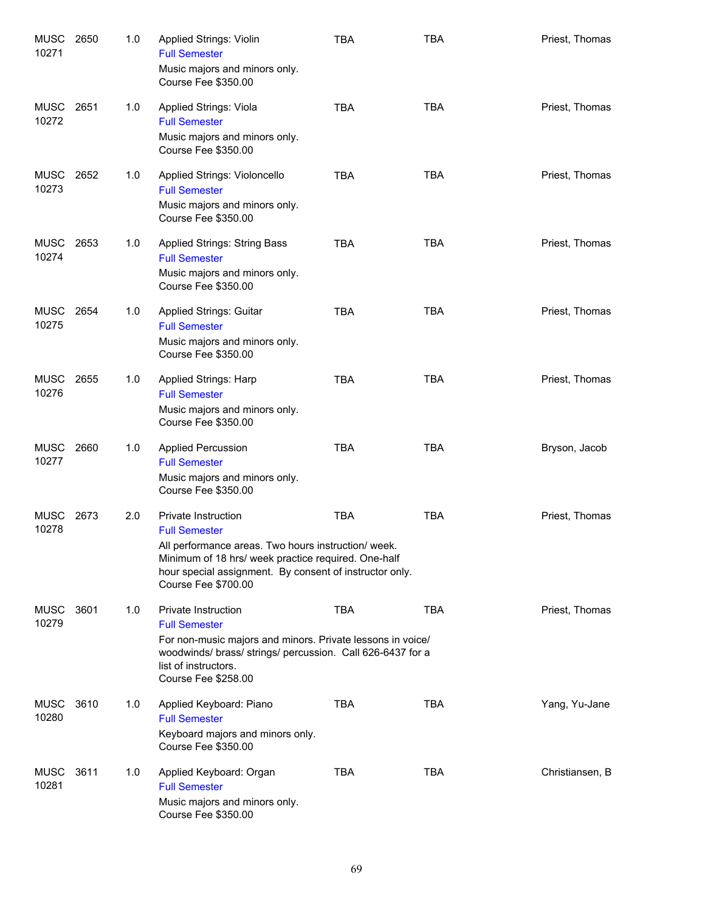| <b>MUSC</b><br>10271 | 2650 | 1.0 | Applied Strings: Violin<br><b>Full Semester</b><br>Music majors and minors only.<br>Course Fee \$350.00                                                                                                                                                  | <b>TBA</b> | <b>TBA</b> | Priest, Thomas  |
|----------------------|------|-----|----------------------------------------------------------------------------------------------------------------------------------------------------------------------------------------------------------------------------------------------------------|------------|------------|-----------------|
| <b>MUSC</b><br>10272 | 2651 | 1.0 | Applied Strings: Viola<br><b>Full Semester</b><br>Music majors and minors only.<br>Course Fee \$350.00                                                                                                                                                   | <b>TBA</b> | <b>TBA</b> | Priest, Thomas  |
| <b>MUSC</b><br>10273 | 2652 | 1.0 | Applied Strings: Violoncello<br><b>Full Semester</b><br>Music majors and minors only.<br>Course Fee \$350.00                                                                                                                                             | <b>TBA</b> | <b>TBA</b> | Priest, Thomas  |
| <b>MUSC</b><br>10274 | 2653 | 1.0 | Applied Strings: String Bass<br><b>Full Semester</b><br>Music majors and minors only.<br>Course Fee \$350.00                                                                                                                                             | <b>TBA</b> | <b>TBA</b> | Priest, Thomas  |
| <b>MUSC</b><br>10275 | 2654 | 1.0 | Applied Strings: Guitar<br><b>Full Semester</b><br>Music majors and minors only.<br>Course Fee \$350.00                                                                                                                                                  | <b>TBA</b> | <b>TBA</b> | Priest, Thomas  |
| <b>MUSC</b><br>10276 | 2655 | 1.0 | Applied Strings: Harp<br><b>Full Semester</b><br>Music majors and minors only.<br>Course Fee \$350.00                                                                                                                                                    | <b>TBA</b> | <b>TBA</b> | Priest, Thomas  |
| MUSC<br>10277        | 2660 | 1.0 | <b>Applied Percussion</b><br><b>Full Semester</b><br>Music majors and minors only.<br>Course Fee \$350.00                                                                                                                                                | <b>TBA</b> | <b>TBA</b> | Bryson, Jacob   |
| <b>MUSC</b><br>10278 | 2673 | 2.0 | <b>Private Instruction</b><br><b>Full Semester</b><br>All performance areas. Two hours instruction/week.<br>Minimum of 18 hrs/ week practice required. One-half<br>hour special assignment. By consent of instructor only.<br><b>Course Fee \$700.00</b> | <b>TBA</b> | <b>TBA</b> | Priest, Thomas  |
| <b>MUSC</b><br>10279 | 3601 | 1.0 | Private Instruction<br><b>Full Semester</b><br>For non-music majors and minors. Private lessons in voice/<br>woodwinds/ brass/ strings/ percussion. Call 626-6437 for a<br>list of instructors.<br>Course Fee \$258.00                                   | <b>TBA</b> | <b>TBA</b> | Priest, Thomas  |
| MUSC<br>10280        | 3610 | 1.0 | Applied Keyboard: Piano<br><b>Full Semester</b><br>Keyboard majors and minors only.<br>Course Fee \$350.00                                                                                                                                               | <b>TBA</b> | <b>TBA</b> | Yang, Yu-Jane   |
| MUSC<br>10281        | 3611 | 1.0 | Applied Keyboard: Organ<br><b>Full Semester</b><br>Music majors and minors only.<br>Course Fee \$350.00                                                                                                                                                  | <b>TBA</b> | <b>TBA</b> | Christiansen, B |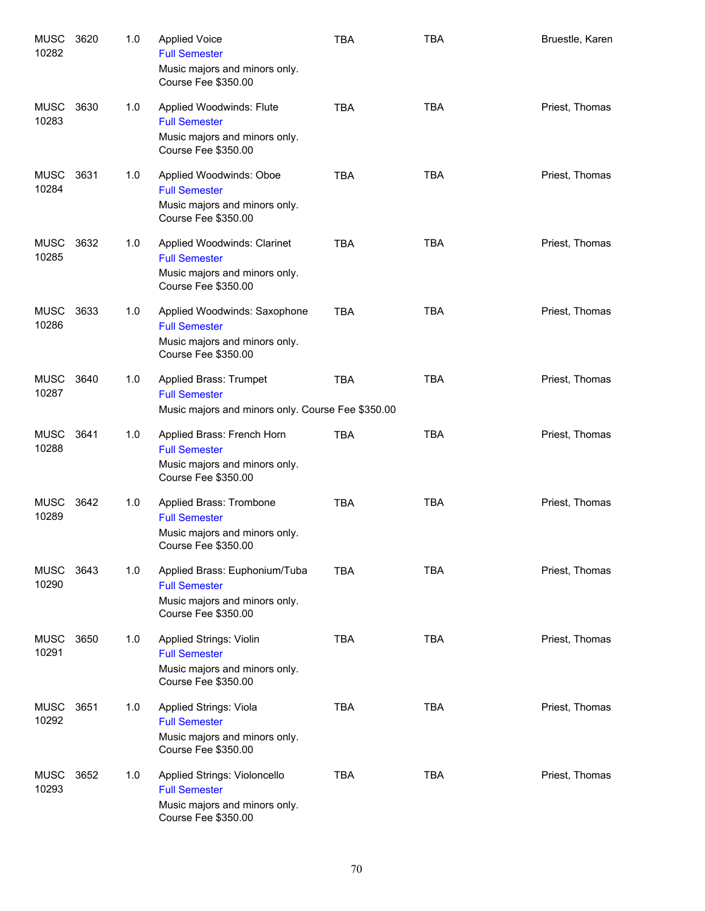| <b>MUSC</b><br>10282 | 3620 | 1.0 | <b>Applied Voice</b><br><b>Full Semester</b><br>Music majors and minors only.<br>Course Fee \$350.00           | <b>TBA</b> | <b>TBA</b> | Bruestle, Karen |
|----------------------|------|-----|----------------------------------------------------------------------------------------------------------------|------------|------------|-----------------|
| MUSC<br>10283        | 3630 | 1.0 | Applied Woodwinds: Flute<br><b>Full Semester</b><br>Music majors and minors only.<br>Course Fee \$350.00       | <b>TBA</b> | <b>TBA</b> | Priest, Thomas  |
| MUSC<br>10284        | 3631 | 1.0 | Applied Woodwinds: Oboe<br><b>Full Semester</b><br>Music majors and minors only.<br>Course Fee \$350.00        | <b>TBA</b> | <b>TBA</b> | Priest, Thomas  |
| MUSC<br>10285        | 3632 | 1.0 | Applied Woodwinds: Clarinet<br><b>Full Semester</b><br>Music majors and minors only.<br>Course Fee \$350.00    | <b>TBA</b> | <b>TBA</b> | Priest, Thomas  |
| <b>MUSC</b><br>10286 | 3633 | 1.0 | Applied Woodwinds: Saxophone<br><b>Full Semester</b><br>Music majors and minors only.<br>Course Fee \$350.00   | <b>TBA</b> | <b>TBA</b> | Priest, Thomas  |
| <b>MUSC</b><br>10287 | 3640 | 1.0 | Applied Brass: Trumpet<br><b>Full Semester</b><br>Music majors and minors only. Course Fee \$350.00            | <b>TBA</b> | <b>TBA</b> | Priest, Thomas  |
| <b>MUSC</b><br>10288 | 3641 | 1.0 | Applied Brass: French Horn<br><b>Full Semester</b><br>Music majors and minors only.<br>Course Fee \$350.00     | <b>TBA</b> | <b>TBA</b> | Priest, Thomas  |
| MUSC<br>10289        | 3642 | 1.0 | Applied Brass: Trombone<br><b>Full Semester</b><br>Music majors and minors only.<br>Course Fee \$350.00        | <b>TBA</b> | <b>TBA</b> | Priest, Thomas  |
| <b>MUSC</b><br>10290 | 3643 | 1.0 | Applied Brass: Euphonium/Tuba<br><b>Full Semester</b><br>Music majors and minors only.<br>Course Fee \$350.00  | <b>TBA</b> | <b>TBA</b> | Priest, Thomas  |
| <b>MUSC</b><br>10291 | 3650 | 1.0 | <b>Applied Strings: Violin</b><br><b>Full Semester</b><br>Music majors and minors only.<br>Course Fee \$350.00 | <b>TBA</b> | <b>TBA</b> | Priest, Thomas  |
| MUSC<br>10292        | 3651 | 1.0 | Applied Strings: Viola<br><b>Full Semester</b><br>Music majors and minors only.<br>Course Fee \$350.00         | <b>TBA</b> | <b>TBA</b> | Priest, Thomas  |
| <b>MUSC</b><br>10293 | 3652 | 1.0 | Applied Strings: Violoncello<br><b>Full Semester</b><br>Music majors and minors only.<br>Course Fee \$350.00   | <b>TBA</b> | <b>TBA</b> | Priest, Thomas  |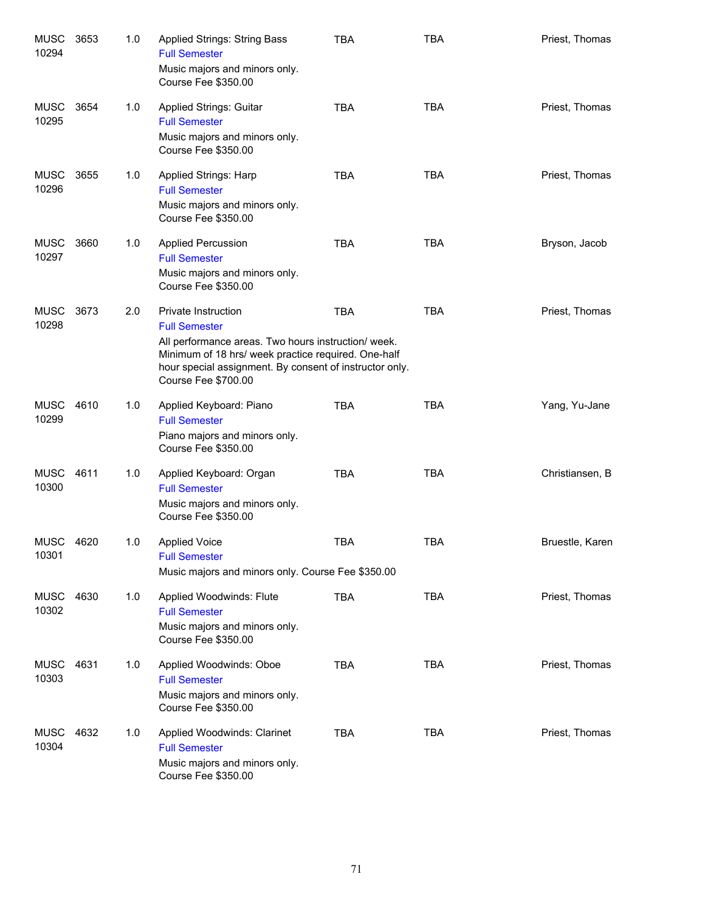| <b>MUSC</b><br>10294 | 3653 | 1.0 | Applied Strings: String Bass<br><b>Full Semester</b><br>Music majors and minors only.<br>Course Fee \$350.00                                                                                                                                | TBA        | <b>TBA</b> | Priest, Thomas  |
|----------------------|------|-----|---------------------------------------------------------------------------------------------------------------------------------------------------------------------------------------------------------------------------------------------|------------|------------|-----------------|
| <b>MUSC</b><br>10295 | 3654 | 1.0 | <b>Applied Strings: Guitar</b><br><b>Full Semester</b><br>Music majors and minors only.<br>Course Fee \$350.00                                                                                                                              | <b>TBA</b> | <b>TBA</b> | Priest, Thomas  |
| MUSC<br>10296        | 3655 | 1.0 | Applied Strings: Harp<br><b>Full Semester</b><br>Music majors and minors only.<br>Course Fee \$350.00                                                                                                                                       | <b>TBA</b> | <b>TBA</b> | Priest, Thomas  |
| MUSC<br>10297        | 3660 | 1.0 | <b>Applied Percussion</b><br><b>Full Semester</b><br>Music majors and minors only.<br>Course Fee \$350.00                                                                                                                                   | <b>TBA</b> | <b>TBA</b> | Bryson, Jacob   |
| <b>MUSC</b><br>10298 | 3673 | 2.0 | Private Instruction<br><b>Full Semester</b><br>All performance areas. Two hours instruction/ week.<br>Minimum of 18 hrs/ week practice required. One-half<br>hour special assignment. By consent of instructor only.<br>Course Fee \$700.00 | <b>TBA</b> | <b>TBA</b> | Priest, Thomas  |
| <b>MUSC</b><br>10299 | 4610 | 1.0 | Applied Keyboard: Piano<br><b>Full Semester</b><br>Piano majors and minors only.<br>Course Fee \$350.00                                                                                                                                     | <b>TBA</b> | <b>TBA</b> | Yang, Yu-Jane   |
| <b>MUSC</b><br>10300 | 4611 | 1.0 | Applied Keyboard: Organ<br><b>Full Semester</b><br>Music majors and minors only.<br>Course Fee \$350.00                                                                                                                                     | <b>TBA</b> | <b>TBA</b> | Christiansen, B |
| MUSC<br>10301        | 4620 | 1.0 | <b>Applied Voice</b><br><b>Full Semester</b><br>Music majors and minors only. Course Fee \$350.00                                                                                                                                           | <b>TBA</b> | <b>TBA</b> | Bruestle, Karen |
| MUSC<br>10302        | 4630 | 1.0 | Applied Woodwinds: Flute<br><b>Full Semester</b><br>Music majors and minors only.<br>Course Fee \$350.00                                                                                                                                    | <b>TBA</b> | <b>TBA</b> | Priest, Thomas  |
| MUSC<br>10303        | 4631 | 1.0 | Applied Woodwinds: Oboe<br><b>Full Semester</b><br>Music majors and minors only.<br>Course Fee \$350.00                                                                                                                                     | <b>TBA</b> | <b>TBA</b> | Priest, Thomas  |
| <b>MUSC</b><br>10304 | 4632 | 1.0 | Applied Woodwinds: Clarinet<br><b>Full Semester</b><br>Music majors and minors only.<br>Course Fee \$350.00                                                                                                                                 | <b>TBA</b> | <b>TBA</b> | Priest, Thomas  |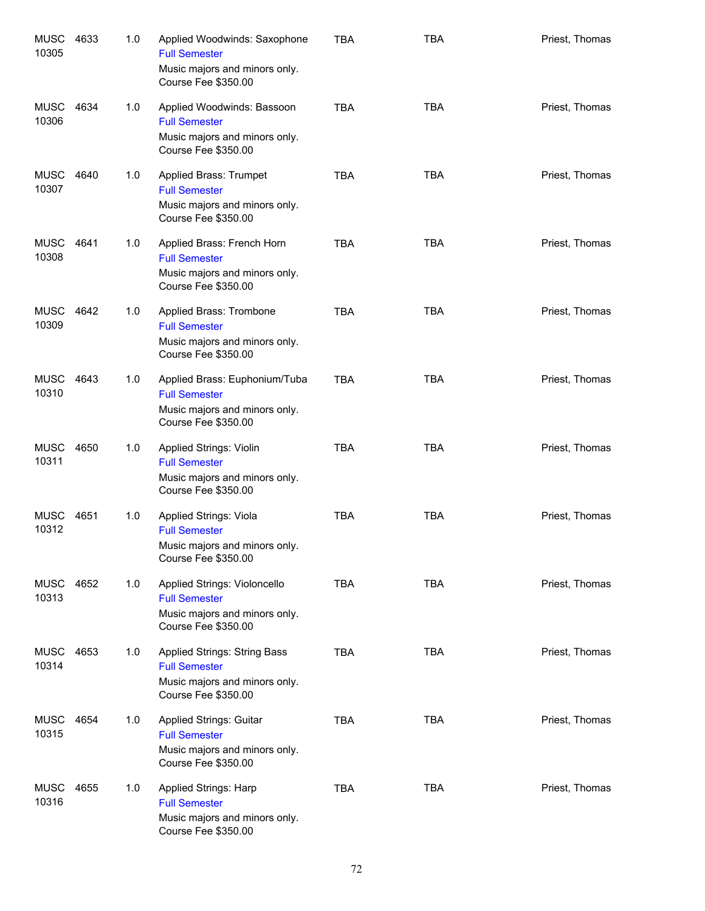| <b>MUSC</b><br>10305 | 4633 | 1.0 | Applied Woodwinds: Saxophone<br><b>Full Semester</b><br>Music majors and minors only.<br>Course Fee \$350.00   | <b>TBA</b> | <b>TBA</b> | Priest, Thomas |
|----------------------|------|-----|----------------------------------------------------------------------------------------------------------------|------------|------------|----------------|
| <b>MUSC</b><br>10306 | 4634 | 1.0 | Applied Woodwinds: Bassoon<br><b>Full Semester</b><br>Music majors and minors only.<br>Course Fee \$350.00     | <b>TBA</b> | <b>TBA</b> | Priest, Thomas |
| <b>MUSC</b><br>10307 | 4640 | 1.0 | Applied Brass: Trumpet<br><b>Full Semester</b><br>Music majors and minors only.<br>Course Fee \$350.00         | <b>TBA</b> | <b>TBA</b> | Priest, Thomas |
| MUSC<br>10308        | 4641 | 1.0 | Applied Brass: French Horn<br><b>Full Semester</b><br>Music majors and minors only.<br>Course Fee \$350.00     | <b>TBA</b> | <b>TBA</b> | Priest, Thomas |
| <b>MUSC</b><br>10309 | 4642 | 1.0 | Applied Brass: Trombone<br><b>Full Semester</b><br>Music majors and minors only.<br>Course Fee \$350.00        | <b>TBA</b> | <b>TBA</b> | Priest, Thomas |
| <b>MUSC</b><br>10310 | 4643 | 1.0 | Applied Brass: Euphonium/Tuba<br><b>Full Semester</b><br>Music majors and minors only.<br>Course Fee \$350.00  | <b>TBA</b> | <b>TBA</b> | Priest, Thomas |
| <b>MUSC</b><br>10311 | 4650 | 1.0 | <b>Applied Strings: Violin</b><br><b>Full Semester</b><br>Music majors and minors only.<br>Course Fee \$350.00 | <b>TBA</b> | <b>TBA</b> | Priest, Thomas |
| MUSC<br>10312        | 4651 | 1.0 | Applied Strings: Viola<br><b>Full Semester</b><br>Music majors and minors only.<br>Course Fee \$350.00         | <b>TBA</b> | <b>TBA</b> | Priest, Thomas |
| MUSC<br>10313        | 4652 | 1.0 | Applied Strings: Violoncello<br><b>Full Semester</b><br>Music majors and minors only.<br>Course Fee \$350.00   | <b>TBA</b> | <b>TBA</b> | Priest, Thomas |
| MUSC<br>10314        | 4653 | 1.0 | Applied Strings: String Bass<br><b>Full Semester</b><br>Music majors and minors only.<br>Course Fee \$350.00   | <b>TBA</b> | <b>TBA</b> | Priest, Thomas |
| MUSC<br>10315        | 4654 | 1.0 | Applied Strings: Guitar<br><b>Full Semester</b><br>Music majors and minors only.<br>Course Fee \$350.00        | <b>TBA</b> | <b>TBA</b> | Priest, Thomas |
| MUSC<br>10316        | 4655 | 1.0 | Applied Strings: Harp<br><b>Full Semester</b><br>Music majors and minors only.<br>Course Fee \$350.00          | <b>TBA</b> | <b>TBA</b> | Priest, Thomas |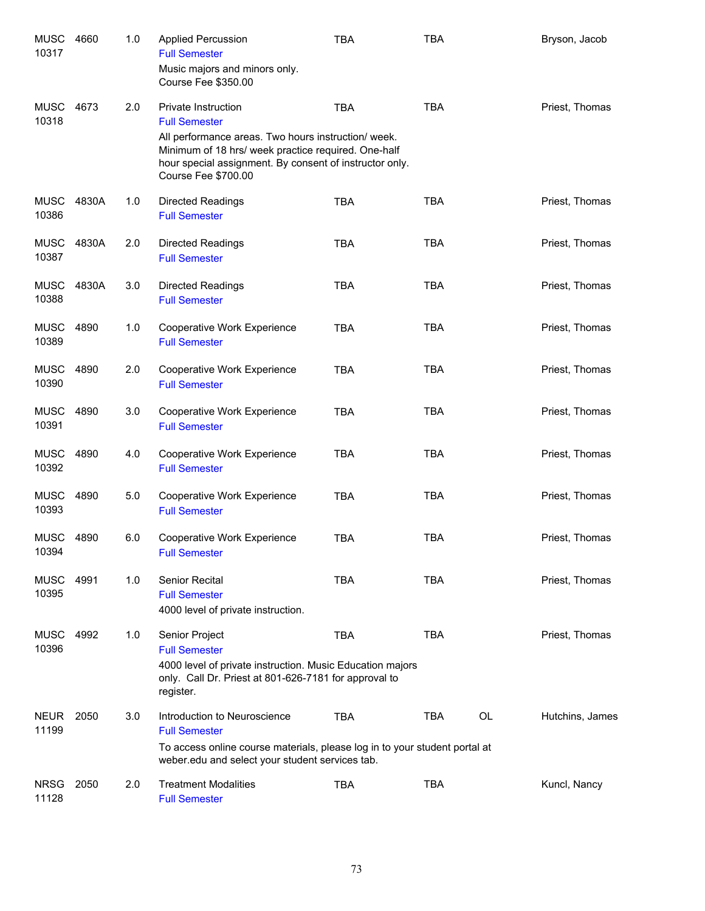| <b>MUSC</b><br>10317 | 4660  | 1.0 | <b>Applied Percussion</b><br><b>Full Semester</b><br>Music majors and minors only.<br>Course Fee \$350.00                                                                                                                                  | <b>TBA</b> | <b>TBA</b> |    | Bryson, Jacob   |
|----------------------|-------|-----|--------------------------------------------------------------------------------------------------------------------------------------------------------------------------------------------------------------------------------------------|------------|------------|----|-----------------|
| <b>MUSC</b><br>10318 | 4673  | 2.0 | Private Instruction<br><b>Full Semester</b><br>All performance areas. Two hours instruction/week.<br>Minimum of 18 hrs/ week practice required. One-half<br>hour special assignment. By consent of instructor only.<br>Course Fee \$700.00 | <b>TBA</b> | <b>TBA</b> |    | Priest, Thomas  |
| <b>MUSC</b><br>10386 | 4830A | 1.0 | Directed Readings<br><b>Full Semester</b>                                                                                                                                                                                                  | <b>TBA</b> | <b>TBA</b> |    | Priest, Thomas  |
| <b>MUSC</b><br>10387 | 4830A | 2.0 | <b>Directed Readings</b><br><b>Full Semester</b>                                                                                                                                                                                           | <b>TBA</b> | <b>TBA</b> |    | Priest, Thomas  |
| <b>MUSC</b><br>10388 | 4830A | 3.0 | <b>Directed Readings</b><br><b>Full Semester</b>                                                                                                                                                                                           | <b>TBA</b> | <b>TBA</b> |    | Priest, Thomas  |
| <b>MUSC</b><br>10389 | 4890  | 1.0 | Cooperative Work Experience<br><b>Full Semester</b>                                                                                                                                                                                        | <b>TBA</b> | <b>TBA</b> |    | Priest, Thomas  |
| MUSC<br>10390        | 4890  | 2.0 | Cooperative Work Experience<br><b>Full Semester</b>                                                                                                                                                                                        | <b>TBA</b> | <b>TBA</b> |    | Priest, Thomas  |
| <b>MUSC</b><br>10391 | 4890  | 3.0 | Cooperative Work Experience<br><b>Full Semester</b>                                                                                                                                                                                        | <b>TBA</b> | <b>TBA</b> |    | Priest, Thomas  |
| MUSC<br>10392        | 4890  | 4.0 | Cooperative Work Experience<br><b>Full Semester</b>                                                                                                                                                                                        | <b>TBA</b> | <b>TBA</b> |    | Priest, Thomas  |
| MUSC<br>10393        | 4890  | 5.0 | Cooperative Work Experience<br><b>Full Semester</b>                                                                                                                                                                                        | <b>TBA</b> | <b>TBA</b> |    | Priest, Thomas  |
| <b>MUSC</b><br>10394 | 4890  | 6.0 | Cooperative Work Experience<br><b>Full Semester</b>                                                                                                                                                                                        | <b>TBA</b> | <b>TBA</b> |    | Priest, Thomas  |
| <b>MUSC</b><br>10395 | 4991  | 1.0 | Senior Recital<br><b>Full Semester</b><br>4000 level of private instruction.                                                                                                                                                               | <b>TBA</b> | <b>TBA</b> |    | Priest, Thomas  |
| <b>MUSC</b><br>10396 | 4992  | 1.0 | Senior Project<br><b>Full Semester</b><br>4000 level of private instruction. Music Education majors<br>only. Call Dr. Priest at 801-626-7181 for approval to<br>register.                                                                  | <b>TBA</b> | <b>TBA</b> |    | Priest, Thomas  |
| <b>NEUR</b><br>11199 | 2050  | 3.0 | Introduction to Neuroscience<br><b>Full Semester</b><br>To access online course materials, please log in to your student portal at<br>weber.edu and select your student services tab.                                                      | <b>TBA</b> | TBA        | OL | Hutchins, James |
| <b>NRSG</b><br>11128 | 2050  | 2.0 | <b>Treatment Modalities</b><br><b>Full Semester</b>                                                                                                                                                                                        | TBA        | TBA        |    | Kuncl, Nancy    |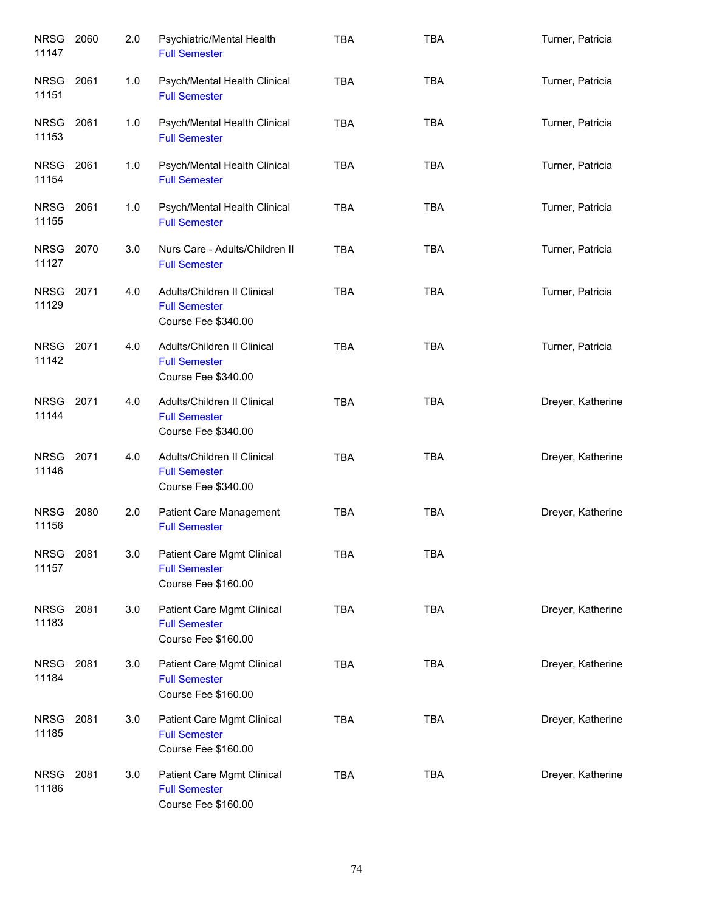| <b>NRSG</b><br>11147 | 2060 | 2.0 | Psychiatric/Mental Health<br><b>Full Semester</b>                          | <b>TBA</b> | <b>TBA</b> | Turner, Patricia  |
|----------------------|------|-----|----------------------------------------------------------------------------|------------|------------|-------------------|
| <b>NRSG</b><br>11151 | 2061 | 1.0 | Psych/Mental Health Clinical<br><b>Full Semester</b>                       | <b>TBA</b> | <b>TBA</b> | Turner, Patricia  |
| NRSG<br>11153        | 2061 | 1.0 | Psych/Mental Health Clinical<br><b>Full Semester</b>                       | <b>TBA</b> | <b>TBA</b> | Turner, Patricia  |
| NRSG<br>11154        | 2061 | 1.0 | Psych/Mental Health Clinical<br><b>Full Semester</b>                       | <b>TBA</b> | <b>TBA</b> | Turner, Patricia  |
| NRSG<br>11155        | 2061 | 1.0 | Psych/Mental Health Clinical<br><b>Full Semester</b>                       | <b>TBA</b> | <b>TBA</b> | Turner, Patricia  |
| <b>NRSG</b><br>11127 | 2070 | 3.0 | Nurs Care - Adults/Children II<br><b>Full Semester</b>                     | <b>TBA</b> | <b>TBA</b> | Turner, Patricia  |
| <b>NRSG</b><br>11129 | 2071 | 4.0 | Adults/Children II Clinical<br><b>Full Semester</b><br>Course Fee \$340.00 | <b>TBA</b> | <b>TBA</b> | Turner, Patricia  |
| <b>NRSG</b><br>11142 | 2071 | 4.0 | Adults/Children II Clinical<br><b>Full Semester</b><br>Course Fee \$340.00 | <b>TBA</b> | <b>TBA</b> | Turner, Patricia  |
| <b>NRSG</b><br>11144 | 2071 | 4.0 | Adults/Children II Clinical<br><b>Full Semester</b><br>Course Fee \$340.00 | <b>TBA</b> | <b>TBA</b> | Dreyer, Katherine |
| <b>NRSG</b><br>11146 | 2071 | 4.0 | Adults/Children II Clinical<br><b>Full Semester</b><br>Course Fee \$340.00 | <b>TBA</b> | <b>TBA</b> | Dreyer, Katherine |
| <b>NRSG</b><br>11156 | 2080 | 2.0 | <b>Patient Care Management</b><br><b>Full Semester</b>                     | <b>TBA</b> | <b>TBA</b> | Dreyer, Katherine |
| NRSG 2081<br>11157   |      | 3.0 | Patient Care Mgmt Clinical<br><b>Full Semester</b><br>Course Fee \$160.00  | TBA        | TBA        |                   |
| <b>NRSG</b><br>11183 | 2081 | 3.0 | Patient Care Mgmt Clinical<br><b>Full Semester</b><br>Course Fee \$160.00  | <b>TBA</b> | <b>TBA</b> | Dreyer, Katherine |
| <b>NRSG</b><br>11184 | 2081 | 3.0 | Patient Care Mgmt Clinical<br><b>Full Semester</b><br>Course Fee \$160.00  | <b>TBA</b> | <b>TBA</b> | Dreyer, Katherine |
| <b>NRSG</b><br>11185 | 2081 | 3.0 | Patient Care Mgmt Clinical<br><b>Full Semester</b><br>Course Fee \$160.00  | <b>TBA</b> | <b>TBA</b> | Dreyer, Katherine |
| <b>NRSG</b><br>11186 | 2081 | 3.0 | Patient Care Mgmt Clinical<br><b>Full Semester</b><br>Course Fee \$160.00  | <b>TBA</b> | <b>TBA</b> | Dreyer, Katherine |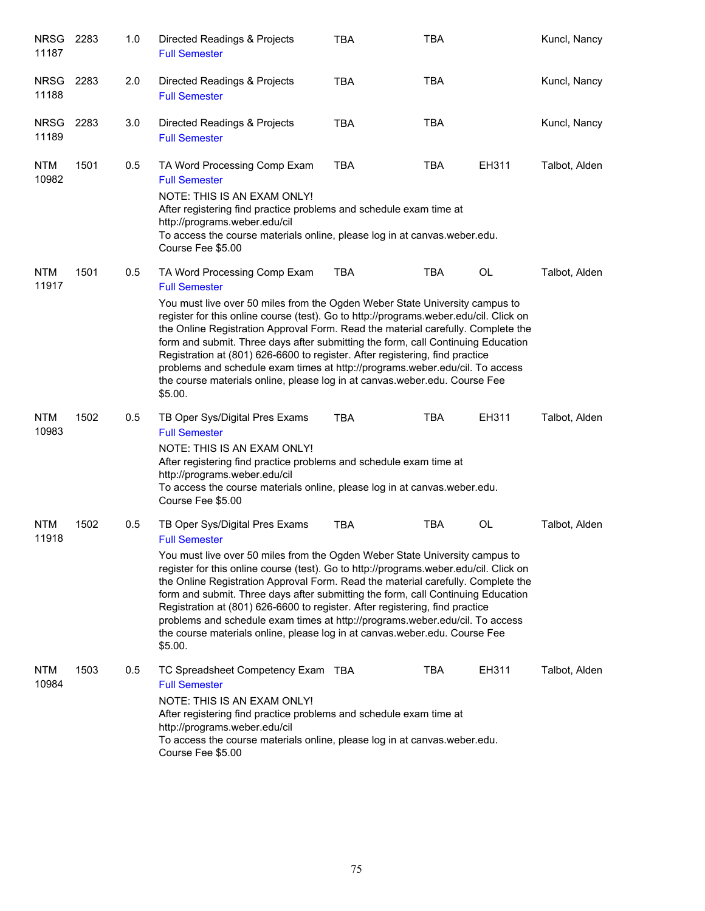| NRSG<br>11187        | 2283 | 1.0 | Directed Readings & Projects<br><b>Full Semester</b>                                                                                                                                                                                                                                                                                                                                                                                                                                                                                                                                                                                                            | <b>TBA</b> | <b>TBA</b> |       | Kuncl, Nancy  |
|----------------------|------|-----|-----------------------------------------------------------------------------------------------------------------------------------------------------------------------------------------------------------------------------------------------------------------------------------------------------------------------------------------------------------------------------------------------------------------------------------------------------------------------------------------------------------------------------------------------------------------------------------------------------------------------------------------------------------------|------------|------------|-------|---------------|
| <b>NRSG</b><br>11188 | 2283 | 2.0 | Directed Readings & Projects<br><b>Full Semester</b>                                                                                                                                                                                                                                                                                                                                                                                                                                                                                                                                                                                                            | <b>TBA</b> | <b>TBA</b> |       | Kuncl, Nancy  |
| <b>NRSG</b><br>11189 | 2283 | 3.0 | Directed Readings & Projects<br><b>Full Semester</b>                                                                                                                                                                                                                                                                                                                                                                                                                                                                                                                                                                                                            | <b>TBA</b> | <b>TBA</b> |       | Kuncl, Nancy  |
| <b>NTM</b><br>10982  | 1501 | 0.5 | TA Word Processing Comp Exam<br><b>Full Semester</b><br>NOTE: THIS IS AN EXAM ONLY!<br>After registering find practice problems and schedule exam time at<br>http://programs.weber.edu/cil<br>To access the course materials online, please log in at canvas weber edu.<br>Course Fee \$5.00                                                                                                                                                                                                                                                                                                                                                                    | <b>TBA</b> | <b>TBA</b> | EH311 | Talbot, Alden |
| <b>NTM</b><br>11917  | 1501 | 0.5 | TA Word Processing Comp Exam<br><b>Full Semester</b><br>You must live over 50 miles from the Ogden Weber State University campus to<br>register for this online course (test). Go to http://programs.weber.edu/cil. Click on<br>the Online Registration Approval Form. Read the material carefully. Complete the<br>form and submit. Three days after submitting the form, call Continuing Education<br>Registration at (801) 626-6600 to register. After registering, find practice<br>problems and schedule exam times at http://programs.weber.edu/cil. To access<br>the course materials online, please log in at canvas.weber.edu. Course Fee<br>\$5.00.   | <b>TBA</b> | <b>TBA</b> | OL    | Talbot, Alden |
| <b>NTM</b><br>10983  | 1502 | 0.5 | TB Oper Sys/Digital Pres Exams<br><b>Full Semester</b><br>NOTE: THIS IS AN EXAM ONLY!<br>After registering find practice problems and schedule exam time at<br>http://programs.weber.edu/cil<br>To access the course materials online, please log in at canvas.weber.edu.<br>Course Fee \$5.00                                                                                                                                                                                                                                                                                                                                                                  | <b>TBA</b> | <b>TBA</b> | EH311 | Talbot, Alden |
| <b>NTM</b><br>11918  | 1502 | 0.5 | TB Oper Sys/Digital Pres Exams<br><b>Full Semester</b><br>You must live over 50 miles from the Ogden Weber State University campus to<br>register for this online course (test). Go to http://programs.weber.edu/cil. Click on<br>the Online Registration Approval Form. Read the material carefully. Complete the<br>form and submit. Three days after submitting the form, call Continuing Education<br>Registration at (801) 626-6600 to register. After registering, find practice<br>problems and schedule exam times at http://programs.weber.edu/cil. To access<br>the course materials online, please log in at canvas.weber.edu. Course Fee<br>\$5.00. | <b>TBA</b> | <b>TBA</b> | OL    | Talbot, Alden |
| <b>NTM</b><br>10984  | 1503 | 0.5 | TC Spreadsheet Competency Exam TBA<br><b>Full Semester</b><br>NOTE: THIS IS AN EXAM ONLY!<br>After registering find practice problems and schedule exam time at<br>http://programs.weber.edu/cil<br>To access the course materials online, please log in at canvas weber edu.<br>Course Fee \$5.00                                                                                                                                                                                                                                                                                                                                                              |            | TBA        | EH311 | Talbot, Alden |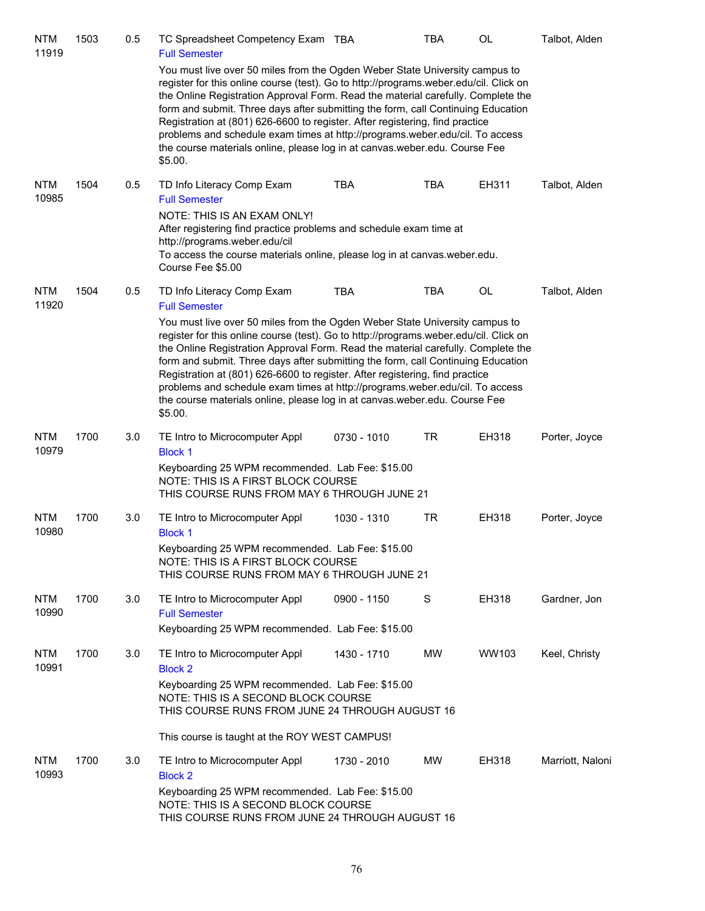| <b>NTM</b><br>11919 | 1503 | 0.5 | TC Spreadsheet Competency Exam TBA<br><b>Full Semester</b>                                                                                                                                                                                                                                                                                                                                                                                                                                                                                                                                            |             | <b>TBA</b> | OL    | Talbot, Alden    |
|---------------------|------|-----|-------------------------------------------------------------------------------------------------------------------------------------------------------------------------------------------------------------------------------------------------------------------------------------------------------------------------------------------------------------------------------------------------------------------------------------------------------------------------------------------------------------------------------------------------------------------------------------------------------|-------------|------------|-------|------------------|
|                     |      |     | You must live over 50 miles from the Ogden Weber State University campus to<br>register for this online course (test). Go to http://programs.weber.edu/cil. Click on<br>the Online Registration Approval Form. Read the material carefully. Complete the<br>form and submit. Three days after submitting the form, call Continuing Education<br>Registration at (801) 626-6600 to register. After registering, find practice<br>problems and schedule exam times at http://programs.weber.edu/cil. To access<br>the course materials online, please log in at canvas.weber.edu. Course Fee<br>\$5.00. |             |            |       |                  |
| <b>NTM</b><br>10985 | 1504 | 0.5 | TD Info Literacy Comp Exam<br><b>Full Semester</b><br>NOTE: THIS IS AN EXAM ONLY!<br>After registering find practice problems and schedule exam time at<br>http://programs.weber.edu/cil<br>To access the course materials online, please log in at canvas weber edu.<br>Course Fee \$5.00                                                                                                                                                                                                                                                                                                            | <b>TBA</b>  | <b>TBA</b> | EH311 | Talbot, Alden    |
| <b>NTM</b>          | 1504 | 0.5 | TD Info Literacy Comp Exam                                                                                                                                                                                                                                                                                                                                                                                                                                                                                                                                                                            | <b>TBA</b>  | <b>TBA</b> | OL    | Talbot, Alden    |
| 11920               |      |     | <b>Full Semester</b>                                                                                                                                                                                                                                                                                                                                                                                                                                                                                                                                                                                  |             |            |       |                  |
|                     |      |     | You must live over 50 miles from the Ogden Weber State University campus to<br>register for this online course (test). Go to http://programs.weber.edu/cil. Click on<br>the Online Registration Approval Form. Read the material carefully. Complete the<br>form and submit. Three days after submitting the form, call Continuing Education<br>Registration at (801) 626-6600 to register. After registering, find practice<br>problems and schedule exam times at http://programs.weber.edu/cil. To access<br>the course materials online, please log in at canvas.weber.edu. Course Fee<br>\$5.00. |             |            |       |                  |
| <b>NTM</b><br>10979 | 1700 | 3.0 | TE Intro to Microcomputer Appl<br><b>Block 1</b>                                                                                                                                                                                                                                                                                                                                                                                                                                                                                                                                                      | 0730 - 1010 | <b>TR</b>  | EH318 | Porter, Joyce    |
|                     |      |     | Keyboarding 25 WPM recommended. Lab Fee: \$15.00<br>NOTE: THIS IS A FIRST BLOCK COURSE<br>THIS COURSE RUNS FROM MAY 6 THROUGH JUNE 21                                                                                                                                                                                                                                                                                                                                                                                                                                                                 |             |            |       |                  |
| <b>NTM</b><br>10980 | 1700 | 3.0 | TE Intro to Microcomputer Appl<br><b>Block 1</b>                                                                                                                                                                                                                                                                                                                                                                                                                                                                                                                                                      | 1030 - 1310 | TR         | EH318 | Porter, Joyce    |
|                     |      |     | Keyboarding 25 WPM recommended. Lab Fee: \$15.00<br>NOTE: THIS IS A FIRST BLOCK COURSE<br>THIS COURSE RUNS FROM MAY 6 THROUGH JUNE 21                                                                                                                                                                                                                                                                                                                                                                                                                                                                 |             |            |       |                  |
| <b>NTM</b><br>10990 | 1700 | 3.0 | TE Intro to Microcomputer Appl<br><b>Full Semester</b>                                                                                                                                                                                                                                                                                                                                                                                                                                                                                                                                                | 0900 - 1150 | S          | EH318 | Gardner, Jon     |
|                     |      |     | Keyboarding 25 WPM recommended. Lab Fee: \$15.00                                                                                                                                                                                                                                                                                                                                                                                                                                                                                                                                                      |             |            |       |                  |
| <b>NTM</b><br>10991 | 1700 | 3.0 | TE Intro to Microcomputer Appl<br><b>Block 2</b>                                                                                                                                                                                                                                                                                                                                                                                                                                                                                                                                                      | 1430 - 1710 | MW         | WW103 | Keel, Christy    |
|                     |      |     | Keyboarding 25 WPM recommended. Lab Fee: \$15.00<br>NOTE: THIS IS A SECOND BLOCK COURSE<br>THIS COURSE RUNS FROM JUNE 24 THROUGH AUGUST 16                                                                                                                                                                                                                                                                                                                                                                                                                                                            |             |            |       |                  |
|                     |      |     | This course is taught at the ROY WEST CAMPUS!                                                                                                                                                                                                                                                                                                                                                                                                                                                                                                                                                         |             |            |       |                  |
| <b>NTM</b><br>10993 | 1700 | 3.0 | TE Intro to Microcomputer Appl<br><b>Block 2</b>                                                                                                                                                                                                                                                                                                                                                                                                                                                                                                                                                      | 1730 - 2010 | <b>MW</b>  | EH318 | Marriott, Naloni |
|                     |      |     | Keyboarding 25 WPM recommended. Lab Fee: \$15.00<br>NOTE: THIS IS A SECOND BLOCK COURSE<br>THIS COURSE RUNS FROM JUNE 24 THROUGH AUGUST 16                                                                                                                                                                                                                                                                                                                                                                                                                                                            |             |            |       |                  |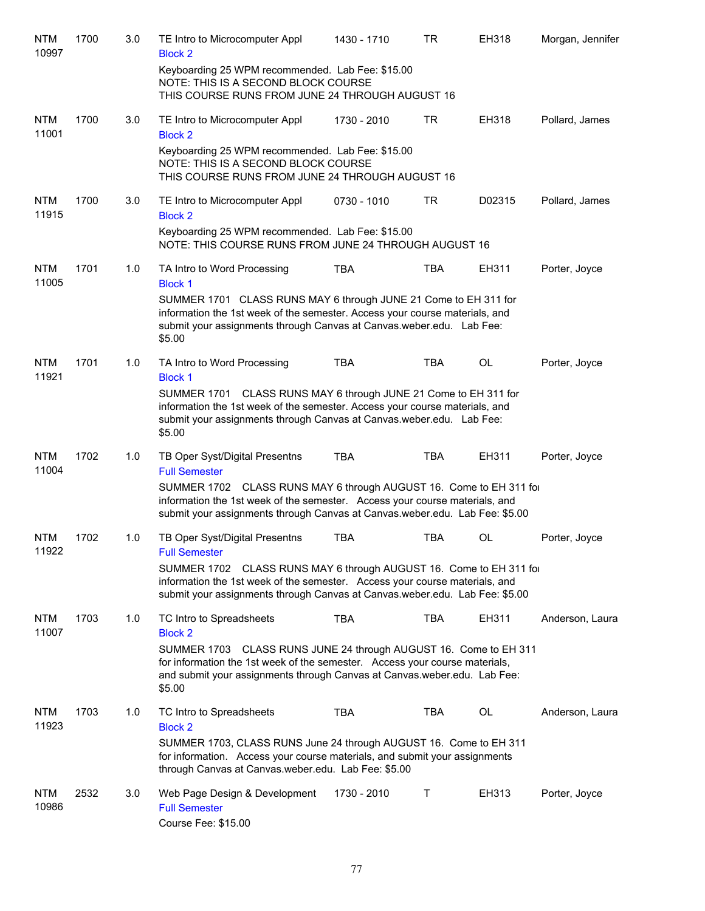| <b>NTM</b><br>10997 | 1700 | 3.0 | TE Intro to Microcomputer Appl<br><b>Block 2</b>                                                                                                                                                                                      | 1430 - 1710 | <b>TR</b>  | EH318  | Morgan, Jennifer |
|---------------------|------|-----|---------------------------------------------------------------------------------------------------------------------------------------------------------------------------------------------------------------------------------------|-------------|------------|--------|------------------|
|                     |      |     | Keyboarding 25 WPM recommended. Lab Fee: \$15.00<br>NOTE: THIS IS A SECOND BLOCK COURSE<br>THIS COURSE RUNS FROM JUNE 24 THROUGH AUGUST 16                                                                                            |             |            |        |                  |
| <b>NTM</b><br>11001 | 1700 | 3.0 | TE Intro to Microcomputer Appl<br><b>Block 2</b>                                                                                                                                                                                      | 1730 - 2010 | <b>TR</b>  | EH318  | Pollard, James   |
|                     |      |     | Keyboarding 25 WPM recommended. Lab Fee: \$15.00<br>NOTE: THIS IS A SECOND BLOCK COURSE<br>THIS COURSE RUNS FROM JUNE 24 THROUGH AUGUST 16                                                                                            |             |            |        |                  |
| <b>NTM</b><br>11915 | 1700 | 3.0 | TE Intro to Microcomputer Appl<br><b>Block 2</b>                                                                                                                                                                                      | 0730 - 1010 | TR         | D02315 | Pollard, James   |
|                     |      |     | Keyboarding 25 WPM recommended. Lab Fee: \$15.00<br>NOTE: THIS COURSE RUNS FROM JUNE 24 THROUGH AUGUST 16                                                                                                                             |             |            |        |                  |
| <b>NTM</b><br>11005 | 1701 | 1.0 | TA Intro to Word Processing<br><b>Block 1</b>                                                                                                                                                                                         | <b>TBA</b>  | <b>TBA</b> | EH311  | Porter, Joyce    |
|                     |      |     | SUMMER 1701 CLASS RUNS MAY 6 through JUNE 21 Come to EH 311 for<br>information the 1st week of the semester. Access your course materials, and<br>submit your assignments through Canvas at Canvas.weber.edu. Lab Fee:<br>\$5.00      |             |            |        |                  |
| NTM<br>11921        | 1701 | 1.0 | TA Intro to Word Processing<br><b>Block 1</b>                                                                                                                                                                                         | <b>TBA</b>  | <b>TBA</b> | OL     | Porter, Joyce    |
|                     |      |     | SUMMER 1701 CLASS RUNS MAY 6 through JUNE 21 Come to EH 311 for<br>information the 1st week of the semester. Access your course materials, and<br>submit your assignments through Canvas at Canvas.weber.edu. Lab Fee:<br>\$5.00      |             |            |        |                  |
| <b>NTM</b><br>11004 | 1702 | 1.0 | TB Oper Syst/Digital Presentns<br><b>Full Semester</b>                                                                                                                                                                                | <b>TBA</b>  | <b>TBA</b> | EH311  | Porter, Joyce    |
|                     |      |     | SUMMER 1702 CLASS RUNS MAY 6 through AUGUST 16. Come to EH 311 for<br>information the 1st week of the semester. Access your course materials, and<br>submit your assignments through Canvas at Canvas.weber.edu. Lab Fee: \$5.00      |             |            |        |                  |
| <b>NTM</b><br>11922 | 1702 | 1.0 | TB Oper Syst/Digital Presentns<br><b>Full Semester</b>                                                                                                                                                                                | <b>TBA</b>  | <b>TBA</b> | OL     | Porter, Joyce    |
|                     |      |     | SUMMER 1702<br>CLASS RUNS MAY 6 through AUGUST 16. Come to EH 311 for<br>information the 1st week of the semester. Access your course materials, and<br>submit your assignments through Canvas at Canvas.weber.edu. Lab Fee: \$5.00   |             |            |        |                  |
| <b>NTM</b><br>11007 | 1703 | 1.0 | TC Intro to Spreadsheets<br><b>Block 2</b>                                                                                                                                                                                            | <b>TBA</b>  | <b>TBA</b> | EH311  | Anderson, Laura  |
|                     |      |     | SUMMER 1703 CLASS RUNS JUNE 24 through AUGUST 16. Come to EH 311<br>for information the 1st week of the semester. Access your course materials,<br>and submit your assignments through Canvas at Canvas.weber.edu. Lab Fee:<br>\$5.00 |             |            |        |                  |
| <b>NTM</b><br>11923 | 1703 | 1.0 | TC Intro to Spreadsheets<br><b>Block 2</b>                                                                                                                                                                                            | <b>TBA</b>  | TBA        | OL     | Anderson, Laura  |
|                     |      |     | SUMMER 1703, CLASS RUNS June 24 through AUGUST 16. Come to EH 311<br>for information. Access your course materials, and submit your assignments<br>through Canvas at Canvas.weber.edu. Lab Fee: \$5.00                                |             |            |        |                  |
| <b>NTM</b><br>10986 | 2532 | 3.0 | Web Page Design & Development<br><b>Full Semester</b><br>Course Fee: \$15.00                                                                                                                                                          | 1730 - 2010 | Τ          | EH313  | Porter, Joyce    |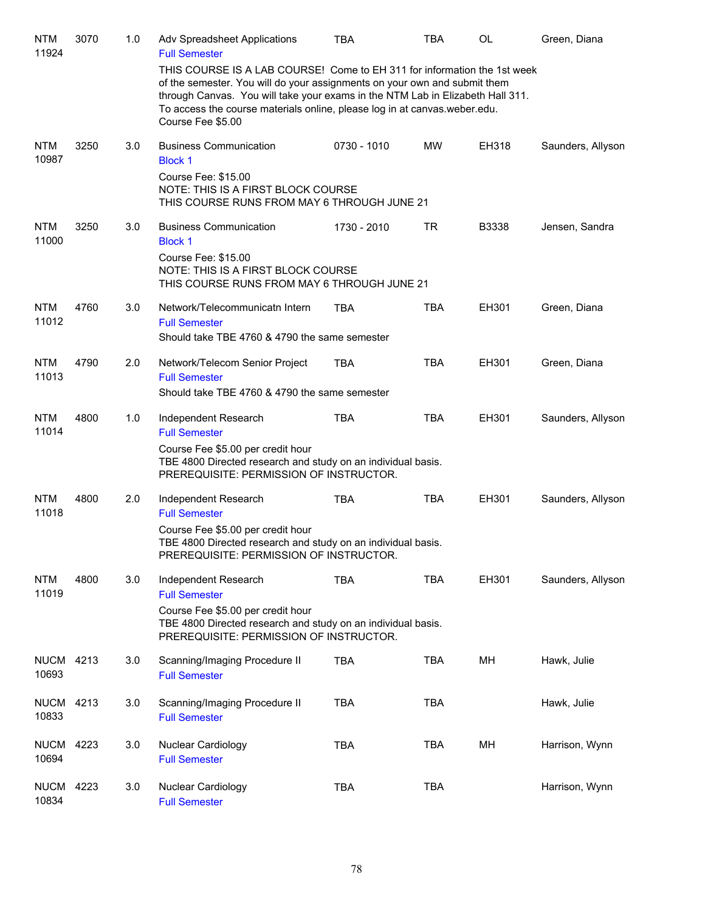| <b>NTM</b><br>11924       | 3070 | 1.0 | Adv Spreadsheet Applications<br><b>Full Semester</b>                                                                                                                                                                                                                                                                                      | <b>TBA</b>  | <b>TBA</b> | <b>OL</b> | Green, Diana      |
|---------------------------|------|-----|-------------------------------------------------------------------------------------------------------------------------------------------------------------------------------------------------------------------------------------------------------------------------------------------------------------------------------------------|-------------|------------|-----------|-------------------|
|                           |      |     | THIS COURSE IS A LAB COURSE! Come to EH 311 for information the 1st week<br>of the semester. You will do your assignments on your own and submit them<br>through Canvas. You will take your exams in the NTM Lab in Elizabeth Hall 311.<br>To access the course materials online, please log in at canvas.weber.edu.<br>Course Fee \$5.00 |             |            |           |                   |
| <b>NTM</b><br>10987       | 3250 | 3.0 | <b>Business Communication</b><br><b>Block 1</b>                                                                                                                                                                                                                                                                                           | 0730 - 1010 | <b>MW</b>  | EH318     | Saunders, Allyson |
|                           |      |     | Course Fee: \$15.00<br>NOTE: THIS IS A FIRST BLOCK COURSE<br>THIS COURSE RUNS FROM MAY 6 THROUGH JUNE 21                                                                                                                                                                                                                                  |             |            |           |                   |
| <b>NTM</b><br>11000       | 3250 | 3.0 | <b>Business Communication</b><br><b>Block 1</b>                                                                                                                                                                                                                                                                                           | 1730 - 2010 | TR         | B3338     | Jensen, Sandra    |
|                           |      |     | Course Fee: \$15.00<br>NOTE: THIS IS A FIRST BLOCK COURSE<br>THIS COURSE RUNS FROM MAY 6 THROUGH JUNE 21                                                                                                                                                                                                                                  |             |            |           |                   |
| <b>NTM</b><br>11012       | 4760 | 3.0 | Network/Telecommunicatn Intern<br><b>Full Semester</b>                                                                                                                                                                                                                                                                                    | <b>TBA</b>  | <b>TBA</b> | EH301     | Green, Diana      |
|                           |      |     | Should take TBE 4760 & 4790 the same semester                                                                                                                                                                                                                                                                                             |             |            |           |                   |
| <b>NTM</b><br>11013       | 4790 | 2.0 | Network/Telecom Senior Project<br><b>Full Semester</b>                                                                                                                                                                                                                                                                                    | <b>TBA</b>  | <b>TBA</b> | EH301     | Green, Diana      |
|                           |      |     | Should take TBE 4760 & 4790 the same semester                                                                                                                                                                                                                                                                                             |             |            |           |                   |
| <b>NTM</b><br>11014       | 4800 | 1.0 | Independent Research<br><b>Full Semester</b>                                                                                                                                                                                                                                                                                              | <b>TBA</b>  | <b>TBA</b> | EH301     | Saunders, Allyson |
|                           |      |     | Course Fee \$5.00 per credit hour<br>TBE 4800 Directed research and study on an individual basis.<br>PREREQUISITE: PERMISSION OF INSTRUCTOR.                                                                                                                                                                                              |             |            |           |                   |
| <b>NTM</b><br>11018       | 4800 | 2.0 | Independent Research<br><b>Full Semester</b>                                                                                                                                                                                                                                                                                              | <b>TBA</b>  | <b>TBA</b> | EH301     | Saunders, Allyson |
|                           |      |     | Course Fee \$5.00 per credit hour<br>TBE 4800 Directed research and study on an individual basis.<br>PREREQUISITE: PERMISSION OF INSTRUCTOR.                                                                                                                                                                                              |             |            |           |                   |
| <b>NTM</b><br>11019       | 4800 | 3.0 | Independent Research<br><b>Full Semester</b>                                                                                                                                                                                                                                                                                              | <b>TBA</b>  | <b>TBA</b> | EH301     | Saunders, Allyson |
|                           |      |     | Course Fee \$5.00 per credit hour<br>TBE 4800 Directed research and study on an individual basis.<br>PREREQUISITE: PERMISSION OF INSTRUCTOR.                                                                                                                                                                                              |             |            |           |                   |
| <b>NUCM 4213</b><br>10693 |      | 3.0 | Scanning/Imaging Procedure II<br><b>Full Semester</b>                                                                                                                                                                                                                                                                                     | <b>TBA</b>  | <b>TBA</b> | MН        | Hawk, Julie       |
| <b>NUCM</b><br>10833      | 4213 | 3.0 | Scanning/Imaging Procedure II<br><b>Full Semester</b>                                                                                                                                                                                                                                                                                     | <b>TBA</b>  | <b>TBA</b> |           | Hawk, Julie       |
| <b>NUCM</b><br>10694      | 4223 | 3.0 | Nuclear Cardiology<br><b>Full Semester</b>                                                                                                                                                                                                                                                                                                | <b>TBA</b>  | TBA        | MH        | Harrison, Wynn    |
| <b>NUCM</b><br>10834      | 4223 | 3.0 | Nuclear Cardiology<br><b>Full Semester</b>                                                                                                                                                                                                                                                                                                | <b>TBA</b>  | <b>TBA</b> |           | Harrison, Wynn    |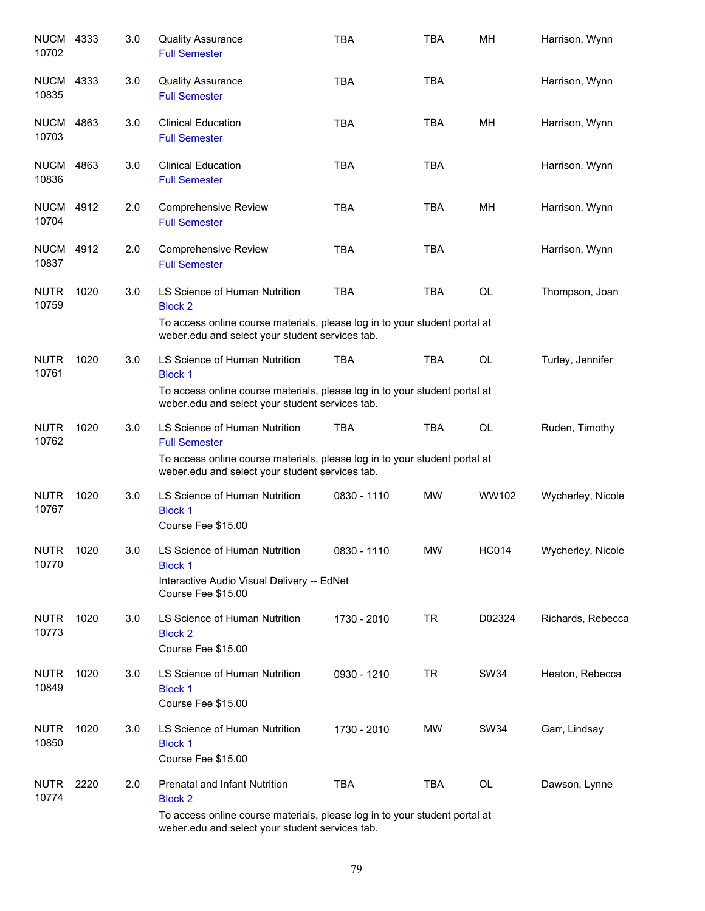| <b>NUCM 4333</b><br>10702 |      | 3.0 | <b>Quality Assurance</b><br><b>Full Semester</b>                                                                                                                                        | <b>TBA</b>  | <b>TBA</b> | MН           | Harrison, Wynn    |
|---------------------------|------|-----|-----------------------------------------------------------------------------------------------------------------------------------------------------------------------------------------|-------------|------------|--------------|-------------------|
| <b>NUCM</b><br>10835      | 4333 | 3.0 | <b>Quality Assurance</b><br><b>Full Semester</b>                                                                                                                                        | <b>TBA</b>  | <b>TBA</b> |              | Harrison, Wynn    |
| <b>NUCM 4863</b><br>10703 |      | 3.0 | <b>Clinical Education</b><br><b>Full Semester</b>                                                                                                                                       | <b>TBA</b>  | <b>TBA</b> | MН           | Harrison, Wynn    |
| <b>NUCM 4863</b><br>10836 |      | 3.0 | <b>Clinical Education</b><br><b>Full Semester</b>                                                                                                                                       | <b>TBA</b>  | <b>TBA</b> |              | Harrison, Wynn    |
| <b>NUCM 4912</b><br>10704 |      | 2.0 | <b>Comprehensive Review</b><br><b>Full Semester</b>                                                                                                                                     | <b>TBA</b>  | <b>TBA</b> | MН           | Harrison, Wynn    |
| <b>NUCM 4912</b><br>10837 |      | 2.0 | <b>Comprehensive Review</b><br><b>Full Semester</b>                                                                                                                                     | <b>TBA</b>  | <b>TBA</b> |              | Harrison, Wynn    |
| <b>NUTR</b><br>10759      | 1020 | 3.0 | LS Science of Human Nutrition<br><b>Block 2</b>                                                                                                                                         | <b>TBA</b>  | <b>TBA</b> | <b>OL</b>    | Thompson, Joan    |
|                           |      |     | To access online course materials, please log in to your student portal at<br>weber.edu and select your student services tab.                                                           |             |            |              |                   |
| <b>NUTR</b><br>10761      | 1020 | 3.0 | LS Science of Human Nutrition<br><b>Block 1</b>                                                                                                                                         | <b>TBA</b>  | <b>TBA</b> | <b>OL</b>    | Turley, Jennifer  |
|                           |      |     | To access online course materials, please log in to your student portal at<br>weber.edu and select your student services tab.                                                           |             |            |              |                   |
| <b>NUTR</b><br>10762      | 1020 | 3.0 | LS Science of Human Nutrition<br><b>Full Semester</b>                                                                                                                                   | <b>TBA</b>  | <b>TBA</b> | OL           | Ruden, Timothy    |
|                           |      |     | To access online course materials, please log in to your student portal at<br>weber.edu and select your student services tab.                                                           |             |            |              |                   |
| <b>NUTR</b><br>10767      | 1020 | 3.0 | LS Science of Human Nutrition<br><b>Block 1</b><br>Course Fee \$15.00                                                                                                                   | 0830 - 1110 | <b>MW</b>  | WW102        | Wycherley, Nicole |
| <b>NUTR</b><br>10770      | 1020 | 3.0 | LS Science of Human Nutrition<br><b>Block 1</b>                                                                                                                                         | 0830 - 1110 | MW         | <b>HC014</b> | Wycherley, Nicole |
|                           |      |     | Interactive Audio Visual Delivery -- EdNet<br>Course Fee \$15.00                                                                                                                        |             |            |              |                   |
| <b>NUTR</b><br>10773      | 1020 | 3.0 | LS Science of Human Nutrition<br><b>Block 2</b><br>Course Fee \$15.00                                                                                                                   | 1730 - 2010 | <b>TR</b>  | D02324       | Richards, Rebecca |
| <b>NUTR</b><br>10849      | 1020 | 3.0 | LS Science of Human Nutrition<br><b>Block 1</b><br>Course Fee \$15.00                                                                                                                   | 0930 - 1210 | <b>TR</b>  | SW34         | Heaton, Rebecca   |
| <b>NUTR</b><br>10850      | 1020 | 3.0 | LS Science of Human Nutrition<br><b>Block 1</b><br>Course Fee \$15.00                                                                                                                   | 1730 - 2010 | <b>MW</b>  | SW34         | Garr, Lindsay     |
| <b>NUTR</b><br>10774      | 2220 | 2.0 | <b>Prenatal and Infant Nutrition</b><br><b>Block 2</b><br>To access online course materials, please log in to your student portal at<br>weber.edu and select your student services tab. | <b>TBA</b>  | <b>TBA</b> | OL           | Dawson, Lynne     |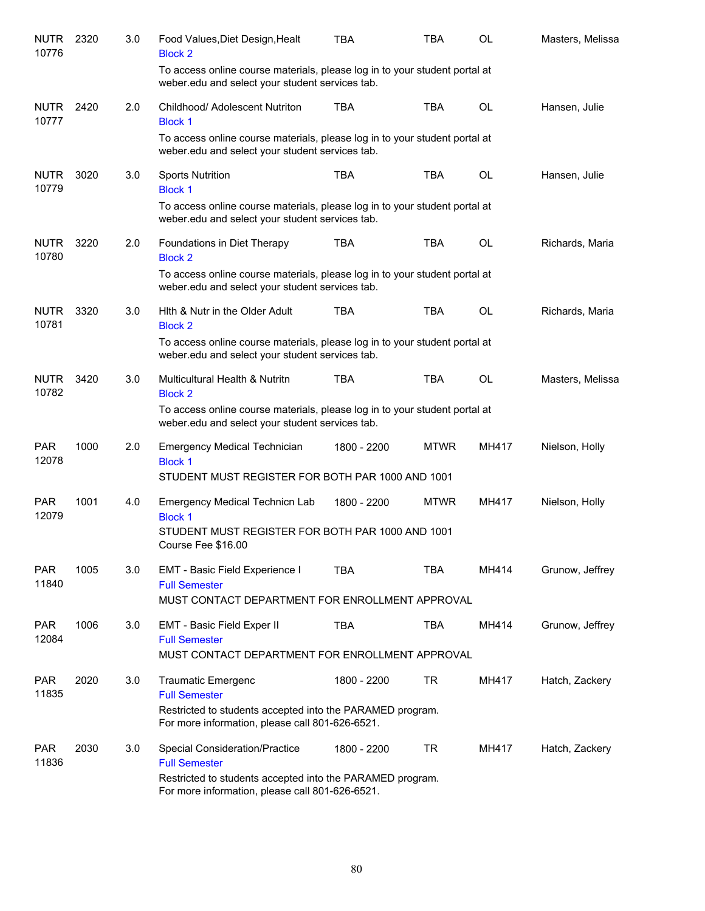| <b>NUTR</b><br>10776 | 2320 | 3.0 | Food Values, Diet Design, Healt<br><b>Block 2</b>                                                                             | TBA         | <b>TBA</b>  | OL        | Masters, Melissa |
|----------------------|------|-----|-------------------------------------------------------------------------------------------------------------------------------|-------------|-------------|-----------|------------------|
|                      |      |     | To access online course materials, please log in to your student portal at<br>weber.edu and select your student services tab. |             |             |           |                  |
| <b>NUTR</b><br>10777 | 2420 | 2.0 | Childhood/ Adolescent Nutriton<br><b>Block 1</b>                                                                              | <b>TBA</b>  | <b>TBA</b>  | OL        | Hansen, Julie    |
|                      |      |     | To access online course materials, please log in to your student portal at<br>weber.edu and select your student services tab. |             |             |           |                  |
| <b>NUTR</b><br>10779 | 3020 | 3.0 | <b>Sports Nutrition</b><br><b>Block 1</b>                                                                                     | <b>TBA</b>  | <b>TBA</b>  | <b>OL</b> | Hansen, Julie    |
|                      |      |     | To access online course materials, please log in to your student portal at<br>weber.edu and select your student services tab. |             |             |           |                  |
| <b>NUTR</b><br>10780 | 3220 | 2.0 | Foundations in Diet Therapy<br><b>Block 2</b>                                                                                 | <b>TBA</b>  | <b>TBA</b>  | <b>OL</b> | Richards, Maria  |
|                      |      |     | To access online course materials, please log in to your student portal at<br>weber.edu and select your student services tab. |             |             |           |                  |
| <b>NUTR</b><br>10781 | 3320 | 3.0 | Hith & Nutr in the Older Adult<br><b>Block 2</b>                                                                              | <b>TBA</b>  | <b>TBA</b>  | OL        | Richards, Maria  |
|                      |      |     | To access online course materials, please log in to your student portal at<br>weber.edu and select your student services tab. |             |             |           |                  |
| <b>NUTR</b><br>10782 | 3420 | 3.0 | Multicultural Health & Nutritn<br><b>Block 2</b>                                                                              | <b>TBA</b>  | <b>TBA</b>  | <b>OL</b> | Masters, Melissa |
|                      |      |     | To access online course materials, please log in to your student portal at<br>weber.edu and select your student services tab. |             |             |           |                  |
| <b>PAR</b><br>12078  | 1000 | 2.0 | <b>Emergency Medical Technician</b><br><b>Block 1</b><br>STUDENT MUST REGISTER FOR BOTH PAR 1000 AND 1001                     | 1800 - 2200 | <b>MTWR</b> | MH417     | Nielson, Holly   |
| <b>PAR</b><br>12079  | 1001 | 4.0 | <b>Emergency Medical Technicn Lab</b>                                                                                         | 1800 - 2200 | <b>MTWR</b> | MH417     | Nielson, Holly   |
|                      |      |     | <b>Block 1</b><br>STUDENT MUST REGISTER FOR BOTH PAR 1000 AND 1001<br>Course Fee \$16.00                                      |             |             |           |                  |
| <b>PAR</b><br>11840  | 1005 | 3.0 | EMT - Basic Field Experience I<br><b>Full Semester</b>                                                                        | <b>TBA</b>  | <b>TBA</b>  | MH414     | Grunow, Jeffrey  |
|                      |      |     | MUST CONTACT DEPARTMENT FOR ENROLLMENT APPROVAL                                                                               |             |             |           |                  |
| <b>PAR</b><br>12084  | 1006 | 3.0 | EMT - Basic Field Exper II<br><b>Full Semester</b>                                                                            | <b>TBA</b>  | <b>TBA</b>  | MH414     | Grunow, Jeffrey  |
|                      |      |     | MUST CONTACT DEPARTMENT FOR ENROLLMENT APPROVAL                                                                               |             |             |           |                  |
| <b>PAR</b><br>11835  | 2020 | 3.0 | <b>Traumatic Emergenc</b><br><b>Full Semester</b>                                                                             | 1800 - 2200 | <b>TR</b>   | MH417     | Hatch, Zackery   |
|                      |      |     | Restricted to students accepted into the PARAMED program.<br>For more information, please call 801-626-6521.                  |             |             |           |                  |
| <b>PAR</b><br>11836  | 2030 | 3.0 | Special Consideration/Practice<br><b>Full Semester</b>                                                                        | 1800 - 2200 | <b>TR</b>   | MH417     | Hatch, Zackery   |
|                      |      |     | Restricted to students accepted into the PARAMED program.<br>For more information, please call 801-626-6521.                  |             |             |           |                  |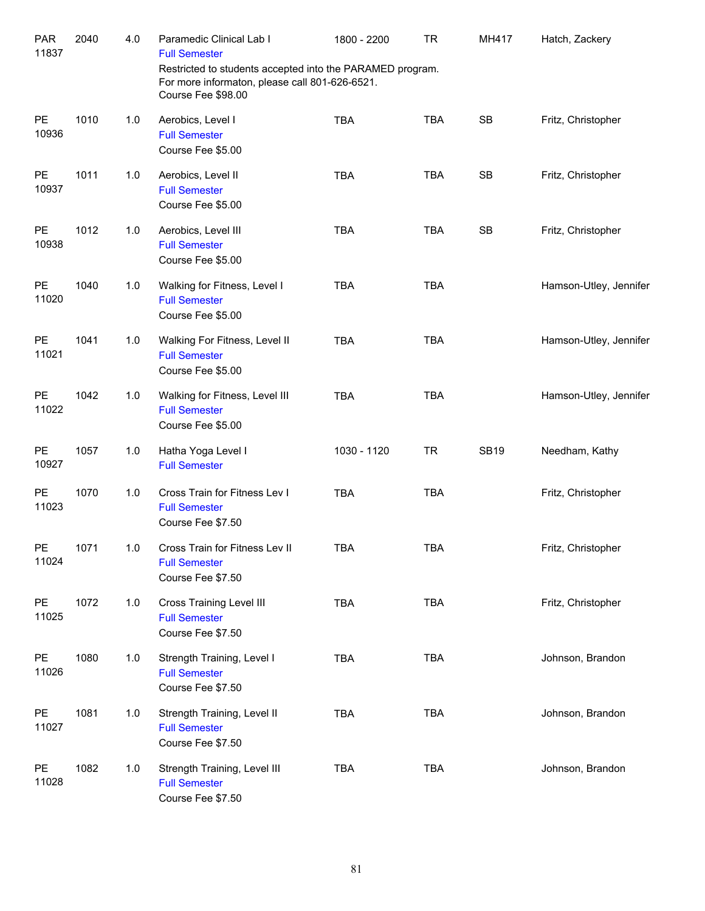| <b>PAR</b><br>11837 | 2040 | 4.0 | Paramedic Clinical Lab I<br><b>Full Semester</b><br>Restricted to students accepted into the PARAMED program.<br>For more informaton, please call 801-626-6521.<br>Course Fee \$98.00 | 1800 - 2200 | <b>TR</b>  | MH417       | Hatch, Zackery         |
|---------------------|------|-----|---------------------------------------------------------------------------------------------------------------------------------------------------------------------------------------|-------------|------------|-------------|------------------------|
| <b>PE</b><br>10936  | 1010 | 1.0 | Aerobics, Level I<br><b>Full Semester</b><br>Course Fee \$5.00                                                                                                                        | <b>TBA</b>  | <b>TBA</b> | <b>SB</b>   | Fritz, Christopher     |
| <b>PE</b><br>10937  | 1011 | 1.0 | Aerobics, Level II<br><b>Full Semester</b><br>Course Fee \$5.00                                                                                                                       | <b>TBA</b>  | <b>TBA</b> | <b>SB</b>   | Fritz, Christopher     |
| <b>PE</b><br>10938  | 1012 | 1.0 | Aerobics, Level III<br><b>Full Semester</b><br>Course Fee \$5.00                                                                                                                      | <b>TBA</b>  | <b>TBA</b> | <b>SB</b>   | Fritz, Christopher     |
| <b>PE</b><br>11020  | 1040 | 1.0 | Walking for Fitness, Level I<br><b>Full Semester</b><br>Course Fee \$5.00                                                                                                             | <b>TBA</b>  | <b>TBA</b> |             | Hamson-Utley, Jennifer |
| <b>PE</b><br>11021  | 1041 | 1.0 | Walking For Fitness, Level II<br><b>Full Semester</b><br>Course Fee \$5.00                                                                                                            | <b>TBA</b>  | <b>TBA</b> |             | Hamson-Utley, Jennifer |
| <b>PE</b><br>11022  | 1042 | 1.0 | Walking for Fitness, Level III<br><b>Full Semester</b><br>Course Fee \$5.00                                                                                                           | <b>TBA</b>  | <b>TBA</b> |             | Hamson-Utley, Jennifer |
| <b>PE</b><br>10927  | 1057 | 1.0 | Hatha Yoga Level I<br><b>Full Semester</b>                                                                                                                                            | 1030 - 1120 | <b>TR</b>  | <b>SB19</b> | Needham, Kathy         |
| <b>PE</b><br>11023  | 1070 | 1.0 | Cross Train for Fitness Lev I<br><b>Full Semester</b><br>Course Fee \$7.50                                                                                                            | <b>TBA</b>  | <b>TBA</b> |             | Fritz, Christopher     |
| PE<br>11024         | 1071 | 1.0 | Cross Train for Fitness Lev II<br><b>Full Semester</b><br>Course Fee \$7.50                                                                                                           | <b>TBA</b>  | <b>TBA</b> |             | Fritz, Christopher     |
| PE<br>11025         | 1072 | 1.0 | <b>Cross Training Level III</b><br><b>Full Semester</b><br>Course Fee \$7.50                                                                                                          | <b>TBA</b>  | <b>TBA</b> |             | Fritz, Christopher     |
| PE<br>11026         | 1080 | 1.0 | Strength Training, Level I<br><b>Full Semester</b><br>Course Fee \$7.50                                                                                                               | <b>TBA</b>  | <b>TBA</b> |             | Johnson, Brandon       |
| PE<br>11027         | 1081 | 1.0 | Strength Training, Level II<br><b>Full Semester</b><br>Course Fee \$7.50                                                                                                              | <b>TBA</b>  | <b>TBA</b> |             | Johnson, Brandon       |
| PE<br>11028         | 1082 | 1.0 | Strength Training, Level III<br><b>Full Semester</b><br>Course Fee \$7.50                                                                                                             | <b>TBA</b>  | TBA        |             | Johnson, Brandon       |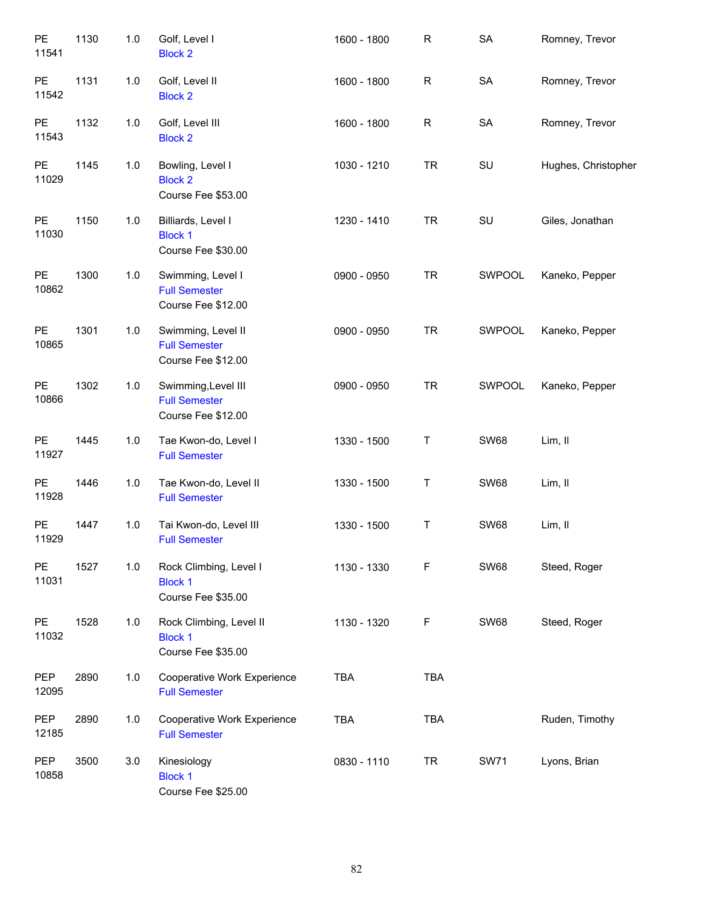| PE<br>11541        | 1130 | 1.0 | Golf, Level I<br><b>Block 2</b>                                   | 1600 - 1800 | $\mathsf R$  | <b>SA</b>   | Romney, Trevor      |
|--------------------|------|-----|-------------------------------------------------------------------|-------------|--------------|-------------|---------------------|
| PE<br>11542        | 1131 | 1.0 | Golf, Level II<br><b>Block 2</b>                                  | 1600 - 1800 | $\mathsf{R}$ | ${\sf SA}$  | Romney, Trevor      |
| PE<br>11543        | 1132 | 1.0 | Golf, Level III<br><b>Block 2</b>                                 | 1600 - 1800 | R            | SA          | Romney, Trevor      |
| PE<br>11029        | 1145 | 1.0 | Bowling, Level I<br><b>Block 2</b><br>Course Fee \$53.00          | 1030 - 1210 | <b>TR</b>    | SU          | Hughes, Christopher |
| <b>PE</b><br>11030 | 1150 | 1.0 | Billiards, Level I<br><b>Block 1</b><br>Course Fee \$30.00        | 1230 - 1410 | <b>TR</b>    | SU          | Giles, Jonathan     |
| <b>PE</b><br>10862 | 1300 | 1.0 | Swimming, Level I<br><b>Full Semester</b><br>Course Fee \$12.00   | 0900 - 0950 | <b>TR</b>    | SWPOOL      | Kaneko, Pepper      |
| PE<br>10865        | 1301 | 1.0 | Swimming, Level II<br><b>Full Semester</b><br>Course Fee \$12.00  | 0900 - 0950 | <b>TR</b>    | SWPOOL      | Kaneko, Pepper      |
| <b>PE</b><br>10866 | 1302 | 1.0 | Swimming, Level III<br><b>Full Semester</b><br>Course Fee \$12.00 | 0900 - 0950 | <b>TR</b>    | SWPOOL      | Kaneko, Pepper      |
| PE<br>11927        | 1445 | 1.0 | Tae Kwon-do, Level I<br><b>Full Semester</b>                      | 1330 - 1500 | Τ            | <b>SW68</b> | Lim, II             |
| PE<br>11928        | 1446 | 1.0 | Tae Kwon-do, Level II<br><b>Full Semester</b>                     | 1330 - 1500 | Τ            | <b>SW68</b> | Lim, II             |
| PE<br>11929        | 1447 | 1.0 | Tai Kwon-do, Level III<br><b>Full Semester</b>                    | 1330 - 1500 | Τ            | <b>SW68</b> | Lim, II             |
| <b>PE</b><br>11031 | 1527 | 1.0 | Rock Climbing, Level I<br><b>Block 1</b><br>Course Fee \$35.00    | 1130 - 1330 | F            | <b>SW68</b> | Steed, Roger        |
| <b>PE</b><br>11032 | 1528 | 1.0 | Rock Climbing, Level II<br><b>Block 1</b><br>Course Fee \$35.00   | 1130 - 1320 | F            | <b>SW68</b> | Steed, Roger        |
| PEP<br>12095       | 2890 | 1.0 | Cooperative Work Experience<br><b>Full Semester</b>               | <b>TBA</b>  | <b>TBA</b>   |             |                     |
| PEP<br>12185       | 2890 | 1.0 | Cooperative Work Experience<br><b>Full Semester</b>               | <b>TBA</b>  | <b>TBA</b>   |             | Ruden, Timothy      |
| PEP<br>10858       | 3500 | 3.0 | Kinesiology<br><b>Block 1</b><br>Course Fee \$25.00               | 0830 - 1110 | <b>TR</b>    | <b>SW71</b> | Lyons, Brian        |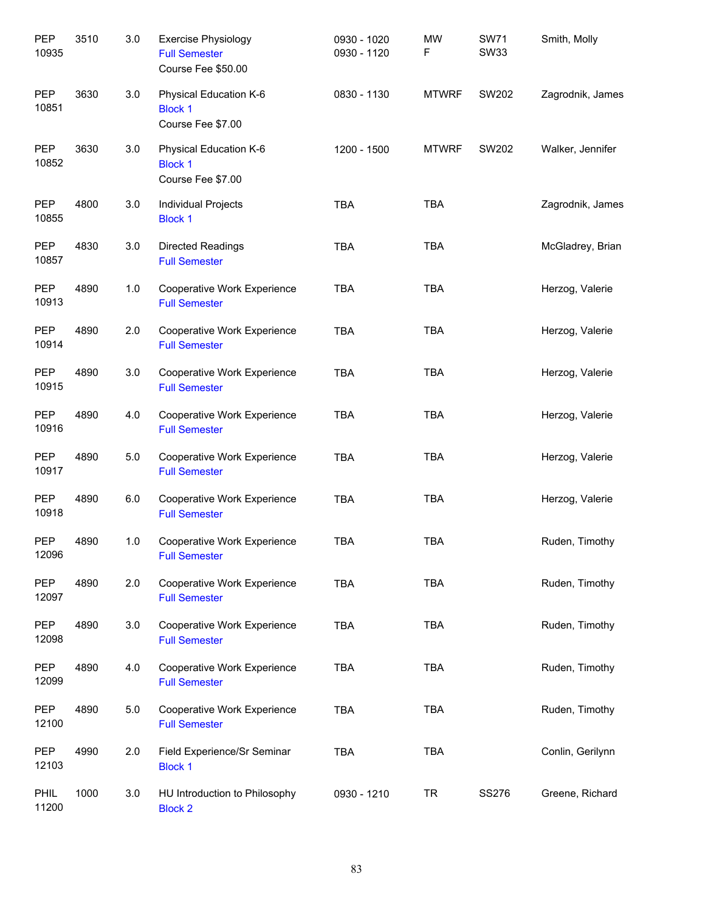| PEP<br>10935        | 3510 | 3.0 | <b>Exercise Physiology</b><br><b>Full Semester</b><br>Course Fee \$50.00 | 0930 - 1020<br>0930 - 1120 | <b>MW</b><br>F | <b>SW71</b><br><b>SW33</b> | Smith, Molly     |
|---------------------|------|-----|--------------------------------------------------------------------------|----------------------------|----------------|----------------------------|------------------|
| PEP<br>10851        | 3630 | 3.0 | Physical Education K-6<br><b>Block 1</b><br>Course Fee \$7.00            | 0830 - 1130                | <b>MTWRF</b>   | SW202                      | Zagrodnik, James |
| PEP<br>10852        | 3630 | 3.0 | Physical Education K-6<br><b>Block 1</b><br>Course Fee \$7.00            | 1200 - 1500                | <b>MTWRF</b>   | <b>SW202</b>               | Walker, Jennifer |
| <b>PEP</b><br>10855 | 4800 | 3.0 | Individual Projects<br><b>Block 1</b>                                    | <b>TBA</b>                 | <b>TBA</b>     |                            | Zagrodnik, James |
| PEP<br>10857        | 4830 | 3.0 | <b>Directed Readings</b><br><b>Full Semester</b>                         | <b>TBA</b>                 | <b>TBA</b>     |                            | McGladrey, Brian |
| PEP<br>10913        | 4890 | 1.0 | Cooperative Work Experience<br><b>Full Semester</b>                      | <b>TBA</b>                 | <b>TBA</b>     |                            | Herzog, Valerie  |
| <b>PEP</b><br>10914 | 4890 | 2.0 | Cooperative Work Experience<br><b>Full Semester</b>                      | <b>TBA</b>                 | <b>TBA</b>     |                            | Herzog, Valerie  |
| <b>PEP</b><br>10915 | 4890 | 3.0 | Cooperative Work Experience<br><b>Full Semester</b>                      | <b>TBA</b>                 | <b>TBA</b>     |                            | Herzog, Valerie  |
| <b>PEP</b><br>10916 | 4890 | 4.0 | Cooperative Work Experience<br><b>Full Semester</b>                      | <b>TBA</b>                 | <b>TBA</b>     |                            | Herzog, Valerie  |
| <b>PEP</b><br>10917 | 4890 | 5.0 | Cooperative Work Experience<br><b>Full Semester</b>                      | <b>TBA</b>                 | <b>TBA</b>     |                            | Herzog, Valerie  |
| <b>PEP</b><br>10918 | 4890 | 6.0 | Cooperative Work Experience<br><b>Full Semester</b>                      | <b>TBA</b>                 | <b>TBA</b>     |                            | Herzog, Valerie  |
| <b>PEP</b><br>12096 | 4890 | 1.0 | Cooperative Work Experience<br><b>Full Semester</b>                      | <b>TBA</b>                 | <b>TBA</b>     |                            | Ruden, Timothy   |
| <b>PEP</b><br>12097 | 4890 | 2.0 | Cooperative Work Experience<br><b>Full Semester</b>                      | <b>TBA</b>                 | <b>TBA</b>     |                            | Ruden, Timothy   |
| <b>PEP</b><br>12098 | 4890 | 3.0 | Cooperative Work Experience<br><b>Full Semester</b>                      | <b>TBA</b>                 | <b>TBA</b>     |                            | Ruden, Timothy   |
| PEP<br>12099        | 4890 | 4.0 | Cooperative Work Experience<br><b>Full Semester</b>                      | <b>TBA</b>                 | <b>TBA</b>     |                            | Ruden, Timothy   |
| PEP<br>12100        | 4890 | 5.0 | Cooperative Work Experience<br><b>Full Semester</b>                      | <b>TBA</b>                 | <b>TBA</b>     |                            | Ruden, Timothy   |
| <b>PEP</b><br>12103 | 4990 | 2.0 | Field Experience/Sr Seminar<br><b>Block 1</b>                            | <b>TBA</b>                 | <b>TBA</b>     |                            | Conlin, Gerilynn |
| PHIL<br>11200       | 1000 | 3.0 | HU Introduction to Philosophy<br><b>Block 2</b>                          | 0930 - 1210                | <b>TR</b>      | <b>SS276</b>               | Greene, Richard  |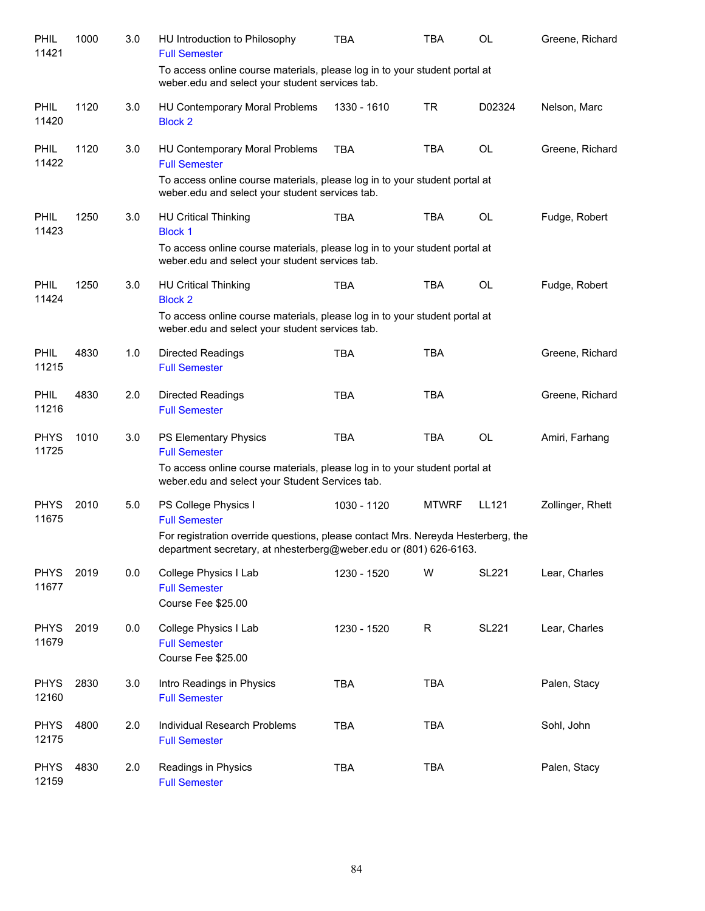| PHIL<br>11421        | 1000 | 3.0 | HU Introduction to Philosophy<br><b>Full Semester</b>                                                                                                 | TBA         | <b>TBA</b>   | OL           | Greene, Richard  |
|----------------------|------|-----|-------------------------------------------------------------------------------------------------------------------------------------------------------|-------------|--------------|--------------|------------------|
|                      |      |     | To access online course materials, please log in to your student portal at<br>weber.edu and select your student services tab.                         |             |              |              |                  |
| <b>PHIL</b><br>11420 | 1120 | 3.0 | HU Contemporary Moral Problems<br><b>Block 2</b>                                                                                                      | 1330 - 1610 | <b>TR</b>    | D02324       | Nelson, Marc     |
| <b>PHIL</b><br>11422 | 1120 | 3.0 | HU Contemporary Moral Problems<br><b>Full Semester</b><br>To access online course materials, please log in to your student portal at                  | <b>TBA</b>  | <b>TBA</b>   | <b>OL</b>    | Greene, Richard  |
|                      |      |     | weber.edu and select your student services tab.                                                                                                       |             |              |              |                  |
| <b>PHIL</b><br>11423 | 1250 | 3.0 | <b>HU Critical Thinking</b><br><b>Block 1</b>                                                                                                         | <b>TBA</b>  | <b>TBA</b>   | <b>OL</b>    | Fudge, Robert    |
|                      |      |     | To access online course materials, please log in to your student portal at<br>weber.edu and select your student services tab.                         |             |              |              |                  |
| <b>PHIL</b><br>11424 | 1250 | 3.0 | <b>HU Critical Thinking</b><br><b>Block 2</b>                                                                                                         | <b>TBA</b>  | <b>TBA</b>   | <b>OL</b>    | Fudge, Robert    |
|                      |      |     | To access online course materials, please log in to your student portal at<br>weber.edu and select your student services tab.                         |             |              |              |                  |
| <b>PHIL</b><br>11215 | 4830 | 1.0 | Directed Readings<br><b>Full Semester</b>                                                                                                             | <b>TBA</b>  | <b>TBA</b>   |              | Greene, Richard  |
| <b>PHIL</b><br>11216 | 4830 | 2.0 | Directed Readings<br><b>Full Semester</b>                                                                                                             | <b>TBA</b>  | <b>TBA</b>   |              | Greene, Richard  |
| <b>PHYS</b><br>11725 | 1010 | 3.0 | <b>PS Elementary Physics</b><br><b>Full Semester</b>                                                                                                  | <b>TBA</b>  | <b>TBA</b>   | <b>OL</b>    | Amiri, Farhang   |
|                      |      |     | To access online course materials, please log in to your student portal at<br>weber.edu and select your Student Services tab.                         |             |              |              |                  |
| <b>PHYS</b><br>11675 | 2010 | 5.0 | PS College Physics I<br><b>Full Semester</b>                                                                                                          | 1030 - 1120 | <b>MTWRF</b> | LL121        | Zollinger, Rhett |
|                      |      |     | For registration override questions, please contact Mrs. Nereyda Hesterberg, the<br>department secretary, at nhesterberg@weber.edu or (801) 626-6163. |             |              |              |                  |
| <b>PHYS</b><br>11677 | 2019 | 0.0 | College Physics I Lab<br><b>Full Semester</b><br>Course Fee \$25.00                                                                                   | 1230 - 1520 | W            | <b>SL221</b> | Lear, Charles    |
| <b>PHYS</b><br>11679 | 2019 | 0.0 | College Physics I Lab<br><b>Full Semester</b><br>Course Fee \$25.00                                                                                   | 1230 - 1520 | $\mathsf R$  | <b>SL221</b> | Lear, Charles    |
| <b>PHYS</b><br>12160 | 2830 | 3.0 | Intro Readings in Physics<br><b>Full Semester</b>                                                                                                     | <b>TBA</b>  | <b>TBA</b>   |              | Palen, Stacy     |
| <b>PHYS</b><br>12175 | 4800 | 2.0 | Individual Research Problems<br><b>Full Semester</b>                                                                                                  | <b>TBA</b>  | <b>TBA</b>   |              | Sohl, John       |
| <b>PHYS</b><br>12159 | 4830 | 2.0 | Readings in Physics<br><b>Full Semester</b>                                                                                                           | <b>TBA</b>  | <b>TBA</b>   |              | Palen, Stacy     |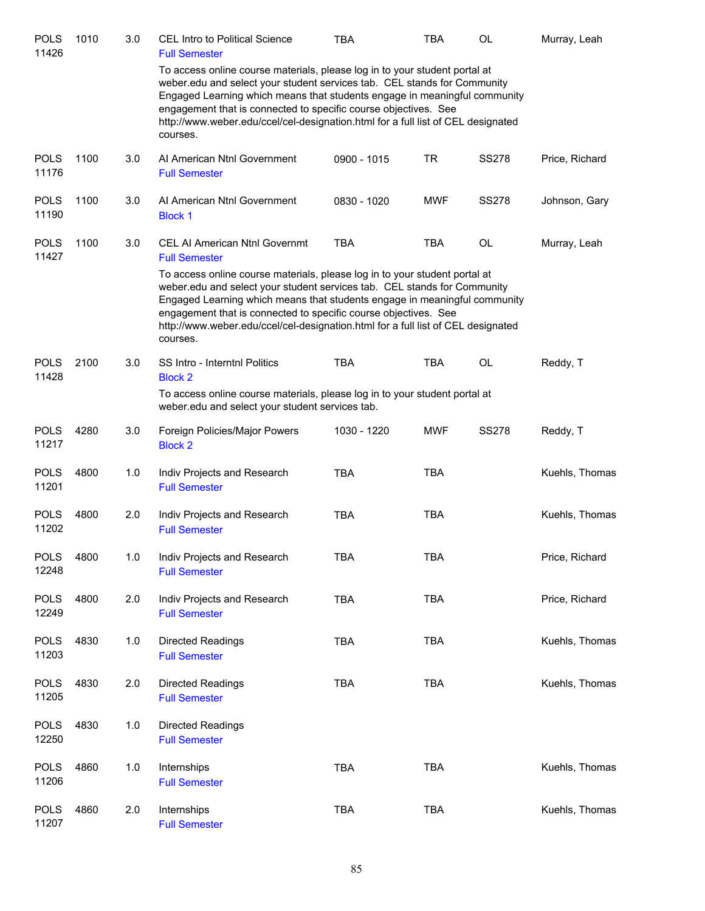| <b>POLS</b><br>11426 | 1010 | 3.0 | <b>CEL Intro to Political Science</b><br><b>Full Semester</b>                                                                                                                                                                                                                                                                                                                                          | <b>TBA</b>  | TBA        | OL           | Murray, Leah   |
|----------------------|------|-----|--------------------------------------------------------------------------------------------------------------------------------------------------------------------------------------------------------------------------------------------------------------------------------------------------------------------------------------------------------------------------------------------------------|-------------|------------|--------------|----------------|
|                      |      |     | To access online course materials, please log in to your student portal at<br>weber.edu and select your student services tab. CEL stands for Community<br>Engaged Learning which means that students engage in meaningful community<br>engagement that is connected to specific course objectives. See<br>http://www.weber.edu/ccel/cel-designation.html for a full list of CEL designated<br>courses. |             |            |              |                |
| <b>POLS</b><br>11176 | 1100 | 3.0 | Al American Ntnl Government<br><b>Full Semester</b>                                                                                                                                                                                                                                                                                                                                                    | 0900 - 1015 | <b>TR</b>  | <b>SS278</b> | Price, Richard |
| <b>POLS</b><br>11190 | 1100 | 3.0 | Al American Ntnl Government<br><b>Block 1</b>                                                                                                                                                                                                                                                                                                                                                          | 0830 - 1020 | <b>MWF</b> | <b>SS278</b> | Johnson, Gary  |
| <b>POLS</b><br>11427 | 1100 | 3.0 | <b>CEL AI American Ntnl Governmt</b><br><b>Full Semester</b>                                                                                                                                                                                                                                                                                                                                           | <b>TBA</b>  | <b>TBA</b> | OL           | Murray, Leah   |
|                      |      |     | To access online course materials, please log in to your student portal at<br>weber.edu and select your student services tab. CEL stands for Community<br>Engaged Learning which means that students engage in meaningful community<br>engagement that is connected to specific course objectives. See<br>http://www.weber.edu/ccel/cel-designation.html for a full list of CEL designated<br>courses. |             |            |              |                |
| <b>POLS</b><br>11428 | 2100 | 3.0 | SS Intro - Interntnl Politics<br><b>Block 2</b>                                                                                                                                                                                                                                                                                                                                                        | <b>TBA</b>  | <b>TBA</b> | OL           | Reddy, T       |
|                      |      |     | To access online course materials, please log in to your student portal at<br>weber.edu and select your student services tab.                                                                                                                                                                                                                                                                          |             |            |              |                |
| <b>POLS</b><br>11217 | 4280 | 3.0 | Foreign Policies/Major Powers<br><b>Block 2</b>                                                                                                                                                                                                                                                                                                                                                        | 1030 - 1220 | <b>MWF</b> | <b>SS278</b> | Reddy, T       |
| <b>POLS</b><br>11201 | 4800 | 1.0 | Indiv Projects and Research<br><b>Full Semester</b>                                                                                                                                                                                                                                                                                                                                                    | <b>TBA</b>  | <b>TBA</b> |              | Kuehls, Thomas |
| <b>POLS</b><br>11202 | 4800 | 2.0 | Indiv Projects and Research<br><b>Full Semester</b>                                                                                                                                                                                                                                                                                                                                                    | <b>TBA</b>  | <b>TBA</b> |              | Kuehls, Thomas |
| <b>POLS</b><br>12248 | 4800 | 1.0 | Indiv Projects and Research<br><b>Full Semester</b>                                                                                                                                                                                                                                                                                                                                                    | <b>TBA</b>  | <b>TBA</b> |              | Price, Richard |
| <b>POLS</b><br>12249 | 4800 | 2.0 | Indiv Projects and Research<br><b>Full Semester</b>                                                                                                                                                                                                                                                                                                                                                    | <b>TBA</b>  | <b>TBA</b> |              | Price, Richard |
| <b>POLS</b><br>11203 | 4830 | 1.0 | <b>Directed Readings</b><br><b>Full Semester</b>                                                                                                                                                                                                                                                                                                                                                       | <b>TBA</b>  | <b>TBA</b> |              | Kuehls, Thomas |
| <b>POLS</b><br>11205 | 4830 | 2.0 | <b>Directed Readings</b><br><b>Full Semester</b>                                                                                                                                                                                                                                                                                                                                                       | TBA         | <b>TBA</b> |              | Kuehls, Thomas |
| <b>POLS</b><br>12250 | 4830 | 1.0 | <b>Directed Readings</b><br><b>Full Semester</b>                                                                                                                                                                                                                                                                                                                                                       |             |            |              |                |
| <b>POLS</b><br>11206 | 4860 | 1.0 | Internships<br><b>Full Semester</b>                                                                                                                                                                                                                                                                                                                                                                    | <b>TBA</b>  | <b>TBA</b> |              | Kuehls, Thomas |
| <b>POLS</b><br>11207 | 4860 | 2.0 | Internships<br><b>Full Semester</b>                                                                                                                                                                                                                                                                                                                                                                    | <b>TBA</b>  | <b>TBA</b> |              | Kuehls, Thomas |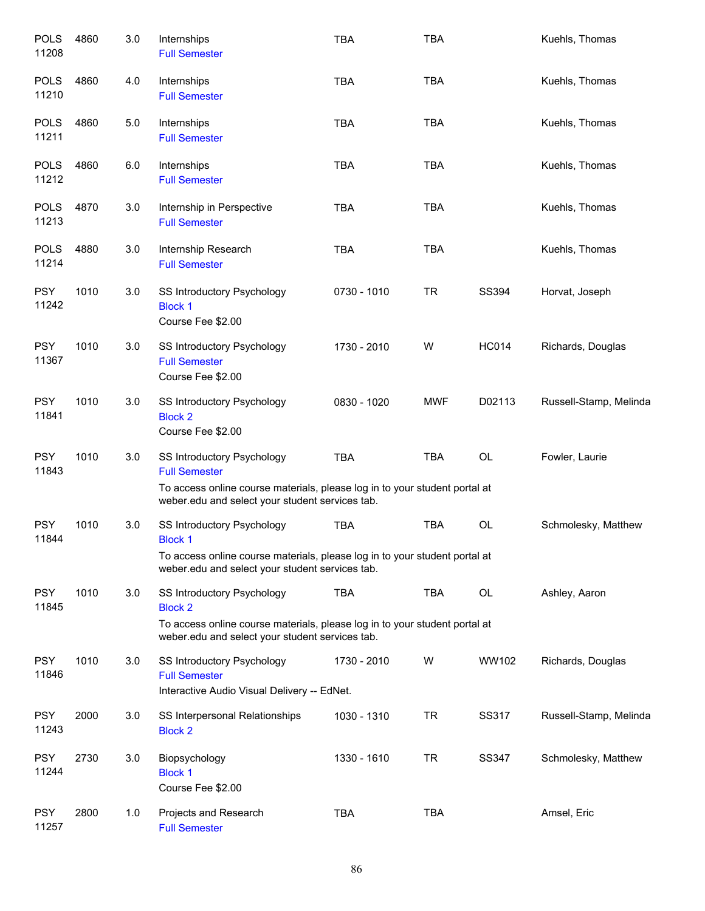| <b>POLS</b><br>11208 | 4860 | 3.0 | Internships<br><b>Full Semester</b>                                                                                                                                                  | <b>TBA</b>  | <b>TBA</b> |              | Kuehls, Thomas         |
|----------------------|------|-----|--------------------------------------------------------------------------------------------------------------------------------------------------------------------------------------|-------------|------------|--------------|------------------------|
| <b>POLS</b><br>11210 | 4860 | 4.0 | Internships<br><b>Full Semester</b>                                                                                                                                                  | <b>TBA</b>  | <b>TBA</b> |              | Kuehls, Thomas         |
| <b>POLS</b><br>11211 | 4860 | 5.0 | Internships<br><b>Full Semester</b>                                                                                                                                                  | <b>TBA</b>  | <b>TBA</b> |              | Kuehls, Thomas         |
| <b>POLS</b><br>11212 | 4860 | 6.0 | Internships<br><b>Full Semester</b>                                                                                                                                                  | <b>TBA</b>  | <b>TBA</b> |              | Kuehls, Thomas         |
| <b>POLS</b><br>11213 | 4870 | 3.0 | Internship in Perspective<br><b>Full Semester</b>                                                                                                                                    | <b>TBA</b>  | <b>TBA</b> |              | Kuehls, Thomas         |
| <b>POLS</b><br>11214 | 4880 | 3.0 | Internship Research<br><b>Full Semester</b>                                                                                                                                          | <b>TBA</b>  | <b>TBA</b> |              | Kuehls, Thomas         |
| <b>PSY</b><br>11242  | 1010 | 3.0 | SS Introductory Psychology<br><b>Block 1</b><br>Course Fee \$2.00                                                                                                                    | 0730 - 1010 | <b>TR</b>  | <b>SS394</b> | Horvat, Joseph         |
| <b>PSY</b><br>11367  | 1010 | 3.0 | SS Introductory Psychology<br><b>Full Semester</b><br>Course Fee \$2.00                                                                                                              | 1730 - 2010 | W          | <b>HC014</b> | Richards, Douglas      |
| <b>PSY</b><br>11841  | 1010 | 3.0 | SS Introductory Psychology<br><b>Block 2</b><br>Course Fee \$2.00                                                                                                                    | 0830 - 1020 | <b>MWF</b> | D02113       | Russell-Stamp, Melinda |
| <b>PSY</b><br>11843  | 1010 | 3.0 | SS Introductory Psychology<br><b>Full Semester</b><br>To access online course materials, please log in to your student portal at<br>weber.edu and select your student services tab.  | <b>TBA</b>  | <b>TBA</b> | OL           | Fowler, Laurie         |
| <b>PSY</b><br>11844  | 1010 | 3.0 | SS Introductory Psychology<br><b>Block 1</b><br>To access online course materials, please log in to your student portal at<br>weber.edu and select your student services tab.        | <b>TBA</b>  | <b>TBA</b> | OL           | Schmolesky, Matthew    |
| <b>PSY</b><br>11845  | 1010 | 3.0 | <b>SS Introductory Psychology</b><br><b>Block 2</b><br>To access online course materials, please log in to your student portal at<br>weber.edu and select your student services tab. | <b>TBA</b>  | <b>TBA</b> | OL           | Ashley, Aaron          |
| <b>PSY</b><br>11846  | 1010 | 3.0 | SS Introductory Psychology<br><b>Full Semester</b><br>Interactive Audio Visual Delivery -- EdNet.                                                                                    | 1730 - 2010 | W          | WW102        | Richards, Douglas      |
| <b>PSY</b><br>11243  | 2000 | 3.0 | SS Interpersonal Relationships<br><b>Block 2</b>                                                                                                                                     | 1030 - 1310 | <b>TR</b>  | SS317        | Russell-Stamp, Melinda |
| <b>PSY</b><br>11244  | 2730 | 3.0 | Biopsychology<br><b>Block 1</b><br>Course Fee \$2.00                                                                                                                                 | 1330 - 1610 | <b>TR</b>  | <b>SS347</b> | Schmolesky, Matthew    |
| <b>PSY</b><br>11257  | 2800 | 1.0 | Projects and Research<br><b>Full Semester</b>                                                                                                                                        | <b>TBA</b>  | <b>TBA</b> |              | Amsel, Eric            |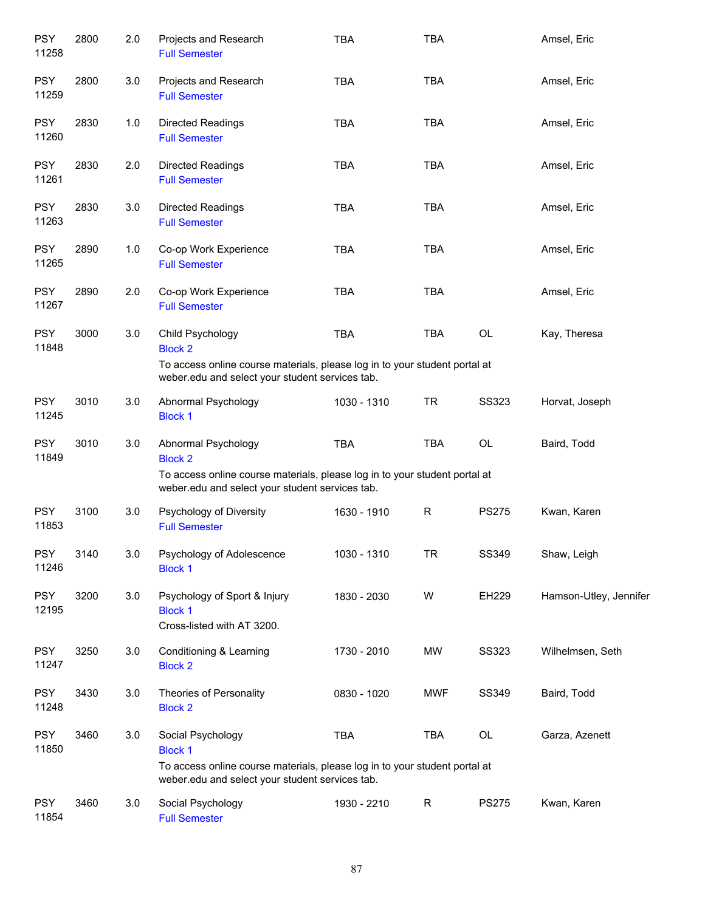| <b>PSY</b><br>11258 | 2800 | 2.0 | Projects and Research<br><b>Full Semester</b>                                                                                                                        | <b>TBA</b>  | <b>TBA</b>   |              | Amsel, Eric            |
|---------------------|------|-----|----------------------------------------------------------------------------------------------------------------------------------------------------------------------|-------------|--------------|--------------|------------------------|
| <b>PSY</b><br>11259 | 2800 | 3.0 | Projects and Research<br><b>Full Semester</b>                                                                                                                        | <b>TBA</b>  | <b>TBA</b>   |              | Amsel, Eric            |
| <b>PSY</b><br>11260 | 2830 | 1.0 | Directed Readings<br><b>Full Semester</b>                                                                                                                            | <b>TBA</b>  | <b>TBA</b>   |              | Amsel, Eric            |
| <b>PSY</b><br>11261 | 2830 | 2.0 | Directed Readings<br><b>Full Semester</b>                                                                                                                            | <b>TBA</b>  | <b>TBA</b>   |              | Amsel, Eric            |
| <b>PSY</b><br>11263 | 2830 | 3.0 | Directed Readings<br><b>Full Semester</b>                                                                                                                            | <b>TBA</b>  | <b>TBA</b>   |              | Amsel, Eric            |
| <b>PSY</b><br>11265 | 2890 | 1.0 | Co-op Work Experience<br><b>Full Semester</b>                                                                                                                        | <b>TBA</b>  | <b>TBA</b>   |              | Amsel, Eric            |
| <b>PSY</b><br>11267 | 2890 | 2.0 | Co-op Work Experience<br><b>Full Semester</b>                                                                                                                        | <b>TBA</b>  | <b>TBA</b>   |              | Amsel, Eric            |
| <b>PSY</b><br>11848 | 3000 | 3.0 | Child Psychology<br><b>Block 2</b><br>To access online course materials, please log in to your student portal at                                                     | <b>TBA</b>  | <b>TBA</b>   | OL           | Kay, Theresa           |
|                     |      |     | weber.edu and select your student services tab.                                                                                                                      |             |              |              |                        |
| <b>PSY</b><br>11245 | 3010 | 3.0 | Abnormal Psychology<br><b>Block 1</b>                                                                                                                                | 1030 - 1310 | <b>TR</b>    | <b>SS323</b> | Horvat, Joseph         |
| <b>PSY</b><br>11849 | 3010 | 3.0 | Abnormal Psychology<br><b>Block 2</b>                                                                                                                                | <b>TBA</b>  | <b>TBA</b>   | OL           | Baird, Todd            |
|                     |      |     | To access online course materials, please log in to your student portal at<br>weber.edu and select your student services tab.                                        |             |              |              |                        |
| <b>PSY</b><br>11853 | 3100 | 3.0 | Psychology of Diversity<br><b>Full Semester</b>                                                                                                                      | 1630 - 1910 | $\mathsf R$  | <b>PS275</b> | Kwan, Karen            |
| <b>PSY</b><br>11246 | 3140 | 3.0 | Psychology of Adolescence<br><b>Block 1</b>                                                                                                                          | 1030 - 1310 | <b>TR</b>    | SS349        | Shaw, Leigh            |
| <b>PSY</b><br>12195 | 3200 | 3.0 | Psychology of Sport & Injury<br><b>Block 1</b><br>Cross-listed with AT 3200.                                                                                         | 1830 - 2030 | W            | EH229        | Hamson-Utley, Jennifer |
| <b>PSY</b><br>11247 | 3250 | 3.0 | Conditioning & Learning<br><b>Block 2</b>                                                                                                                            | 1730 - 2010 | MW           | <b>SS323</b> | Wilhelmsen, Seth       |
| <b>PSY</b><br>11248 | 3430 | 3.0 | Theories of Personality<br><b>Block 2</b>                                                                                                                            | 0830 - 1020 | MWF          | SS349        | Baird, Todd            |
| <b>PSY</b><br>11850 | 3460 | 3.0 | Social Psychology<br><b>Block 1</b><br>To access online course materials, please log in to your student portal at<br>weber.edu and select your student services tab. | <b>TBA</b>  | <b>TBA</b>   | OL           | Garza, Azenett         |
| <b>PSY</b><br>11854 | 3460 | 3.0 | Social Psychology<br><b>Full Semester</b>                                                                                                                            | 1930 - 2210 | $\mathsf{R}$ | <b>PS275</b> | Kwan, Karen            |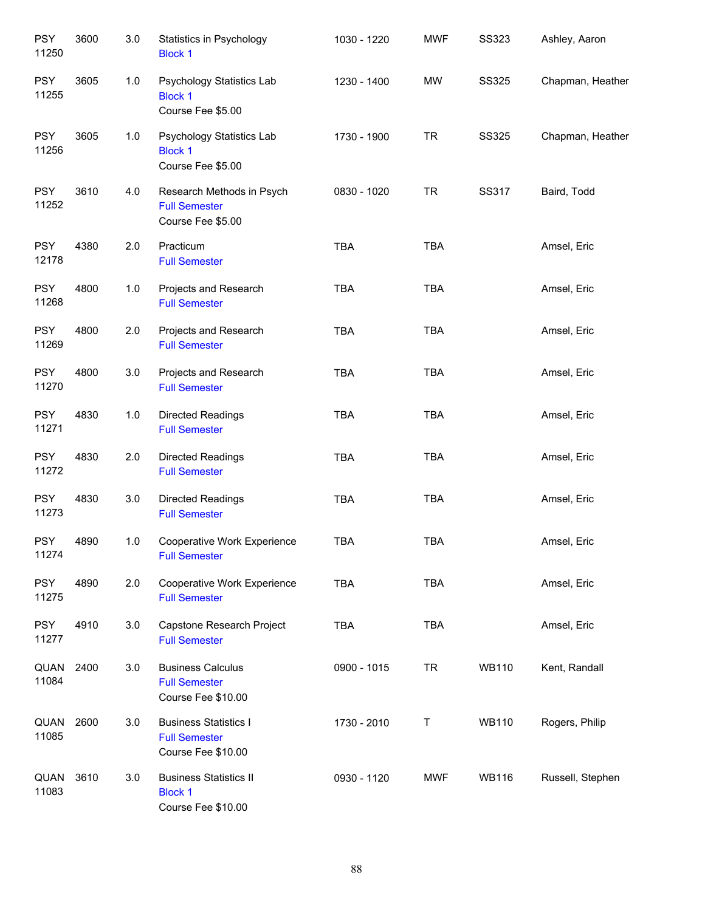| <b>PSY</b><br>11250 | 3600 | 3.0 | Statistics in Psychology<br><b>Block 1</b>                                 | 1030 - 1220 | <b>MWF</b> | <b>SS323</b> | Ashley, Aaron    |
|---------------------|------|-----|----------------------------------------------------------------------------|-------------|------------|--------------|------------------|
| <b>PSY</b><br>11255 | 3605 | 1.0 | Psychology Statistics Lab<br><b>Block 1</b><br>Course Fee \$5.00           | 1230 - 1400 | <b>MW</b>  | <b>SS325</b> | Chapman, Heather |
| <b>PSY</b><br>11256 | 3605 | 1.0 | Psychology Statistics Lab<br><b>Block 1</b><br>Course Fee \$5.00           | 1730 - 1900 | <b>TR</b>  | <b>SS325</b> | Chapman, Heather |
| <b>PSY</b><br>11252 | 3610 | 4.0 | Research Methods in Psych<br><b>Full Semester</b><br>Course Fee \$5.00     | 0830 - 1020 | <b>TR</b>  | <b>SS317</b> | Baird, Todd      |
| <b>PSY</b><br>12178 | 4380 | 2.0 | Practicum<br><b>Full Semester</b>                                          | <b>TBA</b>  | TBA        |              | Amsel, Eric      |
| <b>PSY</b><br>11268 | 4800 | 1.0 | Projects and Research<br><b>Full Semester</b>                              | <b>TBA</b>  | <b>TBA</b> |              | Amsel, Eric      |
| <b>PSY</b><br>11269 | 4800 | 2.0 | Projects and Research<br><b>Full Semester</b>                              | <b>TBA</b>  | <b>TBA</b> |              | Amsel, Eric      |
| <b>PSY</b><br>11270 | 4800 | 3.0 | Projects and Research<br><b>Full Semester</b>                              | <b>TBA</b>  | <b>TBA</b> |              | Amsel, Eric      |
| <b>PSY</b><br>11271 | 4830 | 1.0 | Directed Readings<br><b>Full Semester</b>                                  | <b>TBA</b>  | <b>TBA</b> |              | Amsel, Eric      |
| <b>PSY</b><br>11272 | 4830 | 2.0 | Directed Readings<br><b>Full Semester</b>                                  | TBA         | <b>TBA</b> |              | Amsel, Eric      |
| <b>PSY</b><br>11273 | 4830 | 3.0 | Directed Readings<br><b>Full Semester</b>                                  | TBA         | TBA        |              | Amsel, Eric      |
| <b>PSY</b><br>11274 | 4890 | 1.0 | Cooperative Work Experience<br><b>Full Semester</b>                        | <b>TBA</b>  | <b>TBA</b> |              | Amsel, Eric      |
| <b>PSY</b><br>11275 | 4890 | 2.0 | Cooperative Work Experience<br><b>Full Semester</b>                        | <b>TBA</b>  | <b>TBA</b> |              | Amsel, Eric      |
| <b>PSY</b><br>11277 | 4910 | 3.0 | Capstone Research Project<br><b>Full Semester</b>                          | <b>TBA</b>  | <b>TBA</b> |              | Amsel, Eric      |
| QUAN<br>11084       | 2400 | 3.0 | <b>Business Calculus</b><br><b>Full Semester</b><br>Course Fee \$10.00     | 0900 - 1015 | <b>TR</b>  | <b>WB110</b> | Kent, Randall    |
| QUAN<br>11085       | 2600 | 3.0 | <b>Business Statistics I</b><br><b>Full Semester</b><br>Course Fee \$10.00 | 1730 - 2010 | T          | <b>WB110</b> | Rogers, Philip   |
| QUAN<br>11083       | 3610 | 3.0 | <b>Business Statistics II</b><br><b>Block 1</b><br>Course Fee \$10.00      | 0930 - 1120 | <b>MWF</b> | <b>WB116</b> | Russell, Stephen |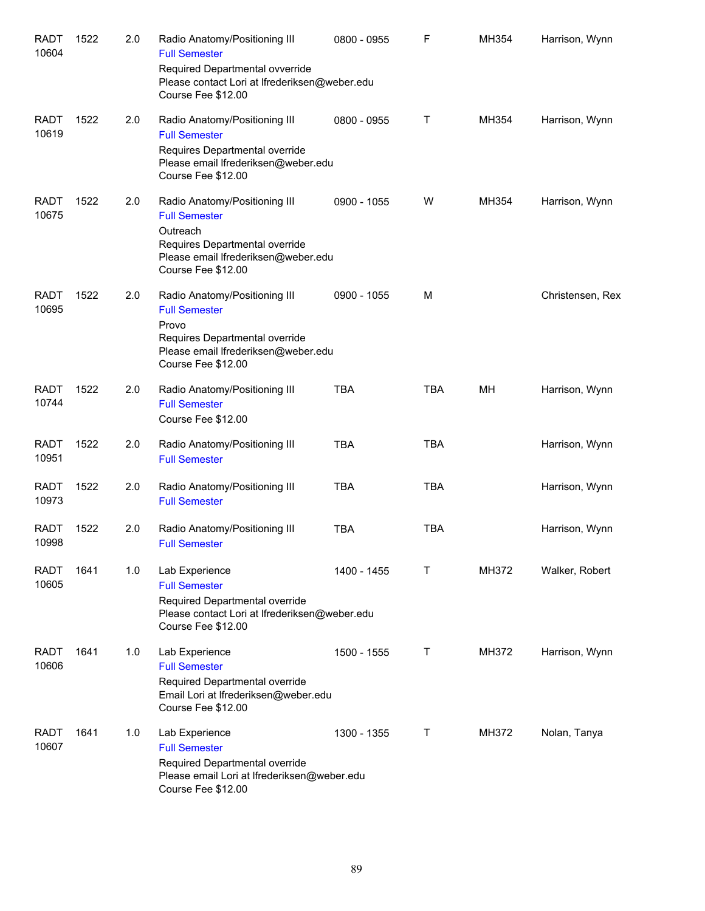| <b>RADT</b><br>10604 | 1522 | 2.0 | Radio Anatomy/Positioning III<br><b>Full Semester</b><br>Required Departmental ovverride<br>Please contact Lori at Ifrederiksen@weber.edu<br>Course Fee \$12.00  | 0800 - 0955 | F          | MH354 | Harrison, Wynn   |
|----------------------|------|-----|------------------------------------------------------------------------------------------------------------------------------------------------------------------|-------------|------------|-------|------------------|
| <b>RADT</b><br>10619 | 1522 | 2.0 | Radio Anatomy/Positioning III<br><b>Full Semester</b><br>Requires Departmental override<br>Please email Ifrederiksen@weber.edu<br>Course Fee \$12.00             | 0800 - 0955 | Τ          | MH354 | Harrison, Wynn   |
| <b>RADT</b><br>10675 | 1522 | 2.0 | Radio Anatomy/Positioning III<br><b>Full Semester</b><br>Outreach<br>Requires Departmental override<br>Please email Ifrederiksen@weber.edu<br>Course Fee \$12.00 | 0900 - 1055 | W          | MH354 | Harrison, Wynn   |
| <b>RADT</b><br>10695 | 1522 | 2.0 | Radio Anatomy/Positioning III<br><b>Full Semester</b><br>Provo<br>Requires Departmental override<br>Please email Ifrederiksen@weber.edu<br>Course Fee \$12.00    | 0900 - 1055 | M          |       | Christensen, Rex |
| <b>RADT</b><br>10744 | 1522 | 2.0 | Radio Anatomy/Positioning III<br><b>Full Semester</b><br>Course Fee \$12.00                                                                                      | <b>TBA</b>  | <b>TBA</b> | MН    | Harrison, Wynn   |
| <b>RADT</b><br>10951 | 1522 | 2.0 | Radio Anatomy/Positioning III<br><b>Full Semester</b>                                                                                                            | <b>TBA</b>  | <b>TBA</b> |       | Harrison, Wynn   |
| <b>RADT</b><br>10973 | 1522 | 2.0 | Radio Anatomy/Positioning III<br><b>Full Semester</b>                                                                                                            | <b>TBA</b>  | <b>TBA</b> |       | Harrison, Wynn   |
| <b>RADT</b><br>10998 | 1522 | 2.0 | Radio Anatomy/Positioning III<br><b>Full Semester</b>                                                                                                            | <b>TBA</b>  | <b>TBA</b> |       | Harrison, Wynn   |
| RADT<br>10605        | 1641 | 1.0 | Lab Experience<br><b>Full Semester</b><br>Required Departmental override<br>Please contact Lori at Ifrederiksen@weber.edu<br>Course Fee \$12.00                  | 1400 - 1455 | Τ          | MH372 | Walker, Robert   |
| <b>RADT</b><br>10606 | 1641 | 1.0 | Lab Experience<br><b>Full Semester</b><br>Required Departmental override<br>Email Lori at Ifrederiksen@weber.edu<br>Course Fee \$12.00                           | 1500 - 1555 | Τ          | MH372 | Harrison, Wynn   |
| <b>RADT</b><br>10607 | 1641 | 1.0 | Lab Experience<br><b>Full Semester</b><br>Required Departmental override<br>Please email Lori at Ifrederiksen@weber.edu<br>Course Fee \$12.00                    | 1300 - 1355 | Τ          | MH372 | Nolan, Tanya     |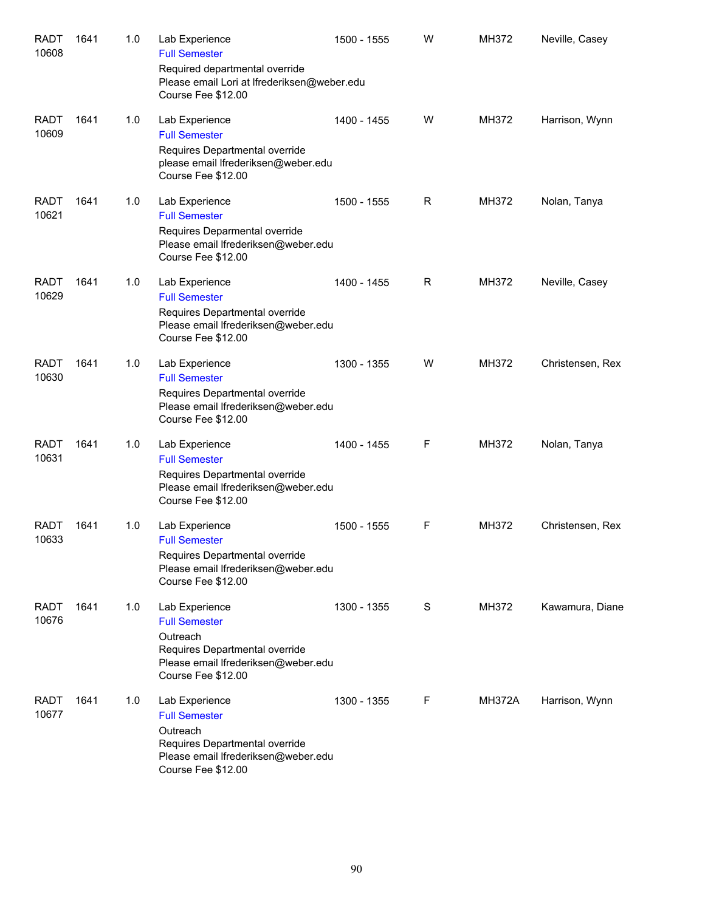| <b>RADT</b><br>10608 | 1641 | 1.0 | Lab Experience<br><b>Full Semester</b><br>Required departmental override<br>Please email Lori at Ifrederiksen@weber.edu<br>Course Fee \$12.00     | 1500 - 1555 | W | MH372         | Neville, Casey   |
|----------------------|------|-----|---------------------------------------------------------------------------------------------------------------------------------------------------|-------------|---|---------------|------------------|
| <b>RADT</b><br>10609 | 1641 | 1.0 | Lab Experience<br><b>Full Semester</b><br>Requires Departmental override<br>please email Ifrederiksen@weber.edu<br>Course Fee \$12.00             | 1400 - 1455 | W | MH372         | Harrison, Wynn   |
| <b>RADT</b><br>10621 | 1641 | 1.0 | Lab Experience<br><b>Full Semester</b><br>Requires Deparmental override<br>Please email Ifrederiksen@weber.edu<br>Course Fee \$12.00              | 1500 - 1555 | R | MH372         | Nolan, Tanya     |
| <b>RADT</b><br>10629 | 1641 | 1.0 | Lab Experience<br><b>Full Semester</b><br>Requires Departmental override<br>Please email Ifrederiksen@weber.edu<br>Course Fee \$12.00             | 1400 - 1455 | R | MH372         | Neville, Casey   |
| <b>RADT</b><br>10630 | 1641 | 1.0 | Lab Experience<br><b>Full Semester</b><br>Requires Departmental override<br>Please email Ifrederiksen@weber.edu<br>Course Fee \$12.00             | 1300 - 1355 | W | MH372         | Christensen, Rex |
| <b>RADT</b><br>10631 | 1641 | 1.0 | Lab Experience<br><b>Full Semester</b><br>Requires Departmental override<br>Please email Ifrederiksen@weber.edu<br>Course Fee \$12.00             | 1400 - 1455 | F | MH372         | Nolan, Tanya     |
| <b>RADT</b><br>10633 | 1641 | 1.0 | Lab Experience<br><b>Full Semester</b><br>Requires Departmental override<br>Please email Ifrederiksen@weber.edu<br>Course Fee \$12.00             | 1500 - 1555 | F | MH372         | Christensen, Rex |
| <b>RADT</b><br>10676 | 1641 | 1.0 | Lab Experience<br><b>Full Semester</b><br>Outreach<br>Requires Departmental override<br>Please email Ifrederiksen@weber.edu<br>Course Fee \$12.00 | 1300 - 1355 | S | MH372         | Kawamura, Diane  |
| <b>RADT</b><br>10677 | 1641 | 1.0 | Lab Experience<br><b>Full Semester</b><br>Outreach<br>Requires Departmental override<br>Please email Ifrederiksen@weber.edu<br>Course Fee \$12.00 | 1300 - 1355 | F | <b>MH372A</b> | Harrison, Wynn   |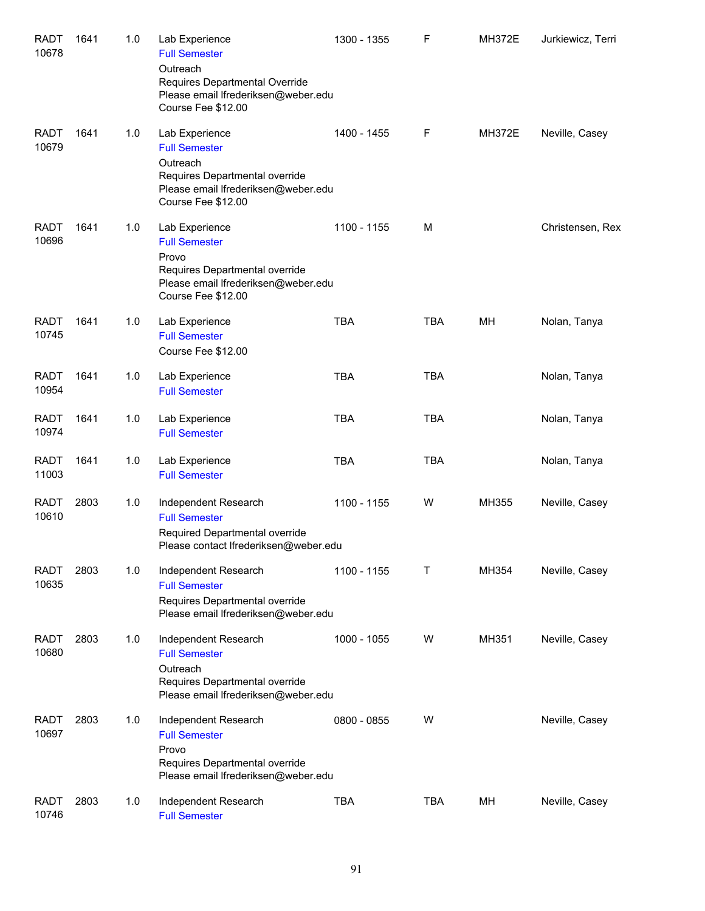| <b>RADT</b><br>10678 | 1641 | 1.0 | Lab Experience<br><b>Full Semester</b><br>Outreach<br>Requires Departmental Override<br>Please email Ifrederiksen@weber.edu<br>Course Fee \$12.00 | 1300 - 1355 | F          | <b>MH372E</b> | Jurkiewicz, Terri |
|----------------------|------|-----|---------------------------------------------------------------------------------------------------------------------------------------------------|-------------|------------|---------------|-------------------|
| <b>RADT</b><br>10679 | 1641 | 1.0 | Lab Experience<br><b>Full Semester</b><br>Outreach<br>Requires Departmental override<br>Please email Ifrederiksen@weber.edu<br>Course Fee \$12.00 | 1400 - 1455 | F          | <b>MH372E</b> | Neville, Casey    |
| <b>RADT</b><br>10696 | 1641 | 1.0 | Lab Experience<br><b>Full Semester</b><br>Provo<br>Requires Departmental override<br>Please email Ifrederiksen@weber.edu<br>Course Fee \$12.00    | 1100 - 1155 | M          |               | Christensen, Rex  |
| <b>RADT</b><br>10745 | 1641 | 1.0 | Lab Experience<br><b>Full Semester</b><br>Course Fee \$12.00                                                                                      | <b>TBA</b>  | <b>TBA</b> | MH            | Nolan, Tanya      |
| <b>RADT</b><br>10954 | 1641 | 1.0 | Lab Experience<br><b>Full Semester</b>                                                                                                            | <b>TBA</b>  | <b>TBA</b> |               | Nolan, Tanya      |
| <b>RADT</b><br>10974 | 1641 | 1.0 | Lab Experience<br><b>Full Semester</b>                                                                                                            | <b>TBA</b>  | <b>TBA</b> |               | Nolan, Tanya      |
| <b>RADT</b><br>11003 | 1641 | 1.0 | Lab Experience<br><b>Full Semester</b>                                                                                                            | <b>TBA</b>  | <b>TBA</b> |               | Nolan, Tanya      |
| <b>RADT</b><br>10610 | 2803 | 1.0 | Independent Research<br><b>Full Semester</b><br>Required Departmental override<br>Please contact Ifrederiksen@weber.edu                           | 1100 - 1155 | W          | MH355         | Neville, Casey    |
| <b>RADT</b><br>10635 | 2803 | 1.0 | Independent Research<br><b>Full Semester</b><br>Requires Departmental override<br>Please email Ifrederiksen@weber.edu                             | 1100 - 1155 | Τ          | MH354         | Neville, Casey    |
| <b>RADT</b><br>10680 | 2803 | 1.0 | Independent Research<br><b>Full Semester</b><br>Outreach<br>Requires Departmental override<br>Please email Ifrederiksen@weber.edu                 | 1000 - 1055 | W          | MH351         | Neville, Casey    |
| <b>RADT</b><br>10697 | 2803 | 1.0 | Independent Research<br><b>Full Semester</b><br>Provo<br>Requires Departmental override<br>Please email Ifrederiksen@weber.edu                    | 0800 - 0855 | W          |               | Neville, Casey    |
| <b>RADT</b><br>10746 | 2803 | 1.0 | Independent Research<br><b>Full Semester</b>                                                                                                      | <b>TBA</b>  | <b>TBA</b> | MH            | Neville, Casey    |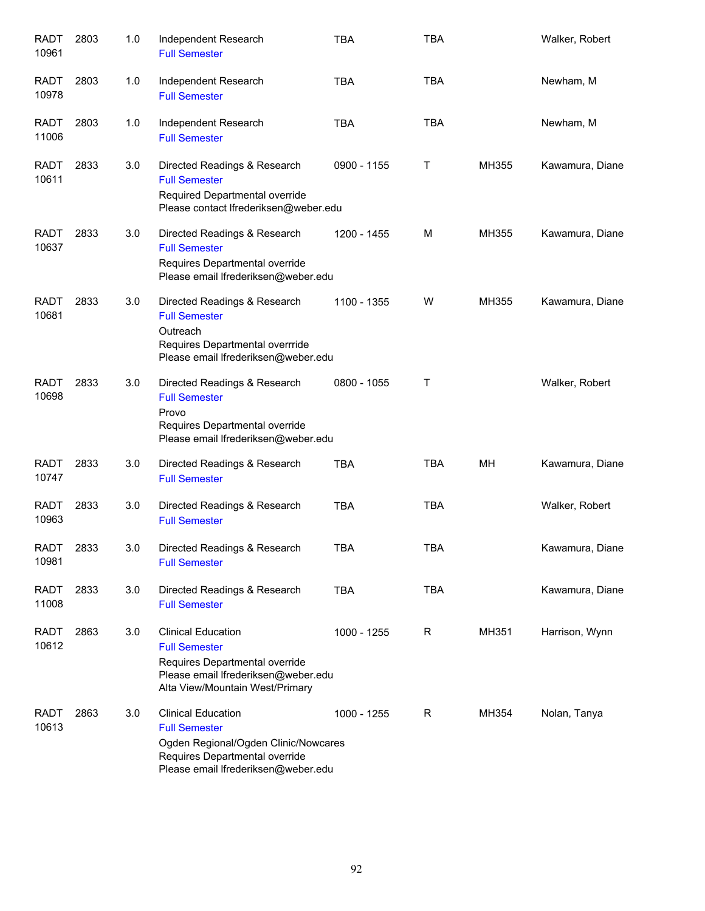| <b>RADT</b><br>10961 | 2803 | 1.0 | Independent Research<br><b>Full Semester</b>                                                                                                                       | <b>TBA</b>  | <b>TBA</b> |       | Walker, Robert  |
|----------------------|------|-----|--------------------------------------------------------------------------------------------------------------------------------------------------------------------|-------------|------------|-------|-----------------|
| <b>RADT</b><br>10978 | 2803 | 1.0 | Independent Research<br><b>Full Semester</b>                                                                                                                       | <b>TBA</b>  | <b>TBA</b> |       | Newham, M       |
| <b>RADT</b><br>11006 | 2803 | 1.0 | Independent Research<br><b>Full Semester</b>                                                                                                                       | <b>TBA</b>  | <b>TBA</b> |       | Newham, M       |
| <b>RADT</b><br>10611 | 2833 | 3.0 | Directed Readings & Research<br><b>Full Semester</b><br>Required Departmental override<br>Please contact Ifrederiksen@weber.edu                                    | 0900 - 1155 | Τ          | MH355 | Kawamura, Diane |
| <b>RADT</b><br>10637 | 2833 | 3.0 | Directed Readings & Research<br><b>Full Semester</b><br>Requires Departmental override<br>Please email Ifrederiksen@weber.edu                                      | 1200 - 1455 | м          | MH355 | Kawamura, Diane |
| <b>RADT</b><br>10681 | 2833 | 3.0 | Directed Readings & Research<br><b>Full Semester</b><br>Outreach<br>Requires Departmental overrride<br>Please email Ifrederiksen@weber.edu                         | 1100 - 1355 | W          | MH355 | Kawamura, Diane |
| <b>RADT</b><br>10698 | 2833 | 3.0 | Directed Readings & Research<br><b>Full Semester</b><br>Provo<br>Requires Departmental override<br>Please email Ifrederiksen@weber.edu                             | 0800 - 1055 | т          |       | Walker, Robert  |
| <b>RADT</b><br>10747 | 2833 | 3.0 | Directed Readings & Research<br><b>Full Semester</b>                                                                                                               | <b>TBA</b>  | <b>TBA</b> | MН    | Kawamura, Diane |
| <b>RADT</b><br>10963 | 2833 | 3.0 | Directed Readings & Research<br><b>Full Semester</b>                                                                                                               | <b>TBA</b>  | <b>TBA</b> |       | Walker, Robert  |
| <b>RADT</b><br>10981 | 2833 | 3.0 | Directed Readings & Research<br><b>Full Semester</b>                                                                                                               | <b>TBA</b>  | <b>TBA</b> |       | Kawamura, Diane |
| <b>RADT</b><br>11008 | 2833 | 3.0 | Directed Readings & Research<br><b>Full Semester</b>                                                                                                               | <b>TBA</b>  | <b>TBA</b> |       | Kawamura, Diane |
| <b>RADT</b><br>10612 | 2863 | 3.0 | <b>Clinical Education</b><br><b>Full Semester</b><br>Requires Departmental override<br>Please email Ifrederiksen@weber.edu<br>Alta View/Mountain West/Primary      | 1000 - 1255 | R          | MH351 | Harrison, Wynn  |
| <b>RADT</b><br>10613 | 2863 | 3.0 | <b>Clinical Education</b><br><b>Full Semester</b><br>Ogden Regional/Ogden Clinic/Nowcares<br>Requires Departmental override<br>Please email Ifrederiksen@weber.edu | 1000 - 1255 | R          | MH354 | Nolan, Tanya    |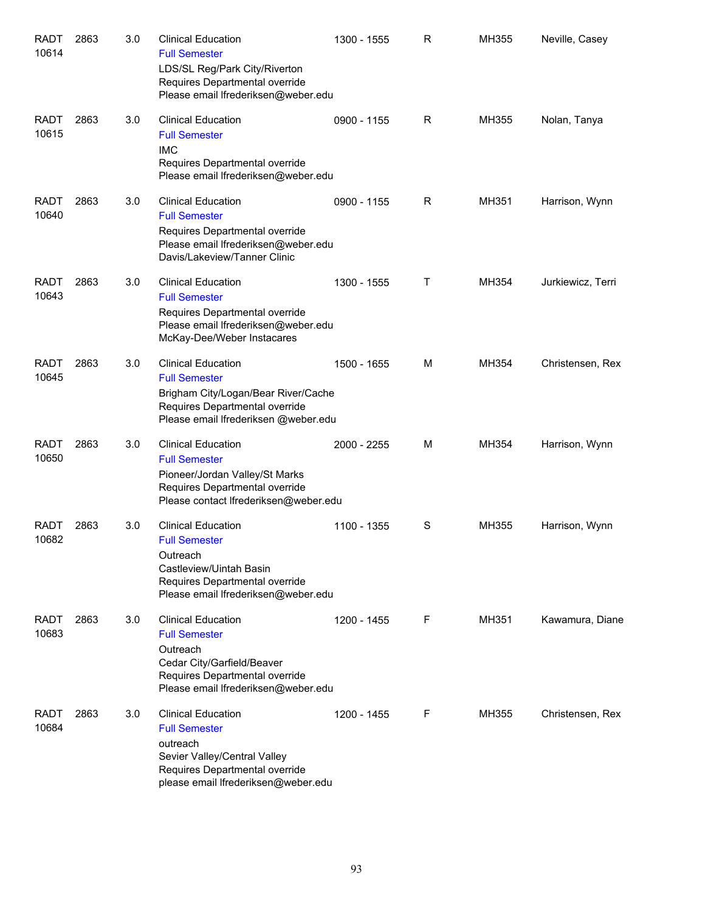| <b>RADT</b><br>10614 | 2863 | 3.0 | <b>Clinical Education</b><br><b>Full Semester</b><br>LDS/SL Reg/Park City/Riverton<br>Requires Departmental override<br>Please email Ifrederiksen@weber.edu            | 1300 - 1555 | R            | MH355 | Neville, Casey    |
|----------------------|------|-----|------------------------------------------------------------------------------------------------------------------------------------------------------------------------|-------------|--------------|-------|-------------------|
| <b>RADT</b><br>10615 | 2863 | 3.0 | <b>Clinical Education</b><br><b>Full Semester</b><br><b>IMC</b><br>Requires Departmental override<br>Please email Ifrederiksen@weber.edu                               | 0900 - 1155 | R            | MH355 | Nolan, Tanya      |
| <b>RADT</b><br>10640 | 2863 | 3.0 | <b>Clinical Education</b><br><b>Full Semester</b><br>Requires Departmental override<br>Please email Ifrederiksen@weber.edu<br>Davis/Lakeview/Tanner Clinic             | 0900 - 1155 | R            | MH351 | Harrison, Wynn    |
| <b>RADT</b><br>10643 | 2863 | 3.0 | <b>Clinical Education</b><br><b>Full Semester</b><br>Requires Departmental override<br>Please email Ifrederiksen@weber.edu<br>McKay-Dee/Weber Instacares               | 1300 - 1555 | $\mathsf{T}$ | MH354 | Jurkiewicz, Terri |
| <b>RADT</b><br>10645 | 2863 | 3.0 | <b>Clinical Education</b><br><b>Full Semester</b><br>Brigham City/Logan/Bear River/Cache<br>Requires Departmental override<br>Please email Ifrederiksen @weber.edu     | 1500 - 1655 | M            | MH354 | Christensen, Rex  |
| <b>RADT</b><br>10650 | 2863 | 3.0 | <b>Clinical Education</b><br><b>Full Semester</b><br>Pioneer/Jordan Valley/St Marks<br>Requires Departmental override<br>Please contact Ifrederiksen@weber.edu         | 2000 - 2255 | м            | MH354 | Harrison, Wynn    |
| RADT<br>10682        | 2863 | 3.0 | <b>Clinical Education</b><br><b>Full Semester</b><br>Outreach<br>Castleview/Uintah Basin<br>Requires Departmental override<br>Please email Ifrederiksen@weber.edu      | 1100 - 1355 | S            | MH355 | Harrison, Wynn    |
| <b>RADT</b><br>10683 | 2863 | 3.0 | <b>Clinical Education</b><br><b>Full Semester</b><br>Outreach<br>Cedar City/Garfield/Beaver<br>Requires Departmental override<br>Please email Ifrederiksen@weber.edu   | 1200 - 1455 | F            | MH351 | Kawamura, Diane   |
| RADT<br>10684        | 2863 | 3.0 | <b>Clinical Education</b><br><b>Full Semester</b><br>outreach<br>Sevier Valley/Central Valley<br>Requires Departmental override<br>please email Ifrederiksen@weber.edu | 1200 - 1455 | F            | MH355 | Christensen, Rex  |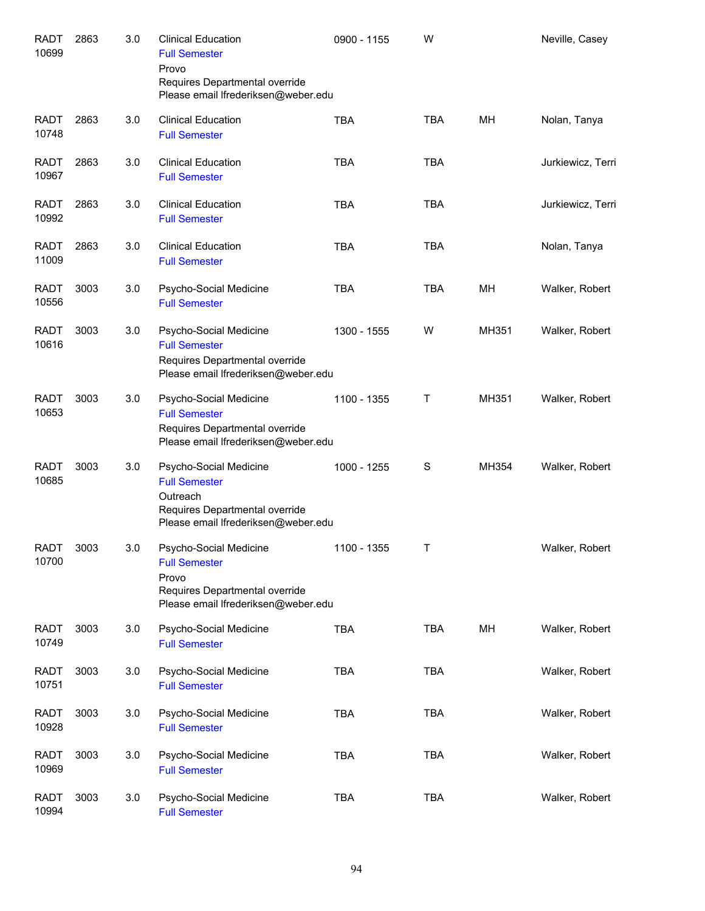| <b>RADT</b><br>10699 | 2863 | 3.0 | <b>Clinical Education</b><br><b>Full Semester</b><br>Provo<br>Requires Departmental override<br>Please email Ifrederiksen@weber.edu | 0900 - 1155 | W          |       | Neville, Casey    |
|----------------------|------|-----|-------------------------------------------------------------------------------------------------------------------------------------|-------------|------------|-------|-------------------|
| <b>RADT</b><br>10748 | 2863 | 3.0 | <b>Clinical Education</b><br><b>Full Semester</b>                                                                                   | <b>TBA</b>  | <b>TBA</b> | MН    | Nolan, Tanya      |
| <b>RADT</b><br>10967 | 2863 | 3.0 | <b>Clinical Education</b><br><b>Full Semester</b>                                                                                   | <b>TBA</b>  | <b>TBA</b> |       | Jurkiewicz, Terri |
| <b>RADT</b><br>10992 | 2863 | 3.0 | <b>Clinical Education</b><br><b>Full Semester</b>                                                                                   | <b>TBA</b>  | <b>TBA</b> |       | Jurkiewicz, Terri |
| <b>RADT</b><br>11009 | 2863 | 3.0 | <b>Clinical Education</b><br><b>Full Semester</b>                                                                                   | <b>TBA</b>  | <b>TBA</b> |       | Nolan, Tanya      |
| <b>RADT</b><br>10556 | 3003 | 3.0 | Psycho-Social Medicine<br><b>Full Semester</b>                                                                                      | <b>TBA</b>  | <b>TBA</b> | MН    | Walker, Robert    |
| RADT<br>10616        | 3003 | 3.0 | Psycho-Social Medicine<br><b>Full Semester</b><br>Requires Departmental override<br>Please email Ifrederiksen@weber.edu             | 1300 - 1555 | W          | MH351 | Walker, Robert    |
| <b>RADT</b><br>10653 | 3003 | 3.0 | Psycho-Social Medicine<br><b>Full Semester</b><br>Requires Departmental override<br>Please email Ifrederiksen@weber.edu             | 1100 - 1355 | Τ          | MH351 | Walker, Robert    |
| RADT<br>10685        | 3003 | 3.0 | Psycho-Social Medicine<br><b>Full Semester</b><br>Outreach<br>Requires Departmental override<br>Please email Ifrederiksen@weber.edu | 1000 - 1255 | S          | MH354 | Walker, Robert    |
| <b>RADT</b><br>10700 | 3003 | 3.0 | Psycho-Social Medicine<br><b>Full Semester</b><br>Provo<br>Requires Departmental override<br>Please email Ifrederiksen@weber.edu    | 1100 - 1355 | Τ          |       | Walker, Robert    |
| <b>RADT</b><br>10749 | 3003 | 3.0 | Psycho-Social Medicine<br><b>Full Semester</b>                                                                                      | <b>TBA</b>  | <b>TBA</b> | MH    | Walker, Robert    |
| <b>RADT</b><br>10751 | 3003 | 3.0 | Psycho-Social Medicine<br><b>Full Semester</b>                                                                                      | <b>TBA</b>  | <b>TBA</b> |       | Walker, Robert    |
| <b>RADT</b><br>10928 | 3003 | 3.0 | Psycho-Social Medicine<br><b>Full Semester</b>                                                                                      | <b>TBA</b>  | <b>TBA</b> |       | Walker, Robert    |
| <b>RADT</b><br>10969 | 3003 | 3.0 | Psycho-Social Medicine<br><b>Full Semester</b>                                                                                      | <b>TBA</b>  | <b>TBA</b> |       | Walker, Robert    |
| <b>RADT</b><br>10994 | 3003 | 3.0 | Psycho-Social Medicine<br><b>Full Semester</b>                                                                                      | <b>TBA</b>  | <b>TBA</b> |       | Walker, Robert    |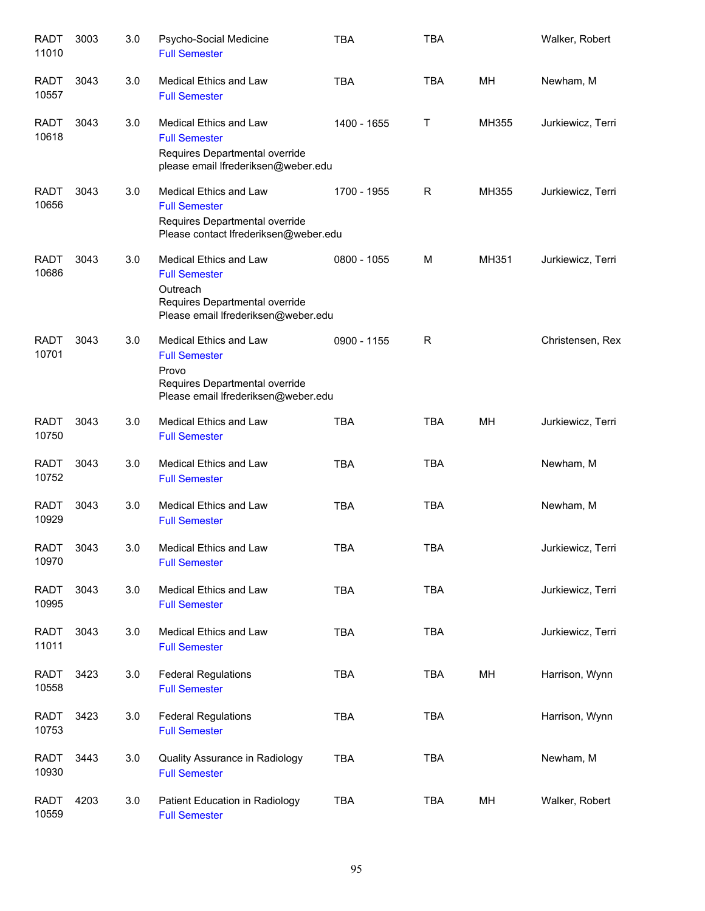| <b>RADT</b><br>11010 | 3003 | 3.0 | Psycho-Social Medicine<br><b>Full Semester</b>                                                                                      | <b>TBA</b>  | <b>TBA</b> |       | Walker, Robert    |
|----------------------|------|-----|-------------------------------------------------------------------------------------------------------------------------------------|-------------|------------|-------|-------------------|
| <b>RADT</b><br>10557 | 3043 | 3.0 | <b>Medical Ethics and Law</b><br><b>Full Semester</b>                                                                               | <b>TBA</b>  | <b>TBA</b> | MH    | Newham, M         |
| <b>RADT</b><br>10618 | 3043 | 3.0 | <b>Medical Ethics and Law</b><br><b>Full Semester</b><br>Requires Departmental override<br>please email Ifrederiksen@weber.edu      | 1400 - 1655 | Τ          | MH355 | Jurkiewicz, Terri |
| <b>RADT</b><br>10656 | 3043 | 3.0 | <b>Medical Ethics and Law</b><br><b>Full Semester</b><br>Requires Departmental override<br>Please contact Ifrederiksen@weber.edu    | 1700 - 1955 | R          | MH355 | Jurkiewicz, Terri |
| <b>RADT</b><br>10686 | 3043 | 3.0 | Medical Ethics and Law<br><b>Full Semester</b><br>Outreach<br>Requires Departmental override<br>Please email Ifrederiksen@weber.edu | 0800 - 1055 | M          | MH351 | Jurkiewicz, Terri |
| <b>RADT</b><br>10701 | 3043 | 3.0 | Medical Ethics and Law<br><b>Full Semester</b><br>Provo<br>Requires Departmental override<br>Please email Ifrederiksen@weber.edu    | 0900 - 1155 | R          |       | Christensen, Rex  |
| <b>RADT</b><br>10750 | 3043 | 3.0 | Medical Ethics and Law<br><b>Full Semester</b>                                                                                      | <b>TBA</b>  | <b>TBA</b> | MH    | Jurkiewicz, Terri |
| <b>RADT</b><br>10752 | 3043 | 3.0 | Medical Ethics and Law<br><b>Full Semester</b>                                                                                      | <b>TBA</b>  | <b>TBA</b> |       | Newham, M         |
| <b>RADT</b><br>10929 | 3043 | 3.0 | Medical Ethics and Law<br><b>Full Semester</b>                                                                                      | <b>TBA</b>  | <b>TBA</b> |       | Newham, M         |
| <b>RADT</b><br>10970 | 3043 | 3.0 | Medical Ethics and Law<br><b>Full Semester</b>                                                                                      | <b>TBA</b>  | <b>TBA</b> |       | Jurkiewicz, Terri |
| <b>RADT</b><br>10995 | 3043 | 3.0 | Medical Ethics and Law<br><b>Full Semester</b>                                                                                      | <b>TBA</b>  | TBA        |       | Jurkiewicz, Terri |
| <b>RADT</b><br>11011 | 3043 | 3.0 | Medical Ethics and Law<br><b>Full Semester</b>                                                                                      | <b>TBA</b>  | <b>TBA</b> |       | Jurkiewicz, Terri |
| <b>RADT</b><br>10558 | 3423 | 3.0 | <b>Federal Regulations</b><br><b>Full Semester</b>                                                                                  | <b>TBA</b>  | <b>TBA</b> | MH    | Harrison, Wynn    |
| <b>RADT</b><br>10753 | 3423 | 3.0 | <b>Federal Regulations</b><br><b>Full Semester</b>                                                                                  | <b>TBA</b>  | <b>TBA</b> |       | Harrison, Wynn    |
| <b>RADT</b><br>10930 | 3443 | 3.0 | Quality Assurance in Radiology<br><b>Full Semester</b>                                                                              | <b>TBA</b>  | <b>TBA</b> |       | Newham, M         |
| <b>RADT</b><br>10559 | 4203 | 3.0 | Patient Education in Radiology<br><b>Full Semester</b>                                                                              | <b>TBA</b>  | TBA        | MH    | Walker, Robert    |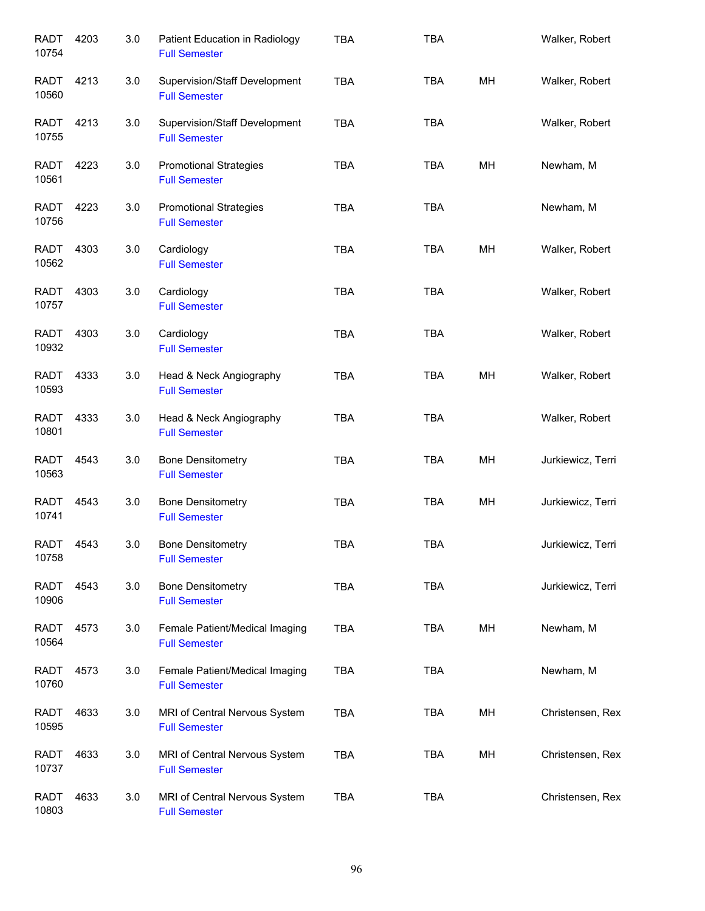| <b>RADT</b><br>10754 | 4203 | 3.0 | Patient Education in Radiology<br><b>Full Semester</b>       | <b>TBA</b> | <b>TBA</b> |    | Walker, Robert    |
|----------------------|------|-----|--------------------------------------------------------------|------------|------------|----|-------------------|
| RADT<br>10560        | 4213 | 3.0 | Supervision/Staff Development<br><b>Full Semester</b>        | <b>TBA</b> | <b>TBA</b> | MH | Walker, Robert    |
| <b>RADT</b><br>10755 | 4213 | 3.0 | <b>Supervision/Staff Development</b><br><b>Full Semester</b> | <b>TBA</b> | <b>TBA</b> |    | Walker, Robert    |
| <b>RADT</b><br>10561 | 4223 | 3.0 | <b>Promotional Strategies</b><br><b>Full Semester</b>        | <b>TBA</b> | <b>TBA</b> | MH | Newham, M         |
| <b>RADT</b><br>10756 | 4223 | 3.0 | <b>Promotional Strategies</b><br><b>Full Semester</b>        | <b>TBA</b> | <b>TBA</b> |    | Newham, M         |
| RADT<br>10562        | 4303 | 3.0 | Cardiology<br><b>Full Semester</b>                           | <b>TBA</b> | <b>TBA</b> | MH | Walker, Robert    |
| <b>RADT</b><br>10757 | 4303 | 3.0 | Cardiology<br><b>Full Semester</b>                           | <b>TBA</b> | <b>TBA</b> |    | Walker, Robert    |
| <b>RADT</b><br>10932 | 4303 | 3.0 | Cardiology<br><b>Full Semester</b>                           | <b>TBA</b> | <b>TBA</b> |    | Walker, Robert    |
| <b>RADT</b><br>10593 | 4333 | 3.0 | Head & Neck Angiography<br><b>Full Semester</b>              | <b>TBA</b> | <b>TBA</b> | MH | Walker, Robert    |
| <b>RADT</b><br>10801 | 4333 | 3.0 | Head & Neck Angiography<br><b>Full Semester</b>              | <b>TBA</b> | <b>TBA</b> |    | Walker, Robert    |
| <b>RADT</b><br>10563 | 4543 | 3.0 | <b>Bone Densitometry</b><br><b>Full Semester</b>             | <b>TBA</b> | <b>TBA</b> | MH | Jurkiewicz, Terri |
| <b>RADT</b><br>10741 | 4543 | 3.0 | <b>Bone Densitometry</b><br><b>Full Semester</b>             | <b>TBA</b> | <b>TBA</b> | MH | Jurkiewicz, Terri |
| RADT<br>10758        | 4543 | 3.0 | Bone Densitometry<br><b>Full Semester</b>                    | <b>TBA</b> | TBA        |    | Jurkiewicz, Terri |
| <b>RADT</b><br>10906 | 4543 | 3.0 | <b>Bone Densitometry</b><br><b>Full Semester</b>             | <b>TBA</b> | TBA        |    | Jurkiewicz, Terri |
| RADT<br>10564        | 4573 | 3.0 | Female Patient/Medical Imaging<br><b>Full Semester</b>       | <b>TBA</b> | <b>TBA</b> | MH | Newham, M         |
| RADT<br>10760        | 4573 | 3.0 | Female Patient/Medical Imaging<br><b>Full Semester</b>       | <b>TBA</b> | <b>TBA</b> |    | Newham, M         |
| RADT<br>10595        | 4633 | 3.0 | MRI of Central Nervous System<br><b>Full Semester</b>        | <b>TBA</b> | TBA        | MH | Christensen, Rex  |
| <b>RADT</b><br>10737 | 4633 | 3.0 | MRI of Central Nervous System<br><b>Full Semester</b>        | <b>TBA</b> | <b>TBA</b> | MH | Christensen, Rex  |
| <b>RADT</b><br>10803 | 4633 | 3.0 | MRI of Central Nervous System<br><b>Full Semester</b>        | <b>TBA</b> | <b>TBA</b> |    | Christensen, Rex  |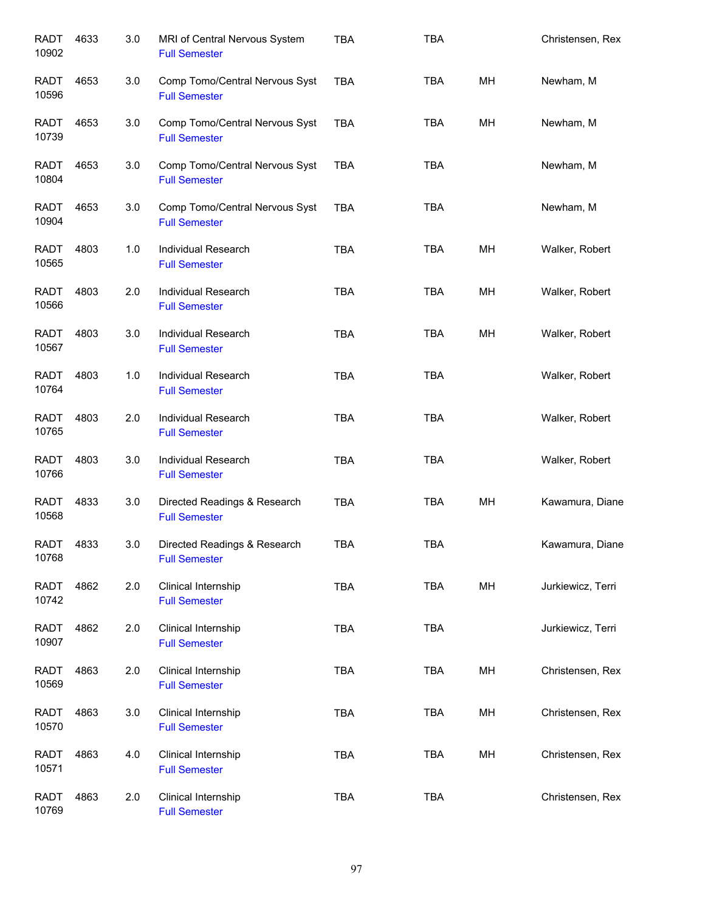| <b>RADT</b><br>10902 | 4633 | $3.0\,$ | MRI of Central Nervous System<br><b>Full Semester</b>  | <b>TBA</b> | <b>TBA</b> |    | Christensen, Rex  |
|----------------------|------|---------|--------------------------------------------------------|------------|------------|----|-------------------|
| <b>RADT</b><br>10596 | 4653 | 3.0     | Comp Tomo/Central Nervous Syst<br><b>Full Semester</b> | <b>TBA</b> | <b>TBA</b> | MH | Newham, M         |
| <b>RADT</b><br>10739 | 4653 | 3.0     | Comp Tomo/Central Nervous Syst<br><b>Full Semester</b> | <b>TBA</b> | <b>TBA</b> | MH | Newham, M         |
| <b>RADT</b><br>10804 | 4653 | 3.0     | Comp Tomo/Central Nervous Syst<br><b>Full Semester</b> | <b>TBA</b> | <b>TBA</b> |    | Newham, M         |
| <b>RADT</b><br>10904 | 4653 | 3.0     | Comp Tomo/Central Nervous Syst<br><b>Full Semester</b> | <b>TBA</b> | <b>TBA</b> |    | Newham, M         |
| <b>RADT</b><br>10565 | 4803 | 1.0     | Individual Research<br><b>Full Semester</b>            | <b>TBA</b> | <b>TBA</b> | MH | Walker, Robert    |
| <b>RADT</b><br>10566 | 4803 | 2.0     | <b>Individual Research</b><br><b>Full Semester</b>     | <b>TBA</b> | <b>TBA</b> | MH | Walker, Robert    |
| <b>RADT</b><br>10567 | 4803 | 3.0     | Individual Research<br><b>Full Semester</b>            | <b>TBA</b> | <b>TBA</b> | MH | Walker, Robert    |
| <b>RADT</b><br>10764 | 4803 | 1.0     | Individual Research<br><b>Full Semester</b>            | <b>TBA</b> | <b>TBA</b> |    | Walker, Robert    |
| <b>RADT</b><br>10765 | 4803 | 2.0     | Individual Research<br><b>Full Semester</b>            | <b>TBA</b> | <b>TBA</b> |    | Walker, Robert    |
| <b>RADT</b><br>10766 | 4803 | 3.0     | Individual Research<br><b>Full Semester</b>            | <b>TBA</b> | <b>TBA</b> |    | Walker, Robert    |
| <b>RADT</b><br>10568 | 4833 | 3.0     | Directed Readings & Research<br><b>Full Semester</b>   | <b>TBA</b> | <b>TBA</b> | MH | Kawamura, Diane   |
| <b>RADT</b><br>10768 | 4833 | 3.0     | Directed Readings & Research<br><b>Full Semester</b>   | <b>TBA</b> | <b>TBA</b> |    | Kawamura, Diane   |
| <b>RADT</b><br>10742 | 4862 | 2.0     | Clinical Internship<br><b>Full Semester</b>            | <b>TBA</b> | <b>TBA</b> | MH | Jurkiewicz, Terri |
| <b>RADT</b><br>10907 | 4862 | 2.0     | Clinical Internship<br><b>Full Semester</b>            | <b>TBA</b> | <b>TBA</b> |    | Jurkiewicz, Terri |
| <b>RADT</b><br>10569 | 4863 | 2.0     | Clinical Internship<br><b>Full Semester</b>            | <b>TBA</b> | <b>TBA</b> | MH | Christensen, Rex  |
| <b>RADT</b><br>10570 | 4863 | 3.0     | Clinical Internship<br><b>Full Semester</b>            | <b>TBA</b> | <b>TBA</b> | MH | Christensen, Rex  |
| <b>RADT</b><br>10571 | 4863 | 4.0     | Clinical Internship<br><b>Full Semester</b>            | <b>TBA</b> | <b>TBA</b> | MH | Christensen, Rex  |
| <b>RADT</b><br>10769 | 4863 | 2.0     | Clinical Internship<br><b>Full Semester</b>            | <b>TBA</b> | <b>TBA</b> |    | Christensen, Rex  |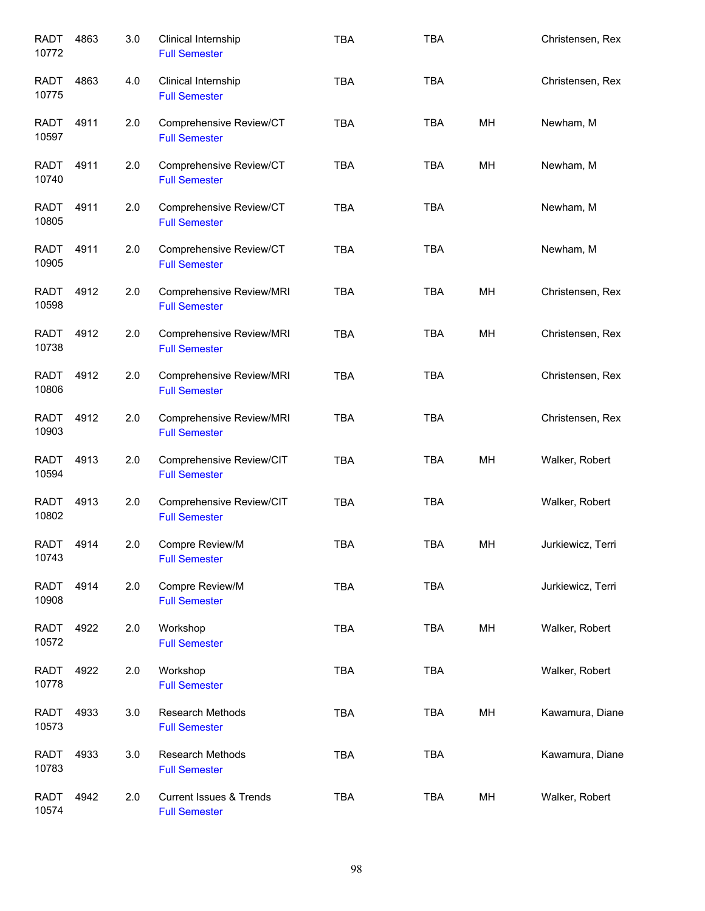| <b>RADT</b><br>10772 | 4863 | 3.0 | Clinical Internship<br><b>Full Semester</b>                | <b>TBA</b> | <b>TBA</b> |    | Christensen, Rex  |
|----------------------|------|-----|------------------------------------------------------------|------------|------------|----|-------------------|
| <b>RADT</b><br>10775 | 4863 | 4.0 | Clinical Internship<br><b>Full Semester</b>                | <b>TBA</b> | <b>TBA</b> |    | Christensen, Rex  |
| RADT<br>10597        | 4911 | 2.0 | Comprehensive Review/CT<br><b>Full Semester</b>            | <b>TBA</b> | <b>TBA</b> | MH | Newham, M         |
| <b>RADT</b><br>10740 | 4911 | 2.0 | Comprehensive Review/CT<br><b>Full Semester</b>            | <b>TBA</b> | <b>TBA</b> | MH | Newham, M         |
| <b>RADT</b><br>10805 | 4911 | 2.0 | Comprehensive Review/CT<br><b>Full Semester</b>            | <b>TBA</b> | <b>TBA</b> |    | Newham, M         |
| <b>RADT</b><br>10905 | 4911 | 2.0 | Comprehensive Review/CT<br><b>Full Semester</b>            | <b>TBA</b> | <b>TBA</b> |    | Newham, M         |
| <b>RADT</b><br>10598 | 4912 | 2.0 | Comprehensive Review/MRI<br><b>Full Semester</b>           | <b>TBA</b> | <b>TBA</b> | MН | Christensen, Rex  |
| <b>RADT</b><br>10738 | 4912 | 2.0 | Comprehensive Review/MRI<br><b>Full Semester</b>           | <b>TBA</b> | <b>TBA</b> | MH | Christensen, Rex  |
| <b>RADT</b><br>10806 | 4912 | 2.0 | Comprehensive Review/MRI<br><b>Full Semester</b>           | <b>TBA</b> | <b>TBA</b> |    | Christensen, Rex  |
| <b>RADT</b><br>10903 | 4912 | 2.0 | Comprehensive Review/MRI<br><b>Full Semester</b>           | <b>TBA</b> | <b>TBA</b> |    | Christensen, Rex  |
| <b>RADT</b><br>10594 | 4913 | 2.0 | Comprehensive Review/CIT<br><b>Full Semester</b>           | <b>TBA</b> | <b>TBA</b> | MH | Walker, Robert    |
| <b>RADT</b><br>10802 | 4913 | 2.0 | Comprehensive Review/CIT<br><b>Full Semester</b>           | <b>TBA</b> | <b>TBA</b> |    | Walker, Robert    |
| <b>RADT</b><br>10743 | 4914 | 2.0 | Compre Review/M<br><b>Full Semester</b>                    | <b>TBA</b> | <b>TBA</b> | MH | Jurkiewicz, Terri |
| <b>RADT</b><br>10908 | 4914 | 2.0 | Compre Review/M<br><b>Full Semester</b>                    | <b>TBA</b> | <b>TBA</b> |    | Jurkiewicz, Terri |
| <b>RADT</b><br>10572 | 4922 | 2.0 | Workshop<br><b>Full Semester</b>                           | TBA        | <b>TBA</b> | MH | Walker, Robert    |
| <b>RADT</b><br>10778 | 4922 | 2.0 | Workshop<br><b>Full Semester</b>                           | <b>TBA</b> | <b>TBA</b> |    | Walker, Robert    |
| <b>RADT</b><br>10573 | 4933 | 3.0 | Research Methods<br><b>Full Semester</b>                   | TBA        | <b>TBA</b> | MH | Kawamura, Diane   |
| <b>RADT</b><br>10783 | 4933 | 3.0 | Research Methods<br><b>Full Semester</b>                   | <b>TBA</b> | <b>TBA</b> |    | Kawamura, Diane   |
| <b>RADT</b><br>10574 | 4942 | 2.0 | <b>Current Issues &amp; Trends</b><br><b>Full Semester</b> | TBA        | <b>TBA</b> | MH | Walker, Robert    |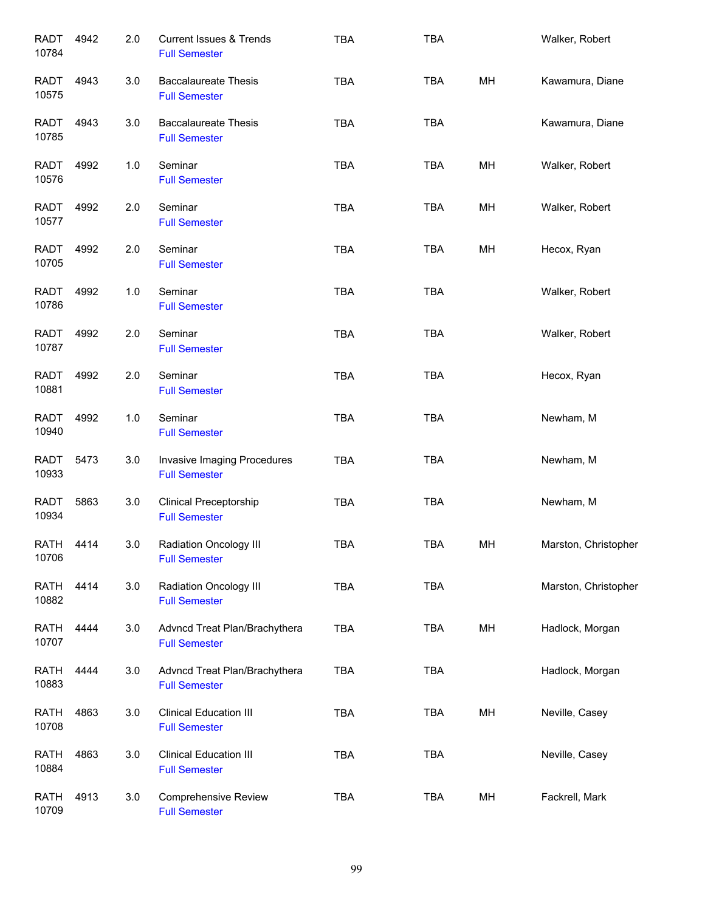| <b>RADT</b><br>10784 | 4942 | 2.0   | <b>Current Issues &amp; Trends</b><br><b>Full Semester</b> | <b>TBA</b> | <b>TBA</b> |    | Walker, Robert       |
|----------------------|------|-------|------------------------------------------------------------|------------|------------|----|----------------------|
| <b>RADT</b><br>10575 | 4943 | 3.0   | <b>Baccalaureate Thesis</b><br><b>Full Semester</b>        | <b>TBA</b> | <b>TBA</b> | MH | Kawamura, Diane      |
| RADT<br>10785        | 4943 | 3.0   | <b>Baccalaureate Thesis</b><br><b>Full Semester</b>        | <b>TBA</b> | <b>TBA</b> |    | Kawamura, Diane      |
| RADT<br>10576        | 4992 | $1.0$ | Seminar<br><b>Full Semester</b>                            | <b>TBA</b> | <b>TBA</b> | MH | Walker, Robert       |
| <b>RADT</b><br>10577 | 4992 | 2.0   | Seminar<br><b>Full Semester</b>                            | <b>TBA</b> | <b>TBA</b> | MН | Walker, Robert       |
| <b>RADT</b><br>10705 | 4992 | 2.0   | Seminar<br><b>Full Semester</b>                            | <b>TBA</b> | <b>TBA</b> | MH | Hecox, Ryan          |
| <b>RADT</b><br>10786 | 4992 | 1.0   | Seminar<br><b>Full Semester</b>                            | <b>TBA</b> | <b>TBA</b> |    | Walker, Robert       |
| <b>RADT</b><br>10787 | 4992 | 2.0   | Seminar<br><b>Full Semester</b>                            | <b>TBA</b> | <b>TBA</b> |    | Walker, Robert       |
| <b>RADT</b><br>10881 | 4992 | 2.0   | Seminar<br><b>Full Semester</b>                            | <b>TBA</b> | <b>TBA</b> |    | Hecox, Ryan          |
| <b>RADT</b><br>10940 | 4992 | $1.0$ | Seminar<br><b>Full Semester</b>                            | <b>TBA</b> | <b>TBA</b> |    | Newham, M            |
| <b>RADT</b><br>10933 | 5473 | 3.0   | Invasive Imaging Procedures<br><b>Full Semester</b>        | <b>TBA</b> | <b>TBA</b> |    | Newham, M            |
| <b>RADT</b><br>10934 | 5863 | 3.0   | <b>Clinical Preceptorship</b><br><b>Full Semester</b>      | <b>TBA</b> | <b>TBA</b> |    | Newham, M            |
| RATH<br>10706        | 4414 | 3.0   | Radiation Oncology III<br><b>Full Semester</b>             | <b>TBA</b> | <b>TBA</b> | MH | Marston, Christopher |
| <b>RATH</b><br>10882 | 4414 | 3.0   | Radiation Oncology III<br><b>Full Semester</b>             | <b>TBA</b> | <b>TBA</b> |    | Marston, Christopher |
| <b>RATH</b><br>10707 | 4444 | 3.0   | Advncd Treat Plan/Brachythera<br><b>Full Semester</b>      | TBA        | <b>TBA</b> | MH | Hadlock, Morgan      |
| <b>RATH</b><br>10883 | 4444 | 3.0   | Advncd Treat Plan/Brachythera<br><b>Full Semester</b>      | <b>TBA</b> | <b>TBA</b> |    | Hadlock, Morgan      |
| <b>RATH</b><br>10708 | 4863 | 3.0   | <b>Clinical Education III</b><br><b>Full Semester</b>      | TBA        | <b>TBA</b> | MH | Neville, Casey       |
| <b>RATH</b><br>10884 | 4863 | 3.0   | <b>Clinical Education III</b><br><b>Full Semester</b>      | TBA        | <b>TBA</b> |    | Neville, Casey       |
| <b>RATH</b><br>10709 | 4913 | 3.0   | <b>Comprehensive Review</b><br><b>Full Semester</b>        | TBA        | TBA        | MH | Fackrell, Mark       |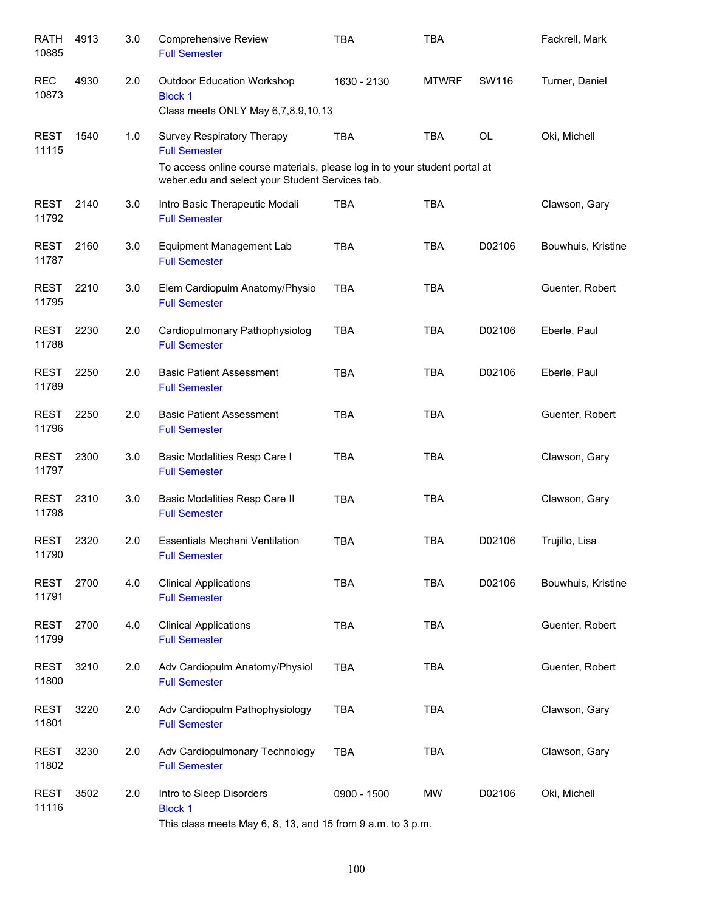| <b>RATH</b><br>10885 | 4913 | 3.0 | <b>Comprehensive Review</b><br><b>Full Semester</b>                                                                           | <b>TBA</b>  | <b>TBA</b>   |           | Fackrell, Mark     |
|----------------------|------|-----|-------------------------------------------------------------------------------------------------------------------------------|-------------|--------------|-----------|--------------------|
| <b>REC</b><br>10873  | 4930 | 2.0 | <b>Outdoor Education Workshop</b><br><b>Block 1</b><br>Class meets ONLY May 6,7,8,9,10,13                                     | 1630 - 2130 | <b>MTWRF</b> | SW116     | Turner, Daniel     |
| <b>REST</b><br>11115 | 1540 | 1.0 | Survey Respiratory Therapy<br><b>Full Semester</b>                                                                            | <b>TBA</b>  | <b>TBA</b>   | <b>OL</b> | Oki, Michell       |
|                      |      |     | To access online course materials, please log in to your student portal at<br>weber.edu and select your Student Services tab. |             |              |           |                    |
| <b>REST</b><br>11792 | 2140 | 3.0 | Intro Basic Therapeutic Modali<br><b>Full Semester</b>                                                                        | <b>TBA</b>  | <b>TBA</b>   |           | Clawson, Gary      |
| <b>REST</b><br>11787 | 2160 | 3.0 | <b>Equipment Management Lab</b><br><b>Full Semester</b>                                                                       | <b>TBA</b>  | <b>TBA</b>   | D02106    | Bouwhuis, Kristine |
| REST<br>11795        | 2210 | 3.0 | Elem Cardiopulm Anatomy/Physio<br><b>Full Semester</b>                                                                        | <b>TBA</b>  | <b>TBA</b>   |           | Guenter, Robert    |
| <b>REST</b><br>11788 | 2230 | 2.0 | Cardiopulmonary Pathophysiolog<br><b>Full Semester</b>                                                                        | <b>TBA</b>  | <b>TBA</b>   | D02106    | Eberle, Paul       |
| <b>REST</b><br>11789 | 2250 | 2.0 | <b>Basic Patient Assessment</b><br><b>Full Semester</b>                                                                       | <b>TBA</b>  | <b>TBA</b>   | D02106    | Eberle, Paul       |
| <b>REST</b><br>11796 | 2250 | 2.0 | <b>Basic Patient Assessment</b><br><b>Full Semester</b>                                                                       | <b>TBA</b>  | <b>TBA</b>   |           | Guenter, Robert    |
| <b>REST</b><br>11797 | 2300 | 3.0 | Basic Modalities Resp Care I<br><b>Full Semester</b>                                                                          | <b>TBA</b>  | <b>TBA</b>   |           | Clawson, Gary      |
| <b>REST</b><br>11798 | 2310 | 3.0 | Basic Modalities Resp Care II<br><b>Full Semester</b>                                                                         | <b>TBA</b>  | <b>TBA</b>   |           | Clawson, Gary      |
| <b>REST</b><br>11790 | 2320 | 2.0 | <b>Essentials Mechani Ventilation</b><br><b>Full Semester</b>                                                                 | <b>TBA</b>  | <b>TBA</b>   | D02106    | Trujillo, Lisa     |
| <b>REST</b><br>11791 | 2700 | 4.0 | <b>Clinical Applications</b><br><b>Full Semester</b>                                                                          | <b>TBA</b>  | <b>TBA</b>   | D02106    | Bouwhuis, Kristine |
| <b>REST</b><br>11799 | 2700 | 4.0 | <b>Clinical Applications</b><br><b>Full Semester</b>                                                                          | <b>TBA</b>  | <b>TBA</b>   |           | Guenter, Robert    |
| <b>REST</b><br>11800 | 3210 | 2.0 | Adv Cardiopulm Anatomy/Physiol<br><b>Full Semester</b>                                                                        | <b>TBA</b>  | <b>TBA</b>   |           | Guenter, Robert    |
| <b>REST</b><br>11801 | 3220 | 2.0 | Adv Cardiopulm Pathophysiology<br><b>Full Semester</b>                                                                        | <b>TBA</b>  | <b>TBA</b>   |           | Clawson, Gary      |
| <b>REST</b><br>11802 | 3230 | 2.0 | Adv Cardiopulmonary Technology<br><b>Full Semester</b>                                                                        | <b>TBA</b>  | <b>TBA</b>   |           | Clawson, Gary      |
| <b>REST</b><br>11116 | 3502 | 2.0 | Intro to Sleep Disorders<br><b>Block 1</b><br>This class meets May 6, 8, 13, and 15 from 9 a.m. to 3 p.m.                     | 0900 - 1500 | <b>MW</b>    | D02106    | Oki, Michell       |

100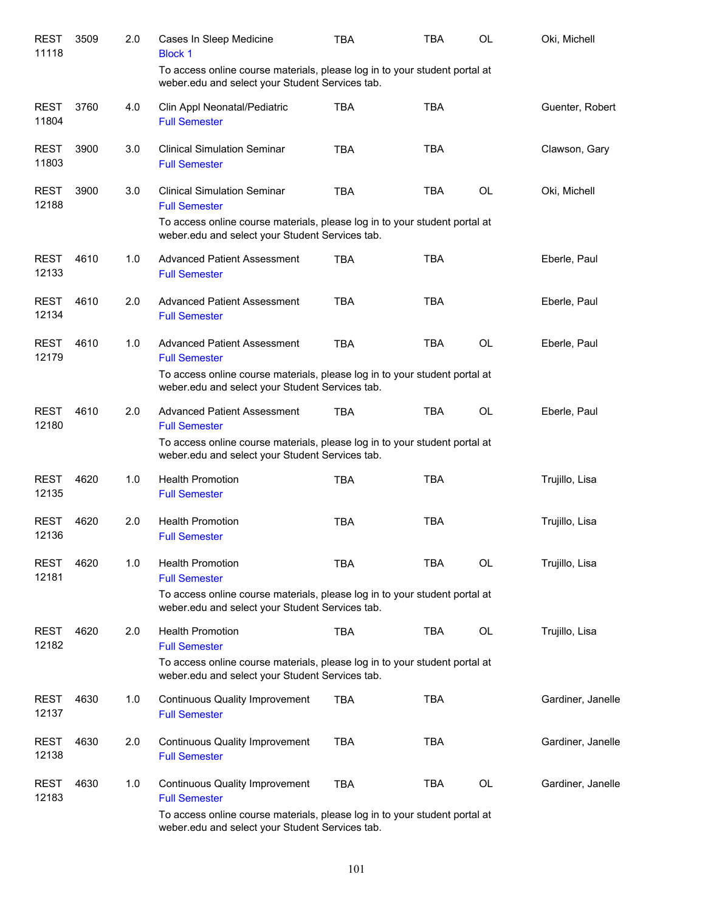| <b>REST</b><br>11118 | 3509 | 2.0 | Cases In Sleep Medicine<br><b>Block 1</b>                                                                                                | TBA        | TBA        | OL        | Oki, Michell      |
|----------------------|------|-----|------------------------------------------------------------------------------------------------------------------------------------------|------------|------------|-----------|-------------------|
|                      |      |     | To access online course materials, please log in to your student portal at<br>weber.edu and select your Student Services tab.            |            |            |           |                   |
| <b>REST</b><br>11804 | 3760 | 4.0 | Clin Appl Neonatal/Pediatric<br><b>Full Semester</b>                                                                                     | <b>TBA</b> | <b>TBA</b> |           | Guenter, Robert   |
| <b>REST</b><br>11803 | 3900 | 3.0 | <b>Clinical Simulation Seminar</b><br><b>Full Semester</b>                                                                               | <b>TBA</b> | <b>TBA</b> |           | Clawson, Gary     |
| <b>REST</b><br>12188 | 3900 | 3.0 | <b>Clinical Simulation Seminar</b><br><b>Full Semester</b>                                                                               | <b>TBA</b> | <b>TBA</b> | <b>OL</b> | Oki, Michell      |
|                      |      |     | To access online course materials, please log in to your student portal at<br>weber.edu and select your Student Services tab.            |            |            |           |                   |
| <b>REST</b><br>12133 | 4610 | 1.0 | <b>Advanced Patient Assessment</b><br><b>Full Semester</b>                                                                               | <b>TBA</b> | <b>TBA</b> |           | Eberle, Paul      |
| <b>REST</b><br>12134 | 4610 | 2.0 | <b>Advanced Patient Assessment</b><br><b>Full Semester</b>                                                                               | <b>TBA</b> | <b>TBA</b> |           | Eberle, Paul      |
| <b>REST</b><br>12179 | 4610 | 1.0 | <b>Advanced Patient Assessment</b><br><b>Full Semester</b>                                                                               | <b>TBA</b> | <b>TBA</b> | OL        | Eberle, Paul      |
|                      |      |     | To access online course materials, please log in to your student portal at<br>weber.edu and select your Student Services tab.            |            |            |           |                   |
| <b>REST</b><br>12180 | 4610 | 2.0 | <b>Advanced Patient Assessment</b><br><b>Full Semester</b><br>To access online course materials, please log in to your student portal at | <b>TBA</b> | <b>TBA</b> | <b>OL</b> | Eberle, Paul      |
|                      |      |     | weber.edu and select your Student Services tab.                                                                                          |            |            |           |                   |
| <b>REST</b><br>12135 | 4620 | 1.0 | <b>Health Promotion</b><br><b>Full Semester</b>                                                                                          | <b>TBA</b> | <b>TBA</b> |           | Trujillo, Lisa    |
| <b>REST</b><br>12136 | 4620 | 2.0 | <b>Health Promotion</b><br><b>Full Semester</b>                                                                                          | <b>TBA</b> | <b>TBA</b> |           | Trujillo, Lisa    |
| <b>REST</b><br>12181 | 4620 | 1.0 | <b>Health Promotion</b><br><b>Full Semester</b>                                                                                          | <b>TBA</b> | <b>TBA</b> | <b>OL</b> | Trujillo, Lisa    |
|                      |      |     | To access online course materials, please log in to your student portal at<br>weber.edu and select your Student Services tab.            |            |            |           |                   |
| <b>REST</b><br>12182 | 4620 | 2.0 | <b>Health Promotion</b><br><b>Full Semester</b>                                                                                          | <b>TBA</b> | TBA        | OL        | Trujillo, Lisa    |
|                      |      |     | To access online course materials, please log in to your student portal at<br>weber.edu and select your Student Services tab.            |            |            |           |                   |
| <b>REST</b><br>12137 | 4630 | 1.0 | <b>Continuous Quality Improvement</b><br><b>Full Semester</b>                                                                            | TBA        | <b>TBA</b> |           | Gardiner, Janelle |
| <b>REST</b><br>12138 | 4630 | 2.0 | Continuous Quality Improvement<br><b>Full Semester</b>                                                                                   | <b>TBA</b> | <b>TBA</b> |           | Gardiner, Janelle |
| <b>REST</b><br>12183 | 4630 | 1.0 | <b>Continuous Quality Improvement</b><br><b>Full Semester</b>                                                                            | <b>TBA</b> | TBA        | <b>OL</b> | Gardiner, Janelle |
|                      |      |     | To access online course materials, please log in to your student portal at<br>weber.edu and select your Student Services tab.            |            |            |           |                   |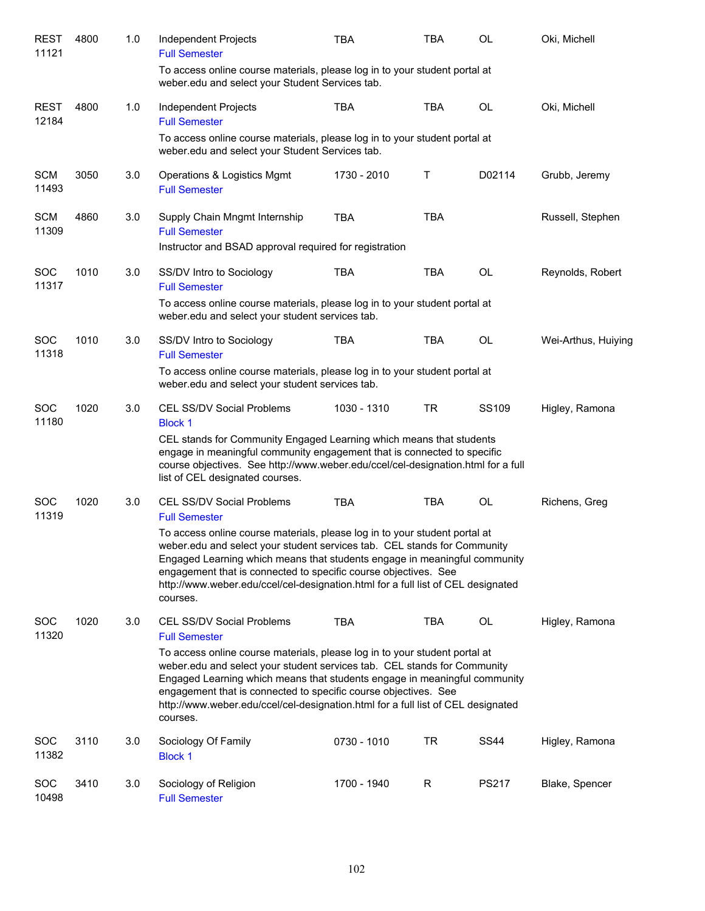| <b>REST</b><br>11121 | 4800 | 1.0 | Independent Projects<br><b>Full Semester</b>                                                                                                                                                                                                                                                                                                                                                           | TBA         | <b>TBA</b> | <b>OL</b>   | Oki, Michell        |
|----------------------|------|-----|--------------------------------------------------------------------------------------------------------------------------------------------------------------------------------------------------------------------------------------------------------------------------------------------------------------------------------------------------------------------------------------------------------|-------------|------------|-------------|---------------------|
|                      |      |     | To access online course materials, please log in to your student portal at<br>weber.edu and select your Student Services tab.                                                                                                                                                                                                                                                                          |             |            |             |                     |
| <b>REST</b><br>12184 | 4800 | 1.0 | Independent Projects<br><b>Full Semester</b>                                                                                                                                                                                                                                                                                                                                                           | <b>TBA</b>  | <b>TBA</b> | <b>OL</b>   | Oki, Michell        |
|                      |      |     | To access online course materials, please log in to your student portal at<br>weber.edu and select your Student Services tab.                                                                                                                                                                                                                                                                          |             |            |             |                     |
| <b>SCM</b><br>11493  | 3050 | 3.0 | Operations & Logistics Mgmt<br><b>Full Semester</b>                                                                                                                                                                                                                                                                                                                                                    | 1730 - 2010 | Т          | D02114      | Grubb, Jeremy       |
| <b>SCM</b><br>11309  | 4860 | 3.0 | Supply Chain Mngmt Internship<br><b>Full Semester</b>                                                                                                                                                                                                                                                                                                                                                  | <b>TBA</b>  | <b>TBA</b> |             | Russell, Stephen    |
|                      |      |     | Instructor and BSAD approval required for registration                                                                                                                                                                                                                                                                                                                                                 |             |            |             |                     |
| <b>SOC</b><br>11317  | 1010 | 3.0 | SS/DV Intro to Sociology<br><b>Full Semester</b>                                                                                                                                                                                                                                                                                                                                                       | <b>TBA</b>  | <b>TBA</b> | <b>OL</b>   | Reynolds, Robert    |
|                      |      |     | To access online course materials, please log in to your student portal at<br>weber.edu and select your student services tab.                                                                                                                                                                                                                                                                          |             |            |             |                     |
| <b>SOC</b><br>11318  | 1010 | 3.0 | SS/DV Intro to Sociology<br><b>Full Semester</b>                                                                                                                                                                                                                                                                                                                                                       | <b>TBA</b>  | <b>TBA</b> | <b>OL</b>   | Wei-Arthus, Huiying |
|                      |      |     | To access online course materials, please log in to your student portal at<br>weber.edu and select your student services tab.                                                                                                                                                                                                                                                                          |             |            |             |                     |
| <b>SOC</b><br>11180  | 1020 | 3.0 | <b>CEL SS/DV Social Problems</b><br><b>Block 1</b>                                                                                                                                                                                                                                                                                                                                                     | 1030 - 1310 | <b>TR</b>  | SS109       | Higley, Ramona      |
|                      |      |     | CEL stands for Community Engaged Learning which means that students<br>engage in meaningful community engagement that is connected to specific<br>course objectives. See http://www.weber.edu/ccel/cel-designation.html for a full<br>list of CEL designated courses.                                                                                                                                  |             |            |             |                     |
| <b>SOC</b><br>11319  | 1020 | 3.0 | <b>CEL SS/DV Social Problems</b><br><b>Full Semester</b>                                                                                                                                                                                                                                                                                                                                               | <b>TBA</b>  | <b>TBA</b> | <b>OL</b>   | Richens, Greg       |
|                      |      |     | To access online course materials, please log in to your student portal at<br>weber.edu and select your student services tab. CEL stands for Community<br>Engaged Learning which means that students engage in meaningful community<br>engagement that is connected to specific course objectives. See<br>http://www.weber.edu/ccel/cel-designation.html for a full list of CEL designated<br>courses. |             |            |             |                     |
| <b>SOC</b><br>11320  | 1020 | 3.0 | <b>CEL SS/DV Social Problems</b><br><b>Full Semester</b>                                                                                                                                                                                                                                                                                                                                               | <b>TBA</b>  | <b>TBA</b> | OL          | Higley, Ramona      |
|                      |      |     | To access online course materials, please log in to your student portal at<br>weber edu and select your student services tab. CEL stands for Community<br>Engaged Learning which means that students engage in meaningful community<br>engagement that is connected to specific course objectives. See<br>http://www.weber.edu/ccel/cel-designation.html for a full list of CEL designated<br>courses. |             |            |             |                     |
| <b>SOC</b><br>11382  | 3110 | 3.0 | Sociology Of Family<br><b>Block 1</b>                                                                                                                                                                                                                                                                                                                                                                  | 0730 - 1010 | TR         | <b>SS44</b> | Higley, Ramona      |
| <b>SOC</b><br>10498  | 3410 | 3.0 | Sociology of Religion<br><b>Full Semester</b>                                                                                                                                                                                                                                                                                                                                                          | 1700 - 1940 | R          | PS217       | Blake, Spencer      |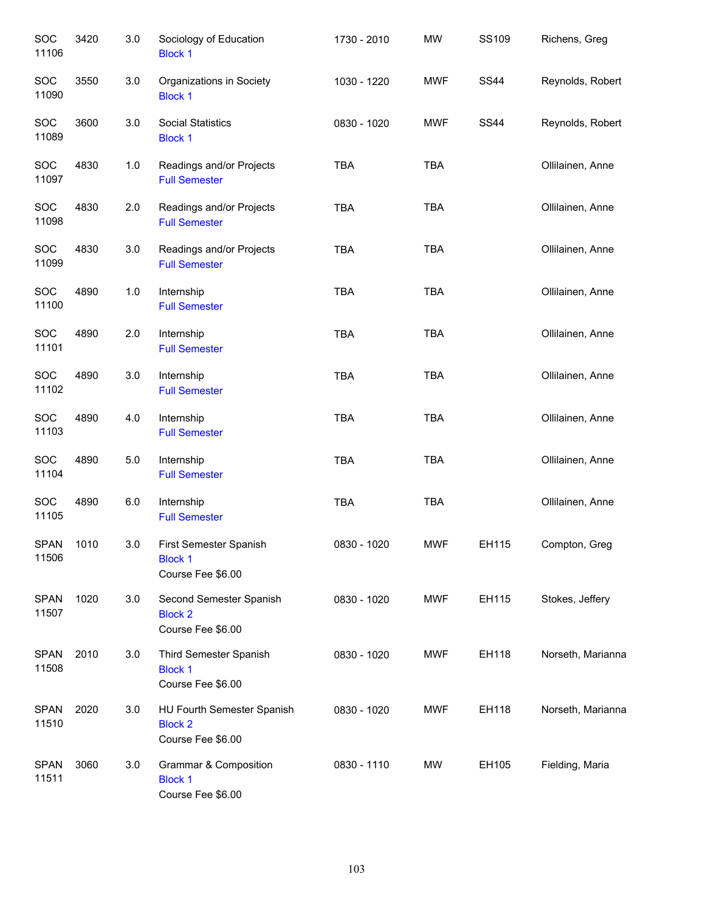| SOC<br>11106         | 3420 | 3.0   | Sociology of Education<br><b>Block 1</b>                          | 1730 - 2010 | <b>MW</b>  | SS109       | Richens, Greg     |
|----------------------|------|-------|-------------------------------------------------------------------|-------------|------------|-------------|-------------------|
| SOC<br>11090         | 3550 | 3.0   | Organizations in Society<br><b>Block 1</b>                        | 1030 - 1220 | <b>MWF</b> | <b>SS44</b> | Reynolds, Robert  |
| <b>SOC</b><br>11089  | 3600 | 3.0   | <b>Social Statistics</b><br><b>Block 1</b>                        | 0830 - 1020 | <b>MWF</b> | <b>SS44</b> | Reynolds, Robert  |
| <b>SOC</b><br>11097  | 4830 | 1.0   | Readings and/or Projects<br><b>Full Semester</b>                  | <b>TBA</b>  | <b>TBA</b> |             | Ollilainen, Anne  |
| <b>SOC</b><br>11098  | 4830 | 2.0   | Readings and/or Projects<br><b>Full Semester</b>                  | <b>TBA</b>  | <b>TBA</b> |             | Ollilainen, Anne  |
| <b>SOC</b><br>11099  | 4830 | 3.0   | Readings and/or Projects<br><b>Full Semester</b>                  | <b>TBA</b>  | <b>TBA</b> |             | Ollilainen, Anne  |
| SOC<br>11100         | 4890 | 1.0   | Internship<br><b>Full Semester</b>                                | <b>TBA</b>  | <b>TBA</b> |             | Ollilainen, Anne  |
| SOC<br>11101         | 4890 | 2.0   | Internship<br><b>Full Semester</b>                                | <b>TBA</b>  | <b>TBA</b> |             | Ollilainen, Anne  |
| <b>SOC</b><br>11102  | 4890 | 3.0   | Internship<br><b>Full Semester</b>                                | <b>TBA</b>  | <b>TBA</b> |             | Ollilainen, Anne  |
| SOC<br>11103         | 4890 | 4.0   | Internship<br><b>Full Semester</b>                                | <b>TBA</b>  | <b>TBA</b> |             | Ollilainen, Anne  |
| SOC<br>11104         | 4890 | $5.0$ | Internship<br><b>Full Semester</b>                                | <b>TBA</b>  | <b>TBA</b> |             | Ollilainen, Anne  |
| SOC<br>11105         | 4890 | 6.0   | Internship<br><b>Full Semester</b>                                | <b>TBA</b>  | <b>TBA</b> |             | Ollilainen, Anne  |
| <b>SPAN</b><br>11506 | 1010 | 3.0   | First Semester Spanish<br><b>Block 1</b><br>Course Fee \$6.00     | 0830 - 1020 | <b>MWF</b> | EH115       | Compton, Greg     |
| <b>SPAN</b><br>11507 | 1020 | 3.0   | Second Semester Spanish<br><b>Block 2</b><br>Course Fee \$6.00    | 0830 - 1020 | <b>MWF</b> | EH115       | Stokes, Jeffery   |
| <b>SPAN</b><br>11508 | 2010 | 3.0   | Third Semester Spanish<br><b>Block 1</b><br>Course Fee \$6.00     | 0830 - 1020 | <b>MWF</b> | EH118       | Norseth, Marianna |
| <b>SPAN</b><br>11510 | 2020 | 3.0   | HU Fourth Semester Spanish<br><b>Block 2</b><br>Course Fee \$6.00 | 0830 - 1020 | <b>MWF</b> | EH118       | Norseth, Marianna |
| <b>SPAN</b><br>11511 | 3060 | 3.0   | Grammar & Composition<br><b>Block 1</b><br>Course Fee \$6.00      | 0830 - 1110 | MW         | EH105       | Fielding, Maria   |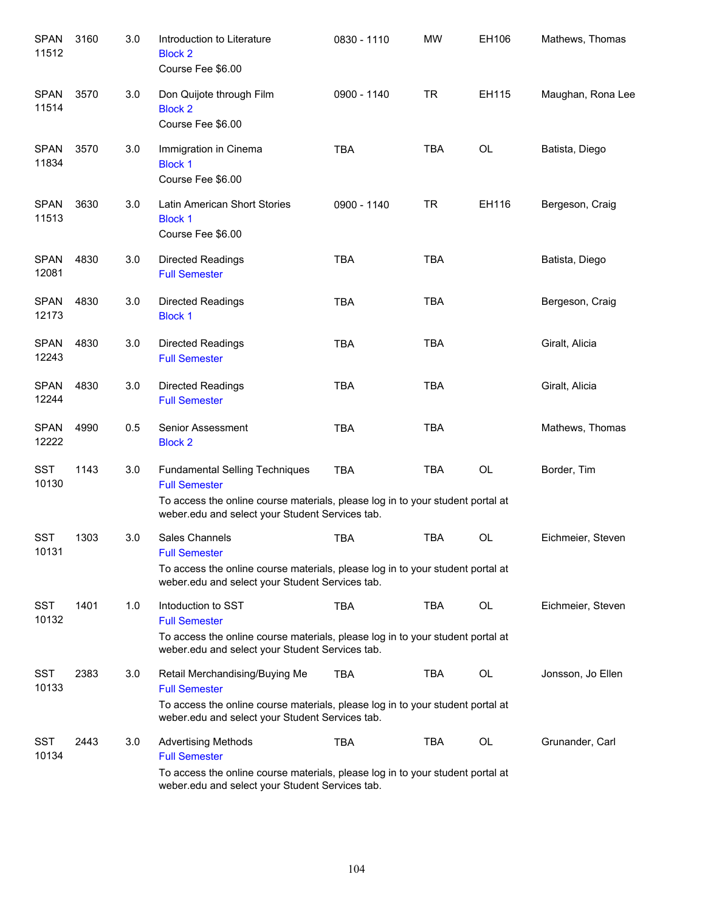| <b>SPAN</b><br>11512 | 3160 | 3.0 | Introduction to Literature<br><b>Block 2</b><br>Course Fee \$6.00                                                                                                                                  | 0830 - 1110 | <b>MW</b>  | EH106     | Mathews, Thomas   |
|----------------------|------|-----|----------------------------------------------------------------------------------------------------------------------------------------------------------------------------------------------------|-------------|------------|-----------|-------------------|
| <b>SPAN</b><br>11514 | 3570 | 3.0 | Don Quijote through Film<br><b>Block 2</b><br>Course Fee \$6.00                                                                                                                                    | 0900 - 1140 | <b>TR</b>  | EH115     | Maughan, Rona Lee |
| <b>SPAN</b><br>11834 | 3570 | 3.0 | Immigration in Cinema<br><b>Block 1</b><br>Course Fee \$6.00                                                                                                                                       | <b>TBA</b>  | <b>TBA</b> | OL        | Batista, Diego    |
| <b>SPAN</b><br>11513 | 3630 | 3.0 | Latin American Short Stories<br><b>Block 1</b><br>Course Fee \$6.00                                                                                                                                | 0900 - 1140 | <b>TR</b>  | EH116     | Bergeson, Craig   |
| <b>SPAN</b><br>12081 | 4830 | 3.0 | <b>Directed Readings</b><br><b>Full Semester</b>                                                                                                                                                   | <b>TBA</b>  | <b>TBA</b> |           | Batista, Diego    |
| <b>SPAN</b><br>12173 | 4830 | 3.0 | <b>Directed Readings</b><br><b>Block 1</b>                                                                                                                                                         | <b>TBA</b>  | <b>TBA</b> |           | Bergeson, Craig   |
| <b>SPAN</b><br>12243 | 4830 | 3.0 | <b>Directed Readings</b><br><b>Full Semester</b>                                                                                                                                                   | <b>TBA</b>  | <b>TBA</b> |           | Giralt, Alicia    |
| <b>SPAN</b><br>12244 | 4830 | 3.0 | <b>Directed Readings</b><br><b>Full Semester</b>                                                                                                                                                   | <b>TBA</b>  | <b>TBA</b> |           | Giralt, Alicia    |
| <b>SPAN</b><br>12222 | 4990 | 0.5 | Senior Assessment<br><b>Block 2</b>                                                                                                                                                                | <b>TBA</b>  | <b>TBA</b> |           | Mathews, Thomas   |
| <b>SST</b><br>10130  | 1143 | 3.0 | <b>Fundamental Selling Techniques</b><br><b>Full Semester</b><br>To access the online course materials, please log in to your student portal at<br>weber.edu and select your Student Services tab. | <b>TBA</b>  | <b>TBA</b> | OL        | Border, Tim       |
| <b>SST</b><br>10131  | 1303 | 3.0 | Sales Channels<br><b>Full Semester</b><br>To access the online course materials, please log in to your student portal at<br>weber.edu and select your Student Services tab.                        | <b>TBA</b>  | <b>TBA</b> | <b>OL</b> | Eichmeier, Steven |
| <b>SST</b><br>10132  | 1401 | 1.0 | Intoduction to SST<br><b>Full Semester</b><br>To access the online course materials, please log in to your student portal at<br>weber.edu and select your Student Services tab.                    | <b>TBA</b>  | <b>TBA</b> | OL        | Eichmeier, Steven |
| SST<br>10133         | 2383 | 3.0 | Retail Merchandising/Buying Me<br><b>Full Semester</b><br>To access the online course materials, please log in to your student portal at<br>weber.edu and select your Student Services tab.        | <b>TBA</b>  | TBA        | OL        | Jonsson, Jo Ellen |
| SST<br>10134         | 2443 | 3.0 | <b>Advertising Methods</b><br><b>Full Semester</b><br>To access the online course materials, please log in to your student portal at<br>weber.edu and select your Student Services tab.            | <b>TBA</b>  | TBA        | OL        | Grunander, Carl   |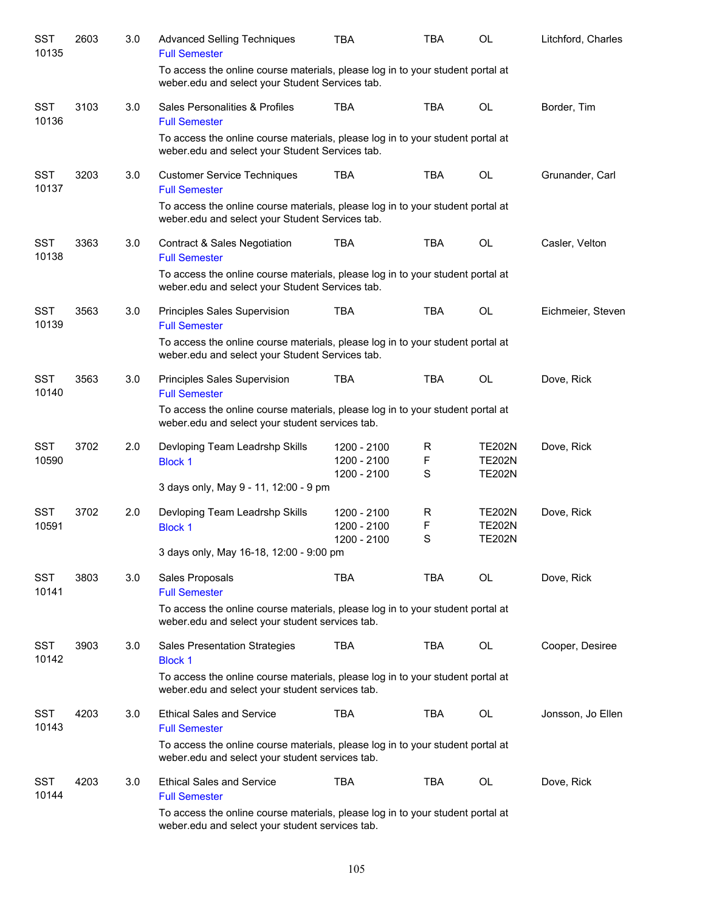| <b>SST</b><br>10135 | 2603 | 3.0 | <b>Advanced Selling Techniques</b><br><b>Full Semester</b>                                                                        | <b>TBA</b>                                | TBA         | OL                                              | Litchford, Charles |
|---------------------|------|-----|-----------------------------------------------------------------------------------------------------------------------------------|-------------------------------------------|-------------|-------------------------------------------------|--------------------|
|                     |      |     | To access the online course materials, please log in to your student portal at<br>weber.edu and select your Student Services tab. |                                           |             |                                                 |                    |
| <b>SST</b><br>10136 | 3103 | 3.0 | Sales Personalities & Profiles<br><b>Full Semester</b>                                                                            | <b>TBA</b>                                | <b>TBA</b>  | <b>OL</b>                                       | Border, Tim        |
|                     |      |     | To access the online course materials, please log in to your student portal at<br>weber.edu and select your Student Services tab. |                                           |             |                                                 |                    |
| <b>SST</b><br>10137 | 3203 | 3.0 | <b>Customer Service Techniques</b><br><b>Full Semester</b>                                                                        | <b>TBA</b>                                | <b>TBA</b>  | OL                                              | Grunander, Carl    |
|                     |      |     | To access the online course materials, please log in to your student portal at<br>weber.edu and select your Student Services tab. |                                           |             |                                                 |                    |
| <b>SST</b><br>10138 | 3363 | 3.0 | <b>Contract &amp; Sales Negotiation</b><br><b>Full Semester</b>                                                                   | <b>TBA</b>                                | <b>TBA</b>  | <b>OL</b>                                       | Casler, Velton     |
|                     |      |     | To access the online course materials, please log in to your student portal at<br>weber.edu and select your Student Services tab. |                                           |             |                                                 |                    |
| <b>SST</b><br>10139 | 3563 | 3.0 | Principles Sales Supervision<br><b>Full Semester</b>                                                                              | <b>TBA</b>                                | <b>TBA</b>  | <b>OL</b>                                       | Eichmeier, Steven  |
|                     |      |     | To access the online course materials, please log in to your student portal at<br>weber.edu and select your Student Services tab. |                                           |             |                                                 |                    |
| <b>SST</b><br>10140 | 3563 | 3.0 | Principles Sales Supervision<br><b>Full Semester</b>                                                                              | <b>TBA</b>                                | <b>TBA</b>  | <b>OL</b>                                       | Dove, Rick         |
|                     |      |     | To access the online course materials, please log in to your student portal at<br>weber.edu and select your student services tab. |                                           |             |                                                 |                    |
| <b>SST</b><br>10590 | 3702 | 2.0 | Devloping Team Leadrshp Skills<br><b>Block 1</b>                                                                                  | 1200 - 2100<br>1200 - 2100<br>1200 - 2100 | R<br>F<br>S | <b>TE202N</b><br><b>TE202N</b><br><b>TE202N</b> | Dove, Rick         |
|                     |      |     | 3 days only, May 9 - 11, 12:00 - 9 pm                                                                                             |                                           |             |                                                 |                    |
| <b>SST</b><br>10591 | 3702 | 2.0 | Devloping Team Leadrshp Skills<br><b>Block 1</b>                                                                                  | 1200 - 2100<br>1200 - 2100                | R<br>F      | <b>TE202N</b><br><b>TE202N</b>                  | Dove, Rick         |
|                     |      |     | 3 days only, May 16-18, 12:00 - 9:00 pm                                                                                           | 1200 - 2100                               | S           | <b>TE202N</b>                                   |                    |
| <b>SST</b><br>10141 | 3803 | 3.0 | Sales Proposals<br><b>Full Semester</b>                                                                                           | <b>TBA</b>                                | <b>TBA</b>  | OL                                              | Dove, Rick         |
|                     |      |     | To access the online course materials, please log in to your student portal at<br>weber.edu and select your student services tab. |                                           |             |                                                 |                    |
| <b>SST</b><br>10142 | 3903 | 3.0 | <b>Sales Presentation Strategies</b><br><b>Block 1</b>                                                                            | <b>TBA</b>                                | <b>TBA</b>  | OL                                              | Cooper, Desiree    |
|                     |      |     | To access the online course materials, please log in to your student portal at<br>weber.edu and select your student services tab. |                                           |             |                                                 |                    |
| <b>SST</b><br>10143 | 4203 | 3.0 | <b>Ethical Sales and Service</b><br><b>Full Semester</b>                                                                          | <b>TBA</b>                                | TBA         | OL                                              | Jonsson, Jo Ellen  |
|                     |      |     | To access the online course materials, please log in to your student portal at<br>weber.edu and select your student services tab. |                                           |             |                                                 |                    |
| <b>SST</b><br>10144 | 4203 | 3.0 | <b>Ethical Sales and Service</b><br><b>Full Semester</b>                                                                          | <b>TBA</b>                                | <b>TBA</b>  | OL                                              | Dove, Rick         |
|                     |      |     | To access the online course materials, please log in to your student portal at<br>weber.edu and select your student services tab. |                                           |             |                                                 |                    |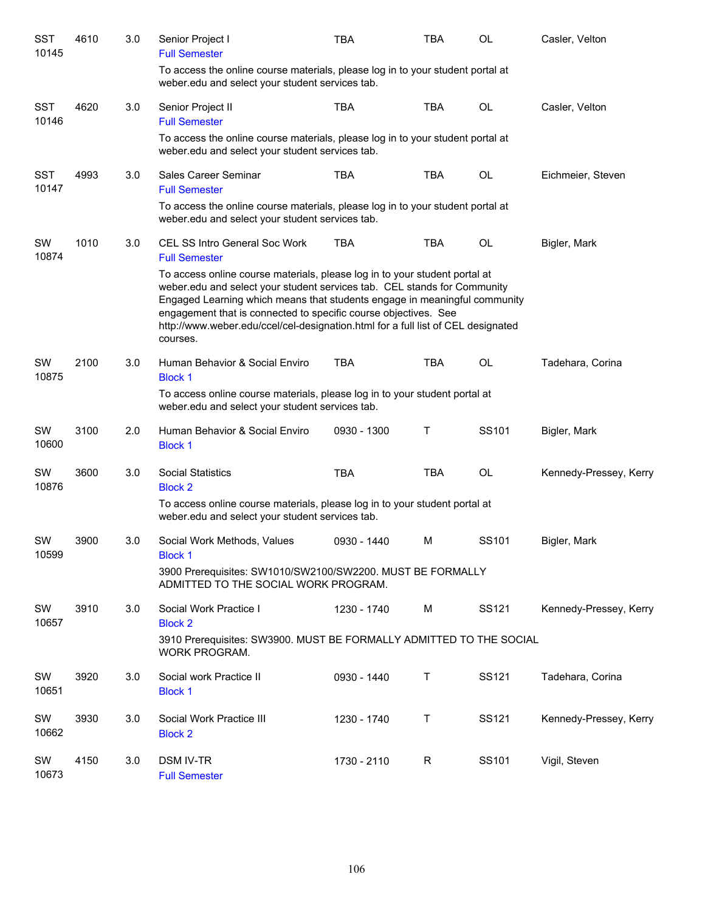| <b>SST</b><br>10145 | 4610 | 3.0 | Senior Project I<br><b>Full Semester</b>                                                                                                                                                                                                                                                                                                                                                               | <b>TBA</b>  | <b>TBA</b>   | <b>OL</b> | Casler, Velton         |
|---------------------|------|-----|--------------------------------------------------------------------------------------------------------------------------------------------------------------------------------------------------------------------------------------------------------------------------------------------------------------------------------------------------------------------------------------------------------|-------------|--------------|-----------|------------------------|
|                     |      |     | To access the online course materials, please log in to your student portal at<br>weber.edu and select your student services tab.                                                                                                                                                                                                                                                                      |             |              |           |                        |
| <b>SST</b><br>10146 | 4620 | 3.0 | Senior Project II<br><b>Full Semester</b>                                                                                                                                                                                                                                                                                                                                                              | TBA         | <b>TBA</b>   | OL        | Casler, Velton         |
|                     |      |     | To access the online course materials, please log in to your student portal at<br>weber.edu and select your student services tab.                                                                                                                                                                                                                                                                      |             |              |           |                        |
| <b>SST</b><br>10147 | 4993 | 3.0 | Sales Career Seminar<br><b>Full Semester</b>                                                                                                                                                                                                                                                                                                                                                           | <b>TBA</b>  | <b>TBA</b>   | OL        | Eichmeier, Steven      |
|                     |      |     | To access the online course materials, please log in to your student portal at<br>weber.edu and select your student services tab.                                                                                                                                                                                                                                                                      |             |              |           |                        |
| SW<br>10874         | 1010 | 3.0 | CEL SS Intro General Soc Work<br><b>Full Semester</b>                                                                                                                                                                                                                                                                                                                                                  | <b>TBA</b>  | <b>TBA</b>   | OL        | Bigler, Mark           |
|                     |      |     | To access online course materials, please log in to your student portal at<br>weber.edu and select your student services tab. CEL stands for Community<br>Engaged Learning which means that students engage in meaningful community<br>engagement that is connected to specific course objectives. See<br>http://www.weber.edu/ccel/cel-designation.html for a full list of CEL designated<br>courses. |             |              |           |                        |
| SW<br>10875         | 2100 | 3.0 | Human Behavior & Social Enviro<br><b>Block 1</b>                                                                                                                                                                                                                                                                                                                                                       | <b>TBA</b>  | <b>TBA</b>   | OL        | Tadehara, Corina       |
|                     |      |     | To access online course materials, please log in to your student portal at<br>weber.edu and select your student services tab.                                                                                                                                                                                                                                                                          |             |              |           |                        |
| SW<br>10600         | 3100 | 2.0 | Human Behavior & Social Enviro<br><b>Block 1</b>                                                                                                                                                                                                                                                                                                                                                       | 0930 - 1300 | Τ            | SS101     | Bigler, Mark           |
| SW<br>10876         | 3600 | 3.0 | <b>Social Statistics</b><br><b>Block 2</b>                                                                                                                                                                                                                                                                                                                                                             | <b>TBA</b>  | <b>TBA</b>   | OL        | Kennedy-Pressey, Kerry |
|                     |      |     | To access online course materials, please log in to your student portal at<br>weber.edu and select your student services tab.                                                                                                                                                                                                                                                                          |             |              |           |                        |
| SW<br>10599         | 3900 | 3.0 | Social Work Methods, Values<br><b>Block 1</b>                                                                                                                                                                                                                                                                                                                                                          | 0930 - 1440 | M            | SS101     | Bigler, Mark           |
|                     |      |     | 3900 Prerequisites: SW1010/SW2100/SW2200. MUST BE FORMALLY<br>ADMITTED TO THE SOCIAL WORK PROGRAM.                                                                                                                                                                                                                                                                                                     |             |              |           |                        |
| SW<br>10657         | 3910 | 3.0 | Social Work Practice I<br><b>Block 2</b>                                                                                                                                                                                                                                                                                                                                                               | 1230 - 1740 | M            | SS121     | Kennedy-Pressey, Kerry |
|                     |      |     | 3910 Prerequisites: SW3900. MUST BE FORMALLY ADMITTED TO THE SOCIAL<br>WORK PROGRAM.                                                                                                                                                                                                                                                                                                                   |             |              |           |                        |
| SW<br>10651         | 3920 | 3.0 | Social work Practice II<br><b>Block 1</b>                                                                                                                                                                                                                                                                                                                                                              | 0930 - 1440 | Τ            | SS121     | Tadehara, Corina       |
| SW<br>10662         | 3930 | 3.0 | Social Work Practice III<br><b>Block 2</b>                                                                                                                                                                                                                                                                                                                                                             | 1230 - 1740 | Т            | SS121     | Kennedy-Pressey, Kerry |
| SW<br>10673         | 4150 | 3.0 | <b>DSM IV-TR</b><br><b>Full Semester</b>                                                                                                                                                                                                                                                                                                                                                               | 1730 - 2110 | $\mathsf{R}$ | SS101     | Vigil, Steven          |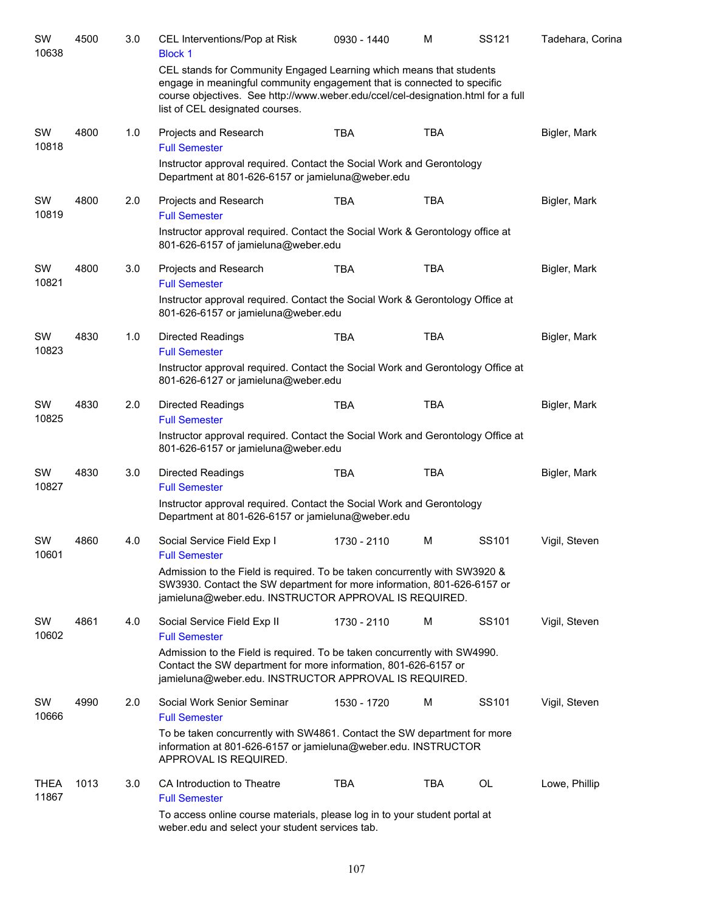| SW<br>10638          | 4500 | 3.0 | CEL Interventions/Pop at Risk<br><b>Block 1</b>                                                                                                                                                                                                                       | 0930 - 1440 | M          | SS121 | Tadehara, Corina |
|----------------------|------|-----|-----------------------------------------------------------------------------------------------------------------------------------------------------------------------------------------------------------------------------------------------------------------------|-------------|------------|-------|------------------|
|                      |      |     | CEL stands for Community Engaged Learning which means that students<br>engage in meaningful community engagement that is connected to specific<br>course objectives. See http://www.weber.edu/ccel/cel-designation.html for a full<br>list of CEL designated courses. |             |            |       |                  |
| SW<br>10818          | 4800 | 1.0 | Projects and Research<br><b>Full Semester</b>                                                                                                                                                                                                                         | <b>TBA</b>  | <b>TBA</b> |       | Bigler, Mark     |
|                      |      |     | Instructor approval required. Contact the Social Work and Gerontology<br>Department at 801-626-6157 or jamieluna@weber.edu                                                                                                                                            |             |            |       |                  |
| SW<br>10819          | 4800 | 2.0 | Projects and Research<br><b>Full Semester</b>                                                                                                                                                                                                                         | <b>TBA</b>  | <b>TBA</b> |       | Bigler, Mark     |
|                      |      |     | Instructor approval required. Contact the Social Work & Gerontology office at<br>801-626-6157 of jamieluna@weber.edu                                                                                                                                                  |             |            |       |                  |
| SW<br>10821          | 4800 | 3.0 | Projects and Research<br><b>Full Semester</b>                                                                                                                                                                                                                         | <b>TBA</b>  | <b>TBA</b> |       | Bigler, Mark     |
|                      |      |     | Instructor approval required. Contact the Social Work & Gerontology Office at<br>801-626-6157 or jamieluna@weber.edu                                                                                                                                                  |             |            |       |                  |
| SW                   | 4830 | 1.0 | <b>Directed Readings</b>                                                                                                                                                                                                                                              | <b>TBA</b>  | <b>TBA</b> |       | Bigler, Mark     |
| 10823                |      |     | <b>Full Semester</b>                                                                                                                                                                                                                                                  |             |            |       |                  |
|                      |      |     | Instructor approval required. Contact the Social Work and Gerontology Office at<br>801-626-6127 or jamieluna@weber.edu                                                                                                                                                |             |            |       |                  |
| SW<br>10825          | 4830 | 2.0 | <b>Directed Readings</b><br><b>Full Semester</b>                                                                                                                                                                                                                      | <b>TBA</b>  | <b>TBA</b> |       | Bigler, Mark     |
|                      |      |     | Instructor approval required. Contact the Social Work and Gerontology Office at<br>801-626-6157 or jamieluna@weber.edu                                                                                                                                                |             |            |       |                  |
| SW<br>10827          | 4830 | 3.0 | <b>Directed Readings</b><br><b>Full Semester</b>                                                                                                                                                                                                                      | <b>TBA</b>  | <b>TBA</b> |       | Bigler, Mark     |
|                      |      |     | Instructor approval required. Contact the Social Work and Gerontology<br>Department at 801-626-6157 or jamieluna@weber.edu                                                                                                                                            |             |            |       |                  |
| SW<br>10601          | 4860 | 4.0 | Social Service Field Exp I<br><b>Full Semester</b>                                                                                                                                                                                                                    | 1730 - 2110 | M          | SS101 | Vigil, Steven    |
|                      |      |     | Admission to the Field is required. To be taken concurrently with SW3920 &<br>SW3930. Contact the SW department for more information, 801-626-6157 or<br>jamieluna@weber.edu. INSTRUCTOR APPROVAL IS REQUIRED.                                                        |             |            |       |                  |
| SW<br>10602          | 4861 | 4.0 | Social Service Field Exp II<br><b>Full Semester</b>                                                                                                                                                                                                                   | 1730 - 2110 | M          | SS101 | Vigil, Steven    |
|                      |      |     | Admission to the Field is required. To be taken concurrently with SW4990.<br>Contact the SW department for more information, 801-626-6157 or<br>jamieluna@weber.edu. INSTRUCTOR APPROVAL IS REQUIRED.                                                                 |             |            |       |                  |
| SW<br>10666          | 4990 | 2.0 | Social Work Senior Seminar<br><b>Full Semester</b>                                                                                                                                                                                                                    | 1530 - 1720 | м          | SS101 | Vigil, Steven    |
|                      |      |     | To be taken concurrently with SW4861. Contact the SW department for more<br>information at 801-626-6157 or jamieluna@weber.edu. INSTRUCTOR<br>APPROVAL IS REQUIRED.                                                                                                   |             |            |       |                  |
| <b>THEA</b><br>11867 | 1013 | 3.0 | CA Introduction to Theatre<br><b>Full Semester</b>                                                                                                                                                                                                                    | <b>TBA</b>  | TBA        | OL    | Lowe, Phillip    |
|                      |      |     | To access online course materials, please log in to your student portal at<br>weber.edu and select your student services tab.                                                                                                                                         |             |            |       |                  |
|                      |      |     |                                                                                                                                                                                                                                                                       |             |            |       |                  |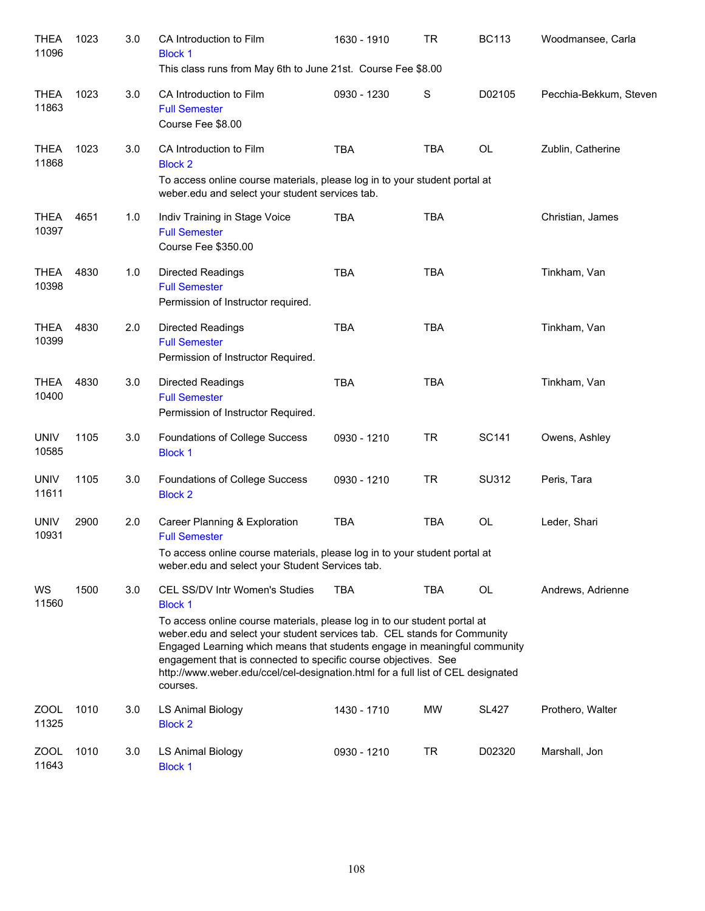| <b>THEA</b><br>11096 | 1023 | 3.0 | CA Introduction to Film<br><b>Block 1</b><br>This class runs from May 6th to June 21st. Course Fee \$8.00                                                                                                                                                                                                                                                                                                                                                        | 1630 - 1910 | <b>TR</b>   | <b>BC113</b> | Woodmansee, Carla      |
|----------------------|------|-----|------------------------------------------------------------------------------------------------------------------------------------------------------------------------------------------------------------------------------------------------------------------------------------------------------------------------------------------------------------------------------------------------------------------------------------------------------------------|-------------|-------------|--------------|------------------------|
| <b>THEA</b><br>11863 | 1023 | 3.0 | CA Introduction to Film<br><b>Full Semester</b><br>Course Fee \$8.00                                                                                                                                                                                                                                                                                                                                                                                             | 0930 - 1230 | $\mathbf S$ | D02105       | Pecchia-Bekkum, Steven |
| <b>THEA</b><br>11868 | 1023 | 3.0 | CA Introduction to Film<br><b>Block 2</b><br>To access online course materials, please log in to your student portal at<br>weber.edu and select your student services tab.                                                                                                                                                                                                                                                                                       | <b>TBA</b>  | <b>TBA</b>  | <b>OL</b>    | Zublin, Catherine      |
| <b>THEA</b><br>10397 | 4651 | 1.0 | Indiv Training in Stage Voice<br><b>Full Semester</b><br>Course Fee \$350.00                                                                                                                                                                                                                                                                                                                                                                                     | <b>TBA</b>  | <b>TBA</b>  |              | Christian, James       |
| <b>THEA</b><br>10398 | 4830 | 1.0 | <b>Directed Readings</b><br><b>Full Semester</b><br>Permission of Instructor required.                                                                                                                                                                                                                                                                                                                                                                           | <b>TBA</b>  | <b>TBA</b>  |              | Tinkham, Van           |
| <b>THEA</b><br>10399 | 4830 | 2.0 | <b>Directed Readings</b><br><b>Full Semester</b><br>Permission of Instructor Required.                                                                                                                                                                                                                                                                                                                                                                           | <b>TBA</b>  | <b>TBA</b>  |              | Tinkham, Van           |
| <b>THEA</b><br>10400 | 4830 | 3.0 | <b>Directed Readings</b><br><b>Full Semester</b><br>Permission of Instructor Required.                                                                                                                                                                                                                                                                                                                                                                           | <b>TBA</b>  | <b>TBA</b>  |              | Tinkham, Van           |
| <b>UNIV</b><br>10585 | 1105 | 3.0 | Foundations of College Success<br><b>Block 1</b>                                                                                                                                                                                                                                                                                                                                                                                                                 | 0930 - 1210 | <b>TR</b>   | <b>SC141</b> | Owens, Ashley          |
| <b>UNIV</b><br>11611 | 1105 | 3.0 | Foundations of College Success<br><b>Block 2</b>                                                                                                                                                                                                                                                                                                                                                                                                                 | 0930 - 1210 | <b>TR</b>   | SU312        | Peris, Tara            |
| <b>UNIV</b><br>10931 | 2900 | 2.0 | Career Planning & Exploration<br><b>Full Semester</b><br>To access online course materials, please log in to your student portal at<br>weber.edu and select your Student Services tab.                                                                                                                                                                                                                                                                           | <b>TBA</b>  | <b>TBA</b>  | <b>OL</b>    | Leder, Shari           |
| WS<br>11560          | 1500 | 3.0 | <b>CEL SS/DV Intr Women's Studies</b><br><b>Block 1</b><br>To access online course materials, please log in to our student portal at<br>weber.edu and select your student services tab. CEL stands for Community<br>Engaged Learning which means that students engage in meaningful community<br>engagement that is connected to specific course objectives. See<br>http://www.weber.edu/ccel/cel-designation.html for a full list of CEL designated<br>courses. | <b>TBA</b>  | TBA         | OL           | Andrews, Adrienne      |
| ZOOL<br>11325        | 1010 | 3.0 | LS Animal Biology<br><b>Block 2</b>                                                                                                                                                                                                                                                                                                                                                                                                                              | 1430 - 1710 | MW          | <b>SL427</b> | Prothero, Walter       |
| <b>ZOOL</b><br>11643 | 1010 | 3.0 | LS Animal Biology<br><b>Block 1</b>                                                                                                                                                                                                                                                                                                                                                                                                                              | 0930 - 1210 | <b>TR</b>   | D02320       | Marshall, Jon          |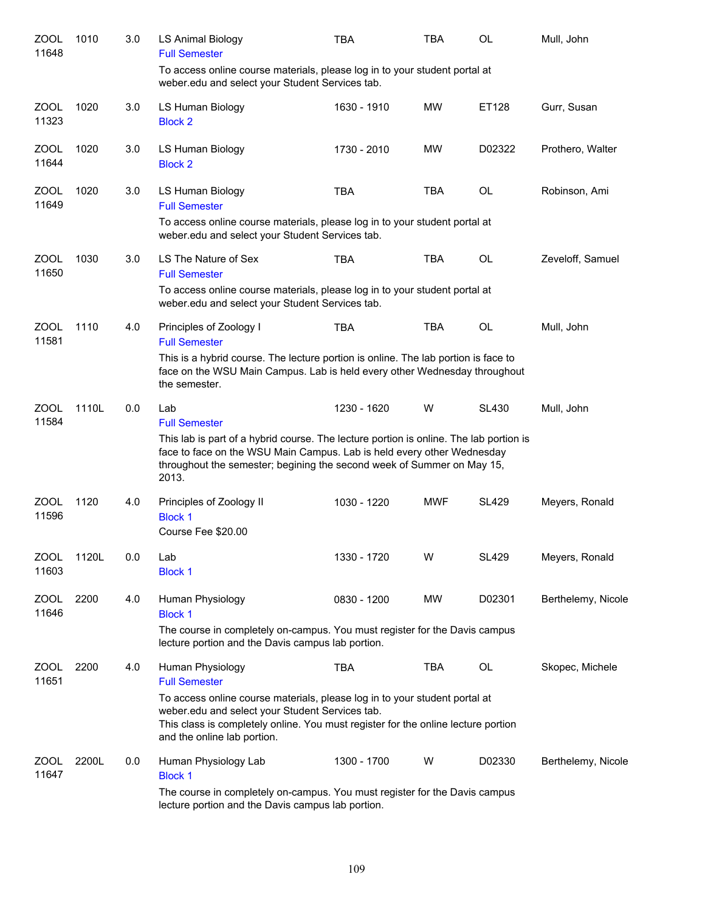| ZOOL<br>11648        | 1010  | 3.0 | LS Animal Biology<br><b>Full Semester</b>                                                                                                                                                                                                                                                     | <b>TBA</b>  | TBA        | OL           | Mull, John         |
|----------------------|-------|-----|-----------------------------------------------------------------------------------------------------------------------------------------------------------------------------------------------------------------------------------------------------------------------------------------------|-------------|------------|--------------|--------------------|
|                      |       |     | To access online course materials, please log in to your student portal at<br>weber.edu and select your Student Services tab.                                                                                                                                                                 |             |            |              |                    |
| <b>ZOOL</b><br>11323 | 1020  | 3.0 | LS Human Biology<br><b>Block 2</b>                                                                                                                                                                                                                                                            | 1630 - 1910 | <b>MW</b>  | ET128        | Gurr, Susan        |
| <b>ZOOL</b><br>11644 | 1020  | 3.0 | LS Human Biology<br><b>Block 2</b>                                                                                                                                                                                                                                                            | 1730 - 2010 | <b>MW</b>  | D02322       | Prothero, Walter   |
| ZOOL<br>11649        | 1020  | 3.0 | LS Human Biology<br><b>Full Semester</b><br>To access online course materials, please log in to your student portal at<br>weber.edu and select your Student Services tab.                                                                                                                     | <b>TBA</b>  | <b>TBA</b> | <b>OL</b>    | Robinson, Ami      |
| <b>ZOOL</b><br>11650 | 1030  | 3.0 | LS The Nature of Sex<br><b>Full Semester</b><br>To access online course materials, please log in to your student portal at<br>weber.edu and select your Student Services tab.                                                                                                                 | <b>TBA</b>  | <b>TBA</b> | <b>OL</b>    | Zeveloff, Samuel   |
| <b>ZOOL</b><br>11581 | 1110  | 4.0 | Principles of Zoology I<br><b>Full Semester</b><br>This is a hybrid course. The lecture portion is online. The lab portion is face to<br>face on the WSU Main Campus. Lab is held every other Wednesday throughout<br>the semester.                                                           | <b>TBA</b>  | <b>TBA</b> | OL           | Mull, John         |
| <b>ZOOL</b><br>11584 | 1110L | 0.0 | Lab<br><b>Full Semester</b><br>This lab is part of a hybrid course. The lecture portion is online. The lab portion is<br>face to face on the WSU Main Campus. Lab is held every other Wednesday<br>throughout the semester; begining the second week of Summer on May 15,<br>2013.            | 1230 - 1620 | W          | <b>SL430</b> | Mull, John         |
| <b>ZOOL</b><br>11596 | 1120  | 4.0 | Principles of Zoology II<br><b>Block 1</b><br>Course Fee \$20.00                                                                                                                                                                                                                              | 1030 - 1220 | <b>MWF</b> | <b>SL429</b> | Meyers, Ronald     |
| ZOOL<br>11603        | 1120L | 0.0 | Lab<br><b>Block 1</b>                                                                                                                                                                                                                                                                         | 1330 - 1720 | W          | <b>SL429</b> | Meyers, Ronald     |
| ZOOL<br>11646        | 2200  | 4.0 | Human Physiology<br><b>Block 1</b><br>The course in completely on-campus. You must register for the Davis campus<br>lecture portion and the Davis campus lab portion.                                                                                                                         | 0830 - 1200 | MW         | D02301       | Berthelemy, Nicole |
| ZOOL<br>11651        | 2200  | 4.0 | Human Physiology<br><b>Full Semester</b><br>To access online course materials, please log in to your student portal at<br>weber.edu and select your Student Services tab.<br>This class is completely online. You must register for the online lecture portion<br>and the online lab portion. | <b>TBA</b>  | TBA        | OL           | Skopec, Michele    |
| ZOOL<br>11647        | 2200L | 0.0 | Human Physiology Lab<br><b>Block 1</b><br>The course in completely on-campus. You must register for the Davis campus<br>lecture portion and the Davis campus lab portion.                                                                                                                     | 1300 - 1700 | W          | D02330       | Berthelemy, Nicole |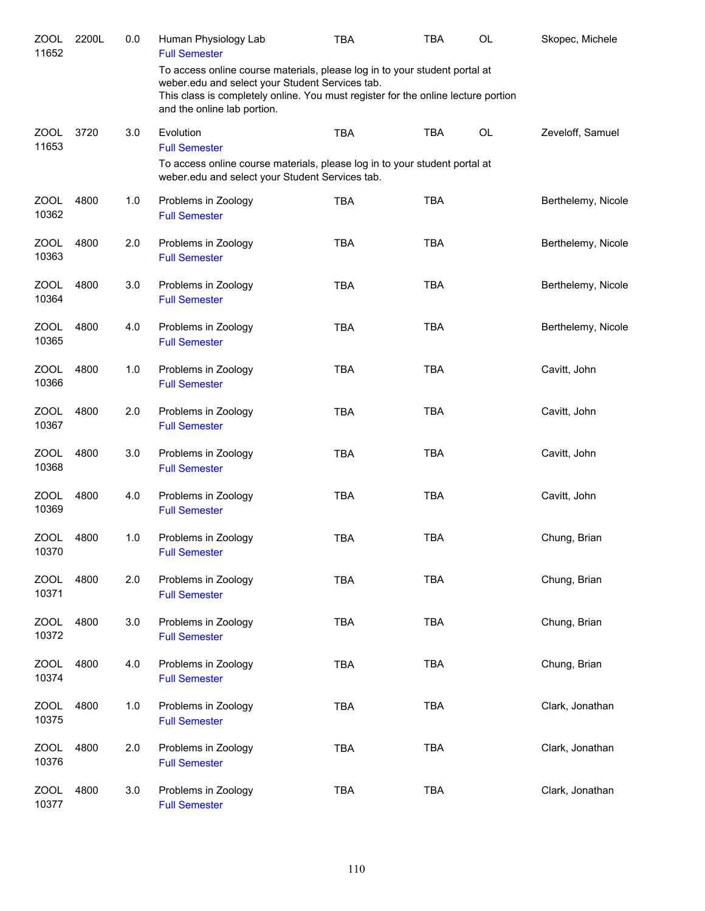| ZOOL<br>11652        | 2200L | 0.0 | Human Physiology Lab<br><b>Full Semester</b>                                                                                                                                                                                                      | TBA        | TBA        | OL        | Skopec, Michele    |
|----------------------|-------|-----|---------------------------------------------------------------------------------------------------------------------------------------------------------------------------------------------------------------------------------------------------|------------|------------|-----------|--------------------|
|                      |       |     | To access online course materials, please log in to your student portal at<br>weber.edu and select your Student Services tab.<br>This class is completely online. You must register for the online lecture portion<br>and the online lab portion. |            |            |           |                    |
| <b>ZOOL</b><br>11653 | 3720  | 3.0 | Evolution<br><b>Full Semester</b>                                                                                                                                                                                                                 | <b>TBA</b> | <b>TBA</b> | <b>OL</b> | Zeveloff, Samuel   |
|                      |       |     | To access online course materials, please log in to your student portal at<br>weber.edu and select your Student Services tab.                                                                                                                     |            |            |           |                    |
| <b>ZOOL</b><br>10362 | 4800  | 1.0 | Problems in Zoology<br><b>Full Semester</b>                                                                                                                                                                                                       | <b>TBA</b> | <b>TBA</b> |           | Berthelemy, Nicole |
| <b>ZOOL</b><br>10363 | 4800  | 2.0 | Problems in Zoology<br><b>Full Semester</b>                                                                                                                                                                                                       | <b>TBA</b> | <b>TBA</b> |           | Berthelemy, Nicole |
| <b>ZOOL</b><br>10364 | 4800  | 3.0 | Problems in Zoology<br><b>Full Semester</b>                                                                                                                                                                                                       | <b>TBA</b> | <b>TBA</b> |           | Berthelemy, Nicole |
| ZOOL<br>10365        | 4800  | 4.0 | Problems in Zoology<br><b>Full Semester</b>                                                                                                                                                                                                       | <b>TBA</b> | <b>TBA</b> |           | Berthelemy, Nicole |
| <b>ZOOL</b><br>10366 | 4800  | 1.0 | Problems in Zoology<br><b>Full Semester</b>                                                                                                                                                                                                       | <b>TBA</b> | <b>TBA</b> |           | Cavitt, John       |
| <b>ZOOL</b><br>10367 | 4800  | 2.0 | Problems in Zoology<br><b>Full Semester</b>                                                                                                                                                                                                       | <b>TBA</b> | <b>TBA</b> |           | Cavitt, John       |
| <b>ZOOL</b><br>10368 | 4800  | 3.0 | Problems in Zoology<br><b>Full Semester</b>                                                                                                                                                                                                       | <b>TBA</b> | <b>TBA</b> |           | Cavitt, John       |
| <b>ZOOL</b><br>10369 | 4800  | 4.0 | Problems in Zoology<br><b>Full Semester</b>                                                                                                                                                                                                       | <b>TBA</b> | <b>TBA</b> |           | Cavitt, John       |
| ZOOL<br>10370        | 4800  | 1.0 | Problems in Zoology<br><b>Full Semester</b>                                                                                                                                                                                                       | <b>TBA</b> | <b>TBA</b> |           | Chung, Brian       |
| <b>ZOOL</b><br>10371 | 4800  | 2.0 | Problems in Zoology<br><b>Full Semester</b>                                                                                                                                                                                                       | <b>TBA</b> | TBA        |           | Chung, Brian       |
| <b>ZOOL</b><br>10372 | 4800  | 3.0 | Problems in Zoology<br><b>Full Semester</b>                                                                                                                                                                                                       | <b>TBA</b> | <b>TBA</b> |           | Chung, Brian       |
| <b>ZOOL</b><br>10374 | 4800  | 4.0 | Problems in Zoology<br><b>Full Semester</b>                                                                                                                                                                                                       | <b>TBA</b> | <b>TBA</b> |           | Chung, Brian       |
| <b>ZOOL</b><br>10375 | 4800  | 1.0 | Problems in Zoology<br><b>Full Semester</b>                                                                                                                                                                                                       | <b>TBA</b> | <b>TBA</b> |           | Clark, Jonathan    |
| <b>ZOOL</b><br>10376 | 4800  | 2.0 | Problems in Zoology<br><b>Full Semester</b>                                                                                                                                                                                                       | <b>TBA</b> | <b>TBA</b> |           | Clark, Jonathan    |
| <b>ZOOL</b><br>10377 | 4800  | 3.0 | Problems in Zoology<br><b>Full Semester</b>                                                                                                                                                                                                       | <b>TBA</b> | <b>TBA</b> |           | Clark, Jonathan    |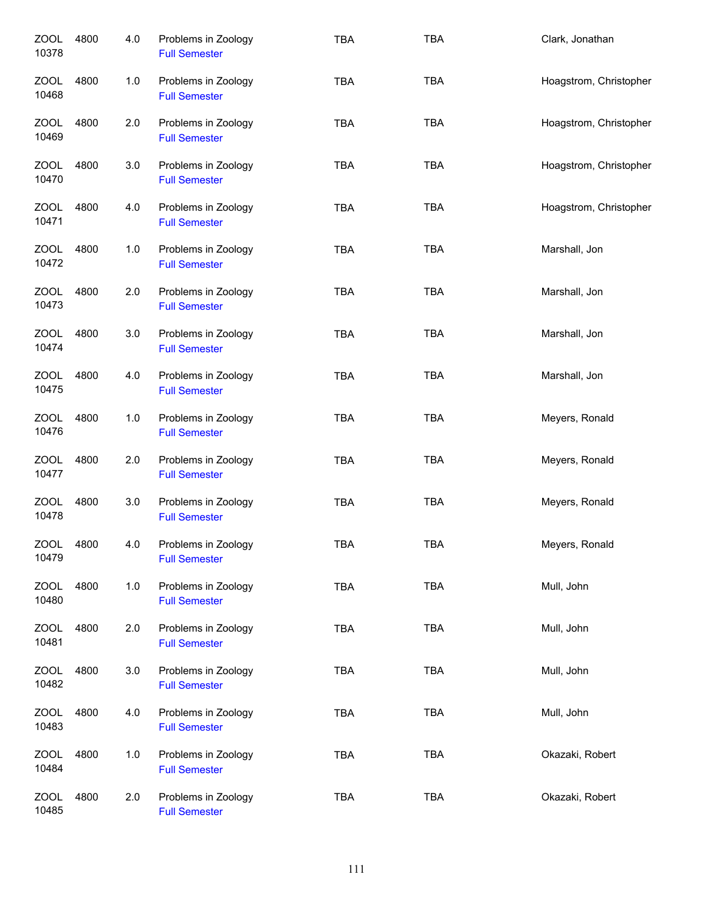| <b>ZOOL</b><br>10378 | 4800 | 4.0 | Problems in Zoology<br><b>Full Semester</b> | <b>TBA</b> | <b>TBA</b> | Clark, Jonathan        |
|----------------------|------|-----|---------------------------------------------|------------|------------|------------------------|
| <b>ZOOL</b><br>10468 | 4800 | 1.0 | Problems in Zoology<br><b>Full Semester</b> | <b>TBA</b> | <b>TBA</b> | Hoagstrom, Christopher |
| <b>ZOOL</b><br>10469 | 4800 | 2.0 | Problems in Zoology<br><b>Full Semester</b> | <b>TBA</b> | <b>TBA</b> | Hoagstrom, Christopher |
| ZOOL<br>10470        | 4800 | 3.0 | Problems in Zoology<br><b>Full Semester</b> | TBA        | <b>TBA</b> | Hoagstrom, Christopher |
| ZOOL<br>10471        | 4800 | 4.0 | Problems in Zoology<br><b>Full Semester</b> | <b>TBA</b> | <b>TBA</b> | Hoagstrom, Christopher |
| ZOOL<br>10472        | 4800 | 1.0 | Problems in Zoology<br><b>Full Semester</b> | <b>TBA</b> | <b>TBA</b> | Marshall, Jon          |
| <b>ZOOL</b><br>10473 | 4800 | 2.0 | Problems in Zoology<br><b>Full Semester</b> | <b>TBA</b> | <b>TBA</b> | Marshall, Jon          |
| <b>ZOOL</b><br>10474 | 4800 | 3.0 | Problems in Zoology<br><b>Full Semester</b> | <b>TBA</b> | <b>TBA</b> | Marshall, Jon          |
| ZOOL<br>10475        | 4800 | 4.0 | Problems in Zoology<br><b>Full Semester</b> | <b>TBA</b> | <b>TBA</b> | Marshall, Jon          |
| <b>ZOOL</b><br>10476 | 4800 | 1.0 | Problems in Zoology<br><b>Full Semester</b> | <b>TBA</b> | <b>TBA</b> | Meyers, Ronald         |
| <b>ZOOL</b><br>10477 | 4800 | 2.0 | Problems in Zoology<br><b>Full Semester</b> | <b>TBA</b> | <b>TBA</b> | Meyers, Ronald         |
| <b>ZOOL</b><br>10478 | 4800 | 3.0 | Problems in Zoology<br><b>Full Semester</b> | <b>TBA</b> | <b>TBA</b> | Meyers, Ronald         |
| <b>ZOOL</b><br>10479 | 4800 | 4.0 | Problems in Zoology<br><b>Full Semester</b> | <b>TBA</b> | TBA        | Meyers, Ronald         |
| <b>ZOOL</b><br>10480 | 4800 | 1.0 | Problems in Zoology<br><b>Full Semester</b> | TBA        | TBA        | Mull, John             |
| <b>ZOOL</b><br>10481 | 4800 | 2.0 | Problems in Zoology<br><b>Full Semester</b> | TBA        | <b>TBA</b> | Mull, John             |
| <b>ZOOL</b><br>10482 | 4800 | 3.0 | Problems in Zoology<br><b>Full Semester</b> | <b>TBA</b> | <b>TBA</b> | Mull, John             |
| <b>ZOOL</b><br>10483 | 4800 | 4.0 | Problems in Zoology<br><b>Full Semester</b> | TBA        | <b>TBA</b> | Mull, John             |
| <b>ZOOL</b><br>10484 | 4800 | 1.0 | Problems in Zoology<br><b>Full Semester</b> | TBA        | <b>TBA</b> | Okazaki, Robert        |
| <b>ZOOL</b><br>10485 | 4800 | 2.0 | Problems in Zoology<br><b>Full Semester</b> | TBA        | <b>TBA</b> | Okazaki, Robert        |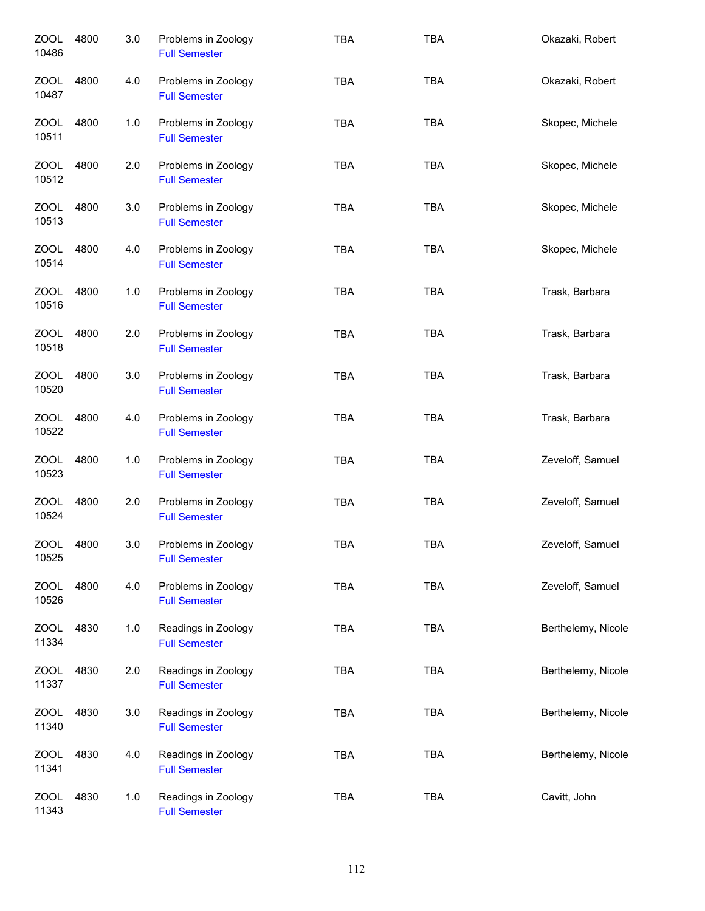| <b>ZOOL</b><br>10486 | 4800 | 3.0 | Problems in Zoology<br><b>Full Semester</b> | <b>TBA</b> | <b>TBA</b> | Okazaki, Robert    |
|----------------------|------|-----|---------------------------------------------|------------|------------|--------------------|
| ZOOL<br>10487        | 4800 | 4.0 | Problems in Zoology<br><b>Full Semester</b> | <b>TBA</b> | <b>TBA</b> | Okazaki, Robert    |
| ZOOL<br>10511        | 4800 | 1.0 | Problems in Zoology<br><b>Full Semester</b> | <b>TBA</b> | <b>TBA</b> | Skopec, Michele    |
| ZOOL<br>10512        | 4800 | 2.0 | Problems in Zoology<br><b>Full Semester</b> | <b>TBA</b> | <b>TBA</b> | Skopec, Michele    |
| ZOOL<br>10513        | 4800 | 3.0 | Problems in Zoology<br><b>Full Semester</b> | <b>TBA</b> | <b>TBA</b> | Skopec, Michele    |
| <b>ZOOL</b><br>10514 | 4800 | 4.0 | Problems in Zoology<br><b>Full Semester</b> | <b>TBA</b> | <b>TBA</b> | Skopec, Michele    |
| ZOOL<br>10516        | 4800 | 1.0 | Problems in Zoology<br><b>Full Semester</b> | <b>TBA</b> | <b>TBA</b> | Trask, Barbara     |
| <b>ZOOL</b><br>10518 | 4800 | 2.0 | Problems in Zoology<br><b>Full Semester</b> | <b>TBA</b> | <b>TBA</b> | Trask, Barbara     |
| <b>ZOOL</b><br>10520 | 4800 | 3.0 | Problems in Zoology<br><b>Full Semester</b> | <b>TBA</b> | <b>TBA</b> | Trask, Barbara     |
| <b>ZOOL</b><br>10522 | 4800 | 4.0 | Problems in Zoology<br><b>Full Semester</b> | <b>TBA</b> | <b>TBA</b> | Trask, Barbara     |
| <b>ZOOL</b><br>10523 | 4800 | 1.0 | Problems in Zoology<br><b>Full Semester</b> | <b>TBA</b> | <b>TBA</b> | Zeveloff, Samuel   |
| <b>ZOOL</b><br>10524 | 4800 | 2.0 | Problems in Zoology<br><b>Full Semester</b> | <b>TBA</b> | <b>TBA</b> | Zeveloff, Samuel   |
| <b>ZOOL</b><br>10525 | 4800 | 3.0 | Problems in Zoology<br><b>Full Semester</b> | <b>TBA</b> | <b>TBA</b> | Zeveloff, Samuel   |
| <b>ZOOL</b><br>10526 | 4800 | 4.0 | Problems in Zoology<br><b>Full Semester</b> | <b>TBA</b> | <b>TBA</b> | Zeveloff, Samuel   |
| <b>ZOOL</b><br>11334 | 4830 | 1.0 | Readings in Zoology<br><b>Full Semester</b> | <b>TBA</b> | <b>TBA</b> | Berthelemy, Nicole |
| <b>ZOOL</b><br>11337 | 4830 | 2.0 | Readings in Zoology<br><b>Full Semester</b> | TBA        | <b>TBA</b> | Berthelemy, Nicole |
| <b>ZOOL</b><br>11340 | 4830 | 3.0 | Readings in Zoology<br><b>Full Semester</b> | <b>TBA</b> | <b>TBA</b> | Berthelemy, Nicole |
| <b>ZOOL</b><br>11341 | 4830 | 4.0 | Readings in Zoology<br><b>Full Semester</b> | <b>TBA</b> | <b>TBA</b> | Berthelemy, Nicole |
| <b>ZOOL</b><br>11343 | 4830 | 1.0 | Readings in Zoology<br><b>Full Semester</b> | <b>TBA</b> | <b>TBA</b> | Cavitt, John       |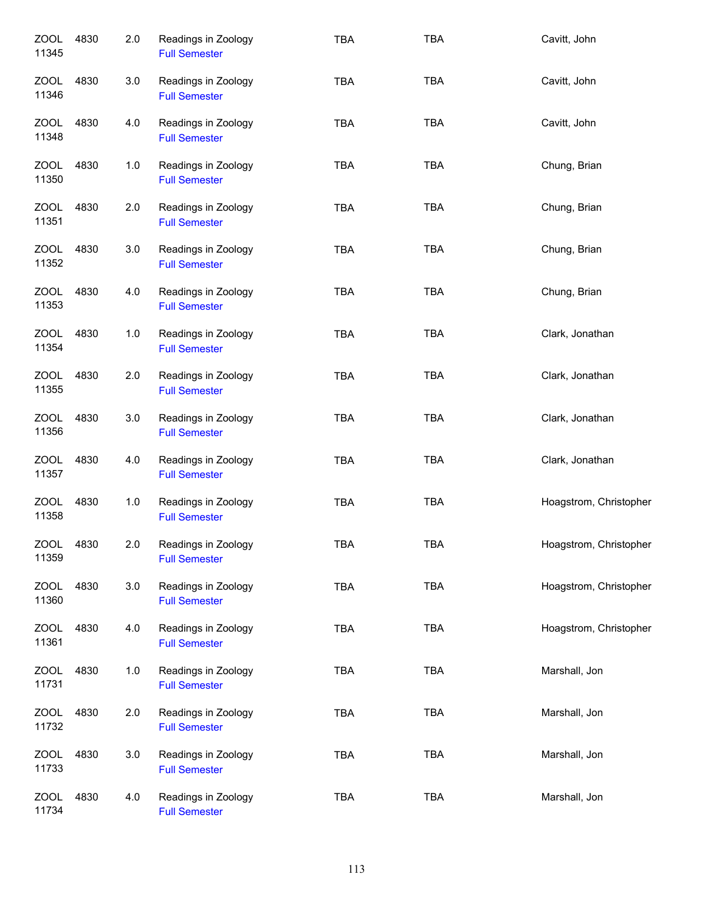| <b>ZOOL</b><br>11345 | 4830 | 2.0 | Readings in Zoology<br><b>Full Semester</b> | <b>TBA</b> | <b>TBA</b> | Cavitt, John           |
|----------------------|------|-----|---------------------------------------------|------------|------------|------------------------|
| ZOOL<br>11346        | 4830 | 3.0 | Readings in Zoology<br><b>Full Semester</b> | <b>TBA</b> | <b>TBA</b> | Cavitt, John           |
| ZOOL<br>11348        | 4830 | 4.0 | Readings in Zoology<br><b>Full Semester</b> | <b>TBA</b> | <b>TBA</b> | Cavitt, John           |
| <b>ZOOL</b><br>11350 | 4830 | 1.0 | Readings in Zoology<br><b>Full Semester</b> | <b>TBA</b> | <b>TBA</b> | Chung, Brian           |
| <b>ZOOL</b><br>11351 | 4830 | 2.0 | Readings in Zoology<br><b>Full Semester</b> | <b>TBA</b> | <b>TBA</b> | Chung, Brian           |
| <b>ZOOL</b><br>11352 | 4830 | 3.0 | Readings in Zoology<br><b>Full Semester</b> | <b>TBA</b> | <b>TBA</b> | Chung, Brian           |
| <b>ZOOL</b><br>11353 | 4830 | 4.0 | Readings in Zoology<br><b>Full Semester</b> | <b>TBA</b> | <b>TBA</b> | Chung, Brian           |
| <b>ZOOL</b><br>11354 | 4830 | 1.0 | Readings in Zoology<br><b>Full Semester</b> | <b>TBA</b> | <b>TBA</b> | Clark, Jonathan        |
| <b>ZOOL</b><br>11355 | 4830 | 2.0 | Readings in Zoology<br><b>Full Semester</b> | TBA        | <b>TBA</b> | Clark, Jonathan        |
| <b>ZOOL</b><br>11356 | 4830 | 3.0 | Readings in Zoology<br><b>Full Semester</b> | TBA        | <b>TBA</b> | Clark, Jonathan        |
| <b>ZOOL</b><br>11357 | 4830 | 4.0 | Readings in Zoology<br><b>Full Semester</b> | <b>TBA</b> | <b>TBA</b> | Clark, Jonathan        |
| <b>ZOOL</b><br>11358 | 4830 | 1.0 | Readings in Zoology<br><b>Full Semester</b> | <b>TBA</b> | <b>TBA</b> | Hoagstrom, Christopher |
| 700L<br>11359        | 4830 | 2.0 | Readings in Zoology<br><b>Full Semester</b> | <b>TBA</b> | <b>TBA</b> | Hoagstrom, Christopher |
| <b>ZOOL</b><br>11360 | 4830 | 3.0 | Readings in Zoology<br><b>Full Semester</b> | TBA        | <b>TBA</b> | Hoagstrom, Christopher |
| <b>ZOOL</b><br>11361 | 4830 | 4.0 | Readings in Zoology<br><b>Full Semester</b> | TBA        | <b>TBA</b> | Hoagstrom, Christopher |
| <b>ZOOL</b><br>11731 | 4830 | 1.0 | Readings in Zoology<br><b>Full Semester</b> | <b>TBA</b> | <b>TBA</b> | Marshall, Jon          |
| <b>ZOOL</b><br>11732 | 4830 | 2.0 | Readings in Zoology<br><b>Full Semester</b> | <b>TBA</b> | <b>TBA</b> | Marshall, Jon          |
| <b>ZOOL</b><br>11733 | 4830 | 3.0 | Readings in Zoology<br><b>Full Semester</b> | <b>TBA</b> | <b>TBA</b> | Marshall, Jon          |
| <b>ZOOL</b><br>11734 | 4830 | 4.0 | Readings in Zoology<br><b>Full Semester</b> | <b>TBA</b> | <b>TBA</b> | Marshall, Jon          |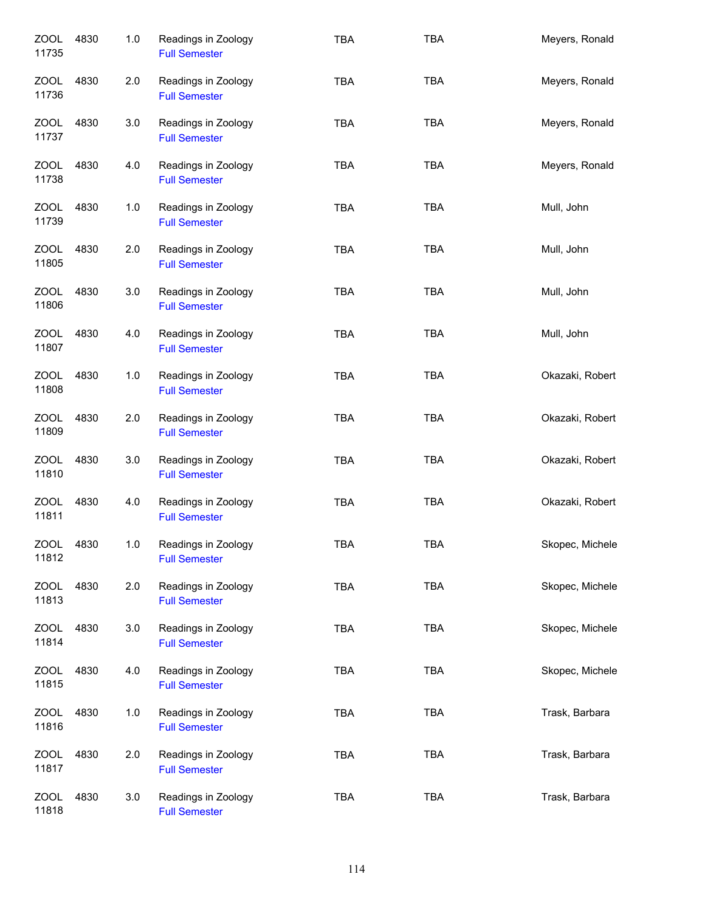| <b>ZOOL</b><br>11735 | 4830 | 1.0 | Readings in Zoology<br><b>Full Semester</b> | <b>TBA</b> | <b>TBA</b> | Meyers, Ronald  |
|----------------------|------|-----|---------------------------------------------|------------|------------|-----------------|
| ZOOL<br>11736        | 4830 | 2.0 | Readings in Zoology<br><b>Full Semester</b> | <b>TBA</b> | <b>TBA</b> | Meyers, Ronald  |
| ZOOL<br>11737        | 4830 | 3.0 | Readings in Zoology<br><b>Full Semester</b> | <b>TBA</b> | <b>TBA</b> | Meyers, Ronald  |
| ZOOL<br>11738        | 4830 | 4.0 | Readings in Zoology<br><b>Full Semester</b> | <b>TBA</b> | <b>TBA</b> | Meyers, Ronald  |
| ZOOL<br>11739        | 4830 | 1.0 | Readings in Zoology<br><b>Full Semester</b> | <b>TBA</b> | <b>TBA</b> | Mull, John      |
| <b>ZOOL</b><br>11805 | 4830 | 2.0 | Readings in Zoology<br><b>Full Semester</b> | <b>TBA</b> | <b>TBA</b> | Mull, John      |
| ZOOL<br>11806        | 4830 | 3.0 | Readings in Zoology<br><b>Full Semester</b> | <b>TBA</b> | <b>TBA</b> | Mull, John      |
| <b>ZOOL</b><br>11807 | 4830 | 4.0 | Readings in Zoology<br><b>Full Semester</b> | <b>TBA</b> | <b>TBA</b> | Mull, John      |
| <b>ZOOL</b><br>11808 | 4830 | 1.0 | Readings in Zoology<br><b>Full Semester</b> | <b>TBA</b> | <b>TBA</b> | Okazaki, Robert |
| <b>ZOOL</b><br>11809 | 4830 | 2.0 | Readings in Zoology<br><b>Full Semester</b> | <b>TBA</b> | <b>TBA</b> | Okazaki, Robert |
| <b>ZOOL</b><br>11810 | 4830 | 3.0 | Readings in Zoology<br><b>Full Semester</b> | <b>TBA</b> | <b>TBA</b> | Okazaki, Robert |
| <b>ZOOL</b><br>11811 | 4830 | 4.0 | Readings in Zoology<br><b>Full Semester</b> | <b>TBA</b> | <b>TBA</b> | Okazaki, Robert |
| <b>ZOOL</b><br>11812 | 4830 | 1.0 | Readings in Zoology<br><b>Full Semester</b> | TBA        | TBA        | Skopec, Michele |
| <b>ZOOL</b><br>11813 | 4830 | 2.0 | Readings in Zoology<br><b>Full Semester</b> | TBA        | TBA        | Skopec, Michele |
| ZOOL<br>11814        | 4830 | 3.0 | Readings in Zoology<br><b>Full Semester</b> | <b>TBA</b> | <b>TBA</b> | Skopec, Michele |
| <b>ZOOL</b><br>11815 | 4830 | 4.0 | Readings in Zoology<br><b>Full Semester</b> | TBA        | <b>TBA</b> | Skopec, Michele |
| <b>ZOOL</b><br>11816 | 4830 | 1.0 | Readings in Zoology<br><b>Full Semester</b> | <b>TBA</b> | <b>TBA</b> | Trask, Barbara  |
| <b>ZOOL</b><br>11817 | 4830 | 2.0 | Readings in Zoology<br><b>Full Semester</b> | <b>TBA</b> | <b>TBA</b> | Trask, Barbara  |
| <b>ZOOL</b><br>11818 | 4830 | 3.0 | Readings in Zoology<br><b>Full Semester</b> | <b>TBA</b> | <b>TBA</b> | Trask, Barbara  |